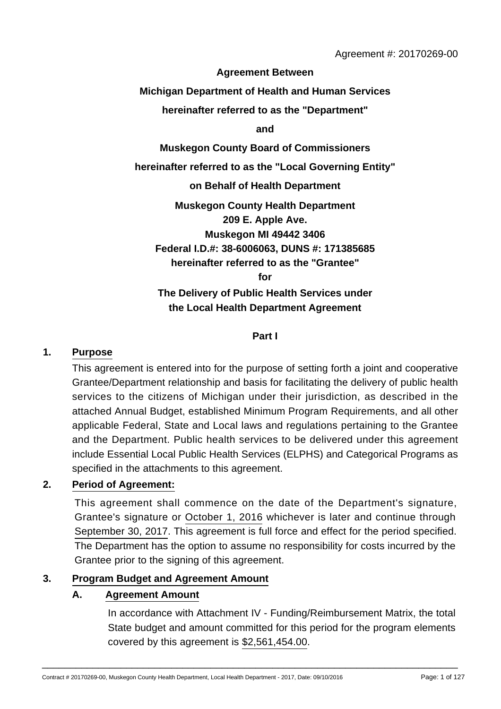**Agreement Between**

**Michigan Department of Health and Human Services**

**hereinafter referred to as the "Department"**

**and**

**Muskegon County Board of Commissioners**

**hereinafter referred to as the "Local Governing Entity"**

**on Behalf of Health Department**

**Muskegon County Health Department 209 E. Apple Ave. Muskegon MI 49442 3406 Federal I.D.#: 38-6006063, DUNS #: 171385685 hereinafter referred to as the "Grantee" for**

**The Delivery of Public Health Services under the Local Health Department Agreement**

**Part I**

#### **1. Purpose**

This agreement is entered into for the purpose of setting forth a joint and cooperative Grantee/Department relationship and basis for facilitating the delivery of public health services to the citizens of Michigan under their jurisdiction, as described in the attached Annual Budget, established Minimum Program Requirements, and all other applicable Federal, State and Local laws and regulations pertaining to the Grantee and the Department. Public health services to be delivered under this agreement include Essential Local Public Health Services (ELPHS) and Categorical Programs as specified in the attachments to this agreement.

#### **2. Period of Agreement:**

This agreement shall commence on the date of the Department's signature, Grantee's signature or October 1, 2016 whichever is later and continue through September 30, 2017. This agreement is full force and effect for the period specified. The Department has the option to assume no responsibility for costs incurred by the Grantee prior to the signing of this agreement.

#### **3. Program Budget and Agreement Amount**

#### **A. Agreement Amount**

In accordance with Attachment IV - Funding/Reimbursement Matrix, the total State budget and amount committed for this period for the program elements covered by this agreement is \$2,561,454.00.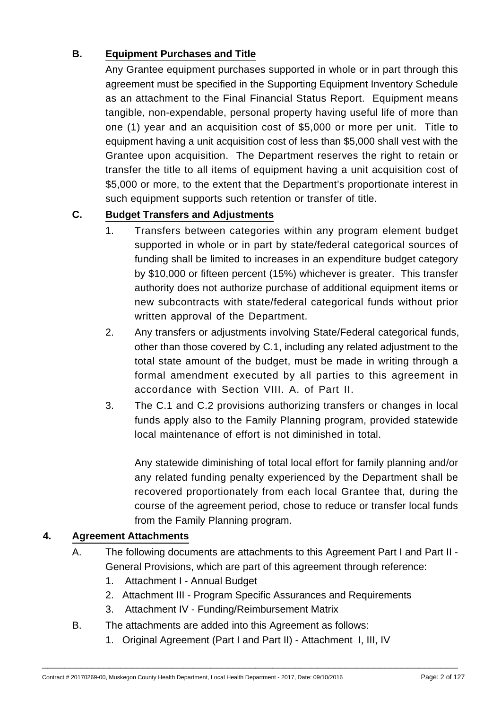# **B. Equipment Purchases and Title**

Any Grantee equipment purchases supported in whole or in part through this agreement must be specified in the Supporting Equipment Inventory Schedule as an attachment to the Final Financial Status Report. Equipment means tangible, non-expendable, personal property having useful life of more than one (1) year and an acquisition cost of \$5,000 or more per unit. Title to equipment having a unit acquisition cost of less than \$5,000 shall vest with the Grantee upon acquisition. The Department reserves the right to retain or transfer the title to all items of equipment having a unit acquisition cost of \$5,000 or more, to the extent that the Department's proportionate interest in such equipment supports such retention or transfer of title.

# **C. Budget Transfers and Adjustments**

- 1. Transfers between categories within any program element budget supported in whole or in part by state/federal categorical sources of funding shall be limited to increases in an expenditure budget category by \$10,000 or fifteen percent (15%) whichever is greater. This transfer authority does not authorize purchase of additional equipment items or new subcontracts with state/federal categorical funds without prior written approval of the Department.
- 2. Any transfers or adjustments involving State/Federal categorical funds, other than those covered by C.1, including any related adjustment to the total state amount of the budget, must be made in writing through a formal amendment executed by all parties to this agreement in accordance with Section VIII. A. of Part II.
- 3. The C.1 and C.2 provisions authorizing transfers or changes in local funds apply also to the Family Planning program, provided statewide local maintenance of effort is not diminished in total.

Any statewide diminishing of total local effort for family planning and/or any related funding penalty experienced by the Department shall be recovered proportionately from each local Grantee that, during the course of the agreement period, chose to reduce or transfer local funds from the Family Planning program.

## **4. Agreement Attachments**

- A. The following documents are attachments to this Agreement Part I and Part II General Provisions, which are part of this agreement through reference:
	- 1. Attachment I Annual Budget
	- 2. Attachment III Program Specific Assurances and Requirements
	- 3. Attachment IV Funding/Reimbursement Matrix
- B. The attachments are added into this Agreement as follows:
	- 1. Original Agreement (Part I and Part II) Attachment I, III, IV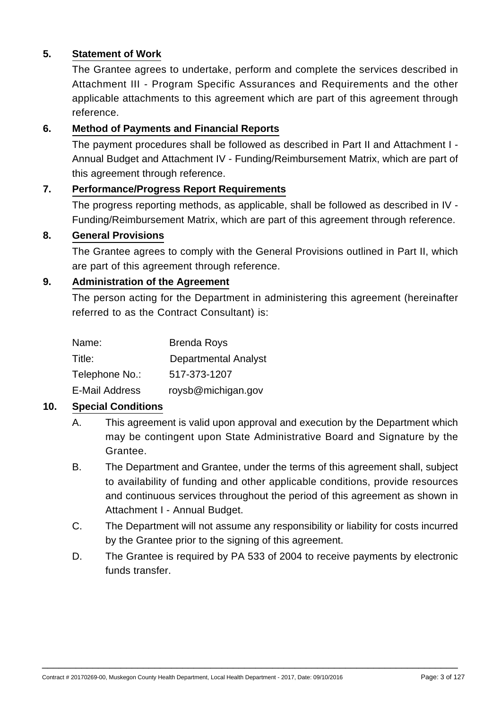## **5. Statement of Work**

The Grantee agrees to undertake, perform and complete the services described in Attachment III - Program Specific Assurances and Requirements and the other applicable attachments to this agreement which are part of this agreement through reference.

#### **6. Method of Payments and Financial Reports**

The payment procedures shall be followed as described in Part II and Attachment I - Annual Budget and Attachment IV - Funding/Reimbursement Matrix, which are part of this agreement through reference.

#### **7. Performance/Progress Report Requirements**

The progress reporting methods, as applicable, shall be followed as described in IV - Funding/Reimbursement Matrix, which are part of this agreement through reference.

#### **8. General Provisions**

The Grantee agrees to comply with the General Provisions outlined in Part II, which are part of this agreement through reference.

#### **9. Administration of the Agreement**

The person acting for the Department in administering this agreement (hereinafter referred to as the Contract Consultant) is:

| Name:                 | <b>Brenda Roys</b>          |
|-----------------------|-----------------------------|
| Title:                | <b>Departmental Analyst</b> |
| Telephone No.:        | 517-373-1207                |
| <b>E-Mail Address</b> | roysb@michigan.gov          |

#### **10. Special Conditions**

- A. This agreement is valid upon approval and execution by the Department which may be contingent upon State Administrative Board and Signature by the Grantee.
- B. The Department and Grantee, under the terms of this agreement shall, subject to availability of funding and other applicable conditions, provide resources and continuous services throughout the period of this agreement as shown in Attachment I - Annual Budget.
- C. The Department will not assume any responsibility or liability for costs incurred by the Grantee prior to the signing of this agreement.
- D. The Grantee is required by PA 533 of 2004 to receive payments by electronic funds transfer.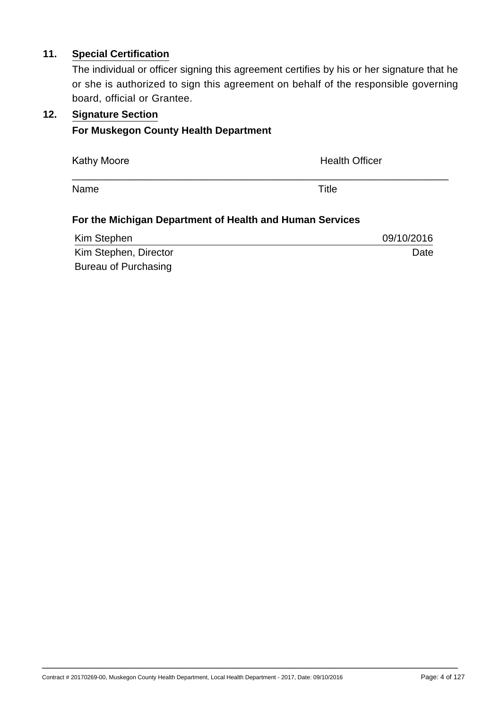## **11. Special Certification**

The individual or officer signing this agreement certifies by his or her signature that he or she is authorized to sign this agreement on behalf of the responsible governing board, official or Grantee.

#### **12. Signature Section**

#### **For Muskegon County Health Department**

Kathy Moore **Health Officer Health Officer** 

Name Title

## **For the Michigan Department of Health and Human Services**

| Kim Stephen           | 09/10/2016 |
|-----------------------|------------|
| Kim Stephen, Director | Date       |
| Bureau of Purchasing  |            |

\_\_\_\_\_\_\_\_\_\_\_\_\_\_\_\_\_\_\_\_\_\_\_\_\_\_\_\_\_\_\_\_\_\_\_\_\_\_\_\_\_\_\_\_\_\_\_\_\_\_\_\_\_\_\_\_\_\_\_\_\_\_\_\_\_\_\_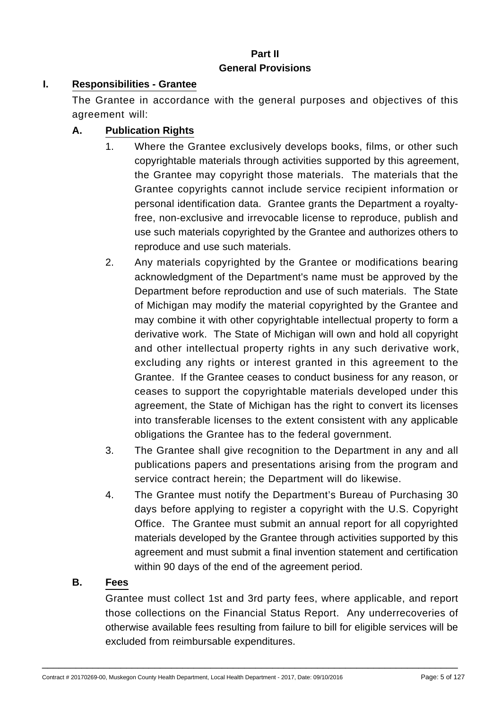#### **Part II General Provisions**

## **I. Responsibilities - Grantee**

The Grantee in accordance with the general purposes and objectives of this agreement will:

# **A. Publication Rights**

- 1. Where the Grantee exclusively develops books, films, or other such copyrightable materials through activities supported by this agreement, the Grantee may copyright those materials. The materials that the Grantee copyrights cannot include service recipient information or personal identification data. Grantee grants the Department a royaltyfree, non-exclusive and irrevocable license to reproduce, publish and use such materials copyrighted by the Grantee and authorizes others to reproduce and use such materials.
- 2. Any materials copyrighted by the Grantee or modifications bearing acknowledgment of the Department's name must be approved by the Department before reproduction and use of such materials. The State of Michigan may modify the material copyrighted by the Grantee and may combine it with other copyrightable intellectual property to form a derivative work. The State of Michigan will own and hold all copyright and other intellectual property rights in any such derivative work, excluding any rights or interest granted in this agreement to the Grantee. If the Grantee ceases to conduct business for any reason, or ceases to support the copyrightable materials developed under this agreement, the State of Michigan has the right to convert its licenses into transferable licenses to the extent consistent with any applicable obligations the Grantee has to the federal government.
- 3. The Grantee shall give recognition to the Department in any and all publications papers and presentations arising from the program and service contract herein; the Department will do likewise.
- 4. The Grantee must notify the Department's Bureau of Purchasing 30 days before applying to register a copyright with the U.S. Copyright Office. The Grantee must submit an annual report for all copyrighted materials developed by the Grantee through activities supported by this agreement and must submit a final invention statement and certification within 90 days of the end of the agreement period.

#### **B. Fees**

Grantee must collect 1st and 3rd party fees, where applicable, and report those collections on the Financial Status Report. Any underrecoveries of otherwise available fees resulting from failure to bill for eligible services will be excluded from reimbursable expenditures.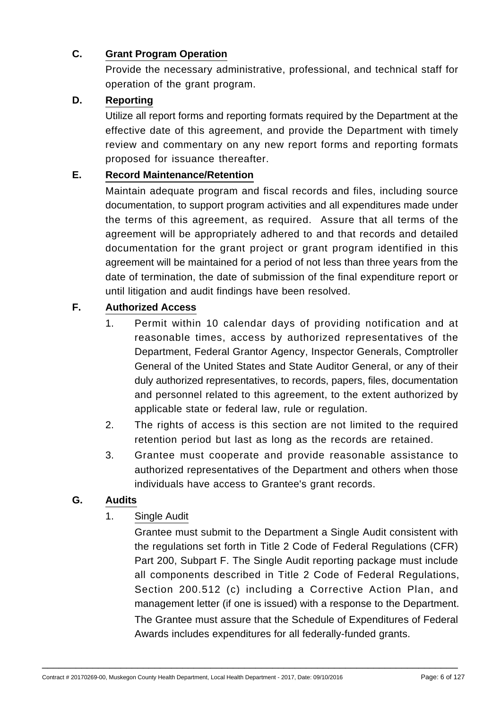## **C. Grant Program Operation**

Provide the necessary administrative, professional, and technical staff for operation of the grant program.

## **D. Reporting**

Utilize all report forms and reporting formats required by the Department at the effective date of this agreement, and provide the Department with timely review and commentary on any new report forms and reporting formats proposed for issuance thereafter.

# **E. Record Maintenance/Retention**

Maintain adequate program and fiscal records and files, including source documentation, to support program activities and all expenditures made under the terms of this agreement, as required. Assure that all terms of the agreement will be appropriately adhered to and that records and detailed documentation for the grant project or grant program identified in this agreement will be maintained for a period of not less than three years from the date of termination, the date of submission of the final expenditure report or until litigation and audit findings have been resolved.

## **F. Authorized Access**

- 1. Permit within 10 calendar days of providing notification and at reasonable times, access by authorized representatives of the Department, Federal Grantor Agency, Inspector Generals, Comptroller General of the United States and State Auditor General, or any of their duly authorized representatives, to records, papers, files, documentation and personnel related to this agreement, to the extent authorized by applicable state or federal law, rule or regulation.
- 2. The rights of access is this section are not limited to the required retention period but last as long as the records are retained.
- 3. Grantee must cooperate and provide reasonable assistance to authorized representatives of the Department and others when those individuals have access to Grantee's grant records.

#### **G. Audits**

1. Single Audit

Grantee must submit to the Department a Single Audit consistent with the regulations set forth in Title 2 Code of Federal Regulations (CFR) Part 200, Subpart F. The Single Audit reporting package must include all components described in Title 2 Code of Federal Regulations, Section 200.512 (c) including a Corrective Action Plan, and management letter (if one is issued) with a response to the Department. The Grantee must assure that the Schedule of Expenditures of Federal Awards includes expenditures for all federally-funded grants.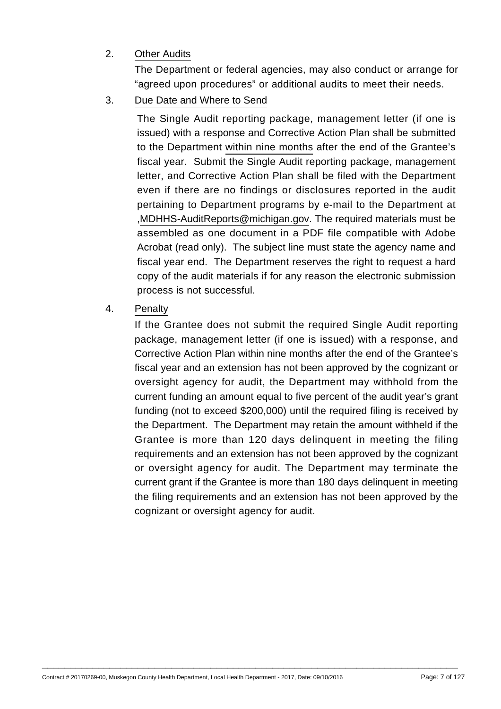## 2. Other Audits

The Department or federal agencies, may also conduct or arrange for "agreed upon procedures" or additional audits to meet their needs.

3. Due Date and Where to Send

The Single Audit reporting package, management letter (if one is issued) with a response and Corrective Action Plan shall be submitted to the Department within nine months after the end of the Grantee's fiscal year. Submit the Single Audit reporting package, management letter, and Corrective Action Plan shall be filed with the Department even if there are no findings or disclosures reported in the audit pertaining to Department programs by e-mail to the Department at ,MDHHS-AuditReports@michigan.gov. The required materials must be assembled as one document in a PDF file compatible with Adobe Acrobat (read only). The subject line must state the agency name and fiscal year end. The Department reserves the right to request a hard copy of the audit materials if for any reason the electronic submission process is not successful.

## 4. Penalty

If the Grantee does not submit the required Single Audit reporting package, management letter (if one is issued) with a response, and Corrective Action Plan within nine months after the end of the Grantee's fiscal year and an extension has not been approved by the cognizant or oversight agency for audit, the Department may withhold from the current funding an amount equal to five percent of the audit year's grant funding (not to exceed \$200,000) until the required filing is received by the Department. The Department may retain the amount withheld if the Grantee is more than 120 days delinquent in meeting the filing requirements and an extension has not been approved by the cognizant or oversight agency for audit. The Department may terminate the current grant if the Grantee is more than 180 days delinquent in meeting the filing requirements and an extension has not been approved by the cognizant or oversight agency for audit.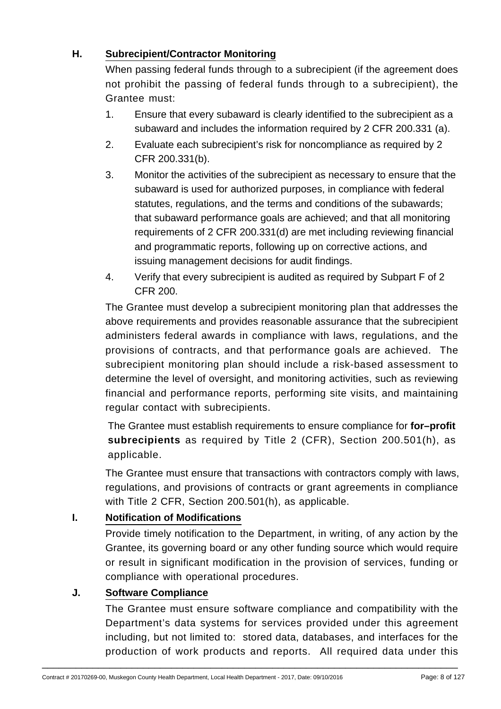## **H. Subrecipient/Contractor Monitoring**

When passing federal funds through to a subrecipient (if the agreement does not prohibit the passing of federal funds through to a subrecipient), the Grantee must:

- 1. Ensure that every subaward is clearly identified to the subrecipient as a subaward and includes the information required by 2 CFR 200.331 (a).
- 2. Evaluate each subrecipient's risk for noncompliance as required by 2 CFR 200.331(b).
- 3. Monitor the activities of the subrecipient as necessary to ensure that the subaward is used for authorized purposes, in compliance with federal statutes, regulations, and the terms and conditions of the subawards; that subaward performance goals are achieved; and that all monitoring requirements of 2 CFR 200.331(d) are met including reviewing financial and programmatic reports, following up on corrective actions, and issuing management decisions for audit findings.
- 4. Verify that every subrecipient is audited as required by Subpart F of 2 CFR 200.

The Grantee must develop a subrecipient monitoring plan that addresses the above requirements and provides reasonable assurance that the subrecipient administers federal awards in compliance with laws, regulations, and the provisions of contracts, and that performance goals are achieved. The subrecipient monitoring plan should include a risk-based assessment to determine the level of oversight, and monitoring activities, such as reviewing financial and performance reports, performing site visits, and maintaining regular contact with subrecipients.

The Grantee must establish requirements to ensure compliance for **for–profit subrecipients** as required by Title 2 (CFR), Section 200.501(h), as applicable.

The Grantee must ensure that transactions with contractors comply with laws, regulations, and provisions of contracts or grant agreements in compliance with Title 2 CFR, Section 200.501(h), as applicable.

## **I. Notification of Modifications**

Provide timely notification to the Department, in writing, of any action by the Grantee, its governing board or any other funding source which would require or result in significant modification in the provision of services, funding or compliance with operational procedures.

## **J. Software Compliance**

The Grantee must ensure software compliance and compatibility with the Department's data systems for services provided under this agreement including, but not limited to: stored data, databases, and interfaces for the production of work products and reports. All required data under this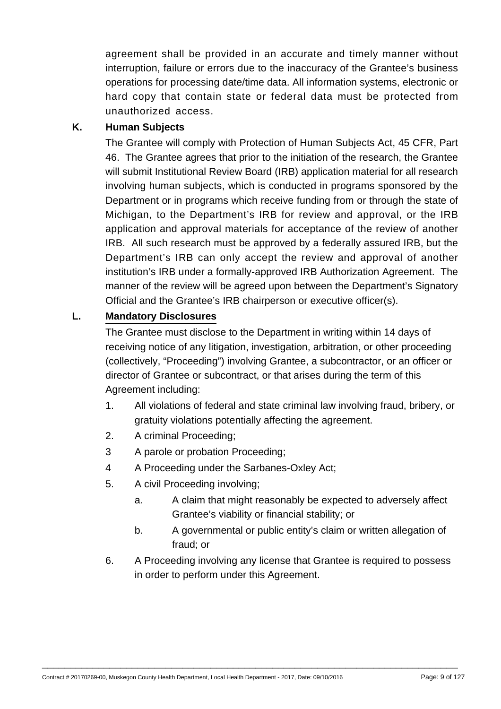agreement shall be provided in an accurate and timely manner without interruption, failure or errors due to the inaccuracy of the Grantee's business operations for processing date/time data. All information systems, electronic or hard copy that contain state or federal data must be protected from unauthorized access.

## **K. Human Subjects**

The Grantee will comply with Protection of Human Subjects Act, 45 CFR, Part 46. The Grantee agrees that prior to the initiation of the research, the Grantee will submit Institutional Review Board (IRB) application material for all research involving human subjects, which is conducted in programs sponsored by the Department or in programs which receive funding from or through the state of Michigan, to the Department's IRB for review and approval, or the IRB application and approval materials for acceptance of the review of another IRB. All such research must be approved by a federally assured IRB, but the Department's IRB can only accept the review and approval of another institution's IRB under a formally-approved IRB Authorization Agreement. The manner of the review will be agreed upon between the Department's Signatory Official and the Grantee's IRB chairperson or executive officer(s).

## **L. Mandatory Disclosures**

The Grantee must disclose to the Department in writing within 14 days of receiving notice of any litigation, investigation, arbitration, or other proceeding (collectively, "Proceeding") involving Grantee, a subcontractor, or an officer or director of Grantee or subcontract, or that arises during the term of this Agreement including:

- 1. All violations of federal and state criminal law involving fraud, bribery, or gratuity violations potentially affecting the agreement.
- 2. A criminal Proceeding;
- 3 A parole or probation Proceeding;
- 4 A Proceeding under the Sarbanes-Oxley Act;
- 5. A civil Proceeding involving;
	- a. A claim that might reasonably be expected to adversely affect Grantee's viability or financial stability; or
	- b. A governmental or public entity's claim or written allegation of fraud; or
- 6. A Proceeding involving any license that Grantee is required to possess in order to perform under this Agreement.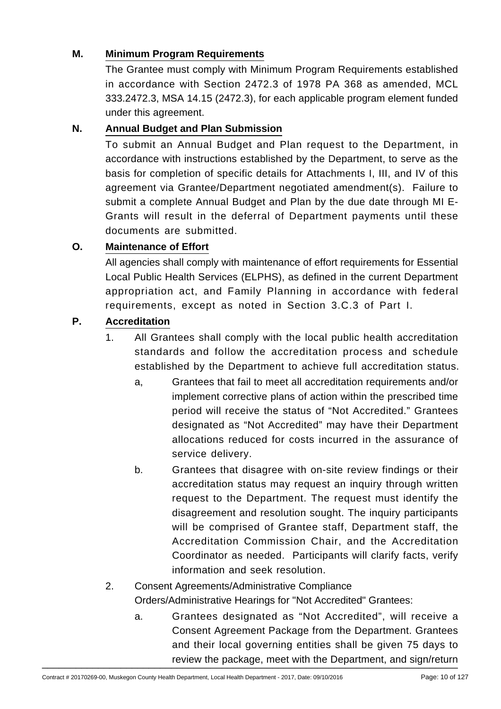## **M. Minimum Program Requirements**

The Grantee must comply with Minimum Program Requirements established in accordance with Section 2472.3 of 1978 PA 368 as amended, MCL 333.2472.3, MSA 14.15 (2472.3), for each applicable program element funded under this agreement.

## **N. Annual Budget and Plan Submission**

To submit an Annual Budget and Plan request to the Department, in accordance with instructions established by the Department, to serve as the basis for completion of specific details for Attachments I, III, and IV of this agreement via Grantee/Department negotiated amendment(s). Failure to submit a complete Annual Budget and Plan by the due date through MI E-Grants will result in the deferral of Department payments until these documents are submitted.

# **O. Maintenance of Effort**

All agencies shall comply with maintenance of effort requirements for Essential Local Public Health Services (ELPHS), as defined in the current Department appropriation act, and Family Planning in accordance with federal requirements, except as noted in Section 3.C.3 of Part I.

## **P. Accreditation**

- 1. All Grantees shall comply with the local public health accreditation standards and follow the accreditation process and schedule established by the Department to achieve full accreditation status.
	- a, Grantees that fail to meet all accreditation requirements and/or implement corrective plans of action within the prescribed time period will receive the status of "Not Accredited." Grantees designated as "Not Accredited" may have their Department allocations reduced for costs incurred in the assurance of service delivery.
	- b. Grantees that disagree with on-site review findings or their accreditation status may request an inquiry through written request to the Department. The request must identify the disagreement and resolution sought. The inquiry participants will be comprised of Grantee staff, Department staff, the Accreditation Commission Chair, and the Accreditation Coordinator as needed. Participants will clarify facts, verify information and seek resolution.
- 2. Consent Agreements/Administrative Compliance Orders/Administrative Hearings for "Not Accredited" Grantees:
- a. Grantees designated as "Not Accredited", will receive a Consent Agreement Package from the Department. Grantees and their local governing entities shall be given 75 days to review the package, meet with the Department, and sign/return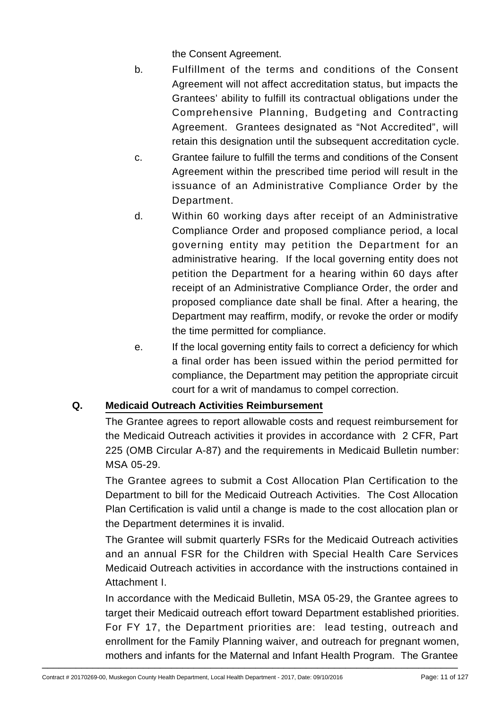the Consent Agreement.

- b. Fulfillment of the terms and conditions of the Consent Agreement will not affect accreditation status, but impacts the Grantees' ability to fulfill its contractual obligations under the Comprehensive Planning, Budgeting and Contracting Agreement. Grantees designated as "Not Accredited", will retain this designation until the subsequent accreditation cycle.
- c. Grantee failure to fulfill the terms and conditions of the Consent Agreement within the prescribed time period will result in the issuance of an Administrative Compliance Order by the Department.
- d. Within 60 working days after receipt of an Administrative Compliance Order and proposed compliance period, a local governing entity may petition the Department for an administrative hearing. If the local governing entity does not petition the Department for a hearing within 60 days after receipt of an Administrative Compliance Order, the order and proposed compliance date shall be final. After a hearing, the Department may reaffirm, modify, or revoke the order or modify the time permitted for compliance.
- e. If the local governing entity fails to correct a deficiency for which a final order has been issued within the period permitted for compliance, the Department may petition the appropriate circuit court for a writ of mandamus to compel correction.

## **Q. Medicaid Outreach Activities Reimbursement**

The Grantee agrees to report allowable costs and request reimbursement for the Medicaid Outreach activities it provides in accordance with 2 CFR, Part 225 (OMB Circular A-87) and the requirements in Medicaid Bulletin number: MSA 05-29.

The Grantee agrees to submit a Cost Allocation Plan Certification to the Department to bill for the Medicaid Outreach Activities. The Cost Allocation Plan Certification is valid until a change is made to the cost allocation plan or the Department determines it is invalid.

The Grantee will submit quarterly FSRs for the Medicaid Outreach activities and an annual FSR for the Children with Special Health Care Services Medicaid Outreach activities in accordance with the instructions contained in Attachment I.

In accordance with the Medicaid Bulletin, MSA 05-29, the Grantee agrees to target their Medicaid outreach effort toward Department established priorities. For FY 17, the Department priorities are: lead testing, outreach and enrollment for the Family Planning waiver, and outreach for pregnant women, mothers and infants for the Maternal and Infant Health Program. The Grantee  $\blacksquare$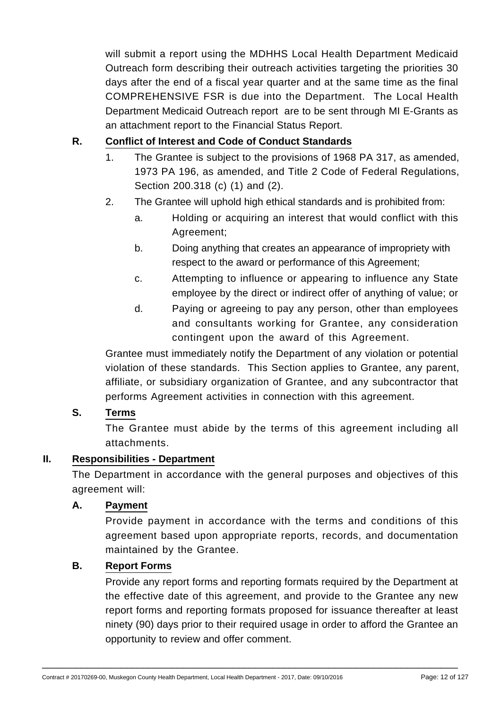will submit a report using the MDHHS Local Health Department Medicaid Outreach form describing their outreach activities targeting the priorities 30 days after the end of a fiscal year quarter and at the same time as the final COMPREHENSIVE FSR is due into the Department. The Local Health Department Medicaid Outreach report are to be sent through MI E-Grants as an attachment report to the Financial Status Report.

## **R. Conflict of Interest and Code of Conduct Standards**

- 1. The Grantee is subject to the provisions of 1968 PA 317, as amended, 1973 PA 196, as amended, and Title 2 Code of Federal Regulations, Section 200.318 (c) (1) and (2).
- 2. The Grantee will uphold high ethical standards and is prohibited from:
	- a. Holding or acquiring an interest that would conflict with this Agreement;
	- b. Doing anything that creates an appearance of impropriety with respect to the award or performance of this Agreement;
	- c. Attempting to influence or appearing to influence any State employee by the direct or indirect offer of anything of value; or
	- d. Paying or agreeing to pay any person, other than employees and consultants working for Grantee, any consideration contingent upon the award of this Agreement.

Grantee must immediately notify the Department of any violation or potential violation of these standards. This Section applies to Grantee, any parent, affiliate, or subsidiary organization of Grantee, and any subcontractor that performs Agreement activities in connection with this agreement.

#### **S. Terms**

The Grantee must abide by the terms of this agreement including all attachments.

#### **II. Responsibilities - Department**

The Department in accordance with the general purposes and objectives of this agreement will:

## **A. Payment**

Provide payment in accordance with the terms and conditions of this agreement based upon appropriate reports, records, and documentation maintained by the Grantee.

#### **B. Report Forms**

Provide any report forms and reporting formats required by the Department at the effective date of this agreement, and provide to the Grantee any new report forms and reporting formats proposed for issuance thereafter at least ninety (90) days prior to their required usage in order to afford the Grantee an opportunity to review and offer comment.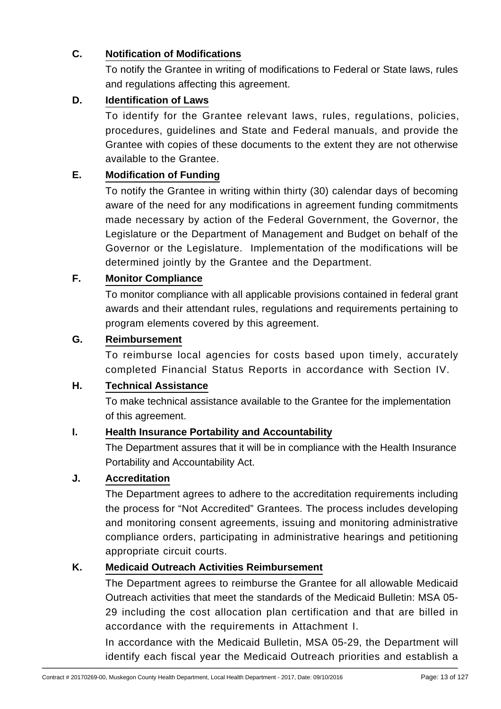## **C. Notification of Modifications**

To notify the Grantee in writing of modifications to Federal or State laws, rules and regulations affecting this agreement.

## **D. Identification of Laws**

To identify for the Grantee relevant laws, rules, regulations, policies, procedures, guidelines and State and Federal manuals, and provide the Grantee with copies of these documents to the extent they are not otherwise available to the Grantee.

# **E. Modification of Funding**

To notify the Grantee in writing within thirty (30) calendar days of becoming aware of the need for any modifications in agreement funding commitments made necessary by action of the Federal Government, the Governor, the Legislature or the Department of Management and Budget on behalf of the Governor or the Legislature. Implementation of the modifications will be determined jointly by the Grantee and the Department.

## **F. Monitor Compliance**

To monitor compliance with all applicable provisions contained in federal grant awards and their attendant rules, regulations and requirements pertaining to program elements covered by this agreement.

## **G. Reimbursement**

To reimburse local agencies for costs based upon timely, accurately completed Financial Status Reports in accordance with Section IV.

## **H. Technical Assistance**

To make technical assistance available to the Grantee for the implementation of this agreement.

## **I. Health Insurance Portability and Accountability**

The Department assures that it will be in compliance with the Health Insurance Portability and Accountability Act.

## **J. Accreditation**

The Department agrees to adhere to the accreditation requirements including the process for "Not Accredited" Grantees. The process includes developing and monitoring consent agreements, issuing and monitoring administrative compliance orders, participating in administrative hearings and petitioning appropriate circuit courts.

## **K. Medicaid Outreach Activities Reimbursement**

The Department agrees to reimburse the Grantee for all allowable Medicaid Outreach activities that meet the standards of the Medicaid Bulletin: MSA 05- 29 including the cost allocation plan certification and that are billed in accordance with the requirements in Attachment I.

In accordance with the Medicaid Bulletin, MSA 05-29, the Department will identify each fiscal year the Medicaid Outreach priorities and establish a \_\_\_\_\_\_\_\_\_\_\_\_\_\_\_\_\_\_\_\_\_\_\_\_\_\_\_\_\_\_\_\_\_\_\_\_\_\_\_\_\_\_\_\_\_\_\_\_\_\_\_\_\_\_\_\_\_\_\_\_\_\_\_\_\_\_\_\_\_\_\_\_\_\_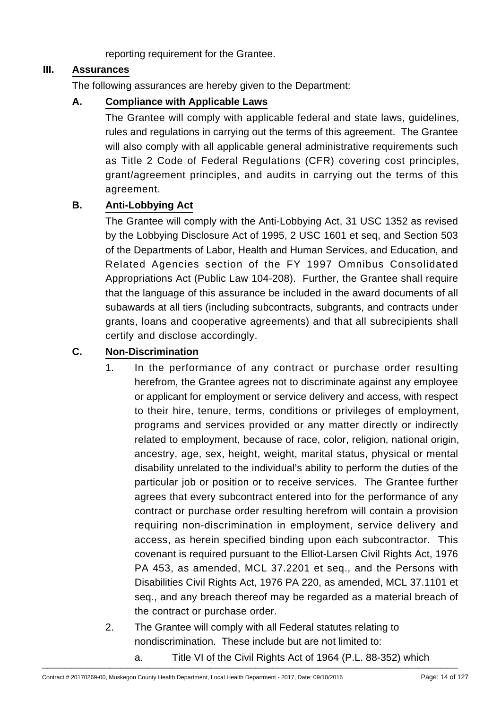reporting requirement for the Grantee.

#### **III. Assurances**

The following assurances are hereby given to the Department:

## **A. Compliance with Applicable Laws**

The Grantee will comply with applicable federal and state laws, guidelines, rules and regulations in carrying out the terms of this agreement. The Grantee will also comply with all applicable general administrative requirements such as Title 2 Code of Federal Regulations (CFR) covering cost principles, grant/agreement principles, and audits in carrying out the terms of this agreement.

## **B. Anti-Lobbying Act**

The Grantee will comply with the Anti-Lobbying Act, 31 USC 1352 as revised by the Lobbying Disclosure Act of 1995, 2 USC 1601 et seq, and Section 503 of the Departments of Labor, Health and Human Services, and Education, and Related Agencies section of the FY 1997 Omnibus Consolidated Appropriations Act (Public Law 104-208). Further, the Grantee shall require that the language of this assurance be included in the award documents of all subawards at all tiers (including subcontracts, subgrants, and contracts under grants, loans and cooperative agreements) and that all subrecipients shall certify and disclose accordingly.

## **C. Non-Discrimination**

- 1. In the performance of any contract or purchase order resulting herefrom, the Grantee agrees not to discriminate against any employee or applicant for employment or service delivery and access, with respect to their hire, tenure, terms, conditions or privileges of employment, programs and services provided or any matter directly or indirectly related to employment, because of race, color, religion, national origin, ancestry, age, sex, height, weight, marital status, physical or mental disability unrelated to the individual's ability to perform the duties of the particular job or position or to receive services. The Grantee further agrees that every subcontract entered into for the performance of any contract or purchase order resulting herefrom will contain a provision requiring non-discrimination in employment, service delivery and access, as herein specified binding upon each subcontractor. This covenant is required pursuant to the Elliot-Larsen Civil Rights Act, 1976 PA 453, as amended, MCL 37.2201 et seq., and the Persons with Disabilities Civil Rights Act, 1976 PA 220, as amended, MCL 37.1101 et seq., and any breach thereof may be regarded as a material breach of the contract or purchase order.
- 2. The Grantee will comply with all Federal statutes relating to nondiscrimination. These include but are not limited to:
- a. Title VI of the Civil Rights Act of 1964 (P.L. 88-352) which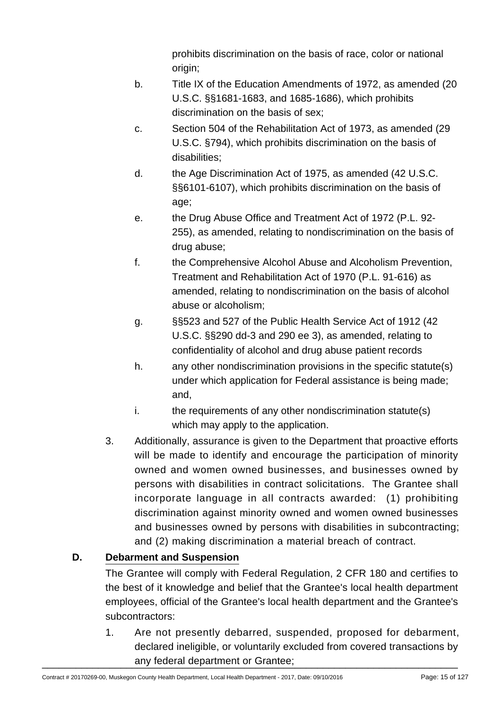prohibits discrimination on the basis of race, color or national origin;

- b. Title IX of the Education Amendments of 1972, as amended (20 U.S.C. §§1681-1683, and 1685-1686), which prohibits discrimination on the basis of sex;
- c. Section 504 of the Rehabilitation Act of 1973, as amended (29 U.S.C. §794), which prohibits discrimination on the basis of disabilities;
- d. the Age Discrimination Act of 1975, as amended (42 U.S.C. §§6101-6107), which prohibits discrimination on the basis of age;
- e. the Drug Abuse Office and Treatment Act of 1972 (P.L. 92- 255), as amended, relating to nondiscrimination on the basis of drug abuse;
- f. the Comprehensive Alcohol Abuse and Alcoholism Prevention, Treatment and Rehabilitation Act of 1970 (P.L. 91-616) as amended, relating to nondiscrimination on the basis of alcohol abuse or alcoholism;
- g. §§523 and 527 of the Public Health Service Act of 1912 (42 U.S.C. §§290 dd-3 and 290 ee 3), as amended, relating to confidentiality of alcohol and drug abuse patient records
- h. any other nondiscrimination provisions in the specific statute(s) under which application for Federal assistance is being made; and,
- i. the requirements of any other nondiscrimination statute(s) which may apply to the application.
- 3. Additionally, assurance is given to the Department that proactive efforts will be made to identify and encourage the participation of minority owned and women owned businesses, and businesses owned by persons with disabilities in contract solicitations. The Grantee shall incorporate language in all contracts awarded: (1) prohibiting discrimination against minority owned and women owned businesses and businesses owned by persons with disabilities in subcontracting; and (2) making discrimination a material breach of contract.

# **D. Debarment and Suspension**

The Grantee will comply with Federal Regulation, 2 CFR 180 and certifies to the best of it knowledge and belief that the Grantee's local health department employees, official of the Grantee's local health department and the Grantee's subcontractors:

1. Are not presently debarred, suspended, proposed for debarment, declared ineligible, or voluntarily excluded from covered transactions by any federal department or Grantee;<br>
————————————————————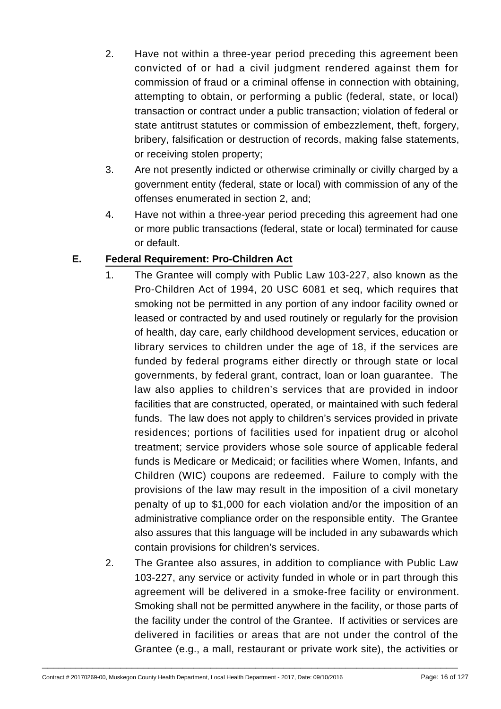- 2. Have not within a three-year period preceding this agreement been convicted of or had a civil judgment rendered against them for commission of fraud or a criminal offense in connection with obtaining, attempting to obtain, or performing a public (federal, state, or local) transaction or contract under a public transaction; violation of federal or state antitrust statutes or commission of embezzlement, theft, forgery, bribery, falsification or destruction of records, making false statements, or receiving stolen property;
- 3. Are not presently indicted or otherwise criminally or civilly charged by a government entity (federal, state or local) with commission of any of the offenses enumerated in section 2, and;
- 4. Have not within a three-year period preceding this agreement had one or more public transactions (federal, state or local) terminated for cause or default.

# **E. Federal Requirement: Pro-Children Act**

- 1. The Grantee will comply with Public Law 103-227, also known as the Pro-Children Act of 1994, 20 USC 6081 et seq, which requires that smoking not be permitted in any portion of any indoor facility owned or leased or contracted by and used routinely or regularly for the provision of health, day care, early childhood development services, education or library services to children under the age of 18, if the services are funded by federal programs either directly or through state or local governments, by federal grant, contract, loan or loan guarantee. The law also applies to children's services that are provided in indoor facilities that are constructed, operated, or maintained with such federal funds. The law does not apply to children's services provided in private residences; portions of facilities used for inpatient drug or alcohol treatment; service providers whose sole source of applicable federal funds is Medicare or Medicaid; or facilities where Women, Infants, and Children (WIC) coupons are redeemed. Failure to comply with the provisions of the law may result in the imposition of a civil monetary penalty of up to \$1,000 for each violation and/or the imposition of an administrative compliance order on the responsible entity. The Grantee also assures that this language will be included in any subawards which contain provisions for children's services.
- 2. The Grantee also assures, in addition to compliance with Public Law 103-227, any service or activity funded in whole or in part through this agreement will be delivered in a smoke-free facility or environment. Smoking shall not be permitted anywhere in the facility, or those parts of the facility under the control of the Grantee. If activities or services are delivered in facilities or areas that are not under the control of the Grantee (e.g., a mall, restaurant or private work site), the activities or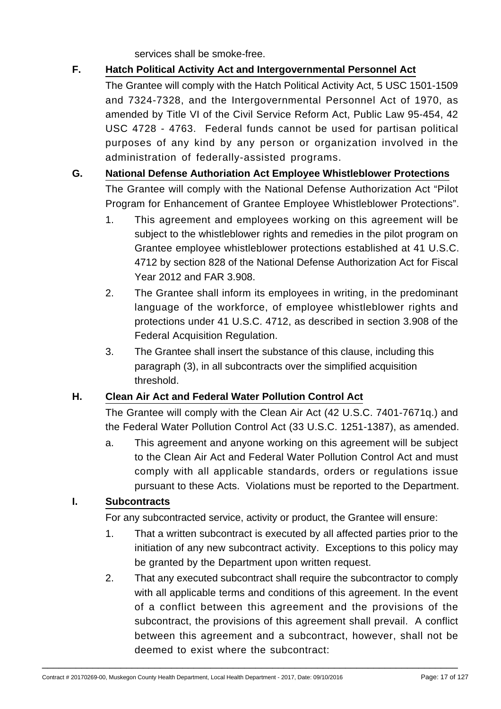services shall be smoke-free.

# **F. Hatch Political Activity Act and Intergovernmental Personnel Act**

The Grantee will comply with the Hatch Political Activity Act, 5 USC 1501-1509 and 7324-7328, and the Intergovernmental Personnel Act of 1970, as amended by Title VI of the Civil Service Reform Act, Public Law 95-454, 42 USC 4728 - 4763. Federal funds cannot be used for partisan political purposes of any kind by any person or organization involved in the administration of federally-assisted programs.

# **G. National Defense Authoriation Act Employee Whistleblower Protections**

The Grantee will comply with the National Defense Authorization Act "Pilot Program for Enhancement of Grantee Employee Whistleblower Protections".

- 1. This agreement and employees working on this agreement will be subject to the whistleblower rights and remedies in the pilot program on Grantee employee whistleblower protections established at 41 U.S.C. 4712 by section 828 of the National Defense Authorization Act for Fiscal Year 2012 and FAR 3.908.
- 2. The Grantee shall inform its employees in writing, in the predominant language of the workforce, of employee whistleblower rights and protections under 41 U.S.C. 4712, as described in section 3.908 of the Federal Acquisition Regulation.
- 3. The Grantee shall insert the substance of this clause, including this paragraph (3), in all subcontracts over the simplified acquisition threshold.

## **H. Clean Air Act and Federal Water Pollution Control Act**

The Grantee will comply with the Clean Air Act (42 U.S.C. 7401-7671q.) and the Federal Water Pollution Control Act (33 U.S.C. 1251-1387), as amended.

a. This agreement and anyone working on this agreement will be subject to the Clean Air Act and Federal Water Pollution Control Act and must comply with all applicable standards, orders or regulations issue pursuant to these Acts. Violations must be reported to the Department.

## **I. Subcontracts**

For any subcontracted service, activity or product, the Grantee will ensure:

- 1. That a written subcontract is executed by all affected parties prior to the initiation of any new subcontract activity. Exceptions to this policy may be granted by the Department upon written request.
- 2. That any executed subcontract shall require the subcontractor to comply with all applicable terms and conditions of this agreement. In the event of a conflict between this agreement and the provisions of the subcontract, the provisions of this agreement shall prevail. A conflict between this agreement and a subcontract, however, shall not be deemed to exist where the subcontract: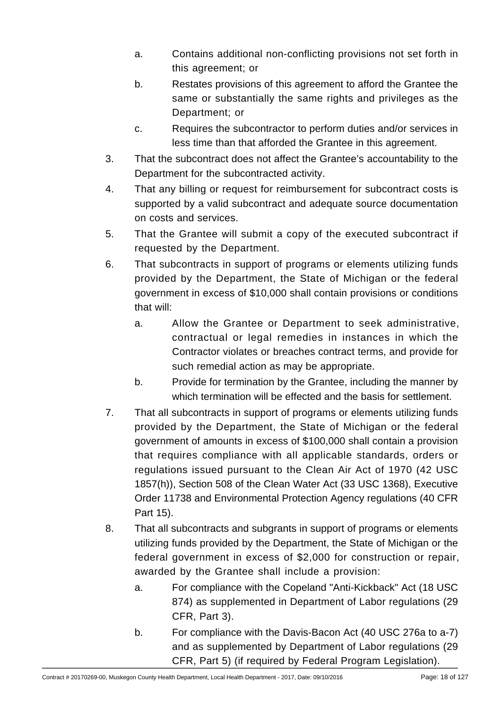- a. Contains additional non-conflicting provisions not set forth in this agreement; or
- b. Restates provisions of this agreement to afford the Grantee the same or substantially the same rights and privileges as the Department; or
- c. Requires the subcontractor to perform duties and/or services in less time than that afforded the Grantee in this agreement.
- 3. That the subcontract does not affect the Grantee's accountability to the Department for the subcontracted activity.
- 4. That any billing or request for reimbursement for subcontract costs is supported by a valid subcontract and adequate source documentation on costs and services.
- 5. That the Grantee will submit a copy of the executed subcontract if requested by the Department.
- 6. That subcontracts in support of programs or elements utilizing funds provided by the Department, the State of Michigan or the federal government in excess of \$10,000 shall contain provisions or conditions that will:
	- a. Allow the Grantee or Department to seek administrative, contractual or legal remedies in instances in which the Contractor violates or breaches contract terms, and provide for such remedial action as may be appropriate.
	- b. Provide for termination by the Grantee, including the manner by which termination will be effected and the basis for settlement.
- 7. That all subcontracts in support of programs or elements utilizing funds provided by the Department, the State of Michigan or the federal government of amounts in excess of \$100,000 shall contain a provision that requires compliance with all applicable standards, orders or regulations issued pursuant to the Clean Air Act of 1970 (42 USC 1857(h)), Section 508 of the Clean Water Act (33 USC 1368), Executive Order 11738 and Environmental Protection Agency regulations (40 CFR Part 15).
- 8. That all subcontracts and subgrants in support of programs or elements utilizing funds provided by the Department, the State of Michigan or the federal government in excess of \$2,000 for construction or repair, awarded by the Grantee shall include a provision:
	- a. For compliance with the Copeland "Anti-Kickback" Act (18 USC 874) as supplemented in Department of Labor regulations (29 CFR, Part 3).
- b. For compliance with the Davis-Bacon Act (40 USC 276a to a-7) and as supplemented by Department of Labor regulations (29 LER, Part 5) (if required by Federal Program Legislation).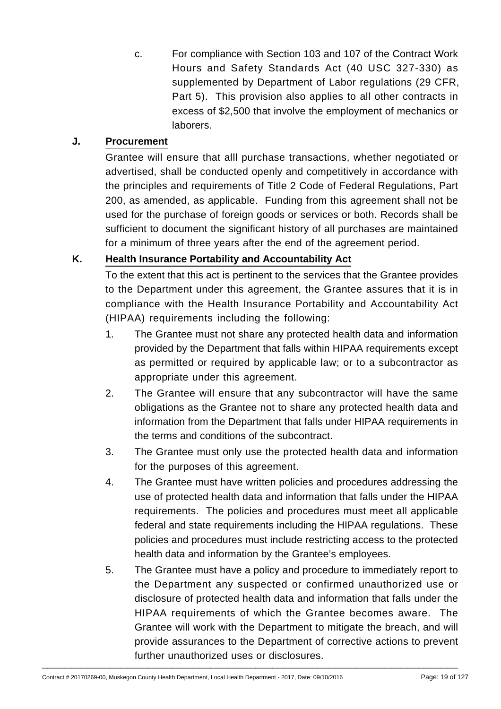c. For compliance with Section 103 and 107 of the Contract Work Hours and Safety Standards Act (40 USC 327-330) as supplemented by Department of Labor regulations (29 CFR, Part 5). This provision also applies to all other contracts in excess of \$2,500 that involve the employment of mechanics or laborers.

## **J. Procurement**

Grantee will ensure that alll purchase transactions, whether negotiated or advertised, shall be conducted openly and competitively in accordance with the principles and requirements of Title 2 Code of Federal Regulations, Part 200, as amended, as applicable. Funding from this agreement shall not be used for the purchase of foreign goods or services or both. Records shall be sufficient to document the significant history of all purchases are maintained for a minimum of three years after the end of the agreement period.

# **K. Health Insurance Portability and Accountability Act**

To the extent that this act is pertinent to the services that the Grantee provides to the Department under this agreement, the Grantee assures that it is in compliance with the Health Insurance Portability and Accountability Act (HIPAA) requirements including the following:

- 1. The Grantee must not share any protected health data and information provided by the Department that falls within HIPAA requirements except as permitted or required by applicable law; or to a subcontractor as appropriate under this agreement.
- 2. The Grantee will ensure that any subcontractor will have the same obligations as the Grantee not to share any protected health data and information from the Department that falls under HIPAA requirements in the terms and conditions of the subcontract.
- 3. The Grantee must only use the protected health data and information for the purposes of this agreement.
- 4. The Grantee must have written policies and procedures addressing the use of protected health data and information that falls under the HIPAA requirements. The policies and procedures must meet all applicable federal and state requirements including the HIPAA regulations. These policies and procedures must include restricting access to the protected health data and information by the Grantee's employees.
- 5. The Grantee must have a policy and procedure to immediately report to the Department any suspected or confirmed unauthorized use or disclosure of protected health data and information that falls under the HIPAA requirements of which the Grantee becomes aware. The Grantee will work with the Department to mitigate the breach, and will provide assurances to the Department of corrective actions to prevent further unauthorized uses or disclosures. \_\_\_\_\_\_\_\_\_\_\_\_\_\_\_\_\_\_\_\_\_\_\_\_\_\_\_\_\_\_\_\_\_\_\_\_\_\_\_\_\_\_\_\_\_\_\_\_\_\_\_\_\_\_\_\_\_\_\_\_\_\_\_\_\_\_\_\_\_\_\_\_\_\_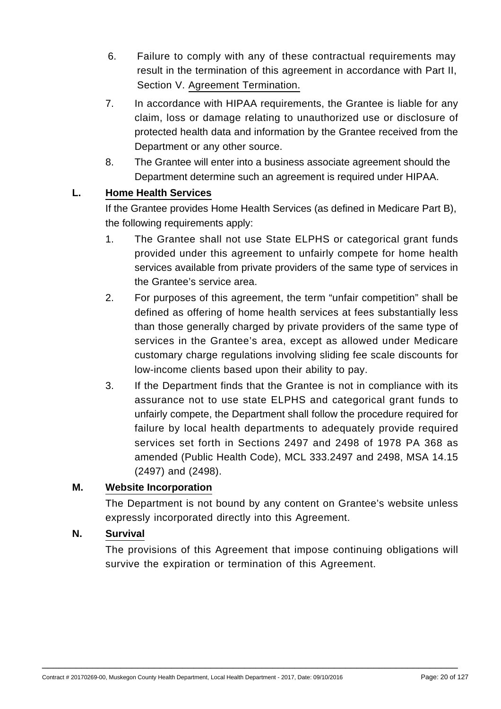- 6. Failure to comply with any of these contractual requirements may result in the termination of this agreement in accordance with Part II, Section V. Agreement Termination.
- 7. In accordance with HIPAA requirements, the Grantee is liable for any claim, loss or damage relating to unauthorized use or disclosure of protected health data and information by the Grantee received from the Department or any other source.
- 8. The Grantee will enter into a business associate agreement should the Department determine such an agreement is required under HIPAA.

## **L. Home Health Services**

If the Grantee provides Home Health Services (as defined in Medicare Part B), the following requirements apply:

- 1. The Grantee shall not use State ELPHS or categorical grant funds provided under this agreement to unfairly compete for home health services available from private providers of the same type of services in the Grantee's service area.
- 2. For purposes of this agreement, the term "unfair competition" shall be defined as offering of home health services at fees substantially less than those generally charged by private providers of the same type of services in the Grantee's area, except as allowed under Medicare customary charge regulations involving sliding fee scale discounts for low-income clients based upon their ability to pay.
- 3. If the Department finds that the Grantee is not in compliance with its assurance not to use state ELPHS and categorical grant funds to unfairly compete, the Department shall follow the procedure required for failure by local health departments to adequately provide required services set forth in Sections 2497 and 2498 of 1978 PA 368 as amended (Public Health Code), MCL 333.2497 and 2498, MSA 14.15 (2497) and (2498).

#### **M. Website Incorporation**

The Department is not bound by any content on Grantee's website unless expressly incorporated directly into this Agreement.

#### **N. Survival**

The provisions of this Agreement that impose continuing obligations will survive the expiration or termination of this Agreement.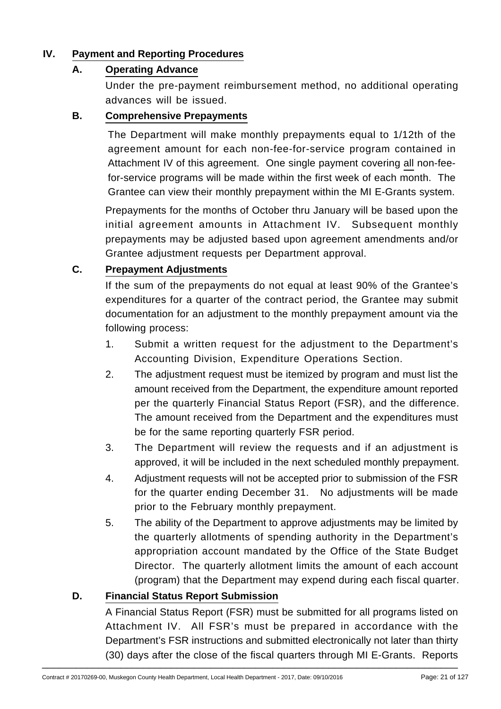## **IV. Payment and Reporting Procedures**

#### **A. Operating Advance**

Under the pre-payment reimbursement method, no additional operating advances will be issued.

#### **B. Comprehensive Prepayments**

The Department will make monthly prepayments equal to 1/12th of the agreement amount for each non-fee-for-service program contained in Attachment IV of this agreement. One single payment covering all non-feefor-service programs will be made within the first week of each month. The Grantee can view their monthly prepayment within the MI E-Grants system.

Prepayments for the months of October thru January will be based upon the initial agreement amounts in Attachment IV. Subsequent monthly prepayments may be adjusted based upon agreement amendments and/or Grantee adjustment requests per Department approval.

## **C. Prepayment Adjustments**

If the sum of the prepayments do not equal at least 90% of the Grantee's expenditures for a quarter of the contract period, the Grantee may submit documentation for an adjustment to the monthly prepayment amount via the following process:

- 1. Submit a written request for the adjustment to the Department's Accounting Division, Expenditure Operations Section.
- 2. The adjustment request must be itemized by program and must list the amount received from the Department, the expenditure amount reported per the quarterly Financial Status Report (FSR), and the difference. The amount received from the Department and the expenditures must be for the same reporting quarterly FSR period.
- 3. The Department will review the requests and if an adjustment is approved, it will be included in the next scheduled monthly prepayment.
- 4. Adjustment requests will not be accepted prior to submission of the FSR for the quarter ending December 31. No adjustments will be made prior to the February monthly prepayment.
- 5. The ability of the Department to approve adjustments may be limited by the quarterly allotments of spending authority in the Department's appropriation account mandated by the Office of the State Budget Director. The quarterly allotment limits the amount of each account (program) that the Department may expend during each fiscal quarter.

#### **D. Financial Status Report Submission**

A Financial Status Report (FSR) must be submitted for all programs listed on Attachment IV. All FSR's must be prepared in accordance with the Department's FSR instructions and submitted electronically not later than thirty (30) days after the close of the fiscal quarters through MI E-Grants. Reports \_\_\_\_\_\_\_\_\_\_\_\_\_\_\_\_\_\_\_\_\_\_\_\_\_\_\_\_\_\_\_\_\_\_\_\_\_\_\_\_\_\_\_\_\_\_\_\_\_\_\_\_\_\_\_\_\_\_\_\_\_\_\_\_\_\_\_\_\_\_\_\_\_\_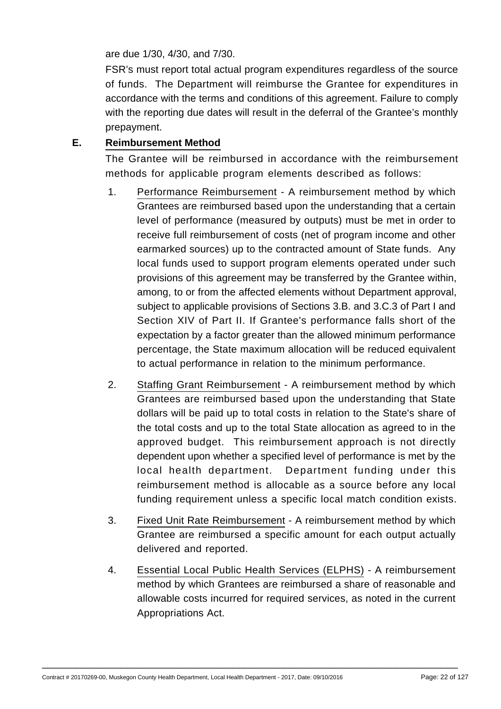are due 1/30, 4/30, and 7/30.

FSR's must report total actual program expenditures regardless of the source of funds. The Department will reimburse the Grantee for expenditures in accordance with the terms and conditions of this agreement. Failure to comply with the reporting due dates will result in the deferral of the Grantee's monthly prepayment.

## **E. Reimbursement Method**

The Grantee will be reimbursed in accordance with the reimbursement methods for applicable program elements described as follows:

- 1. Performance Reimbursement A reimbursement method by which Grantees are reimbursed based upon the understanding that a certain level of performance (measured by outputs) must be met in order to receive full reimbursement of costs (net of program income and other earmarked sources) up to the contracted amount of State funds. Any local funds used to support program elements operated under such provisions of this agreement may be transferred by the Grantee within, among, to or from the affected elements without Department approval, subject to applicable provisions of Sections 3.B. and 3.C.3 of Part I and Section XIV of Part II. If Grantee's performance falls short of the expectation by a factor greater than the allowed minimum performance percentage, the State maximum allocation will be reduced equivalent to actual performance in relation to the minimum performance.
- 2. Staffing Grant Reimbursement A reimbursement method by which Grantees are reimbursed based upon the understanding that State dollars will be paid up to total costs in relation to the State's share of the total costs and up to the total State allocation as agreed to in the approved budget. This reimbursement approach is not directly dependent upon whether a specified level of performance is met by the local health department. Department funding under this reimbursement method is allocable as a source before any local funding requirement unless a specific local match condition exists.
- 3. Fixed Unit Rate Reimbursement A reimbursement method by which Grantee are reimbursed a specific amount for each output actually delivered and reported.
- 4. Essential Local Public Health Services (ELPHS) A reimbursement method by which Grantees are reimbursed a share of reasonable and allowable costs incurred for required services, as noted in the current Appropriations Act.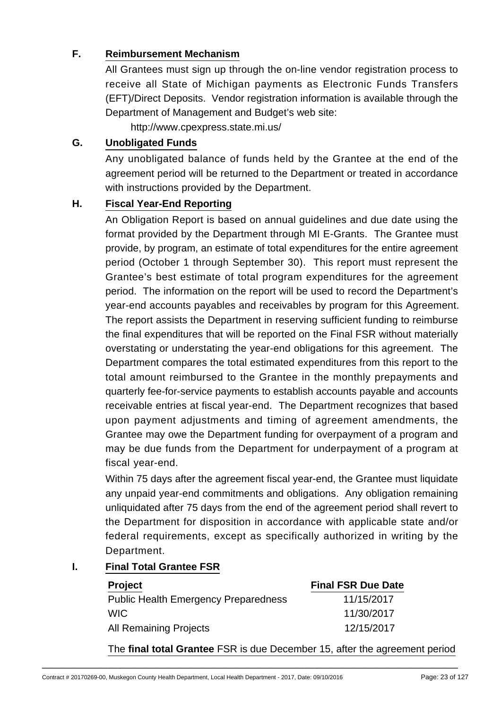## **F. Reimbursement Mechanism**

All Grantees must sign up through the on-line vendor registration process to receive all State of Michigan payments as Electronic Funds Transfers (EFT)/Direct Deposits. Vendor registration information is available through the Department of Management and Budget's web site:

http://www.cpexpress.state.mi.us/

#### **G. Unobligated Funds**

Any unobligated balance of funds held by the Grantee at the end of the agreement period will be returned to the Department or treated in accordance with instructions provided by the Department.

#### **H. Fiscal Year-End Reporting**

An Obligation Report is based on annual guidelines and due date using the format provided by the Department through MI E-Grants. The Grantee must provide, by program, an estimate of total expenditures for the entire agreement period (October 1 through September 30). This report must represent the Grantee's best estimate of total program expenditures for the agreement period. The information on the report will be used to record the Department's year-end accounts payables and receivables by program for this Agreement. The report assists the Department in reserving sufficient funding to reimburse the final expenditures that will be reported on the Final FSR without materially overstating or understating the year-end obligations for this agreement. The Department compares the total estimated expenditures from this report to the total amount reimbursed to the Grantee in the monthly prepayments and quarterly fee-for-service payments to establish accounts payable and accounts receivable entries at fiscal year-end. The Department recognizes that based upon payment adjustments and timing of agreement amendments, the Grantee may owe the Department funding for overpayment of a program and may be due funds from the Department for underpayment of a program at fiscal year-end.

Within 75 days after the agreement fiscal year-end, the Grantee must liquidate any unpaid year-end commitments and obligations. Any obligation remaining unliquidated after 75 days from the end of the agreement period shall revert to the Department for disposition in accordance with applicable state and/or federal requirements, except as specifically authorized in writing by the Department.

## **I. Final Total Grantee FSR**

| <b>Project</b>                              | <b>Final FSR Due Date</b> |
|---------------------------------------------|---------------------------|
| <b>Public Health Emergency Preparedness</b> | 11/15/2017                |
| <b>WIC</b>                                  | 11/30/2017                |
| <b>All Remaining Projects</b>               | 12/15/2017                |

\_\_\_\_\_\_\_\_\_\_\_\_\_\_\_\_\_\_\_\_\_\_\_\_\_\_\_\_\_\_\_\_\_\_\_\_\_\_\_\_\_\_\_\_\_\_\_\_\_\_\_\_\_\_\_\_\_\_\_\_\_\_\_\_\_\_\_\_\_\_\_\_\_\_

The **final total Grantee** FSR is due December 15, after the agreement period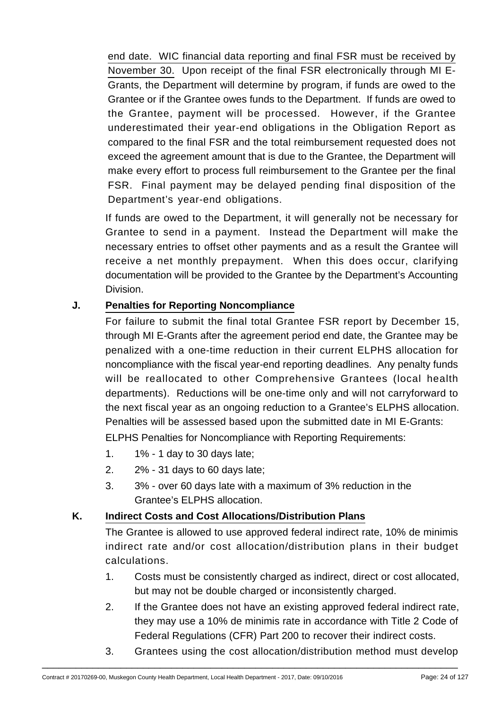end date. WIC financial data reporting and final FSR must be received by November 30. Upon receipt of the final FSR electronically through MI E-Grants, the Department will determine by program, if funds are owed to the Grantee or if the Grantee owes funds to the Department. If funds are owed to the Grantee, payment will be processed. However, if the Grantee underestimated their year-end obligations in the Obligation Report as compared to the final FSR and the total reimbursement requested does not exceed the agreement amount that is due to the Grantee, the Department will make every effort to process full reimbursement to the Grantee per the final FSR. Final payment may be delayed pending final disposition of the Department's year-end obligations.

If funds are owed to the Department, it will generally not be necessary for Grantee to send in a payment. Instead the Department will make the necessary entries to offset other payments and as a result the Grantee will receive a net monthly prepayment. When this does occur, clarifying documentation will be provided to the Grantee by the Department's Accounting Division.

## **J. Penalties for Reporting Noncompliance**

For failure to submit the final total Grantee FSR report by December 15, through MI E-Grants after the agreement period end date, the Grantee may be penalized with a one-time reduction in their current ELPHS allocation for noncompliance with the fiscal year-end reporting deadlines. Any penalty funds will be reallocated to other Comprehensive Grantees (local health departments). Reductions will be one-time only and will not carryforward to the next fiscal year as an ongoing reduction to a Grantee's ELPHS allocation. Penalties will be assessed based upon the submitted date in MI E-Grants:

ELPHS Penalties for Noncompliance with Reporting Requirements:

- 1. 1% 1 day to 30 days late;
- 2. 2% 31 days to 60 days late;
- 3. 3% over 60 days late with a maximum of 3% reduction in the Grantee's ELPHS allocation.

## **K. Indirect Costs and Cost Allocations/Distribution Plans**

The Grantee is allowed to use approved federal indirect rate, 10% de minimis indirect rate and/or cost allocation/distribution plans in their budget calculations.

- 1. Costs must be consistently charged as indirect, direct or cost allocated, but may not be double charged or inconsistently charged.
- 2. If the Grantee does not have an existing approved federal indirect rate, they may use a 10% de minimis rate in accordance with Title 2 Code of Federal Regulations (CFR) Part 200 to recover their indirect costs.
- 3. Grantees using the cost allocation/distribution method must develop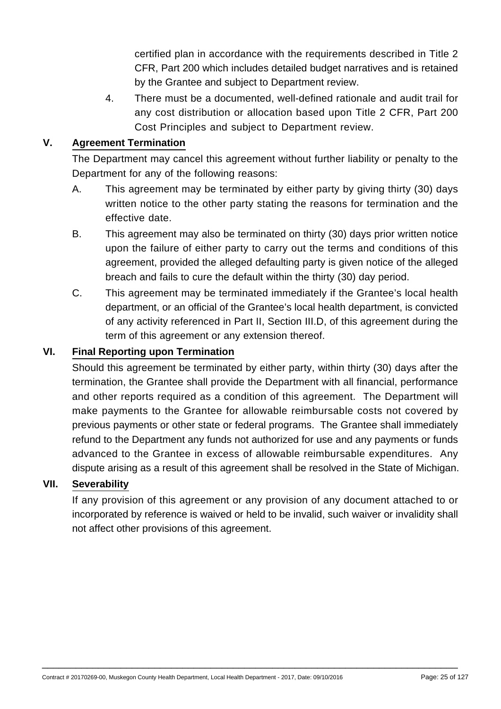certified plan in accordance with the requirements described in Title 2 CFR, Part 200 which includes detailed budget narratives and is retained by the Grantee and subject to Department review.

4. There must be a documented, well-defined rationale and audit trail for any cost distribution or allocation based upon Title 2 CFR, Part 200 Cost Principles and subject to Department review.

## **V. Agreement Termination**

The Department may cancel this agreement without further liability or penalty to the Department for any of the following reasons:

- A. This agreement may be terminated by either party by giving thirty (30) days written notice to the other party stating the reasons for termination and the effective date.
- B. This agreement may also be terminated on thirty (30) days prior written notice upon the failure of either party to carry out the terms and conditions of this agreement, provided the alleged defaulting party is given notice of the alleged breach and fails to cure the default within the thirty (30) day period.
- C. This agreement may be terminated immediately if the Grantee's local health department, or an official of the Grantee's local health department, is convicted of any activity referenced in Part II, Section III.D, of this agreement during the term of this agreement or any extension thereof.

#### **VI. Final Reporting upon Termination**

Should this agreement be terminated by either party, within thirty (30) days after the termination, the Grantee shall provide the Department with all financial, performance and other reports required as a condition of this agreement. The Department will make payments to the Grantee for allowable reimbursable costs not covered by previous payments or other state or federal programs. The Grantee shall immediately refund to the Department any funds not authorized for use and any payments or funds advanced to the Grantee in excess of allowable reimbursable expenditures. Any dispute arising as a result of this agreement shall be resolved in the State of Michigan.

#### **VII. Severability**

If any provision of this agreement or any provision of any document attached to or incorporated by reference is waived or held to be invalid, such waiver or invalidity shall not affect other provisions of this agreement.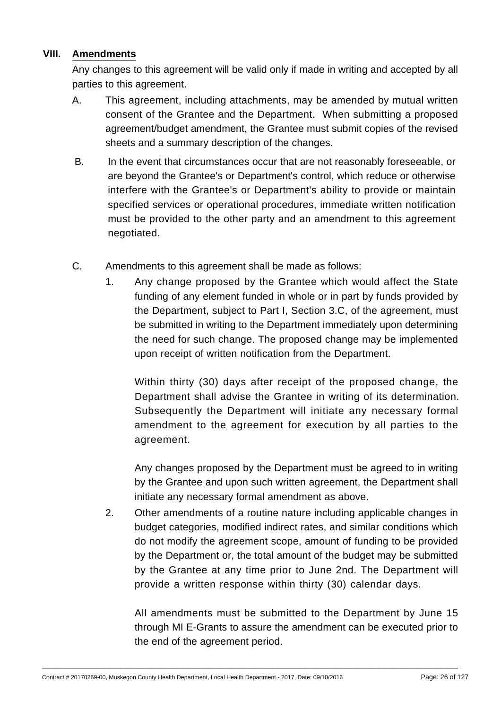#### **VIII. Amendments**

Any changes to this agreement will be valid only if made in writing and accepted by all parties to this agreement.

- A. This agreement, including attachments, may be amended by mutual written consent of the Grantee and the Department. When submitting a proposed agreement/budget amendment, the Grantee must submit copies of the revised sheets and a summary description of the changes.
- B. In the event that circumstances occur that are not reasonably foreseeable, or are beyond the Grantee's or Department's control, which reduce or otherwise interfere with the Grantee's or Department's ability to provide or maintain specified services or operational procedures, immediate written notification must be provided to the other party and an amendment to this agreement negotiated.
- C. Amendments to this agreement shall be made as follows:
	- 1. Any change proposed by the Grantee which would affect the State funding of any element funded in whole or in part by funds provided by the Department, subject to Part I, Section 3.C, of the agreement, must be submitted in writing to the Department immediately upon determining the need for such change. The proposed change may be implemented upon receipt of written notification from the Department.

Within thirty (30) days after receipt of the proposed change, the Department shall advise the Grantee in writing of its determination. Subsequently the Department will initiate any necessary formal amendment to the agreement for execution by all parties to the agreement.

Any changes proposed by the Department must be agreed to in writing by the Grantee and upon such written agreement, the Department shall initiate any necessary formal amendment as above.

2. Other amendments of a routine nature including applicable changes in budget categories, modified indirect rates, and similar conditions which do not modify the agreement scope, amount of funding to be provided by the Department or, the total amount of the budget may be submitted by the Grantee at any time prior to June 2nd. The Department will provide a written response within thirty (30) calendar days.

All amendments must be submitted to the Department by June 15 through MI E-Grants to assure the amendment can be executed prior to the end of the agreement period.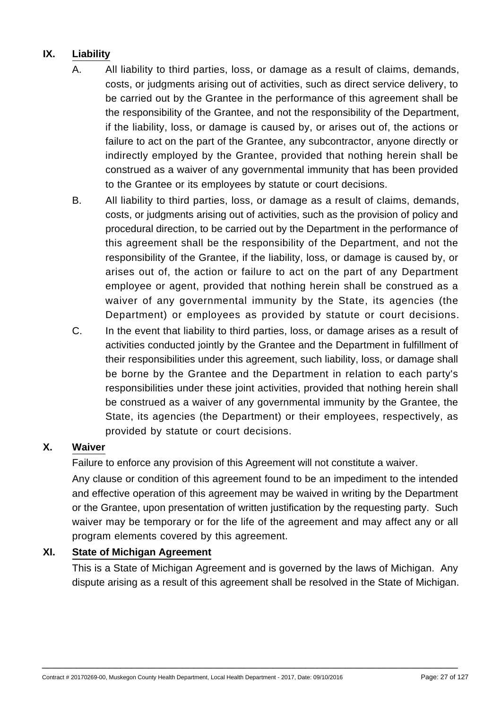# **IX. Liability**

- A. All liability to third parties, loss, or damage as a result of claims, demands, costs, or judgments arising out of activities, such as direct service delivery, to be carried out by the Grantee in the performance of this agreement shall be the responsibility of the Grantee, and not the responsibility of the Department, if the liability, loss, or damage is caused by, or arises out of, the actions or failure to act on the part of the Grantee, any subcontractor, anyone directly or indirectly employed by the Grantee, provided that nothing herein shall be construed as a waiver of any governmental immunity that has been provided to the Grantee or its employees by statute or court decisions.
- B. All liability to third parties, loss, or damage as a result of claims, demands, costs, or judgments arising out of activities, such as the provision of policy and procedural direction, to be carried out by the Department in the performance of this agreement shall be the responsibility of the Department, and not the responsibility of the Grantee, if the liability, loss, or damage is caused by, or arises out of, the action or failure to act on the part of any Department employee or agent, provided that nothing herein shall be construed as a waiver of any governmental immunity by the State, its agencies (the Department) or employees as provided by statute or court decisions.
- C. In the event that liability to third parties, loss, or damage arises as a result of activities conducted jointly by the Grantee and the Department in fulfillment of their responsibilities under this agreement, such liability, loss, or damage shall be borne by the Grantee and the Department in relation to each party's responsibilities under these joint activities, provided that nothing herein shall be construed as a waiver of any governmental immunity by the Grantee, the State, its agencies (the Department) or their employees, respectively, as provided by statute or court decisions.

## **X. Waiver**

Failure to enforce any provision of this Agreement will not constitute a waiver.

Any clause or condition of this agreement found to be an impediment to the intended and effective operation of this agreement may be waived in writing by the Department or the Grantee, upon presentation of written justification by the requesting party. Such waiver may be temporary or for the life of the agreement and may affect any or all program elements covered by this agreement.

#### **XI. State of Michigan Agreement**

This is a State of Michigan Agreement and is governed by the laws of Michigan. Any dispute arising as a result of this agreement shall be resolved in the State of Michigan.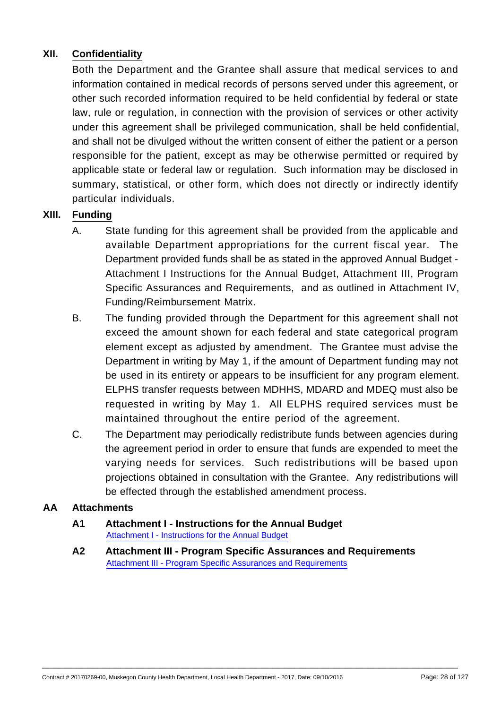## **XII. Confidentiality**

Both the Department and the Grantee shall assure that medical services to and information contained in medical records of persons served under this agreement, or other such recorded information required to be held confidential by federal or state law, rule or regulation, in connection with the provision of services or other activity under this agreement shall be privileged communication, shall be held confidential, and shall not be divulged without the written consent of either the patient or a person responsible for the patient, except as may be otherwise permitted or required by applicable state or federal law or regulation. Such information may be disclosed in summary, statistical, or other form, which does not directly or indirectly identify particular individuals.

#### **XIII. Funding**

- A. State funding for this agreement shall be provided from the applicable and available Department appropriations for the current fiscal year. The Department provided funds shall be as stated in the approved Annual Budget - Attachment I Instructions for the Annual Budget, Attachment III, Program Specific Assurances and Requirements, and as outlined in Attachment IV, Funding/Reimbursement Matrix.
- B. The funding provided through the Department for this agreement shall not exceed the amount shown for each federal and state categorical program element except as adjusted by amendment. The Grantee must advise the Department in writing by May 1, if the amount of Department funding may not be used in its entirety or appears to be insufficient for any program element. ELPHS transfer requests between MDHHS, MDARD and MDEQ must also be requested in writing by May 1. All ELPHS required services must be maintained throughout the entire period of the agreement.
- C. The Department may periodically redistribute funds between agencies during the agreement period in order to ensure that funds are expended to meet the varying needs for services. Such redistributions will be based upon projections obtained in consultation with the Grantee. Any redistributions will be effected through the established amendment process.

#### **AA Attachments**

#### **A1 Attachment I - Instructions for the Annual Budget** [Attachment I - Instructions for the Annual Budget](https://egrams-mi.com/dch/designer/attachOpen.aspx?FileName=COMP-1 FY17.pdf&ctrtFile=Y&grantPgmId=460&grantCat=COMP&ParentFileName=38-6006063_20170269-00.PDF&PublishLoc=Y&prjCd=0&agyId=0&AppId=20188&FiscalYear=2017)

**A2 Attachment III - Program Specific Assurances and Requirements** [Attachment III - Program Specific Assurances and Requirements](https://egrams-mi.com/dch/designer/attachOpen.aspx?FileName=COMP-3 FY17.pdf&ctrtFile=Y&grantPgmId=460&grantCat=COMP&ParentFileName=38-6006063_20170269-00.PDF&PublishLoc=Y&prjCd=0&agyId=0&AppId=20188&FiscalYear=2017)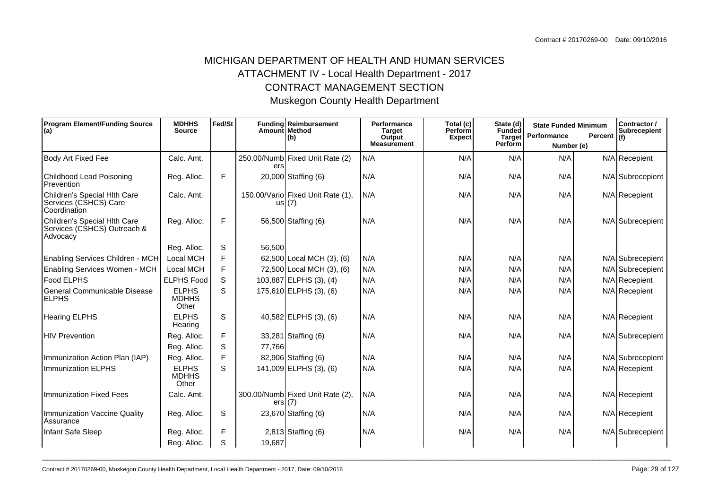## MICHIGAN DEPARTMENT OF HEALTH AND HUMAN SERVICESATTACHMENT IV - Local Health Department - 2017CONTRACT MANAGEMENT SECTIONMuskegon County Health Department

| <b>Program Element/Funding Source</b><br>(a)                            | <b>MDHHS</b><br>Fed/St<br>Amount Method<br><b>Source</b> |   | Funding Reimbursement | Performance<br>Total (c)<br><b>Perform</b><br><b>Target</b> |                              | State (d)<br>Funded |                          | Contractor /<br><b>State Funded Minimum</b><br><b>Subrecepient</b><br>Performance<br>Percent $ _{(f)}$ |  |                  |  |
|-------------------------------------------------------------------------|----------------------------------------------------------|---|-----------------------|-------------------------------------------------------------|------------------------------|---------------------|--------------------------|--------------------------------------------------------------------------------------------------------|--|------------------|--|
|                                                                         |                                                          |   |                       | (b)                                                         | Output<br><b>Measurement</b> | <b>Expect</b>       | <b>Target</b><br>Perform | Number (e)                                                                                             |  |                  |  |
| <b>Body Art Fixed Fee</b>                                               | Calc. Amt.                                               |   | ers                   | 250.00/Numb Fixed Unit Rate (2)                             | N/A                          | N/A                 | N/A                      | N/A                                                                                                    |  | N/A Recepient    |  |
| Childhood Lead Poisoning<br>Prevention                                  | Reg. Alloc.                                              | F |                       | 20,000 Staffing (6)                                         | N/A                          | N/A                 | N/A                      | N/A                                                                                                    |  | N/A Subrecepient |  |
| Children's Special Hlth Care<br>Services (CSHCS) Care<br>Coordination   | Calc. Amt.                                               |   |                       | 150.00/Vario Fixed Unit Rate (1),<br>us I (7)               | N/A                          | N/A                 | N/A                      | N/A                                                                                                    |  | N/A Recepient    |  |
| Children's Special Hlth Care<br>Services (CSHCS) Outreach &<br>Advocacy | Reg. Alloc.                                              | F |                       | 56,500 Staffing (6)                                         | N/A                          | N/A                 | N/A                      | N/A                                                                                                    |  | N/A Subrecepient |  |
|                                                                         | Reg. Alloc.                                              | S | 56,500                |                                                             |                              |                     |                          |                                                                                                        |  |                  |  |
| <b>Enabling Services Children - MCH</b>                                 | Local MCH                                                | F |                       | 62,500 Local MCH (3), (6)                                   | N/A                          | N/A                 | N/A                      | N/A                                                                                                    |  | N/A Subrecepient |  |
| Enabling Services Women - MCH                                           | Local MCH                                                | F |                       | 72,500 Local MCH (3), (6)                                   | N/A                          | N/A                 | N/A                      | N/A                                                                                                    |  | N/A Subrecepient |  |
| <b>Food ELPHS</b>                                                       | <b>ELPHS Food</b>                                        | S |                       | 103,887 ELPHS (3), (4)                                      | N/A                          | N/A                 | N/A                      | N/A                                                                                                    |  | N/A Recepient    |  |
| General Communicable Disease<br><b>ELPHS</b>                            | <b>ELPHS</b><br><b>MDHHS</b><br>Other                    | S |                       | $175,610$ ELPHS (3), (6)                                    | N/A                          | N/A                 | N/A                      | N/A                                                                                                    |  | N/A Recepient    |  |
| <b>Hearing ELPHS</b>                                                    | <b>ELPHS</b><br>Hearing                                  | S |                       | 40,582 ELPHS (3), (6)                                       | N/A                          | N/A                 | N/A                      | N/A                                                                                                    |  | N/A Recepient    |  |
| <b>HIV Prevention</b>                                                   | Reg. Alloc.                                              | F |                       | 33,281 Staffing (6)                                         | N/A                          | N/A                 | N/A                      | N/A                                                                                                    |  | N/A Subrecepient |  |
|                                                                         | Reg. Alloc.                                              | S | 77,766                |                                                             |                              |                     |                          |                                                                                                        |  |                  |  |
| Immunization Action Plan (IAP)                                          | Reg. Alloc.                                              | F |                       | 82,906 Staffing (6)                                         | N/A                          | N/A                 | N/A                      | N/A                                                                                                    |  | N/A Subrecepient |  |
| <b>Immunization ELPHS</b>                                               | <b>ELPHS</b><br><b>MDHHS</b><br>Other                    | S |                       | 141,009 ELPHS (3), (6)                                      | N/A                          | N/A                 | N/A                      | N/A                                                                                                    |  | N/A Recepient    |  |
| <b>Immunization Fixed Fees</b>                                          | Calc. Amt.                                               |   | ers(7)                | 300.00/Numb Fixed Unit Rate (2),                            | N/A                          | N/A                 | N/A                      | N/A                                                                                                    |  | N/A Recepient    |  |
| Immunization Vaccine Quality<br>Assurance                               | Reg. Alloc.                                              | S |                       | 23,670 Staffing (6)                                         | N/A                          | N/A                 | N/A                      | N/A                                                                                                    |  | N/A Recepient    |  |
| Infant Safe Sleep                                                       | Reg. Alloc.                                              | F |                       | $2,813$ Staffing $(6)$                                      | N/A                          | N/A                 | N/A                      | N/A                                                                                                    |  | N/A Subrecepient |  |
|                                                                         | Reg. Alloc.                                              | S | 19,687                |                                                             |                              |                     |                          |                                                                                                        |  |                  |  |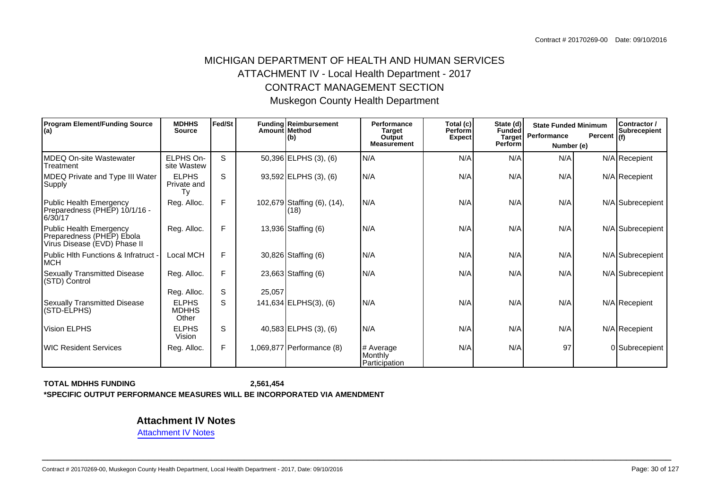## MICHIGAN DEPARTMENT OF HEALTH AND HUMAN SERVICESATTACHMENT IV - Local Health Department - 2017CONTRACT MANAGEMENT SECTIONMuskegon County Health Department

| <b>Program Element/Funding Source</b><br>$ $ (a)                                     | <b>MDHHS</b><br><b>Source</b>         | Fed/St | Amount Method | Funding Reimbursement<br>l(b)       | Performance<br><b>Target</b><br>Output<br><b>Measurement</b> | Total (c)<br>State (d)<br><b>Perform</b><br>Funded<br><b>Target</b><br><b>Expect</b><br><b>Perform</b> |     | Performance | Contractor /<br><b>State Funded Minimum</b><br>Percent $ _{(f)}$<br>Number (e) |                  |
|--------------------------------------------------------------------------------------|---------------------------------------|--------|---------------|-------------------------------------|--------------------------------------------------------------|--------------------------------------------------------------------------------------------------------|-----|-------------|--------------------------------------------------------------------------------|------------------|
| MDEQ On-site Wastewater<br>Treatment                                                 | ELPHS On-<br>site Wastew              | S      |               | 50,396 ELPHS (3), (6)               | N/A                                                          | N/A                                                                                                    | N/A | N/A         |                                                                                | N/A Recepient    |
| MDEQ Private and Type III Water<br>Supply                                            | <b>ELPHS</b><br>Private and<br>Tv     | S      |               | 93,592 ELPHS (3), (6)               | N/A                                                          | N/A                                                                                                    | N/A | N/A         |                                                                                | N/A Recepient    |
| Public Health Emergency<br>Preparedness (PHEP) 10/1/16 -<br>6/30/17                  | Reg. Alloc.                           | F.     |               | 102,679 Staffing (6), (14),<br>(18) | N/A                                                          | N/A                                                                                                    | N/A | N/A         |                                                                                | N/A Subrecepient |
| Public Health Emergency<br>Preparedness (PHEP) Ebola<br>Virus Disease (EVD) Phase II | Reg. Alloc.                           | F.     |               | 13,936 Staffing (6)                 | N/A                                                          | N/A                                                                                                    | N/A | N/A         |                                                                                | N/A Subrecepient |
| Public Hith Functions & Infratruct -<br><b>MCH</b>                                   | Local MCH                             | F.     |               | 30,826 Staffing (6)                 | N/A                                                          | N/A                                                                                                    | N/A | N/A         |                                                                                | N/A Subrecepient |
| Sexually Transmitted Disease<br>(STD) Control                                        | Reg. Alloc.                           | F      |               | 23,663 Staffing (6)                 | N/A                                                          | N/A                                                                                                    | N/A | N/A         |                                                                                | N/A Subrecepient |
|                                                                                      | Reg. Alloc.                           | S      | 25,057        |                                     |                                                              |                                                                                                        |     |             |                                                                                |                  |
| <b>Sexually Transmitted Disease</b><br>(STD-ELPHS)                                   | <b>ELPHS</b><br><b>MDHHS</b><br>Other | S      |               | 141,634 ELPHS(3), (6)               | IN/A                                                         | N/A                                                                                                    | N/A | N/A         |                                                                                | $N/A$ Recepient  |
| Vision ELPHS                                                                         | <b>ELPHS</b><br>Vision                | S      |               | 40,583 ELPHS (3), (6)               | N/A                                                          | N/A                                                                                                    | N/A | N/A         |                                                                                | N/A Recepient    |
| <b>IWIC Resident Services</b>                                                        | Reg. Alloc.                           | F.     |               | 1,069,877 Performance (8)           | # Average<br>Monthly<br>Participation                        | N/A                                                                                                    | N/A | 97          |                                                                                | 0 Subrecepient   |

**TOTAL MDHHS FUNDING2,561,454 \*SPECIFIC OUTPUT PERFORMANCE MEASURES WILL BE INCORPORATED VIA AMENDMENT**

**Attachment IV Notes**

[Attachment IV Notes](https://egrams-mi.com/dch/designer/attachOpen.aspx?FileName=CO-17 ATT IV.pdf&ctrtFile=Y&grantPgmId=460&grantCat=COMP&ParentFileName=38-6006063_20170269-00.PDF&PublishLoc=Y&prjCd=0&agyId=0&AppId=20188&FiscalYear=2017)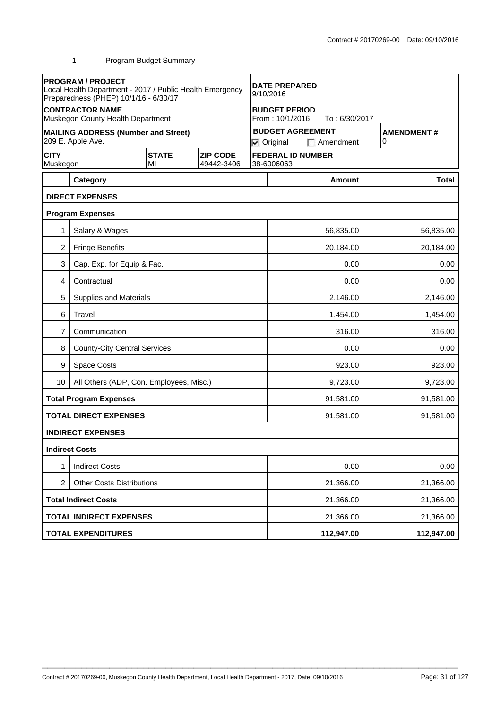| <b>PROGRAM / PROJECT</b><br>Local Health Department - 2017 / Public Health Emergency<br>Preparedness (PHEP) 10/1/16 - 6/30/17 |                                                                 | <b>DATE PREPARED</b><br>9/10/2016 |                               |                                                          |                        |                                             |   |                   |  |
|-------------------------------------------------------------------------------------------------------------------------------|-----------------------------------------------------------------|-----------------------------------|-------------------------------|----------------------------------------------------------|------------------------|---------------------------------------------|---|-------------------|--|
|                                                                                                                               | <b>CONTRACTOR NAME</b><br>Muskegon County Health Department     |                                   |                               | <b>BUDGET PERIOD</b><br>From: 10/1/2016<br>To: 6/30/2017 |                        |                                             |   |                   |  |
|                                                                                                                               | <b>MAILING ADDRESS (Number and Street)</b><br>209 E. Apple Ave. |                                   |                               |                                                          | $\nabla$ Original      | <b>BUDGET AGREEMENT</b><br>$\Box$ Amendment | 0 | <b>AMENDMENT#</b> |  |
| <b>CITY</b><br>Muskegon                                                                                                       |                                                                 | <b>STATE</b><br>МΙ                | <b>ZIP CODE</b><br>49442-3406 |                                                          | 38-6006063             | <b>FEDERAL ID NUMBER</b>                    |   |                   |  |
|                                                                                                                               | Category                                                        |                                   |                               |                                                          |                        | <b>Amount</b>                               |   | <b>Total</b>      |  |
|                                                                                                                               | <b>DIRECT EXPENSES</b>                                          |                                   |                               |                                                          |                        |                                             |   |                   |  |
|                                                                                                                               | <b>Program Expenses</b>                                         |                                   |                               |                                                          |                        |                                             |   |                   |  |
| 1                                                                                                                             | Salary & Wages                                                  |                                   |                               |                                                          |                        | 56,835.00                                   |   | 56,835.00         |  |
| 2                                                                                                                             | <b>Fringe Benefits</b>                                          |                                   |                               |                                                          |                        | 20,184.00                                   |   | 20,184.00         |  |
| 3                                                                                                                             | Cap. Exp. for Equip & Fac.                                      |                                   |                               |                                                          |                        | 0.00                                        |   | 0.00              |  |
| 4                                                                                                                             | Contractual                                                     |                                   |                               |                                                          | 0.00<br>0.00           |                                             |   |                   |  |
| 5                                                                                                                             | Supplies and Materials                                          |                                   |                               |                                                          | 2,146.00<br>2,146.00   |                                             |   |                   |  |
| 6                                                                                                                             | Travel                                                          |                                   |                               |                                                          | 1,454.00<br>1,454.00   |                                             |   |                   |  |
| 7                                                                                                                             | Communication                                                   |                                   |                               |                                                          | 316.00<br>316.00       |                                             |   |                   |  |
| 8                                                                                                                             | <b>County-City Central Services</b>                             |                                   |                               |                                                          | 0.00<br>0.00           |                                             |   |                   |  |
| 9                                                                                                                             | Space Costs                                                     |                                   |                               |                                                          | 923.00<br>923.00       |                                             |   |                   |  |
| 10                                                                                                                            | All Others (ADP, Con. Employees, Misc.)                         |                                   |                               |                                                          | 9,723.00<br>9,723.00   |                                             |   |                   |  |
|                                                                                                                               | <b>Total Program Expenses</b>                                   |                                   |                               |                                                          | 91,581.00              |                                             |   | 91,581.00         |  |
|                                                                                                                               | <b>TOTAL DIRECT EXPENSES</b>                                    |                                   |                               |                                                          |                        | 91,581.00                                   |   | 91,581.00         |  |
|                                                                                                                               | <b>INDIRECT EXPENSES</b>                                        |                                   |                               |                                                          |                        |                                             |   |                   |  |
|                                                                                                                               | <b>Indirect Costs</b>                                           |                                   |                               |                                                          |                        |                                             |   |                   |  |
|                                                                                                                               | <b>Indirect Costs</b>                                           |                                   |                               |                                                          |                        | 0.00                                        |   | 0.00              |  |
| <b>Other Costs Distributions</b><br>2                                                                                         |                                                                 |                                   |                               |                                                          |                        | 21,366.00                                   |   | 21,366.00         |  |
|                                                                                                                               | <b>Total Indirect Costs</b>                                     |                                   |                               |                                                          |                        | 21,366.00                                   |   | 21,366.00         |  |
|                                                                                                                               | <b>TOTAL INDIRECT EXPENSES</b>                                  |                                   |                               |                                                          | 21,366.00<br>21,366.00 |                                             |   |                   |  |
|                                                                                                                               | <b>TOTAL EXPENDITURES</b>                                       |                                   |                               |                                                          |                        | 112,947.00                                  |   | 112,947.00        |  |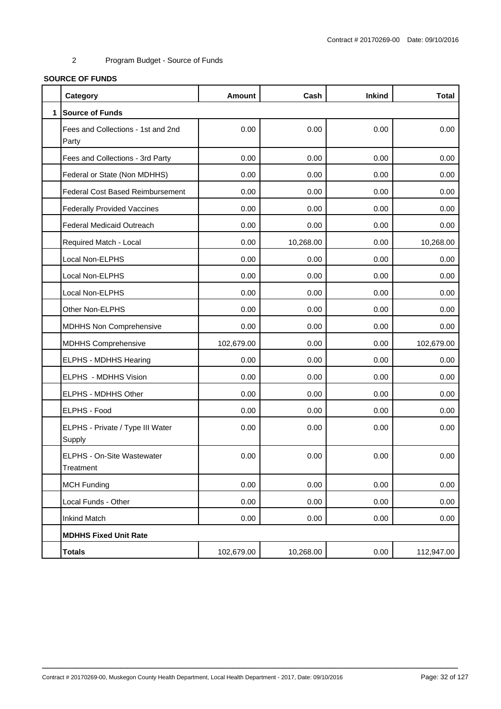#### 2 Program Budget - Source of Funds

#### **SOURCE OF FUNDS**

|              | Category                                    | <b>Amount</b> | Cash      | <b>Inkind</b> | <b>Total</b> |  |  |  |  |  |
|--------------|---------------------------------------------|---------------|-----------|---------------|--------------|--|--|--|--|--|
| $\mathbf{1}$ | <b>Source of Funds</b>                      |               |           |               |              |  |  |  |  |  |
|              | Fees and Collections - 1st and 2nd<br>Party | 0.00          | 0.00      | 0.00          | 0.00         |  |  |  |  |  |
|              | Fees and Collections - 3rd Party            | 0.00          | 0.00      | 0.00          | 0.00         |  |  |  |  |  |
|              | Federal or State (Non MDHHS)                | 0.00          | 0.00      | 0.00          | 0.00         |  |  |  |  |  |
|              | <b>Federal Cost Based Reimbursement</b>     | 0.00          | 0.00      | 0.00          | 0.00         |  |  |  |  |  |
|              | <b>Federally Provided Vaccines</b>          | 0.00          | 0.00      | 0.00          | 0.00         |  |  |  |  |  |
|              | <b>Federal Medicaid Outreach</b>            | 0.00          | 0.00      | 0.00          | 0.00         |  |  |  |  |  |
|              | Required Match - Local                      | 0.00          | 10,268.00 | 0.00          | 10,268.00    |  |  |  |  |  |
|              | Local Non-ELPHS                             | 0.00          | 0.00      | 0.00          | 0.00         |  |  |  |  |  |
|              | Local Non-ELPHS                             | 0.00          | 0.00      | 0.00          | 0.00         |  |  |  |  |  |
|              | Local Non-ELPHS                             | 0.00          | 0.00      | 0.00          | 0.00         |  |  |  |  |  |
|              | Other Non-ELPHS                             | 0.00          | 0.00      | 0.00          | 0.00         |  |  |  |  |  |
|              | <b>MDHHS Non Comprehensive</b>              | 0.00          | 0.00      | 0.00          | 0.00         |  |  |  |  |  |
|              | <b>MDHHS Comprehensive</b>                  | 102,679.00    | 0.00      | 0.00          | 102,679.00   |  |  |  |  |  |
|              | <b>ELPHS - MDHHS Hearing</b>                | 0.00          | 0.00      | 0.00          | 0.00         |  |  |  |  |  |
|              | ELPHS - MDHHS Vision                        | 0.00          | 0.00      | 0.00          | 0.00         |  |  |  |  |  |
|              | ELPHS - MDHHS Other                         | 0.00          | 0.00      | 0.00          | 0.00         |  |  |  |  |  |
|              | <b>ELPHS - Food</b>                         | 0.00          | 0.00      | 0.00          | 0.00         |  |  |  |  |  |
|              | ELPHS - Private / Type III Water<br>Supply  | 0.00          | 0.00      | 0.00          | 0.00         |  |  |  |  |  |
|              | ELPHS - On-Site Wastewater<br>Treatment     | 0.00          | 0.00      | 0.00          | 0.00         |  |  |  |  |  |
|              | <b>MCH Funding</b>                          | 0.00          | 0.00      | 0.00          | 0.00         |  |  |  |  |  |
|              | Local Funds - Other                         | 0.00          | 0.00      | 0.00          | 0.00         |  |  |  |  |  |
|              | <b>Inkind Match</b>                         | 0.00          | 0.00      | 0.00          | 0.00         |  |  |  |  |  |
|              | <b>MDHHS Fixed Unit Rate</b>                |               |           |               |              |  |  |  |  |  |
|              | <b>Totals</b>                               | 102,679.00    | 10,268.00 | 0.00          | 112,947.00   |  |  |  |  |  |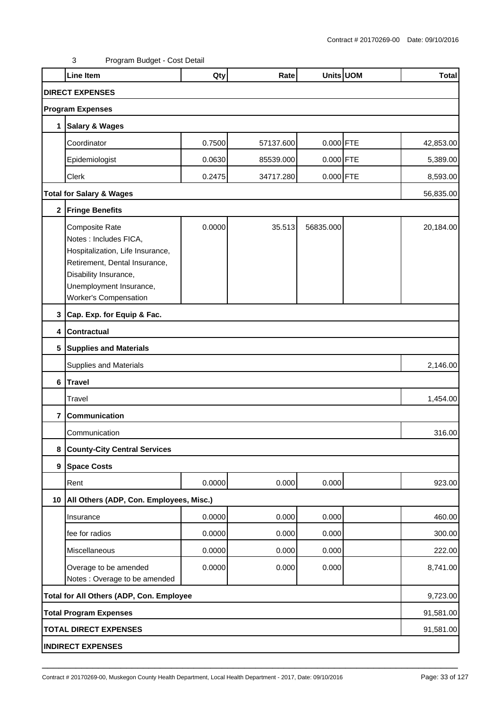3 Program Budget - Cost Detail

|                | <b>Line Item</b>                                                                                                                                                                                  | Qty    | Rate      |             | Units UOM | <b>Total</b> |  |  |
|----------------|---------------------------------------------------------------------------------------------------------------------------------------------------------------------------------------------------|--------|-----------|-------------|-----------|--------------|--|--|
|                | <b>DIRECT EXPENSES</b>                                                                                                                                                                            |        |           |             |           |              |  |  |
|                | <b>Program Expenses</b>                                                                                                                                                                           |        |           |             |           |              |  |  |
| 1              | <b>Salary &amp; Wages</b>                                                                                                                                                                         |        |           |             |           |              |  |  |
|                | Coordinator                                                                                                                                                                                       | 0.7500 | 57137.600 | $0.000$ FTE |           | 42,853.00    |  |  |
|                | Epidemiologist                                                                                                                                                                                    | 0.0630 | 85539.000 | $0.000$ FTE |           | 5,389.00     |  |  |
|                | Clerk                                                                                                                                                                                             | 0.2475 | 34717.280 | $0.000$ FTE |           | 8,593.00     |  |  |
|                | <b>Total for Salary &amp; Wages</b>                                                                                                                                                               |        |           |             |           | 56,835.00    |  |  |
| $\mathbf 2$    | <b>Fringe Benefits</b>                                                                                                                                                                            |        |           |             |           |              |  |  |
|                | Composite Rate<br>Notes : Includes FICA,<br>Hospitalization, Life Insurance,<br>Retirement, Dental Insurance,<br>Disability Insurance,<br>Unemployment Insurance,<br><b>Worker's Compensation</b> | 0.0000 | 35.513    | 56835.000   |           | 20,184.00    |  |  |
| 3              | Cap. Exp. for Equip & Fac.                                                                                                                                                                        |        |           |             |           |              |  |  |
| 4              | <b>Contractual</b>                                                                                                                                                                                |        |           |             |           |              |  |  |
| 5              | <b>Supplies and Materials</b>                                                                                                                                                                     |        |           |             |           |              |  |  |
|                | Supplies and Materials                                                                                                                                                                            |        |           |             |           | 2,146.00     |  |  |
| 6              | <b>Travel</b>                                                                                                                                                                                     |        |           |             |           |              |  |  |
|                | Travel                                                                                                                                                                                            |        |           |             |           | 1,454.00     |  |  |
| $\overline{7}$ | Communication                                                                                                                                                                                     |        |           |             |           |              |  |  |
|                | Communication                                                                                                                                                                                     |        |           |             |           | 316.00       |  |  |
| 8              | <b>County-City Central Services</b>                                                                                                                                                               |        |           |             |           |              |  |  |
| 9              | <b>Space Costs</b>                                                                                                                                                                                |        |           |             |           |              |  |  |
|                | Rent                                                                                                                                                                                              | 0.0000 | 0.000     | 0.000       |           | 923.00       |  |  |
| 10             | All Others (ADP, Con. Employees, Misc.)                                                                                                                                                           |        |           |             |           |              |  |  |
|                | Insurance                                                                                                                                                                                         | 0.0000 | 0.000     | 0.000       |           | 460.00       |  |  |
|                | fee for radios                                                                                                                                                                                    | 0.0000 | 0.000     | 0.000       |           | 300.00       |  |  |
|                | Miscellaneous                                                                                                                                                                                     | 0.0000 | 0.000     | 0.000       |           | 222.00       |  |  |
|                | Overage to be amended<br>Notes : Overage to be amended                                                                                                                                            | 0.0000 | 0.000     | 0.000       |           | 8,741.00     |  |  |
|                | Total for All Others (ADP, Con. Employee<br>9,723.00                                                                                                                                              |        |           |             |           |              |  |  |
|                | <b>Total Program Expenses</b>                                                                                                                                                                     |        |           |             |           |              |  |  |
|                | <b>TOTAL DIRECT EXPENSES</b>                                                                                                                                                                      |        |           |             |           | 91,581.00    |  |  |
|                | <b>INDIRECT EXPENSES</b>                                                                                                                                                                          |        |           |             |           |              |  |  |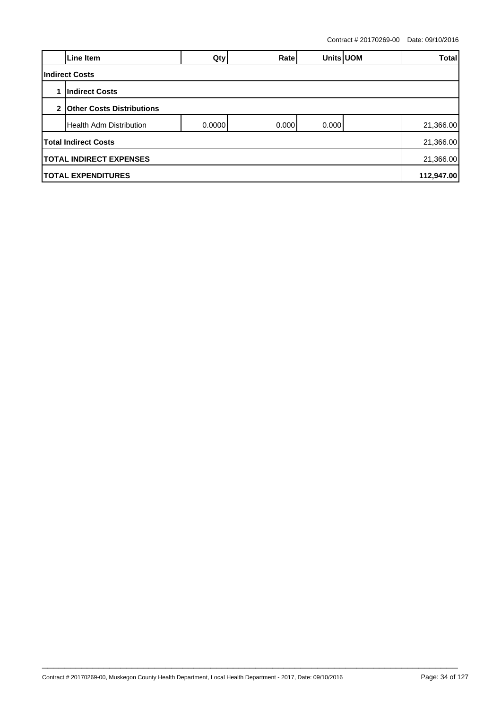Contract # 20170269-00 Date: 09/10/2016

|                | Line Item                                   | Qty    | Ratel |       | Units UOM | <b>Total</b> |  |  |  |  |
|----------------|---------------------------------------------|--------|-------|-------|-----------|--------------|--|--|--|--|
|                | <b>Indirect Costs</b>                       |        |       |       |           |              |  |  |  |  |
|                | <b>Indirect Costs</b>                       |        |       |       |           |              |  |  |  |  |
| 2 <sub>1</sub> | <b>Other Costs Distributions</b>            |        |       |       |           |              |  |  |  |  |
|                | <b>IHealth Adm Distribution</b>             | 0.0000 | 0.000 | 0.000 |           | 21,366.00    |  |  |  |  |
|                | <b>Total Indirect Costs</b>                 |        |       |       |           | 21,366.00    |  |  |  |  |
|                | <b>TOTAL INDIRECT EXPENSES</b><br>21,366.00 |        |       |       |           |              |  |  |  |  |
|                | <b>TOTAL EXPENDITURES</b>                   |        |       |       |           |              |  |  |  |  |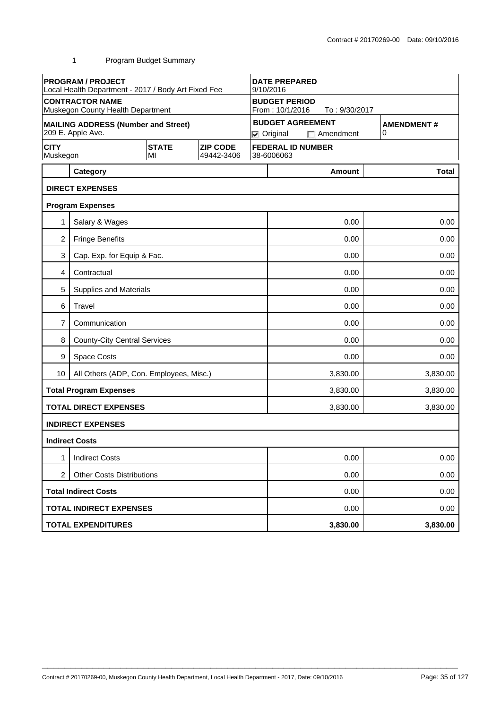1 Program Budget Summary

| <b>PROGRAM / PROJECT</b><br>Local Health Department - 2017 / Body Art Fixed Fee |                                            |                    | <b>DATE PREPARED</b><br>9/10/2016       |  |                      |                                          |                   |              |  |  |
|---------------------------------------------------------------------------------|--------------------------------------------|--------------------|-----------------------------------------|--|----------------------|------------------------------------------|-------------------|--------------|--|--|
| <b>CONTRACTOR NAME</b><br>Muskegon County Health Department                     |                                            |                    | <b>BUDGET PERIOD</b><br>From: 10/1/2016 |  |                      |                                          |                   |              |  |  |
|                                                                                 | <b>MAILING ADDRESS (Number and Street)</b> |                    |                                         |  |                      | To: 9/30/2017<br><b>BUDGET AGREEMENT</b> | <b>AMENDMENT#</b> |              |  |  |
|                                                                                 | 209 E. Apple Ave.                          |                    |                                         |  | $\nabla$ Original    | $\Box$ Amendment                         | 0                 |              |  |  |
| <b>CITY</b><br>Muskegon                                                         |                                            | <b>STATE</b><br>MI | <b>ZIP CODE</b><br>49442-3406           |  | 38-6006063           | <b>FEDERAL ID NUMBER</b>                 |                   |              |  |  |
|                                                                                 | Category                                   |                    |                                         |  |                      | <b>Amount</b>                            |                   | <b>Total</b> |  |  |
|                                                                                 | <b>DIRECT EXPENSES</b>                     |                    |                                         |  |                      |                                          |                   |              |  |  |
|                                                                                 | <b>Program Expenses</b>                    |                    |                                         |  |                      |                                          |                   |              |  |  |
| 1                                                                               | Salary & Wages                             |                    |                                         |  |                      | 0.00                                     |                   | 0.00         |  |  |
| $\overline{2}$                                                                  | <b>Fringe Benefits</b>                     |                    |                                         |  |                      | 0.00                                     |                   | 0.00         |  |  |
| 3                                                                               | Cap. Exp. for Equip & Fac.                 |                    |                                         |  |                      | 0.00                                     |                   | 0.00         |  |  |
| 4                                                                               | Contractual                                |                    |                                         |  | 0.00<br>0.00         |                                          |                   |              |  |  |
| 5                                                                               | Supplies and Materials                     |                    |                                         |  | 0.00<br>0.00         |                                          |                   |              |  |  |
| 6                                                                               | Travel                                     |                    |                                         |  |                      | 0.00<br>0.00                             |                   |              |  |  |
| 7                                                                               | Communication                              |                    |                                         |  | 0.00<br>0.00         |                                          |                   |              |  |  |
| 8                                                                               | <b>County-City Central Services</b>        |                    |                                         |  | 0.00<br>0.00         |                                          |                   |              |  |  |
| 9                                                                               | Space Costs                                |                    |                                         |  | 0.00<br>0.00         |                                          |                   |              |  |  |
| 10                                                                              | All Others (ADP, Con. Employees, Misc.)    |                    |                                         |  | 3,830.00<br>3,830.00 |                                          |                   |              |  |  |
|                                                                                 | <b>Total Program Expenses</b>              |                    |                                         |  | 3,830.00<br>3,830.00 |                                          |                   |              |  |  |
|                                                                                 | <b>TOTAL DIRECT EXPENSES</b>               |                    |                                         |  |                      | 3,830.00                                 | 3,830.00          |              |  |  |
|                                                                                 | <b>INDIRECT EXPENSES</b>                   |                    |                                         |  |                      |                                          |                   |              |  |  |
|                                                                                 | <b>Indirect Costs</b>                      |                    |                                         |  |                      |                                          |                   |              |  |  |
| 1                                                                               | <b>Indirect Costs</b>                      |                    |                                         |  |                      | 0.00                                     |                   | 0.00         |  |  |
| 2<br><b>Other Costs Distributions</b>                                           |                                            |                    |                                         |  | 0.00<br>0.00         |                                          |                   |              |  |  |
|                                                                                 | <b>Total Indirect Costs</b>                |                    |                                         |  |                      | 0.00<br>0.00                             |                   |              |  |  |
|                                                                                 | <b>TOTAL INDIRECT EXPENSES</b>             |                    |                                         |  | 0.00<br>0.00         |                                          |                   |              |  |  |
|                                                                                 | <b>TOTAL EXPENDITURES</b>                  |                    |                                         |  |                      | 3,830.00                                 | 3,830.00          |              |  |  |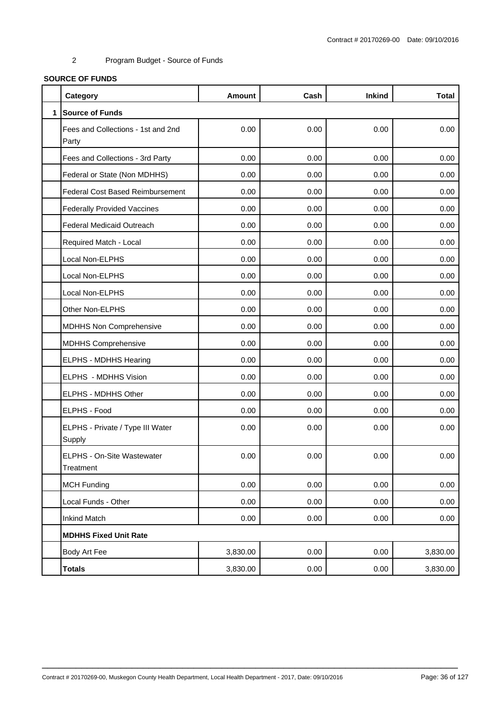#### 2 Program Budget - Source of Funds

#### **SOURCE OF FUNDS**

|              | Category                                    | <b>Amount</b> | Cash | <b>Inkind</b> | <b>Total</b> |  |  |  |  |  |
|--------------|---------------------------------------------|---------------|------|---------------|--------------|--|--|--|--|--|
| $\mathbf{1}$ | <b>Source of Funds</b>                      |               |      |               |              |  |  |  |  |  |
|              | Fees and Collections - 1st and 2nd<br>Party | 0.00          | 0.00 | 0.00          | 0.00         |  |  |  |  |  |
|              | Fees and Collections - 3rd Party            | 0.00          | 0.00 | 0.00          | 0.00         |  |  |  |  |  |
|              | Federal or State (Non MDHHS)                | 0.00          | 0.00 | 0.00          | 0.00         |  |  |  |  |  |
|              | <b>Federal Cost Based Reimbursement</b>     | 0.00          | 0.00 | 0.00          | 0.00         |  |  |  |  |  |
|              | <b>Federally Provided Vaccines</b>          | 0.00          | 0.00 | 0.00          | 0.00         |  |  |  |  |  |
|              | <b>Federal Medicaid Outreach</b>            | 0.00          | 0.00 | 0.00          | 0.00         |  |  |  |  |  |
|              | Required Match - Local                      | 0.00          | 0.00 | 0.00          | 0.00         |  |  |  |  |  |
|              | Local Non-ELPHS                             | 0.00          | 0.00 | 0.00          | 0.00         |  |  |  |  |  |
|              | Local Non-ELPHS                             | 0.00          | 0.00 | 0.00          | 0.00         |  |  |  |  |  |
|              | Local Non-ELPHS                             | 0.00          | 0.00 | 0.00          | 0.00         |  |  |  |  |  |
|              | Other Non-ELPHS                             | 0.00          | 0.00 | 0.00          | 0.00         |  |  |  |  |  |
|              | <b>MDHHS Non Comprehensive</b>              | 0.00          | 0.00 | 0.00          | 0.00         |  |  |  |  |  |
|              | <b>MDHHS Comprehensive</b>                  | 0.00          | 0.00 | 0.00          | 0.00         |  |  |  |  |  |
|              | ELPHS - MDHHS Hearing                       | 0.00          | 0.00 | 0.00          | 0.00         |  |  |  |  |  |
|              | ELPHS - MDHHS Vision                        | 0.00          | 0.00 | 0.00          | 0.00         |  |  |  |  |  |
|              | ELPHS - MDHHS Other                         | 0.00          | 0.00 | 0.00          | 0.00         |  |  |  |  |  |
|              | ELPHS - Food                                | 0.00          | 0.00 | 0.00          | 0.00         |  |  |  |  |  |
|              | ELPHS - Private / Type III Water<br>Supply  | 0.00          | 0.00 | 0.00          | 0.00         |  |  |  |  |  |
|              | ELPHS - On-Site Wastewater<br>Treatment     | 0.00          | 0.00 | 0.00          | 0.00         |  |  |  |  |  |
|              | <b>MCH Funding</b>                          | 0.00          | 0.00 | 0.00          | 0.00         |  |  |  |  |  |
|              | Local Funds - Other                         | 0.00          | 0.00 | 0.00          | 0.00         |  |  |  |  |  |
|              | <b>Inkind Match</b>                         | 0.00          | 0.00 | 0.00          | 0.00         |  |  |  |  |  |
|              | <b>MDHHS Fixed Unit Rate</b>                |               |      |               |              |  |  |  |  |  |
|              | Body Art Fee                                | 3,830.00      | 0.00 | 0.00          | 3,830.00     |  |  |  |  |  |
|              | <b>Totals</b>                               | 3,830.00      | 0.00 | 0.00          | 3,830.00     |  |  |  |  |  |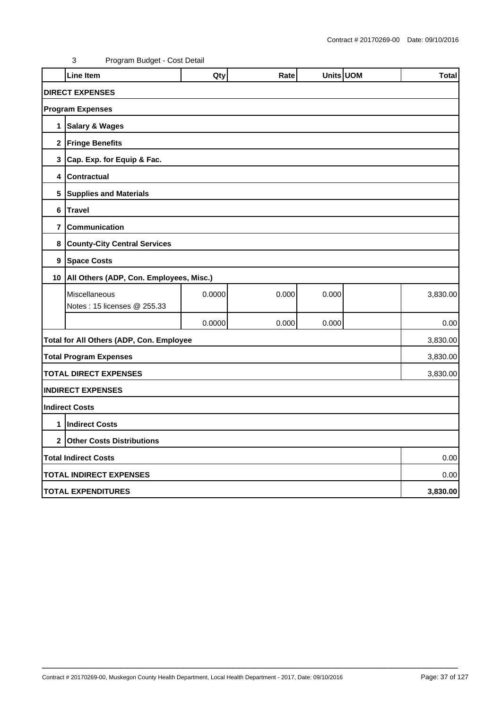|                        | <b>Line Item</b>                             | Qty    | Rate  | Units UOM |  | <b>Total</b> |  |  |  |
|------------------------|----------------------------------------------|--------|-------|-----------|--|--------------|--|--|--|
| <b>DIRECT EXPENSES</b> |                                              |        |       |           |  |              |  |  |  |
|                        | <b>Program Expenses</b>                      |        |       |           |  |              |  |  |  |
| 1                      | <b>Salary &amp; Wages</b>                    |        |       |           |  |              |  |  |  |
|                        | 2 Fringe Benefits                            |        |       |           |  |              |  |  |  |
| 3                      | Cap. Exp. for Equip & Fac.                   |        |       |           |  |              |  |  |  |
| 4                      | <b>Contractual</b>                           |        |       |           |  |              |  |  |  |
| 5                      | <b>Supplies and Materials</b>                |        |       |           |  |              |  |  |  |
| 6                      | <b>Travel</b>                                |        |       |           |  |              |  |  |  |
| 7                      | Communication                                |        |       |           |  |              |  |  |  |
| 8                      | <b>County-City Central Services</b>          |        |       |           |  |              |  |  |  |
| $\boldsymbol{9}$       | <b>Space Costs</b>                           |        |       |           |  |              |  |  |  |
| 10 <sup>1</sup>        | All Others (ADP, Con. Employees, Misc.)      |        |       |           |  |              |  |  |  |
|                        | Miscellaneous<br>Notes: 15 licenses @ 255.33 | 0.0000 | 0.000 | 0.000     |  | 3,830.00     |  |  |  |
|                        |                                              | 0.0000 | 0.000 | 0.000     |  | 0.00         |  |  |  |
|                        | Total for All Others (ADP, Con. Employee     |        |       |           |  | 3,830.00     |  |  |  |
|                        | <b>Total Program Expenses</b>                |        |       |           |  | 3,830.00     |  |  |  |
|                        | <b>TOTAL DIRECT EXPENSES</b>                 |        |       |           |  | 3,830.00     |  |  |  |
|                        | <b>INDIRECT EXPENSES</b>                     |        |       |           |  |              |  |  |  |
|                        | <b>Indirect Costs</b>                        |        |       |           |  |              |  |  |  |
| 1                      | <b>Indirect Costs</b>                        |        |       |           |  |              |  |  |  |
| $\mathbf{2}$           | <b>Other Costs Distributions</b>             |        |       |           |  |              |  |  |  |
|                        | <b>Total Indirect Costs</b><br>0.00          |        |       |           |  |              |  |  |  |
|                        | <b>TOTAL INDIRECT EXPENSES</b><br>0.00       |        |       |           |  |              |  |  |  |
|                        | <b>TOTAL EXPENDITURES</b>                    |        |       |           |  | 3,830.00     |  |  |  |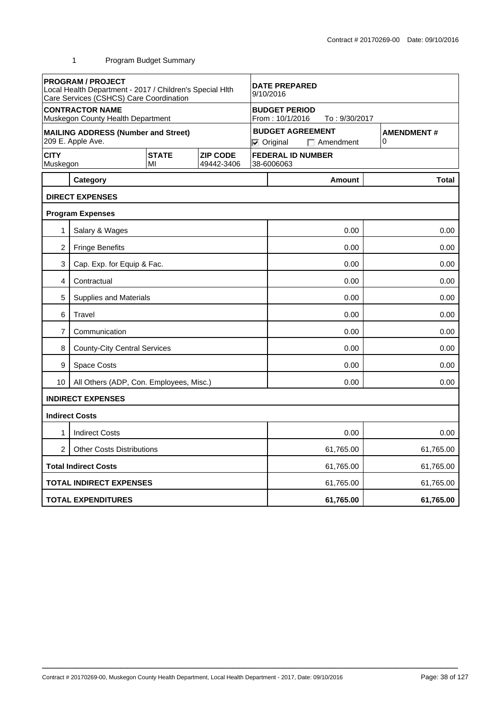|                                | <b>PROGRAM / PROJECT</b><br>Local Health Department - 2017 / Children's Special Hlth<br>Care Services (CSHCS) Care Coordination |                    |                               | <b>DATE PREPARED</b><br>9/10/2016                        |                                                                  |                        |  |  |
|--------------------------------|---------------------------------------------------------------------------------------------------------------------------------|--------------------|-------------------------------|----------------------------------------------------------|------------------------------------------------------------------|------------------------|--|--|
|                                | <b>CONTRACTOR NAME</b><br>Muskegon County Health Department                                                                     |                    |                               | <b>BUDGET PERIOD</b><br>From: 10/1/2016<br>To: 9/30/2017 |                                                                  |                        |  |  |
|                                | <b>MAILING ADDRESS (Number and Street)</b><br>209 E. Apple Ave.                                                                 |                    |                               |                                                          | <b>BUDGET AGREEMENT</b><br>$\nabla$ Original<br>$\Box$ Amendment | <b>AMENDMENT#</b><br>0 |  |  |
| <b>CITY</b><br>Muskegon        |                                                                                                                                 | <b>STATE</b><br>MI | <b>ZIP CODE</b><br>49442-3406 |                                                          | <b>FEDERAL ID NUMBER</b><br>38-6006063                           |                        |  |  |
|                                | Category                                                                                                                        |                    |                               |                                                          | <b>Amount</b>                                                    | <b>Total</b>           |  |  |
|                                | <b>DIRECT EXPENSES</b>                                                                                                          |                    |                               |                                                          |                                                                  |                        |  |  |
|                                | <b>Program Expenses</b>                                                                                                         |                    |                               |                                                          |                                                                  |                        |  |  |
| 1                              | Salary & Wages                                                                                                                  |                    |                               |                                                          | 0.00                                                             | 0.00                   |  |  |
| $\overline{c}$                 | <b>Fringe Benefits</b>                                                                                                          |                    |                               |                                                          | 0.00                                                             | 0.00                   |  |  |
| 3                              | Cap. Exp. for Equip & Fac.                                                                                                      |                    |                               |                                                          | 0.00                                                             |                        |  |  |
| 4                              | Contractual                                                                                                                     |                    |                               |                                                          | 0.00<br>0.00                                                     |                        |  |  |
| 5                              | <b>Supplies and Materials</b>                                                                                                   |                    |                               |                                                          | 0.00<br>0.00                                                     |                        |  |  |
| 6                              | Travel                                                                                                                          |                    |                               | 0.00<br>0.00                                             |                                                                  |                        |  |  |
| 7                              | Communication                                                                                                                   |                    |                               | 0.00<br>0.00                                             |                                                                  |                        |  |  |
| 8                              | <b>County-City Central Services</b>                                                                                             |                    |                               | 0.00<br>0.00                                             |                                                                  |                        |  |  |
| 9                              | <b>Space Costs</b>                                                                                                              |                    |                               | 0.00                                                     |                                                                  |                        |  |  |
| 10                             | All Others (ADP, Con. Employees, Misc.)                                                                                         |                    |                               |                                                          | 0.00                                                             | 0.00                   |  |  |
|                                | <b>INDIRECT EXPENSES</b>                                                                                                        |                    |                               |                                                          |                                                                  |                        |  |  |
|                                | <b>Indirect Costs</b>                                                                                                           |                    |                               |                                                          |                                                                  |                        |  |  |
| 1                              | <b>Indirect Costs</b>                                                                                                           |                    |                               |                                                          | 0.00                                                             | 0.00                   |  |  |
| $\overline{c}$                 | <b>Other Costs Distributions</b>                                                                                                |                    |                               | 61,765.00<br>61,765.00                                   |                                                                  |                        |  |  |
|                                | <b>Total Indirect Costs</b>                                                                                                     |                    |                               | 61,765.00<br>61,765.00                                   |                                                                  |                        |  |  |
| <b>TOTAL INDIRECT EXPENSES</b> |                                                                                                                                 |                    | 61,765.00                     | 61,765.00                                                |                                                                  |                        |  |  |
|                                | <b>TOTAL EXPENDITURES</b>                                                                                                       |                    |                               |                                                          | 61,765.00                                                        | 61,765.00              |  |  |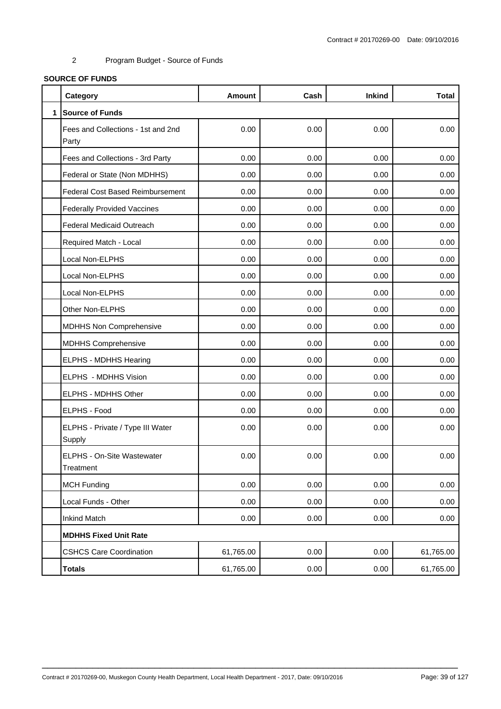# **SOURCE OF FUNDS**

|              | Category                                    | <b>Amount</b> | Cash | <b>Inkind</b> | <b>Total</b> |
|--------------|---------------------------------------------|---------------|------|---------------|--------------|
| $\mathbf{1}$ | <b>Source of Funds</b>                      |               |      |               |              |
|              | Fees and Collections - 1st and 2nd<br>Party | 0.00          | 0.00 | 0.00          | 0.00         |
|              | Fees and Collections - 3rd Party            | 0.00          | 0.00 | 0.00          | 0.00         |
|              | Federal or State (Non MDHHS)                | 0.00          | 0.00 | 0.00          | 0.00         |
|              | <b>Federal Cost Based Reimbursement</b>     | 0.00          | 0.00 | 0.00          | 0.00         |
|              | <b>Federally Provided Vaccines</b>          | 0.00          | 0.00 | 0.00          | 0.00         |
|              | Federal Medicaid Outreach                   | 0.00          | 0.00 | 0.00          | 0.00         |
|              | Required Match - Local                      | 0.00          | 0.00 | 0.00          | 0.00         |
|              | Local Non-ELPHS                             | 0.00          | 0.00 | 0.00          | 0.00         |
|              | Local Non-ELPHS                             | 0.00          | 0.00 | 0.00          | 0.00         |
|              | Local Non-ELPHS                             | 0.00          | 0.00 | 0.00          | 0.00         |
|              | Other Non-ELPHS                             | 0.00          | 0.00 | 0.00          | 0.00         |
|              | MDHHS Non Comprehensive                     | 0.00          | 0.00 | 0.00          | 0.00         |
|              | <b>MDHHS Comprehensive</b>                  | 0.00          | 0.00 | 0.00          | 0.00         |
|              | ELPHS - MDHHS Hearing                       | 0.00          | 0.00 | 0.00          | 0.00         |
|              | ELPHS - MDHHS Vision                        | 0.00          | 0.00 | 0.00          | 0.00         |
|              | ELPHS - MDHHS Other                         | 0.00          | 0.00 | 0.00          | 0.00         |
|              | ELPHS - Food                                | 0.00          | 0.00 | 0.00          | 0.00         |
|              | ELPHS - Private / Type III Water<br>Supply  | 0.00          | 0.00 | 0.00          | 0.00         |
|              | ELPHS - On-Site Wastewater<br>Treatment     | 0.00          | 0.00 | 0.00          | 0.00         |
|              | <b>MCH Funding</b>                          | 0.00          | 0.00 | 0.00          | 0.00         |
|              | Local Funds - Other                         | 0.00          | 0.00 | 0.00          | 0.00         |
|              | <b>Inkind Match</b>                         | 0.00          | 0.00 | 0.00          | 0.00         |
|              | <b>MDHHS Fixed Unit Rate</b>                |               |      |               |              |
|              | <b>CSHCS Care Coordination</b>              | 61,765.00     | 0.00 | 0.00          | 61,765.00    |
|              | <b>Totals</b>                               | 61,765.00     | 0.00 | 0.00          | 61,765.00    |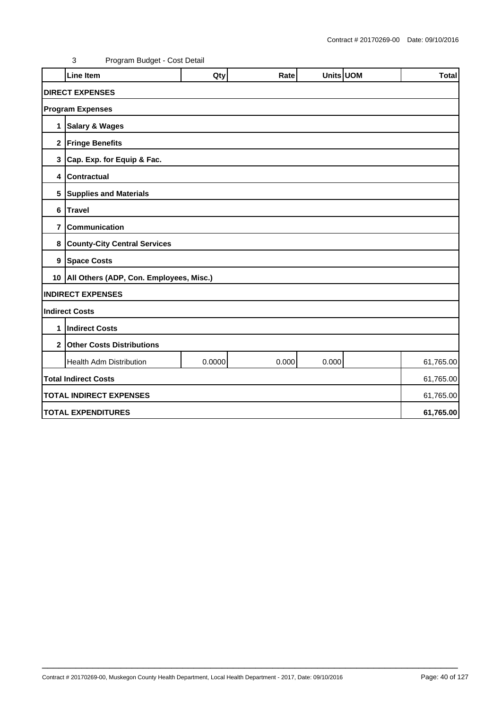|                | <b>Line Item</b>                             | Qty    | Rate  | Units UOM |  | <b>Total</b> |  |  |  |
|----------------|----------------------------------------------|--------|-------|-----------|--|--------------|--|--|--|
|                | <b>DIRECT EXPENSES</b>                       |        |       |           |  |              |  |  |  |
|                |                                              |        |       |           |  |              |  |  |  |
|                | <b>Program Expenses</b>                      |        |       |           |  |              |  |  |  |
| 1              | <b>Salary &amp; Wages</b>                    |        |       |           |  |              |  |  |  |
|                | 2 Fringe Benefits                            |        |       |           |  |              |  |  |  |
|                | 3 Cap. Exp. for Equip & Fac.                 |        |       |           |  |              |  |  |  |
| 4              | <b>Contractual</b>                           |        |       |           |  |              |  |  |  |
|                | 5 Supplies and Materials                     |        |       |           |  |              |  |  |  |
| 6              | <b>Travel</b>                                |        |       |           |  |              |  |  |  |
| $\overline{7}$ | Communication                                |        |       |           |  |              |  |  |  |
| 8              | <b>County-City Central Services</b>          |        |       |           |  |              |  |  |  |
|                | 9 Space Costs                                |        |       |           |  |              |  |  |  |
|                | 10   All Others (ADP, Con. Employees, Misc.) |        |       |           |  |              |  |  |  |
|                | <b>INDIRECT EXPENSES</b>                     |        |       |           |  |              |  |  |  |
|                | <b>Indirect Costs</b>                        |        |       |           |  |              |  |  |  |
| 1              | <b>Indirect Costs</b>                        |        |       |           |  |              |  |  |  |
| $\mathbf{2}$   | <b>Other Costs Distributions</b>             |        |       |           |  |              |  |  |  |
|                | Health Adm Distribution                      | 0.0000 | 0.000 | 0.000     |  | 61,765.00    |  |  |  |
|                | <b>Total Indirect Costs</b>                  |        |       |           |  | 61,765.00    |  |  |  |
|                | <b>TOTAL INDIRECT EXPENSES</b><br>61,765.00  |        |       |           |  |              |  |  |  |
|                | <b>TOTAL EXPENDITURES</b>                    |        |       |           |  | 61,765.00    |  |  |  |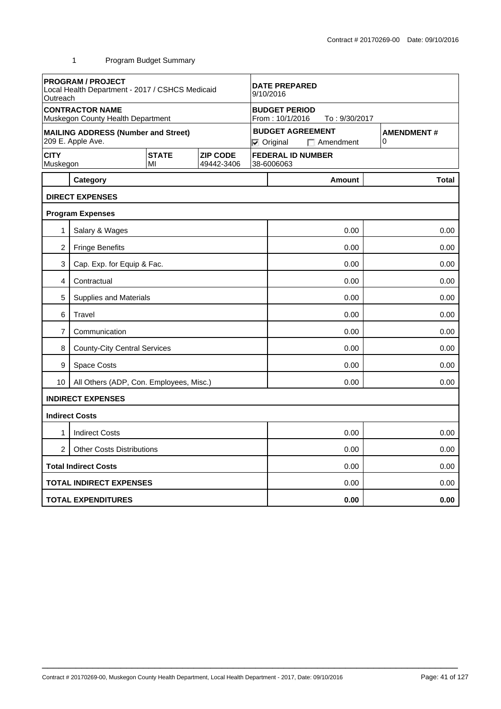|                                                                                | <b>PROGRAM / PROJECT</b><br>Local Health Department - 2017 / CSHCS Medicaid<br>Outreach |                                        |  | <b>DATE PREPARED</b><br>9/10/2016 |                                                                  |                        |  |  |  |
|--------------------------------------------------------------------------------|-----------------------------------------------------------------------------------------|----------------------------------------|--|-----------------------------------|------------------------------------------------------------------|------------------------|--|--|--|
|                                                                                | <b>CONTRACTOR NAME</b><br>Muskegon County Health Department                             |                                        |  |                                   | <b>BUDGET PERIOD</b><br>From: 10/1/2016<br>To: 9/30/2017         |                        |  |  |  |
|                                                                                | <b>MAILING ADDRESS (Number and Street)</b><br>209 E. Apple Ave.                         |                                        |  |                                   | <b>BUDGET AGREEMENT</b><br>$\nabla$ Original<br>$\Box$ Amendment | <b>AMENDMENT#</b><br>0 |  |  |  |
| <b>CITY</b><br><b>STATE</b><br><b>ZIP CODE</b><br>Muskegon<br>49442-3406<br>MI |                                                                                         | <b>FEDERAL ID NUMBER</b><br>38-6006063 |  |                                   |                                                                  |                        |  |  |  |
|                                                                                | Category                                                                                |                                        |  |                                   | <b>Amount</b>                                                    | <b>Total</b>           |  |  |  |
|                                                                                | <b>DIRECT EXPENSES</b>                                                                  |                                        |  |                                   |                                                                  |                        |  |  |  |
|                                                                                | <b>Program Expenses</b>                                                                 |                                        |  |                                   |                                                                  |                        |  |  |  |
| 1                                                                              | Salary & Wages                                                                          |                                        |  |                                   | 0.00                                                             | 0.00                   |  |  |  |
| 2                                                                              | <b>Fringe Benefits</b>                                                                  |                                        |  |                                   | 0.00                                                             | 0.00                   |  |  |  |
| 3                                                                              | Cap. Exp. for Equip & Fac.                                                              |                                        |  |                                   | 0.00                                                             | 0.00                   |  |  |  |
| 4                                                                              | Contractual                                                                             |                                        |  |                                   | 0.00                                                             |                        |  |  |  |
| 5                                                                              | <b>Supplies and Materials</b>                                                           |                                        |  |                                   | 0.00                                                             | 0.00                   |  |  |  |
| 6                                                                              | Travel                                                                                  |                                        |  |                                   | 0.00<br>0.00                                                     |                        |  |  |  |
| 7                                                                              | Communication                                                                           |                                        |  | 0.00<br>0.00                      |                                                                  |                        |  |  |  |
| 8                                                                              | <b>County-City Central Services</b>                                                     |                                        |  |                                   | 0.00<br>0.00                                                     |                        |  |  |  |
| 9                                                                              | <b>Space Costs</b>                                                                      |                                        |  | 0.00                              |                                                                  |                        |  |  |  |
| 10                                                                             | All Others (ADP, Con. Employees, Misc.)                                                 |                                        |  | 0.00<br>0.00                      |                                                                  |                        |  |  |  |
|                                                                                | <b>INDIRECT EXPENSES</b>                                                                |                                        |  |                                   |                                                                  |                        |  |  |  |
|                                                                                | <b>Indirect Costs</b>                                                                   |                                        |  |                                   |                                                                  |                        |  |  |  |
| 1                                                                              | <b>Indirect Costs</b>                                                                   |                                        |  |                                   | 0.00                                                             | 0.00                   |  |  |  |
| $\overline{2}$                                                                 | <b>Other Costs Distributions</b>                                                        |                                        |  |                                   | 0.00                                                             | 0.00                   |  |  |  |
|                                                                                | <b>Total Indirect Costs</b>                                                             |                                        |  |                                   | 0.00                                                             |                        |  |  |  |
| <b>TOTAL INDIRECT EXPENSES</b>                                                 |                                                                                         |                                        |  | 0.00                              | 0.00                                                             |                        |  |  |  |
|                                                                                | <b>TOTAL EXPENDITURES</b>                                                               |                                        |  |                                   | 0.00                                                             | 0.00                   |  |  |  |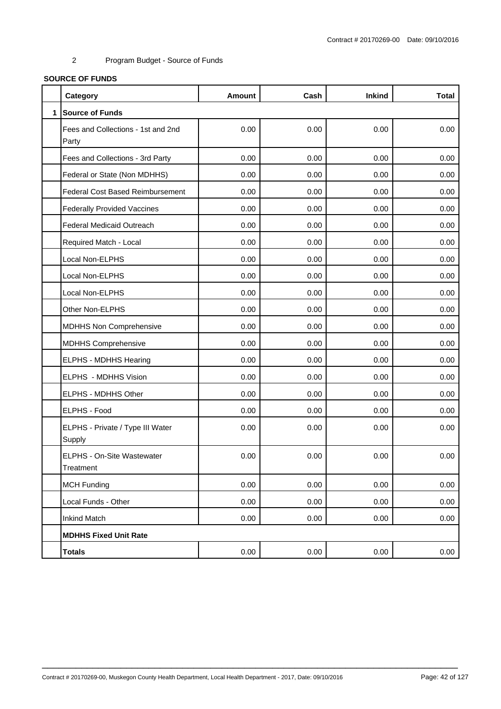# **SOURCE OF FUNDS**

|              | Category                                    | <b>Amount</b> | Cash | <b>Inkind</b> | <b>Total</b> |
|--------------|---------------------------------------------|---------------|------|---------------|--------------|
| $\mathbf{1}$ | <b>Source of Funds</b>                      |               |      |               |              |
|              | Fees and Collections - 1st and 2nd<br>Party | 0.00          | 0.00 | 0.00          | 0.00         |
|              | Fees and Collections - 3rd Party            | 0.00          | 0.00 | 0.00          | 0.00         |
|              | Federal or State (Non MDHHS)                | 0.00          | 0.00 | 0.00          | 0.00         |
|              | <b>Federal Cost Based Reimbursement</b>     | 0.00          | 0.00 | 0.00          | 0.00         |
|              | <b>Federally Provided Vaccines</b>          | 0.00          | 0.00 | 0.00          | 0.00         |
|              | Federal Medicaid Outreach                   | 0.00          | 0.00 | 0.00          | 0.00         |
|              | Required Match - Local                      | 0.00          | 0.00 | 0.00          | 0.00         |
|              | Local Non-ELPHS                             | 0.00          | 0.00 | 0.00          | 0.00         |
|              | Local Non-ELPHS                             | 0.00          | 0.00 | 0.00          | 0.00         |
|              | Local Non-ELPHS                             | 0.00          | 0.00 | 0.00          | 0.00         |
|              | Other Non-ELPHS                             | 0.00          | 0.00 | 0.00          | 0.00         |
|              | <b>MDHHS Non Comprehensive</b>              | 0.00          | 0.00 | 0.00          | 0.00         |
|              | <b>MDHHS Comprehensive</b>                  | 0.00          | 0.00 | 0.00          | 0.00         |
|              | ELPHS - MDHHS Hearing                       | 0.00          | 0.00 | 0.00          | 0.00         |
|              | ELPHS - MDHHS Vision                        | 0.00          | 0.00 | 0.00          | 0.00         |
|              | ELPHS - MDHHS Other                         | 0.00          | 0.00 | 0.00          | 0.00         |
|              | ELPHS - Food                                | 0.00          | 0.00 | 0.00          | 0.00         |
|              | ELPHS - Private / Type III Water<br>Supply  | 0.00          | 0.00 | 0.00          | 0.00         |
|              | ELPHS - On-Site Wastewater<br>Treatment     | 0.00          | 0.00 | 0.00          | 0.00         |
|              | <b>MCH Funding</b>                          | 0.00          | 0.00 | 0.00          | 0.00         |
|              | Local Funds - Other                         | 0.00          | 0.00 | 0.00          | 0.00         |
|              | <b>Inkind Match</b>                         | 0.00          | 0.00 | 0.00          | 0.00         |
|              | <b>MDHHS Fixed Unit Rate</b>                |               |      |               |              |
|              | <b>Totals</b>                               | 0.00          | 0.00 | 0.00          | 0.00         |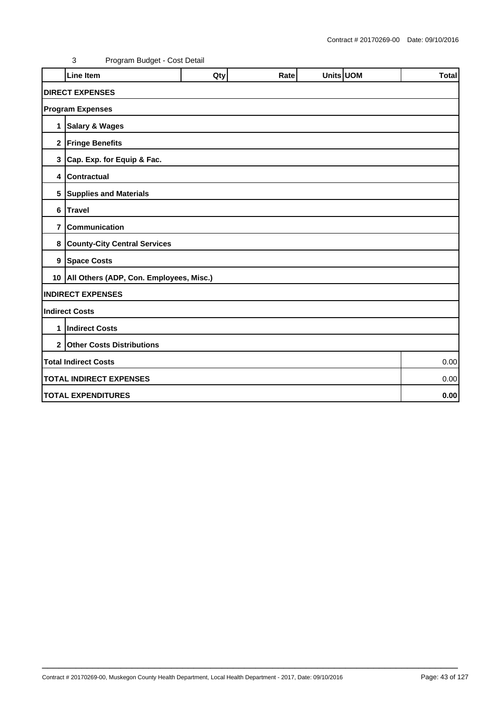|                | <b>Line Item</b>                             | Qty | Rate | Units UOM |  | <b>Total</b> |  |  |  |
|----------------|----------------------------------------------|-----|------|-----------|--|--------------|--|--|--|
|                | <b>DIRECT EXPENSES</b>                       |     |      |           |  |              |  |  |  |
|                | <b>Program Expenses</b>                      |     |      |           |  |              |  |  |  |
| 1              | <b>Salary &amp; Wages</b>                    |     |      |           |  |              |  |  |  |
|                | 2 Fringe Benefits                            |     |      |           |  |              |  |  |  |
|                | 3 Cap. Exp. for Equip & Fac.                 |     |      |           |  |              |  |  |  |
| 4              | <b>Contractual</b>                           |     |      |           |  |              |  |  |  |
|                | 5 Supplies and Materials                     |     |      |           |  |              |  |  |  |
| 6              | Travel                                       |     |      |           |  |              |  |  |  |
| $\overline{7}$ | <b>Communication</b>                         |     |      |           |  |              |  |  |  |
|                | 8 County-City Central Services               |     |      |           |  |              |  |  |  |
|                | 9   Space Costs                              |     |      |           |  |              |  |  |  |
|                | 10   All Others (ADP, Con. Employees, Misc.) |     |      |           |  |              |  |  |  |
|                | <b>INDIRECT EXPENSES</b>                     |     |      |           |  |              |  |  |  |
|                | <b>Indirect Costs</b>                        |     |      |           |  |              |  |  |  |
| 1              | <b>Indirect Costs</b>                        |     |      |           |  |              |  |  |  |
|                | 2 Other Costs Distributions                  |     |      |           |  |              |  |  |  |
|                | <b>Total Indirect Costs</b><br>0.00          |     |      |           |  |              |  |  |  |
|                | <b>TOTAL INDIRECT EXPENSES</b><br>0.00       |     |      |           |  |              |  |  |  |
|                | <b>TOTAL EXPENDITURES</b><br>0.00            |     |      |           |  |              |  |  |  |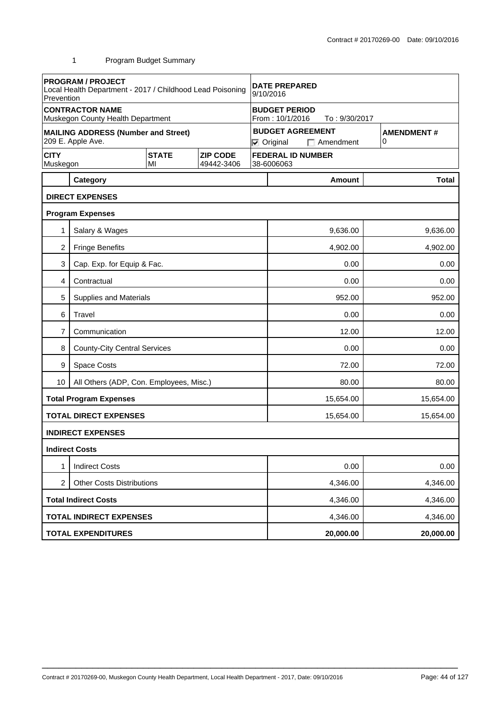|                                                                                | <b>PROGRAM / PROJECT</b><br>Local Health Department - 2017 / Childhood Lead Poisoning<br>Prevention |  |  | <b>DATE PREPARED</b><br>9/10/2016                        |                          |                                             |          |                        |  |  |
|--------------------------------------------------------------------------------|-----------------------------------------------------------------------------------------------------|--|--|----------------------------------------------------------|--------------------------|---------------------------------------------|----------|------------------------|--|--|
|                                                                                | <b>CONTRACTOR NAME</b><br>Muskegon County Health Department                                         |  |  | <b>BUDGET PERIOD</b><br>From: 10/1/2016<br>To: 9/30/2017 |                          |                                             |          |                        |  |  |
|                                                                                | <b>MAILING ADDRESS (Number and Street)</b><br>209 E. Apple Ave.                                     |  |  |                                                          | $\nabla$ Original        | <b>BUDGET AGREEMENT</b><br>$\Box$ Amendment |          | <b>AMENDMENT#</b><br>0 |  |  |
| <b>CITY</b><br><b>STATE</b><br><b>ZIP CODE</b><br>Muskegon<br>MI<br>49442-3406 |                                                                                                     |  |  | 38-6006063                                               | <b>FEDERAL ID NUMBER</b> |                                             |          |                        |  |  |
|                                                                                | Category                                                                                            |  |  |                                                          |                          | Amount                                      |          | <b>Total</b>           |  |  |
|                                                                                | <b>DIRECT EXPENSES</b>                                                                              |  |  |                                                          |                          |                                             |          |                        |  |  |
|                                                                                | <b>Program Expenses</b>                                                                             |  |  |                                                          |                          |                                             |          |                        |  |  |
| 1                                                                              | Salary & Wages                                                                                      |  |  |                                                          |                          | 9,636.00                                    |          | 9,636.00               |  |  |
| 2                                                                              | <b>Fringe Benefits</b>                                                                              |  |  |                                                          |                          | 4,902.00                                    |          | 4,902.00               |  |  |
| 3                                                                              | Cap. Exp. for Equip & Fac.                                                                          |  |  |                                                          | 0.00                     |                                             |          | 0.00                   |  |  |
| 4                                                                              | Contractual                                                                                         |  |  |                                                          | 0.00                     |                                             |          | 0.00                   |  |  |
| 5                                                                              | <b>Supplies and Materials</b>                                                                       |  |  |                                                          |                          | 952.00                                      |          | 952.00                 |  |  |
| 6                                                                              | Travel                                                                                              |  |  |                                                          | 0.00                     |                                             |          | 0.00                   |  |  |
| 7                                                                              | Communication                                                                                       |  |  |                                                          | 12.00                    |                                             |          | 12.00                  |  |  |
| 8                                                                              | <b>County-City Central Services</b>                                                                 |  |  | 0.00                                                     |                          |                                             | 0.00     |                        |  |  |
| 9                                                                              | <b>Space Costs</b>                                                                                  |  |  | 72.00                                                    |                          |                                             |          | 72.00                  |  |  |
| 10                                                                             | All Others (ADP, Con. Employees, Misc.)                                                             |  |  |                                                          | 80.00<br>80.00           |                                             |          |                        |  |  |
|                                                                                | <b>Total Program Expenses</b>                                                                       |  |  |                                                          |                          | 15,654.00                                   |          | 15,654.00              |  |  |
|                                                                                | <b>TOTAL DIRECT EXPENSES</b>                                                                        |  |  |                                                          |                          | 15,654.00                                   |          | 15,654.00              |  |  |
|                                                                                | <b>INDIRECT EXPENSES</b>                                                                            |  |  |                                                          |                          |                                             |          |                        |  |  |
|                                                                                | <b>Indirect Costs</b>                                                                               |  |  |                                                          |                          |                                             |          |                        |  |  |
| 1                                                                              | <b>Indirect Costs</b>                                                                               |  |  |                                                          |                          | 0.00                                        |          | 0.00                   |  |  |
| $\overline{2}$                                                                 | <b>Other Costs Distributions</b>                                                                    |  |  | 4,346.00                                                 |                          |                                             | 4,346.00 |                        |  |  |
|                                                                                | <b>Total Indirect Costs</b>                                                                         |  |  | 4,346.00                                                 |                          |                                             | 4,346.00 |                        |  |  |
|                                                                                | <b>TOTAL INDIRECT EXPENSES</b>                                                                      |  |  |                                                          |                          | 4,346.00                                    |          | 4,346.00               |  |  |
|                                                                                | <b>TOTAL EXPENDITURES</b>                                                                           |  |  |                                                          |                          | 20,000.00                                   |          | 20,000.00              |  |  |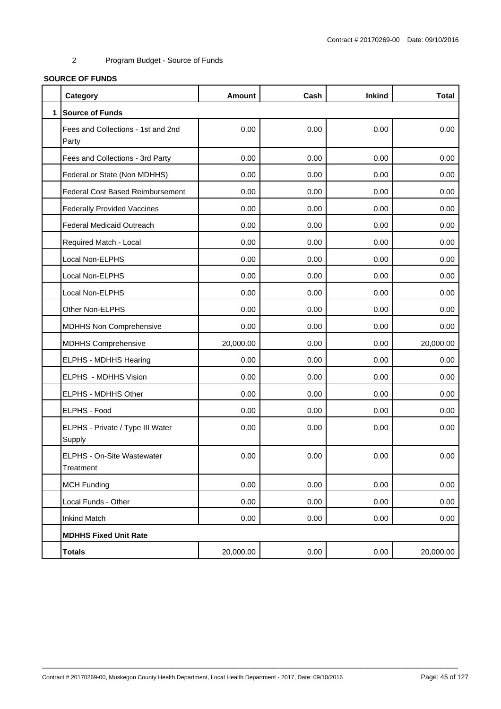# **SOURCE OF FUNDS**

|              | Category                                    | <b>Amount</b> | Cash | <b>Inkind</b> | <b>Total</b> |
|--------------|---------------------------------------------|---------------|------|---------------|--------------|
| $\mathbf{1}$ | <b>Source of Funds</b>                      |               |      |               |              |
|              | Fees and Collections - 1st and 2nd<br>Party | 0.00          | 0.00 | 0.00          | 0.00         |
|              | Fees and Collections - 3rd Party            | 0.00          | 0.00 | 0.00          | 0.00         |
|              | Federal or State (Non MDHHS)                | 0.00          | 0.00 | 0.00          | 0.00         |
|              | <b>Federal Cost Based Reimbursement</b>     | 0.00          | 0.00 | 0.00          | 0.00         |
|              | <b>Federally Provided Vaccines</b>          | 0.00          | 0.00 | 0.00          | 0.00         |
|              | Federal Medicaid Outreach                   | 0.00          | 0.00 | 0.00          | 0.00         |
|              | Required Match - Local                      | 0.00          | 0.00 | 0.00          | 0.00         |
|              | Local Non-ELPHS                             | 0.00          | 0.00 | 0.00          | 0.00         |
|              | Local Non-ELPHS                             | 0.00          | 0.00 | 0.00          | 0.00         |
|              | Local Non-ELPHS                             | 0.00          | 0.00 | 0.00          | 0.00         |
|              | Other Non-ELPHS                             | 0.00          | 0.00 | 0.00          | 0.00         |
|              | <b>MDHHS Non Comprehensive</b>              | 0.00          | 0.00 | 0.00          | 0.00         |
|              | <b>MDHHS Comprehensive</b>                  | 20,000.00     | 0.00 | 0.00          | 20,000.00    |
|              | ELPHS - MDHHS Hearing                       | 0.00          | 0.00 | 0.00          | 0.00         |
|              | ELPHS - MDHHS Vision                        | 0.00          | 0.00 | 0.00          | 0.00         |
|              | ELPHS - MDHHS Other                         | 0.00          | 0.00 | 0.00          | 0.00         |
|              | ELPHS - Food                                | 0.00          | 0.00 | 0.00          | 0.00         |
|              | ELPHS - Private / Type III Water<br>Supply  | 0.00          | 0.00 | 0.00          | 0.00         |
|              | ELPHS - On-Site Wastewater<br>Treatment     | 0.00          | 0.00 | 0.00          | 0.00         |
|              | <b>MCH Funding</b>                          | 0.00          | 0.00 | 0.00          | 0.00         |
|              | Local Funds - Other                         | 0.00          | 0.00 | 0.00          | 0.00         |
|              | <b>Inkind Match</b>                         | 0.00          | 0.00 | 0.00          | 0.00         |
|              | <b>MDHHS Fixed Unit Rate</b>                |               |      |               |              |
|              | <b>Totals</b>                               | 20,000.00     | 0.00 | 0.00          | 20,000.00    |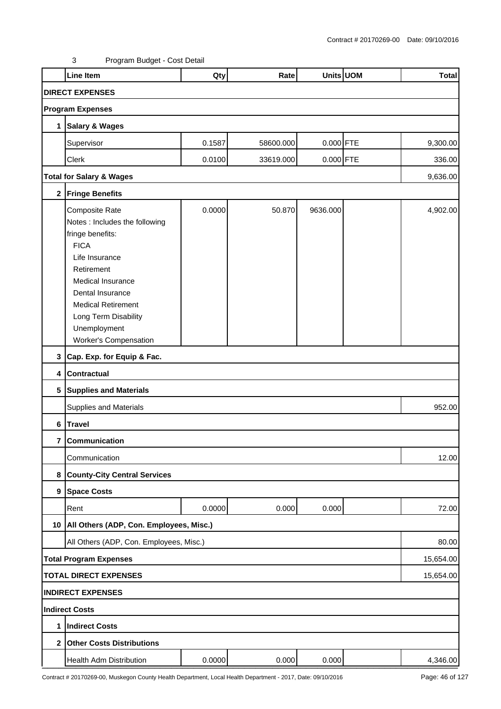|                         | <b>Line Item</b>                                                                                                                                                                                                                                                         | Qty    | Rate      |             | Units UOM | <b>Total</b> |  |  |  |  |
|-------------------------|--------------------------------------------------------------------------------------------------------------------------------------------------------------------------------------------------------------------------------------------------------------------------|--------|-----------|-------------|-----------|--------------|--|--|--|--|
| <b>DIRECT EXPENSES</b>  |                                                                                                                                                                                                                                                                          |        |           |             |           |              |  |  |  |  |
| <b>Program Expenses</b> |                                                                                                                                                                                                                                                                          |        |           |             |           |              |  |  |  |  |
| 1                       | <b>Salary &amp; Wages</b>                                                                                                                                                                                                                                                |        |           |             |           |              |  |  |  |  |
|                         | Supervisor                                                                                                                                                                                                                                                               | 0.1587 | 58600.000 | 0.000 FTE   |           | 9,300.00     |  |  |  |  |
|                         | Clerk                                                                                                                                                                                                                                                                    | 0.0100 | 33619.000 | $0.000$ FTE |           | 336.00       |  |  |  |  |
|                         | <b>Total for Salary &amp; Wages</b>                                                                                                                                                                                                                                      |        |           |             |           | 9,636.00     |  |  |  |  |
|                         | 2 Fringe Benefits                                                                                                                                                                                                                                                        |        |           |             |           |              |  |  |  |  |
|                         | Composite Rate<br>Notes : Includes the following<br>fringe benefits:<br><b>FICA</b><br>Life Insurance<br>Retirement<br><b>Medical Insurance</b><br>Dental Insurance<br><b>Medical Retirement</b><br>Long Term Disability<br>Unemployment<br><b>Worker's Compensation</b> | 0.0000 | 50.870    | 9636.000    |           | 4,902.00     |  |  |  |  |
|                         | 3 Cap. Exp. for Equip & Fac.                                                                                                                                                                                                                                             |        |           |             |           |              |  |  |  |  |
| 4                       | Contractual                                                                                                                                                                                                                                                              |        |           |             |           |              |  |  |  |  |
| 5                       | <b>Supplies and Materials</b>                                                                                                                                                                                                                                            |        |           |             |           |              |  |  |  |  |
|                         | <b>Supplies and Materials</b>                                                                                                                                                                                                                                            |        |           |             |           | 952.00       |  |  |  |  |
| 6                       | <b>Travel</b>                                                                                                                                                                                                                                                            |        |           |             |           |              |  |  |  |  |
|                         | 7 Communication                                                                                                                                                                                                                                                          |        |           |             |           |              |  |  |  |  |
|                         | Communication                                                                                                                                                                                                                                                            |        |           |             |           | 12.00        |  |  |  |  |
| 8                       | <b>County-City Central Services</b>                                                                                                                                                                                                                                      |        |           |             |           |              |  |  |  |  |
| 9                       | <b>Space Costs</b>                                                                                                                                                                                                                                                       |        |           |             |           |              |  |  |  |  |
|                         | Rent                                                                                                                                                                                                                                                                     | 0.0000 | 0.000     | 0.000       |           | 72.00        |  |  |  |  |
|                         | 10   All Others (ADP, Con. Employees, Misc.)                                                                                                                                                                                                                             |        |           |             |           |              |  |  |  |  |
|                         | All Others (ADP, Con. Employees, Misc.)                                                                                                                                                                                                                                  |        |           |             |           | 80.00        |  |  |  |  |
|                         | <b>Total Program Expenses</b>                                                                                                                                                                                                                                            |        |           |             |           | 15,654.00    |  |  |  |  |
|                         | <b>TOTAL DIRECT EXPENSES</b>                                                                                                                                                                                                                                             |        |           |             |           | 15,654.00    |  |  |  |  |
|                         | <b>INDIRECT EXPENSES</b>                                                                                                                                                                                                                                                 |        |           |             |           |              |  |  |  |  |
|                         | <b>Indirect Costs</b>                                                                                                                                                                                                                                                    |        |           |             |           |              |  |  |  |  |
| 1                       | <b>Indirect Costs</b>                                                                                                                                                                                                                                                    |        |           |             |           |              |  |  |  |  |
| $\mathbf{2}$            | <b>Other Costs Distributions</b>                                                                                                                                                                                                                                         |        |           |             |           |              |  |  |  |  |
|                         | Health Adm Distribution                                                                                                                                                                                                                                                  | 0.0000 | 0.000     | 0.000       |           | 4,346.00     |  |  |  |  |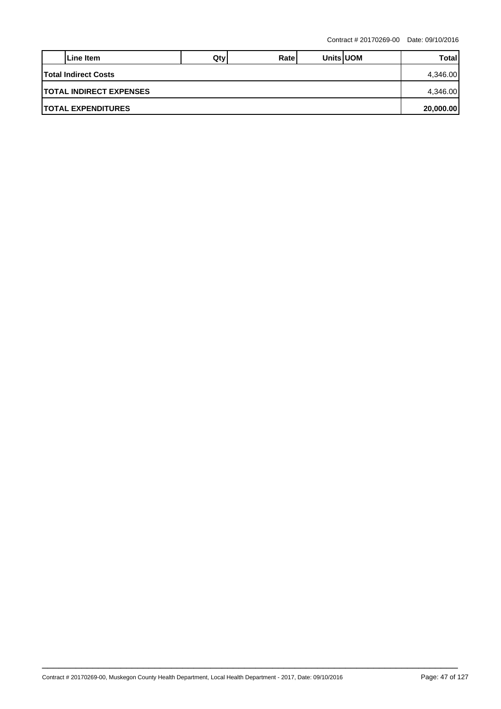|                                         | Line Item | Qtv | Ratel |  | <b>Units UOM</b> | Total |  |  |
|-----------------------------------------|-----------|-----|-------|--|------------------|-------|--|--|
| <b>Total Indirect Costs</b>             |           |     |       |  |                  |       |  |  |
| <b>ITOTAL INDIRECT EXPENSES</b>         |           |     |       |  |                  |       |  |  |
| <b>ITOTAL EXPENDITURES</b><br>20,000.00 |           |     |       |  |                  |       |  |  |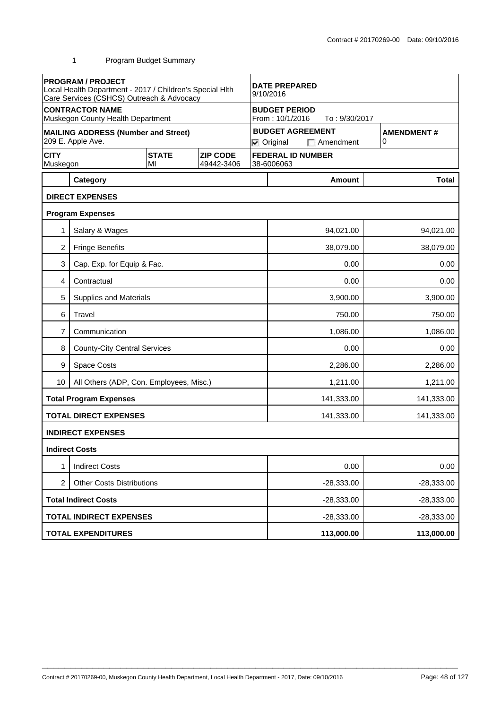|                                                                 | <b>PROGRAM / PROJECT</b><br>Local Health Department - 2017 / Children's Special Hlth<br>Care Services (CSHCS) Outreach & Advocacy |                    |                               | <b>DATE PREPARED</b><br>9/10/2016                        |                                             |                          |                        |              |
|-----------------------------------------------------------------|-----------------------------------------------------------------------------------------------------------------------------------|--------------------|-------------------------------|----------------------------------------------------------|---------------------------------------------|--------------------------|------------------------|--------------|
|                                                                 | <b>CONTRACTOR NAME</b><br>Muskegon County Health Department                                                                       |                    |                               | <b>BUDGET PERIOD</b><br>From: 10/1/2016<br>To: 9/30/2017 |                                             |                          |                        |              |
| <b>MAILING ADDRESS (Number and Street)</b><br>209 E. Apple Ave. |                                                                                                                                   |                    |                               | $\nabla$ Original                                        | <b>BUDGET AGREEMENT</b><br>$\Box$ Amendment |                          | <b>AMENDMENT#</b><br>0 |              |
| <b>CITY</b><br>Muskegon                                         |                                                                                                                                   | <b>STATE</b><br>MI | <b>ZIP CODE</b><br>49442-3406 |                                                          | 38-6006063                                  | <b>FEDERAL ID NUMBER</b> |                        |              |
|                                                                 | Category                                                                                                                          |                    |                               |                                                          |                                             | <b>Amount</b>            |                        | <b>Total</b> |
|                                                                 | <b>DIRECT EXPENSES</b>                                                                                                            |                    |                               |                                                          |                                             |                          |                        |              |
|                                                                 | <b>Program Expenses</b>                                                                                                           |                    |                               |                                                          |                                             |                          |                        |              |
| 1                                                               | Salary & Wages                                                                                                                    |                    |                               |                                                          |                                             | 94,021.00                |                        | 94,021.00    |
| $\overline{c}$                                                  | <b>Fringe Benefits</b>                                                                                                            |                    |                               |                                                          |                                             | 38,079.00                |                        | 38,079.00    |
| 3                                                               | Cap. Exp. for Equip & Fac.                                                                                                        |                    |                               |                                                          | 0.00                                        |                          |                        | 0.00         |
| 4                                                               | Contractual                                                                                                                       |                    |                               |                                                          | 0.00                                        |                          |                        | 0.00         |
| 5                                                               | <b>Supplies and Materials</b>                                                                                                     |                    |                               |                                                          |                                             | 3,900.00                 |                        | 3,900.00     |
| 6                                                               | Travel                                                                                                                            |                    |                               |                                                          |                                             | 750.00                   |                        | 750.00       |
| 7                                                               | Communication                                                                                                                     |                    |                               |                                                          | 1,086.00                                    |                          |                        | 1,086.00     |
| 8                                                               | <b>County-City Central Services</b>                                                                                               |                    |                               |                                                          | 0.00                                        |                          |                        | 0.00         |
| 9                                                               | Space Costs                                                                                                                       |                    |                               |                                                          |                                             | 2,286.00                 |                        | 2,286.00     |
| 10                                                              | All Others (ADP, Con. Employees, Misc.)                                                                                           |                    |                               |                                                          |                                             | 1,211.00                 |                        | 1,211.00     |
|                                                                 | <b>Total Program Expenses</b>                                                                                                     |                    |                               |                                                          |                                             | 141,333.00               |                        | 141,333.00   |
|                                                                 | <b>TOTAL DIRECT EXPENSES</b>                                                                                                      |                    |                               |                                                          |                                             | 141,333.00               |                        | 141,333.00   |
|                                                                 | <b>INDIRECT EXPENSES</b>                                                                                                          |                    |                               |                                                          |                                             |                          |                        |              |
|                                                                 | <b>Indirect Costs</b>                                                                                                             |                    |                               |                                                          |                                             |                          |                        |              |
|                                                                 | <b>Indirect Costs</b>                                                                                                             |                    |                               |                                                          |                                             | 0.00                     |                        | 0.00         |
| 2                                                               | <b>Other Costs Distributions</b>                                                                                                  |                    |                               |                                                          | $-28,333.00$                                |                          |                        | $-28,333.00$ |
|                                                                 | <b>Total Indirect Costs</b>                                                                                                       |                    |                               |                                                          | $-28,333.00$                                |                          |                        | $-28,333.00$ |
|                                                                 | <b>TOTAL INDIRECT EXPENSES</b>                                                                                                    |                    |                               |                                                          |                                             | $-28,333.00$             |                        | $-28,333.00$ |
|                                                                 | <b>TOTAL EXPENDITURES</b>                                                                                                         |                    |                               |                                                          |                                             | 113,000.00               |                        | 113,000.00   |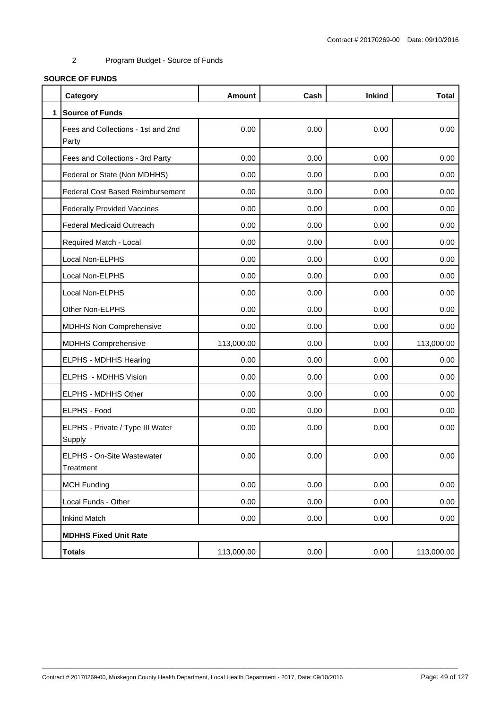# **SOURCE OF FUNDS**

|              | Category                                    | <b>Amount</b> | Cash | <b>Inkind</b> | <b>Total</b> |
|--------------|---------------------------------------------|---------------|------|---------------|--------------|
| $\mathbf{1}$ | <b>Source of Funds</b>                      |               |      |               |              |
|              | Fees and Collections - 1st and 2nd<br>Party | 0.00          | 0.00 | 0.00          | 0.00         |
|              | Fees and Collections - 3rd Party            | 0.00          | 0.00 | 0.00          | 0.00         |
|              | Federal or State (Non MDHHS)                | 0.00          | 0.00 | 0.00          | 0.00         |
|              | <b>Federal Cost Based Reimbursement</b>     | 0.00          | 0.00 | 0.00          | 0.00         |
|              | <b>Federally Provided Vaccines</b>          | 0.00          | 0.00 | 0.00          | 0.00         |
|              | Federal Medicaid Outreach                   | 0.00          | 0.00 | 0.00          | 0.00         |
|              | Required Match - Local                      | 0.00          | 0.00 | 0.00          | 0.00         |
|              | Local Non-ELPHS                             | 0.00          | 0.00 | 0.00          | 0.00         |
|              | Local Non-ELPHS                             | 0.00          | 0.00 | 0.00          | 0.00         |
|              | Local Non-ELPHS                             | 0.00          | 0.00 | 0.00          | 0.00         |
|              | Other Non-ELPHS                             | 0.00          | 0.00 | 0.00          | 0.00         |
|              | <b>MDHHS Non Comprehensive</b>              | 0.00          | 0.00 | 0.00          | 0.00         |
|              | <b>MDHHS Comprehensive</b>                  | 113,000.00    | 0.00 | 0.00          | 113,000.00   |
|              | ELPHS - MDHHS Hearing                       | 0.00          | 0.00 | 0.00          | 0.00         |
|              | ELPHS - MDHHS Vision                        | 0.00          | 0.00 | 0.00          | 0.00         |
|              | ELPHS - MDHHS Other                         | 0.00          | 0.00 | 0.00          | 0.00         |
|              | ELPHS - Food                                | 0.00          | 0.00 | 0.00          | 0.00         |
|              | ELPHS - Private / Type III Water<br>Supply  | 0.00          | 0.00 | 0.00          | 0.00         |
|              | ELPHS - On-Site Wastewater<br>Treatment     | 0.00          | 0.00 | 0.00          | 0.00         |
|              | <b>MCH Funding</b>                          | 0.00          | 0.00 | 0.00          | 0.00         |
|              | Local Funds - Other                         | 0.00          | 0.00 | 0.00          | 0.00         |
|              | <b>Inkind Match</b>                         | 0.00          | 0.00 | 0.00          | 0.00         |
|              | <b>MDHHS Fixed Unit Rate</b>                |               |      |               |              |
|              | <b>Totals</b>                               | 113,000.00    | 0.00 | 0.00          | 113,000.00   |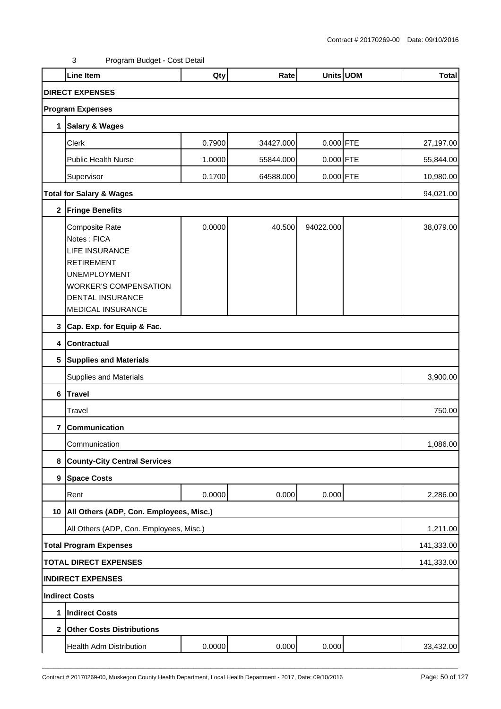|                 | <b>Line Item</b>                                                                                                                                                            | Qty    | Rate      |             | Units UOM | <b>Total</b> |
|-----------------|-----------------------------------------------------------------------------------------------------------------------------------------------------------------------------|--------|-----------|-------------|-----------|--------------|
|                 | <b>DIRECT EXPENSES</b>                                                                                                                                                      |        |           |             |           |              |
|                 | <b>Program Expenses</b>                                                                                                                                                     |        |           |             |           |              |
| 1               | <b>Salary &amp; Wages</b>                                                                                                                                                   |        |           |             |           |              |
|                 | Clerk                                                                                                                                                                       | 0.7900 | 34427.000 | $0.000$ FTE |           | 27,197.00    |
|                 | <b>Public Health Nurse</b>                                                                                                                                                  | 1.0000 | 55844.000 | $0.000$ FTE |           | 55,844.00    |
|                 | Supervisor                                                                                                                                                                  | 0.1700 | 64588.000 | $0.000$ FTE |           | 10,980.00    |
|                 | <b>Total for Salary &amp; Wages</b>                                                                                                                                         |        |           |             |           | 94,021.00    |
| $\mathbf 2$     | <b>Fringe Benefits</b>                                                                                                                                                      |        |           |             |           |              |
|                 | Composite Rate<br>Notes: FICA<br><b>LIFE INSURANCE</b><br><b>RETIREMENT</b><br><b>UNEMPLOYMENT</b><br><b>WORKER'S COMPENSATION</b><br>DENTAL INSURANCE<br>MEDICAL INSURANCE | 0.0000 | 40.500    | 94022.000   |           | 38,079.00    |
|                 | 3 Cap. Exp. for Equip & Fac.                                                                                                                                                |        |           |             |           |              |
| 4               | <b>Contractual</b>                                                                                                                                                          |        |           |             |           |              |
| $5\phantom{.0}$ | <b>Supplies and Materials</b>                                                                                                                                               |        |           |             |           |              |
|                 | <b>Supplies and Materials</b>                                                                                                                                               |        |           |             |           | 3,900.00     |
| 6               | Travel                                                                                                                                                                      |        |           |             |           |              |
|                 | Travel                                                                                                                                                                      |        |           |             |           | 750.00       |
| 7               | Communication                                                                                                                                                               |        |           |             |           |              |
|                 | Communication                                                                                                                                                               |        |           |             |           | 1,086.00     |
| 8               | <b>County-City Central Services</b>                                                                                                                                         |        |           |             |           |              |
|                 | 9 Space Costs                                                                                                                                                               |        |           |             |           |              |
|                 | Rent                                                                                                                                                                        | 0.0000 | 0.000     | 0.000       |           | 2,286.00     |
| 10              | All Others (ADP, Con. Employees, Misc.)                                                                                                                                     |        |           |             |           |              |
|                 | All Others (ADP, Con. Employees, Misc.)                                                                                                                                     |        |           |             |           | 1,211.00     |
|                 | <b>Total Program Expenses</b>                                                                                                                                               |        |           |             |           | 141,333.00   |
|                 | <b>TOTAL DIRECT EXPENSES</b>                                                                                                                                                |        |           |             |           | 141,333.00   |
|                 | <b>INDIRECT EXPENSES</b>                                                                                                                                                    |        |           |             |           |              |
|                 | <b>Indirect Costs</b>                                                                                                                                                       |        |           |             |           |              |
| 1               | <b>Indirect Costs</b>                                                                                                                                                       |        |           |             |           |              |
| $\mathbf{2}$    | <b>Other Costs Distributions</b>                                                                                                                                            |        |           |             |           |              |
|                 | Health Adm Distribution                                                                                                                                                     | 0.0000 | 0.000     | 0.000       |           | 33,432.00    |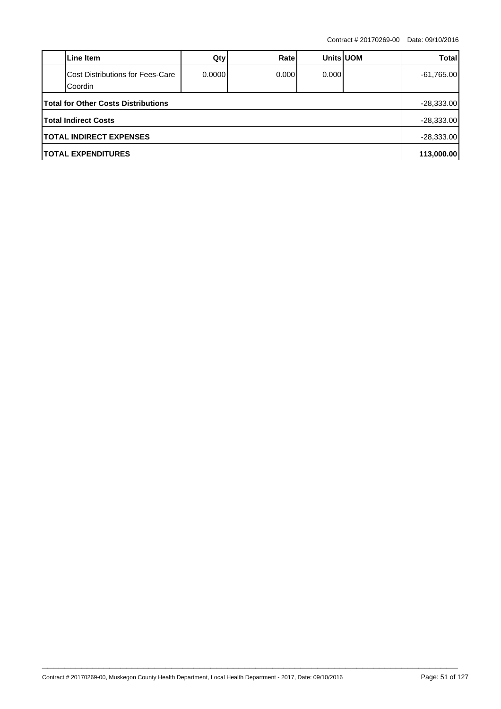|                                            | Line Item                                   | Qty    | Ratel  | <b>Units UOM</b> |  | Totall       |  |  |
|--------------------------------------------|---------------------------------------------|--------|--------|------------------|--|--------------|--|--|
|                                            | Cost Distributions for Fees-Care<br>Coordin | 0.0000 | 0.0001 | 0.000            |  | $-61,765.00$ |  |  |
| <b>Total for Other Costs Distributions</b> |                                             |        |        |                  |  |              |  |  |
|                                            | <b>Total Indirect Costs</b>                 |        |        |                  |  | $-28,333.00$ |  |  |
| <b>TOTAL INDIRECT EXPENSES</b>             |                                             |        |        |                  |  |              |  |  |
| <b>ITOTAL EXPENDITURES</b>                 |                                             |        |        |                  |  |              |  |  |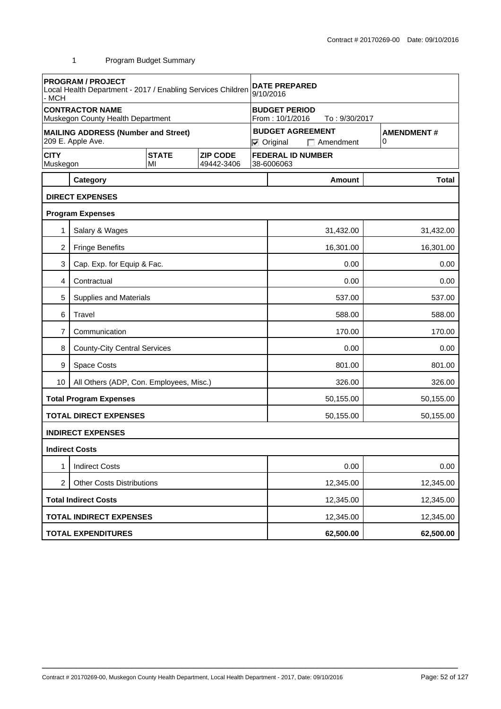| - MCH                       | <b>PROGRAM / PROJECT</b><br>Local Health Department - 2017 / Enabling Services Children |                    |                               | <b>DATE PREPARED</b><br>9/10/2016                        |                                                                                            |                        |  |           |  |
|-----------------------------|-----------------------------------------------------------------------------------------|--------------------|-------------------------------|----------------------------------------------------------|--------------------------------------------------------------------------------------------|------------------------|--|-----------|--|
|                             | <b>CONTRACTOR NAME</b><br>Muskegon County Health Department                             |                    |                               | <b>BUDGET PERIOD</b><br>From: 10/1/2016<br>To: 9/30/2017 |                                                                                            |                        |  |           |  |
|                             | <b>MAILING ADDRESS (Number and Street)</b><br>209 E. Apple Ave.                         |                    |                               |                                                          | <b>BUDGET AGREEMENT</b><br><b>AMENDMENT#</b><br>0<br>$\nabla$ Original<br>$\Box$ Amendment |                        |  |           |  |
| <b>CITY</b><br>Muskegon     |                                                                                         | <b>STATE</b><br>MI | <b>ZIP CODE</b><br>49442-3406 | <b>FEDERAL ID NUMBER</b><br>38-6006063                   |                                                                                            |                        |  |           |  |
|                             | Category                                                                                |                    |                               |                                                          |                                                                                            | <b>Amount</b>          |  | Total     |  |
|                             | <b>DIRECT EXPENSES</b>                                                                  |                    |                               |                                                          |                                                                                            |                        |  |           |  |
|                             | <b>Program Expenses</b>                                                                 |                    |                               |                                                          |                                                                                            |                        |  |           |  |
| 1                           | Salary & Wages                                                                          |                    |                               |                                                          |                                                                                            | 31,432.00              |  | 31,432.00 |  |
| $\overline{c}$              | <b>Fringe Benefits</b>                                                                  |                    |                               |                                                          |                                                                                            | 16,301.00              |  | 16,301.00 |  |
| 3                           | Cap. Exp. for Equip & Fac.                                                              |                    |                               |                                                          | 0.00                                                                                       |                        |  | 0.00      |  |
| 4                           | Contractual                                                                             |                    |                               |                                                          | 0.00                                                                                       |                        |  | 0.00      |  |
| 5                           | <b>Supplies and Materials</b>                                                           |                    |                               |                                                          |                                                                                            | 537.00                 |  | 537.00    |  |
| 6                           | Travel                                                                                  |                    |                               |                                                          |                                                                                            | 588.00                 |  | 588.00    |  |
| 7                           | Communication                                                                           |                    |                               |                                                          | 170.00<br>170.00                                                                           |                        |  |           |  |
| 8                           | <b>County-City Central Services</b>                                                     |                    |                               |                                                          | 0.00<br>0.00                                                                               |                        |  |           |  |
| 9                           | <b>Space Costs</b>                                                                      |                    |                               |                                                          | 801.00<br>801.00                                                                           |                        |  |           |  |
| 10 <sup>°</sup>             | All Others (ADP, Con. Employees, Misc.)                                                 |                    |                               |                                                          | 326.00<br>326.00                                                                           |                        |  |           |  |
|                             | <b>Total Program Expenses</b>                                                           |                    |                               |                                                          | 50,155.00<br>50,155.00                                                                     |                        |  |           |  |
|                             | <b>TOTAL DIRECT EXPENSES</b>                                                            |                    |                               |                                                          |                                                                                            | 50,155.00              |  | 50,155.00 |  |
|                             | <b>INDIRECT EXPENSES</b>                                                                |                    |                               |                                                          |                                                                                            |                        |  |           |  |
|                             | <b>Indirect Costs</b>                                                                   |                    |                               |                                                          |                                                                                            |                        |  |           |  |
|                             | <b>Indirect Costs</b>                                                                   |                    |                               |                                                          |                                                                                            | 0.00                   |  | 0.00      |  |
| $\overline{2}$              | <b>Other Costs Distributions</b>                                                        |                    |                               |                                                          |                                                                                            | 12,345.00<br>12,345.00 |  |           |  |
| <b>Total Indirect Costs</b> |                                                                                         |                    |                               | 12,345.00                                                |                                                                                            |                        |  | 12,345.00 |  |
|                             | <b>TOTAL INDIRECT EXPENSES</b>                                                          |                    |                               |                                                          |                                                                                            | 12,345.00              |  | 12,345.00 |  |
|                             | <b>TOTAL EXPENDITURES</b>                                                               |                    |                               |                                                          |                                                                                            | 62,500.00              |  | 62,500.00 |  |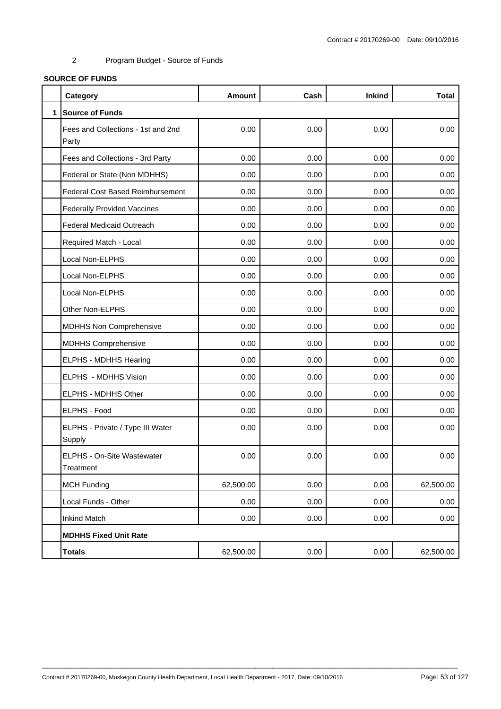# **SOURCE OF FUNDS**

|              | Category                                    | <b>Amount</b> | Cash | <b>Inkind</b> | <b>Total</b> |
|--------------|---------------------------------------------|---------------|------|---------------|--------------|
| $\mathbf{1}$ | <b>Source of Funds</b>                      |               |      |               |              |
|              | Fees and Collections - 1st and 2nd<br>Party | 0.00          | 0.00 | 0.00          | 0.00         |
|              | Fees and Collections - 3rd Party            | 0.00          | 0.00 | 0.00          | 0.00         |
|              | Federal or State (Non MDHHS)                | 0.00          | 0.00 | 0.00          | 0.00         |
|              | <b>Federal Cost Based Reimbursement</b>     | 0.00          | 0.00 | 0.00          | 0.00         |
|              | <b>Federally Provided Vaccines</b>          | 0.00          | 0.00 | 0.00          | 0.00         |
|              | Federal Medicaid Outreach                   | 0.00          | 0.00 | 0.00          | 0.00         |
|              | Required Match - Local                      | 0.00          | 0.00 | 0.00          | 0.00         |
|              | Local Non-ELPHS                             | 0.00          | 0.00 | 0.00          | 0.00         |
|              | Local Non-ELPHS                             | 0.00          | 0.00 | 0.00          | 0.00         |
|              | Local Non-ELPHS                             | 0.00          | 0.00 | 0.00          | 0.00         |
|              | Other Non-ELPHS                             | 0.00          | 0.00 | 0.00          | 0.00         |
|              | <b>MDHHS Non Comprehensive</b>              | 0.00          | 0.00 | 0.00          | 0.00         |
|              | <b>MDHHS Comprehensive</b>                  | 0.00          | 0.00 | 0.00          | 0.00         |
|              | ELPHS - MDHHS Hearing                       | 0.00          | 0.00 | 0.00          | 0.00         |
|              | ELPHS - MDHHS Vision                        | 0.00          | 0.00 | 0.00          | 0.00         |
|              | ELPHS - MDHHS Other                         | 0.00          | 0.00 | 0.00          | 0.00         |
|              | ELPHS - Food                                | 0.00          | 0.00 | 0.00          | 0.00         |
|              | ELPHS - Private / Type III Water<br>Supply  | 0.00          | 0.00 | 0.00          | 0.00         |
|              | ELPHS - On-Site Wastewater<br>Treatment     | 0.00          | 0.00 | 0.00          | 0.00         |
|              | <b>MCH Funding</b>                          | 62,500.00     | 0.00 | 0.00          | 62,500.00    |
|              | Local Funds - Other                         | 0.00          | 0.00 | 0.00          | 0.00         |
|              | <b>Inkind Match</b>                         | 0.00          | 0.00 | 0.00          | 0.00         |
|              | <b>MDHHS Fixed Unit Rate</b>                |               |      |               |              |
|              | <b>Totals</b>                               | 62,500.00     | 0.00 | 0.00          | 62,500.00    |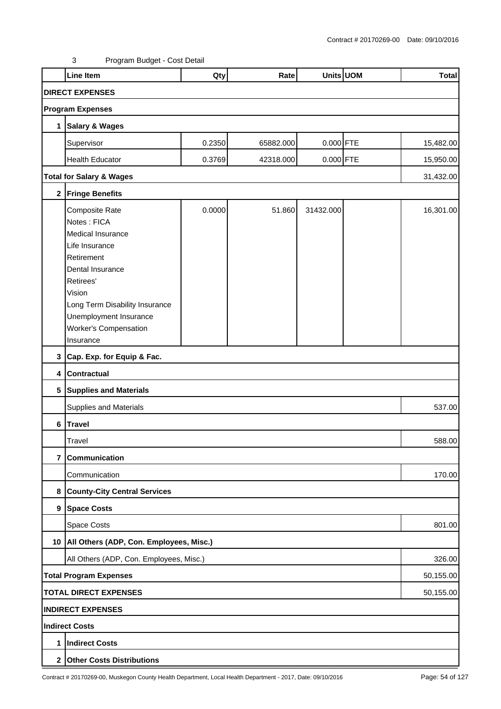|   | <b>Line Item</b>                                       | Qty    | Rate      |             | Units UOM | <b>Total</b> |  |  |  |  |
|---|--------------------------------------------------------|--------|-----------|-------------|-----------|--------------|--|--|--|--|
|   | <b>DIRECT EXPENSES</b>                                 |        |           |             |           |              |  |  |  |  |
|   | <b>Program Expenses</b>                                |        |           |             |           |              |  |  |  |  |
| 1 | <b>Salary &amp; Wages</b>                              |        |           |             |           |              |  |  |  |  |
|   | Supervisor                                             | 0.2350 | 65882.000 | $0.000$ FTE |           | 15,482.00    |  |  |  |  |
|   | <b>Health Educator</b>                                 | 0.3769 | 42318.000 | 0.000 FTE   |           | 15,950.00    |  |  |  |  |
|   | <b>Total for Salary &amp; Wages</b>                    |        |           |             |           |              |  |  |  |  |
|   |                                                        |        |           |             |           | 31,432.00    |  |  |  |  |
|   | 2 Fringe Benefits                                      |        |           |             |           |              |  |  |  |  |
|   | Composite Rate                                         | 0.0000 | 51.860    | 31432.000   |           | 16,301.00    |  |  |  |  |
|   | Notes: FICA                                            |        |           |             |           |              |  |  |  |  |
|   | Medical Insurance                                      |        |           |             |           |              |  |  |  |  |
|   | Life Insurance                                         |        |           |             |           |              |  |  |  |  |
|   | Retirement                                             |        |           |             |           |              |  |  |  |  |
|   | Dental Insurance                                       |        |           |             |           |              |  |  |  |  |
|   | Retirees'                                              |        |           |             |           |              |  |  |  |  |
|   | Vision                                                 |        |           |             |           |              |  |  |  |  |
|   | Long Term Disability Insurance                         |        |           |             |           |              |  |  |  |  |
|   | Unemployment Insurance<br><b>Worker's Compensation</b> |        |           |             |           |              |  |  |  |  |
|   |                                                        |        |           |             |           |              |  |  |  |  |
|   | Insurance                                              |        |           |             |           |              |  |  |  |  |
|   | 3 Cap. Exp. for Equip & Fac.                           |        |           |             |           |              |  |  |  |  |
|   | 4 Contractual                                          |        |           |             |           |              |  |  |  |  |
|   | 5 Supplies and Materials                               |        |           |             |           |              |  |  |  |  |
|   | <b>Supplies and Materials</b>                          |        |           |             |           | 537.00       |  |  |  |  |
|   | 6 Travel                                               |        |           |             |           |              |  |  |  |  |
|   | Travel                                                 |        |           |             |           | 588.00       |  |  |  |  |
| 7 | Communication                                          |        |           |             |           |              |  |  |  |  |
|   | Communication                                          |        |           |             |           | 170.00       |  |  |  |  |
| 8 | <b>County-City Central Services</b>                    |        |           |             |           |              |  |  |  |  |
|   | 9 Space Costs                                          |        |           |             |           |              |  |  |  |  |
|   | <b>Space Costs</b>                                     |        |           |             |           | 801.00       |  |  |  |  |
|   | 10   All Others (ADP, Con. Employees, Misc.)           |        |           |             |           |              |  |  |  |  |
|   | All Others (ADP, Con. Employees, Misc.)                |        |           |             |           | 326.00       |  |  |  |  |
|   | <b>Total Program Expenses</b><br>50,155.00             |        |           |             |           |              |  |  |  |  |
|   | <b>TOTAL DIRECT EXPENSES</b>                           |        |           |             |           | 50,155.00    |  |  |  |  |
|   | <b>INDIRECT EXPENSES</b>                               |        |           |             |           |              |  |  |  |  |
|   | <b>Indirect Costs</b>                                  |        |           |             |           |              |  |  |  |  |
| 1 | <b>Indirect Costs</b>                                  |        |           |             |           |              |  |  |  |  |
|   | 2 Other Costs Distributions                            |        |           |             |           |              |  |  |  |  |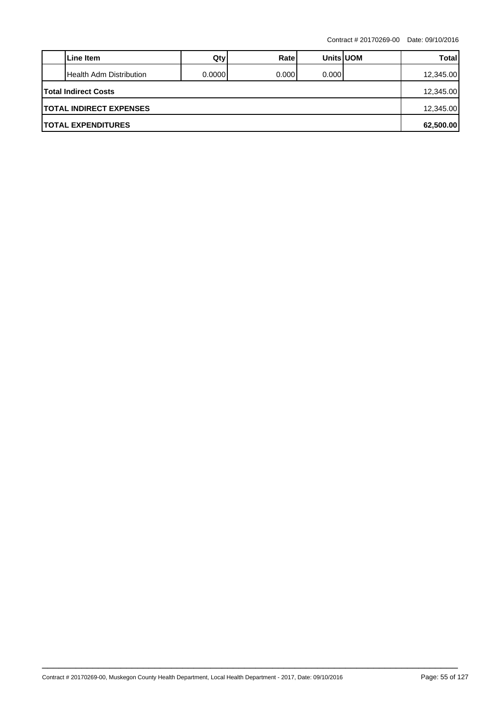|                                | Line Item                 | Qty     | Ratel  | <b>Units UOM</b> |  | <b>Total</b> |  |  |
|--------------------------------|---------------------------|---------|--------|------------------|--|--------------|--|--|
|                                | Health Adm Distribution   | 0.00001 | 0.0001 | 0.000            |  | 12,345.00    |  |  |
| <b>Total Indirect Costs</b>    |                           |         |        |                  |  |              |  |  |
| <b>TOTAL INDIRECT EXPENSES</b> |                           |         |        |                  |  |              |  |  |
|                                | <b>TOTAL EXPENDITURES</b> |         |        |                  |  | 62,500.00    |  |  |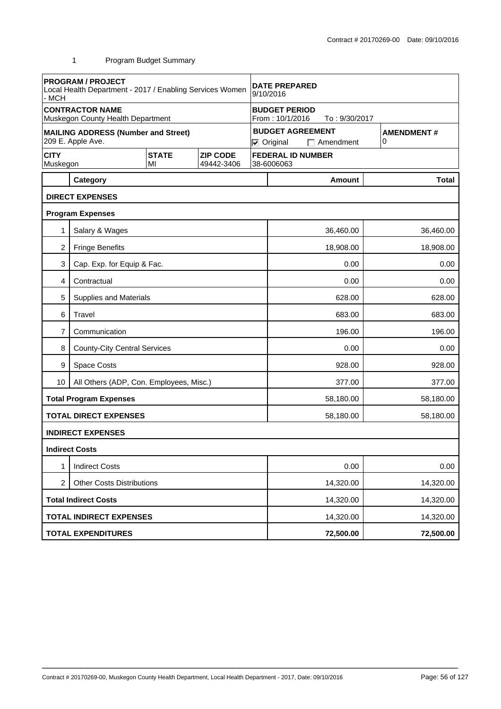| - MCH                                              | <b>PROGRAM / PROJECT</b><br>Local Health Department - 2017 / Enabling Services Women |                    |                               | <b>DATE PREPARED</b><br>9/10/2016                                                          |                        |                          |  |              |
|----------------------------------------------------|--------------------------------------------------------------------------------------|--------------------|-------------------------------|--------------------------------------------------------------------------------------------|------------------------|--------------------------|--|--------------|
|                                                    | <b>CONTRACTOR NAME</b><br>Muskegon County Health Department                          |                    |                               | <b>BUDGET PERIOD</b><br>From: 10/1/2016<br>To: 9/30/2017                                   |                        |                          |  |              |
|                                                    | <b>MAILING ADDRESS (Number and Street)</b><br>209 E. Apple Ave.                      |                    |                               | <b>BUDGET AGREEMENT</b><br><b>AMENDMENT#</b><br>0<br>$\nabla$ Original<br>$\Box$ Amendment |                        |                          |  |              |
| <b>CITY</b><br>Muskegon                            |                                                                                      | <b>STATE</b><br>MI | <b>ZIP CODE</b><br>49442-3406 |                                                                                            | 38-6006063             | <b>FEDERAL ID NUMBER</b> |  |              |
|                                                    | Category                                                                             |                    |                               |                                                                                            |                        | <b>Amount</b>            |  | <b>Total</b> |
|                                                    | <b>DIRECT EXPENSES</b>                                                               |                    |                               |                                                                                            |                        |                          |  |              |
|                                                    | <b>Program Expenses</b>                                                              |                    |                               |                                                                                            |                        |                          |  |              |
| 1                                                  | Salary & Wages                                                                       |                    |                               |                                                                                            |                        | 36,460.00                |  | 36,460.00    |
| 2                                                  | <b>Fringe Benefits</b>                                                               |                    |                               |                                                                                            |                        | 18,908.00                |  | 18,908.00    |
| 3                                                  | Cap. Exp. for Equip & Fac.                                                           |                    |                               |                                                                                            | 0.00<br>0.00           |                          |  |              |
| 4                                                  | Contractual                                                                          |                    |                               |                                                                                            |                        | 0.00                     |  | 0.00         |
| 5                                                  | <b>Supplies and Materials</b>                                                        |                    |                               |                                                                                            |                        | 628.00                   |  | 628.00       |
| 6                                                  | Travel                                                                               |                    |                               |                                                                                            |                        | 683.00                   |  | 683.00       |
| 7                                                  | Communication                                                                        |                    |                               |                                                                                            | 196.00<br>196.00       |                          |  |              |
| 8                                                  | <b>County-City Central Services</b>                                                  |                    |                               |                                                                                            | 0.00<br>0.00           |                          |  |              |
| 9                                                  | <b>Space Costs</b>                                                                   |                    |                               |                                                                                            | 928.00<br>928.00       |                          |  |              |
| 10                                                 | All Others (ADP, Con. Employees, Misc.)                                              |                    |                               |                                                                                            | 377.00<br>377.00       |                          |  |              |
|                                                    | <b>Total Program Expenses</b>                                                        |                    |                               |                                                                                            |                        | 58,180.00                |  | 58,180.00    |
|                                                    | <b>TOTAL DIRECT EXPENSES</b>                                                         |                    |                               |                                                                                            |                        | 58,180.00                |  | 58,180.00    |
|                                                    | <b>INDIRECT EXPENSES</b>                                                             |                    |                               |                                                                                            |                        |                          |  |              |
|                                                    | <b>Indirect Costs</b>                                                                |                    |                               |                                                                                            |                        |                          |  |              |
| 1                                                  | <b>Indirect Costs</b>                                                                |                    |                               |                                                                                            |                        | 0.00                     |  | 0.00         |
| $\overline{2}$<br><b>Other Costs Distributions</b> |                                                                                      |                    |                               |                                                                                            | 14,320.00              |                          |  | 14,320.00    |
|                                                    | <b>Total Indirect Costs</b>                                                          |                    |                               |                                                                                            | 14,320.00<br>14,320.00 |                          |  |              |
|                                                    | <b>TOTAL INDIRECT EXPENSES</b>                                                       |                    |                               | 14,320.00                                                                                  |                        |                          |  | 14,320.00    |
|                                                    | <b>TOTAL EXPENDITURES</b>                                                            |                    |                               |                                                                                            |                        | 72,500.00                |  | 72,500.00    |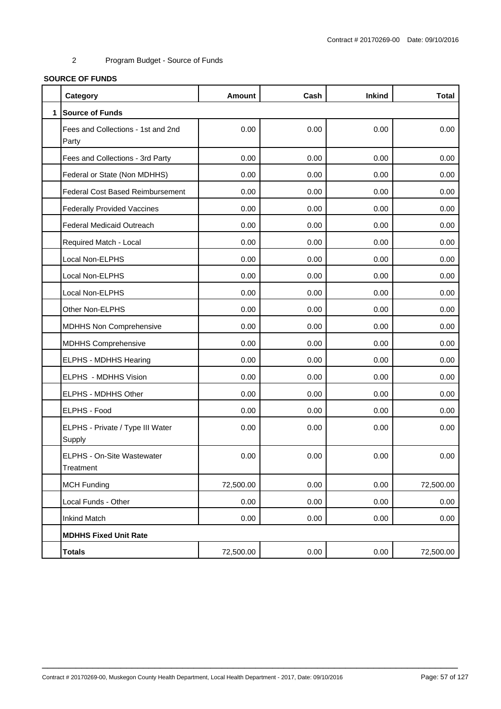# **SOURCE OF FUNDS**

|              | Category                                    | <b>Amount</b> | Cash | <b>Inkind</b> | <b>Total</b> |
|--------------|---------------------------------------------|---------------|------|---------------|--------------|
| $\mathbf{1}$ | <b>Source of Funds</b>                      |               |      |               |              |
|              | Fees and Collections - 1st and 2nd<br>Party | 0.00          | 0.00 | 0.00          | 0.00         |
|              | Fees and Collections - 3rd Party            | 0.00          | 0.00 | 0.00          | 0.00         |
|              | Federal or State (Non MDHHS)                | 0.00          | 0.00 | 0.00          | 0.00         |
|              | <b>Federal Cost Based Reimbursement</b>     | 0.00          | 0.00 | 0.00          | 0.00         |
|              | <b>Federally Provided Vaccines</b>          | 0.00          | 0.00 | 0.00          | 0.00         |
|              | <b>Federal Medicaid Outreach</b>            | 0.00          | 0.00 | 0.00          | 0.00         |
|              | Required Match - Local                      | 0.00          | 0.00 | 0.00          | 0.00         |
|              | Local Non-ELPHS                             | 0.00          | 0.00 | 0.00          | 0.00         |
|              | Local Non-ELPHS                             | 0.00          | 0.00 | 0.00          | 0.00         |
|              | Local Non-ELPHS                             | 0.00          | 0.00 | 0.00          | 0.00         |
|              | Other Non-ELPHS                             | 0.00          | 0.00 | 0.00          | 0.00         |
|              | <b>MDHHS Non Comprehensive</b>              | 0.00          | 0.00 | 0.00          | 0.00         |
|              | <b>MDHHS Comprehensive</b>                  | 0.00          | 0.00 | 0.00          | 0.00         |
|              | <b>ELPHS - MDHHS Hearing</b>                | 0.00          | 0.00 | 0.00          | 0.00         |
|              | ELPHS - MDHHS Vision                        | 0.00          | 0.00 | 0.00          | 0.00         |
|              | ELPHS - MDHHS Other                         | 0.00          | 0.00 | 0.00          | 0.00         |
|              | ELPHS - Food                                | 0.00          | 0.00 | 0.00          | 0.00         |
|              | ELPHS - Private / Type III Water<br>Supply  | 0.00          | 0.00 | 0.00          | 0.00         |
|              | ELPHS - On-Site Wastewater<br>Treatment     | 0.00          | 0.00 | 0.00          | 0.00         |
|              | <b>MCH Funding</b>                          | 72,500.00     | 0.00 | 0.00          | 72,500.00    |
|              | Local Funds - Other                         | 0.00          | 0.00 | 0.00          | 0.00         |
|              | <b>Inkind Match</b>                         | 0.00          | 0.00 | 0.00          | 0.00         |
|              | <b>MDHHS Fixed Unit Rate</b>                |               |      |               |              |
|              | <b>Totals</b>                               | 72,500.00     | 0.00 | 0.00          | 72,500.00    |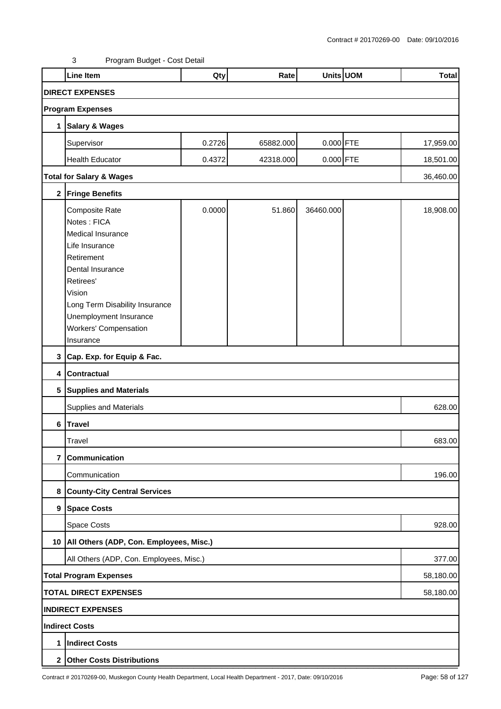|   | <b>Line Item</b>                             | Qty    | Rate      |             | Units UOM | <b>Total</b> |  |  |  |  |
|---|----------------------------------------------|--------|-----------|-------------|-----------|--------------|--|--|--|--|
|   | <b>DIRECT EXPENSES</b>                       |        |           |             |           |              |  |  |  |  |
|   | <b>Program Expenses</b>                      |        |           |             |           |              |  |  |  |  |
| 1 | <b>Salary &amp; Wages</b>                    |        |           |             |           |              |  |  |  |  |
|   | Supervisor                                   | 0.2726 | 65882.000 | $0.000$ FTE |           | 17,959.00    |  |  |  |  |
|   | <b>Health Educator</b>                       | 0.4372 | 42318.000 | 0.000 FTE   |           | 18,501.00    |  |  |  |  |
|   |                                              |        |           |             |           |              |  |  |  |  |
|   | <b>Total for Salary &amp; Wages</b>          |        |           |             |           | 36,460.00    |  |  |  |  |
|   | 2 Fringe Benefits                            |        |           |             |           |              |  |  |  |  |
|   | Composite Rate                               | 0.0000 | 51.860    | 36460.000   |           | 18,908.00    |  |  |  |  |
|   | Notes: FICA                                  |        |           |             |           |              |  |  |  |  |
|   | Medical Insurance                            |        |           |             |           |              |  |  |  |  |
|   | Life Insurance                               |        |           |             |           |              |  |  |  |  |
|   | Retirement                                   |        |           |             |           |              |  |  |  |  |
|   | Dental Insurance                             |        |           |             |           |              |  |  |  |  |
|   | Retirees'                                    |        |           |             |           |              |  |  |  |  |
|   | Vision                                       |        |           |             |           |              |  |  |  |  |
|   | Long Term Disability Insurance               |        |           |             |           |              |  |  |  |  |
|   | Unemployment Insurance                       |        |           |             |           |              |  |  |  |  |
|   | <b>Workers' Compensation</b>                 |        |           |             |           |              |  |  |  |  |
|   | Insurance                                    |        |           |             |           |              |  |  |  |  |
|   | 3 Cap. Exp. for Equip & Fac.                 |        |           |             |           |              |  |  |  |  |
|   | 4 Contractual                                |        |           |             |           |              |  |  |  |  |
|   | 5 Supplies and Materials                     |        |           |             |           |              |  |  |  |  |
|   | <b>Supplies and Materials</b>                |        |           |             |           | 628.00       |  |  |  |  |
|   | 6 Travel                                     |        |           |             |           |              |  |  |  |  |
|   | Travel                                       |        |           |             |           | 683.00       |  |  |  |  |
| 7 | Communication                                |        |           |             |           |              |  |  |  |  |
|   | Communication                                |        |           |             |           | 196.00       |  |  |  |  |
|   | 8 County-City Central Services               |        |           |             |           |              |  |  |  |  |
|   | 9 Space Costs                                |        |           |             |           |              |  |  |  |  |
|   | Space Costs                                  |        |           |             |           | 928.00       |  |  |  |  |
|   | 10   All Others (ADP, Con. Employees, Misc.) |        |           |             |           |              |  |  |  |  |
|   | All Others (ADP, Con. Employees, Misc.)      |        |           |             |           | 377.00       |  |  |  |  |
|   | <b>Total Program Expenses</b><br>58,180.00   |        |           |             |           |              |  |  |  |  |
|   | <b>TOTAL DIRECT EXPENSES</b><br>58,180.00    |        |           |             |           |              |  |  |  |  |
|   | <b>INDIRECT EXPENSES</b>                     |        |           |             |           |              |  |  |  |  |
|   | <b>Indirect Costs</b>                        |        |           |             |           |              |  |  |  |  |
| 1 | <b>Indirect Costs</b>                        |        |           |             |           |              |  |  |  |  |
|   | 2 Other Costs Distributions                  |        |           |             |           |              |  |  |  |  |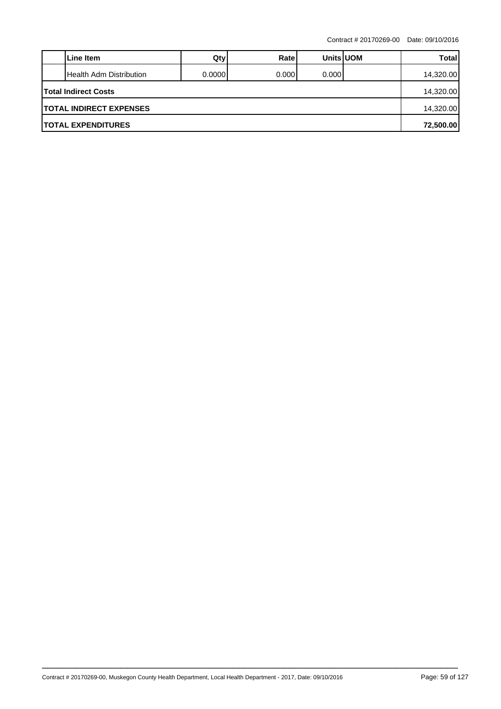|                                | Line Item                 | Qty     | Ratel  | <b>Units UOM</b> |  | <b>Total</b> |  |  |
|--------------------------------|---------------------------|---------|--------|------------------|--|--------------|--|--|
|                                | Health Adm Distribution   | 0.00001 | 0.0001 | 0.000            |  | 14,320.00    |  |  |
| <b>Total Indirect Costs</b>    |                           |         |        |                  |  |              |  |  |
| <b>TOTAL INDIRECT EXPENSES</b> |                           |         |        |                  |  |              |  |  |
|                                | <b>TOTAL EXPENDITURES</b> |         |        |                  |  | 72,500.00    |  |  |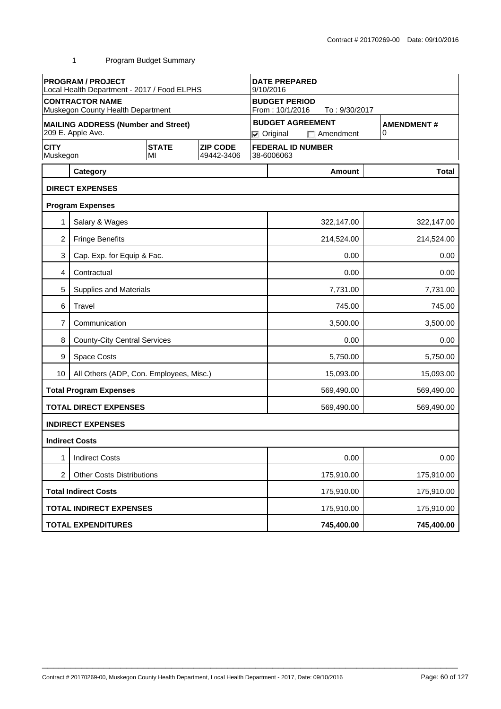|                         | <b>PROGRAM / PROJECT</b><br>Local Health Department - 2017 / Food ELPHS |                    |                               | <b>DATE PREPARED</b><br>9/10/2016 |                                              |                          |              |  |  |
|-------------------------|-------------------------------------------------------------------------|--------------------|-------------------------------|-----------------------------------|----------------------------------------------|--------------------------|--------------|--|--|
|                         | <b>CONTRACTOR NAME</b><br>Muskegon County Health Department             |                    |                               |                                   | <b>BUDGET PERIOD</b><br>From: 10/1/2016      | To: 9/30/2017            |              |  |  |
|                         | <b>MAILING ADDRESS (Number and Street)</b><br>209 E. Apple Ave.         |                    |                               |                                   | <b>BUDGET AGREEMENT</b><br>$\nabla$ Original | <b>AMENDMENT#</b><br>0   |              |  |  |
| <b>CITY</b><br>Muskegon |                                                                         | <b>STATE</b><br>MI | <b>ZIP CODE</b><br>49442-3406 |                                   | <b>FEDERAL ID NUMBER</b><br>38-6006063       |                          |              |  |  |
|                         | Category                                                                |                    |                               |                                   |                                              | Amount                   | <b>Total</b> |  |  |
|                         | <b>DIRECT EXPENSES</b>                                                  |                    |                               |                                   |                                              |                          |              |  |  |
|                         | <b>Program Expenses</b>                                                 |                    |                               |                                   |                                              |                          |              |  |  |
|                         | Salary & Wages                                                          |                    |                               |                                   |                                              | 322,147.00               | 322,147.00   |  |  |
| $\overline{2}$          | <b>Fringe Benefits</b>                                                  |                    |                               |                                   |                                              | 214,524.00               | 214,524.00   |  |  |
| 3                       | Cap. Exp. for Equip & Fac.                                              |                    |                               |                                   |                                              | 0.00                     | 0.00         |  |  |
| 4                       | Contractual                                                             |                    |                               |                                   | 0.00<br>0.00                                 |                          |              |  |  |
| 5                       | <b>Supplies and Materials</b>                                           |                    |                               |                                   |                                              | 7,731.00                 | 7,731.00     |  |  |
| 6                       | Travel                                                                  |                    |                               |                                   | 745.00<br>745.00                             |                          |              |  |  |
| 7                       | Communication                                                           |                    |                               |                                   | 3,500.00<br>3,500.00                         |                          |              |  |  |
| 8                       | <b>County-City Central Services</b>                                     |                    |                               |                                   | 0.00<br>0.00                                 |                          |              |  |  |
| 9                       | Space Costs                                                             |                    |                               |                                   |                                              | 5,750.00                 | 5,750.00     |  |  |
| 10                      | All Others (ADP, Con. Employees, Misc.)                                 |                    |                               |                                   |                                              | 15,093.00                | 15,093.00    |  |  |
|                         | <b>Total Program Expenses</b>                                           |                    |                               |                                   |                                              | 569,490.00               | 569,490.00   |  |  |
|                         | <b>TOTAL DIRECT EXPENSES</b>                                            |                    |                               |                                   |                                              | 569,490.00               | 569,490.00   |  |  |
|                         | <b>INDIRECT EXPENSES</b>                                                |                    |                               |                                   |                                              |                          |              |  |  |
|                         | <b>Indirect Costs</b>                                                   |                    |                               |                                   |                                              |                          |              |  |  |
| 1                       | <b>Indirect Costs</b>                                                   |                    |                               |                                   |                                              | 0.00                     | 0.00         |  |  |
| 2                       | <b>Other Costs Distributions</b>                                        |                    |                               |                                   |                                              | 175,910.00<br>175,910.00 |              |  |  |
|                         | <b>Total Indirect Costs</b>                                             |                    |                               |                                   |                                              | 175,910.00               | 175,910.00   |  |  |
|                         | <b>TOTAL INDIRECT EXPENSES</b>                                          |                    |                               |                                   |                                              | 175,910.00<br>175,910.00 |              |  |  |
|                         | <b>TOTAL EXPENDITURES</b>                                               |                    |                               |                                   |                                              | 745,400.00               | 745,400.00   |  |  |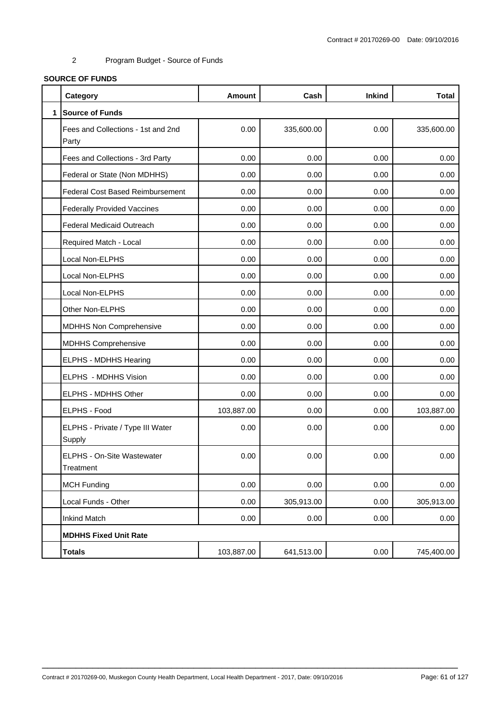# **SOURCE OF FUNDS**

|              | Category                                    | <b>Amount</b> | Cash       | <b>Inkind</b> | <b>Total</b> |
|--------------|---------------------------------------------|---------------|------------|---------------|--------------|
| $\mathbf{1}$ | <b>Source of Funds</b>                      |               |            |               |              |
|              | Fees and Collections - 1st and 2nd<br>Party | 0.00          | 335,600.00 | 0.00          | 335,600.00   |
|              | Fees and Collections - 3rd Party            | 0.00          | 0.00       | 0.00          | 0.00         |
|              | Federal or State (Non MDHHS)                | 0.00          | 0.00       | 0.00          | 0.00         |
|              | <b>Federal Cost Based Reimbursement</b>     | 0.00          | 0.00       | 0.00          | 0.00         |
|              | <b>Federally Provided Vaccines</b>          | 0.00          | 0.00       | 0.00          | 0.00         |
|              | Federal Medicaid Outreach                   | 0.00          | 0.00       | 0.00          | 0.00         |
|              | Required Match - Local                      | 0.00          | 0.00       | 0.00          | 0.00         |
|              | Local Non-ELPHS                             | 0.00          | 0.00       | 0.00          | 0.00         |
|              | Local Non-ELPHS                             | 0.00          | 0.00       | 0.00          | 0.00         |
|              | Local Non-ELPHS                             | 0.00          | 0.00       | 0.00          | 0.00         |
|              | Other Non-ELPHS                             | 0.00          | 0.00       | 0.00          | 0.00         |
|              | <b>MDHHS Non Comprehensive</b>              | 0.00          | 0.00       | 0.00          | 0.00         |
|              | <b>MDHHS Comprehensive</b>                  | 0.00          | 0.00       | 0.00          | 0.00         |
|              | ELPHS - MDHHS Hearing                       | 0.00          | 0.00       | 0.00          | 0.00         |
|              | ELPHS - MDHHS Vision                        | 0.00          | 0.00       | 0.00          | 0.00         |
|              | ELPHS - MDHHS Other                         | 0.00          | 0.00       | 0.00          | 0.00         |
|              | ELPHS - Food                                | 103,887.00    | 0.00       | 0.00          | 103,887.00   |
|              | ELPHS - Private / Type III Water<br>Supply  | 0.00          | 0.00       | 0.00          | 0.00         |
|              | ELPHS - On-Site Wastewater<br>Treatment     | 0.00          | 0.00       | 0.00          | 0.00         |
|              | <b>MCH Funding</b>                          | 0.00          | 0.00       | 0.00          | 0.00         |
|              | Local Funds - Other                         | 0.00          | 305,913.00 | 0.00          | 305,913.00   |
|              | <b>Inkind Match</b>                         | 0.00          | 0.00       | 0.00          | 0.00         |
|              | <b>MDHHS Fixed Unit Rate</b>                |               |            |               |              |
|              | <b>Totals</b>                               | 103,887.00    | 641,513.00 | 0.00          | 745,400.00   |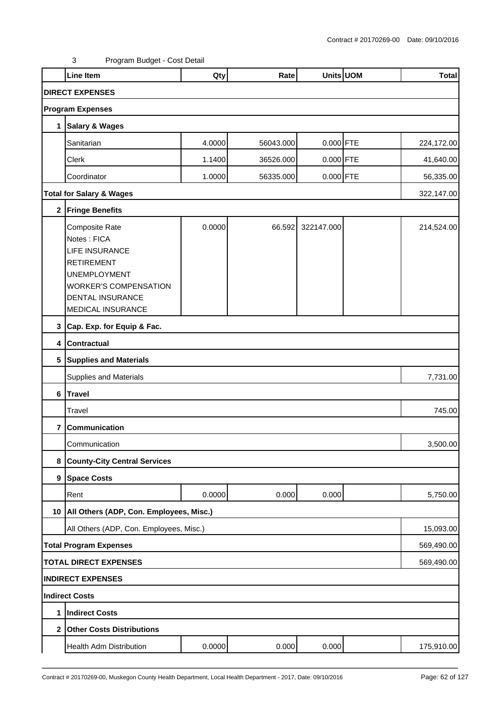|                | <b>Line Item</b>                                                                                                                                                            | Qty    | Rate      |             | Units UOM | <b>Total</b> |
|----------------|-----------------------------------------------------------------------------------------------------------------------------------------------------------------------------|--------|-----------|-------------|-----------|--------------|
|                | <b>DIRECT EXPENSES</b>                                                                                                                                                      |        |           |             |           |              |
|                | <b>Program Expenses</b>                                                                                                                                                     |        |           |             |           |              |
| 1              | Salary & Wages                                                                                                                                                              |        |           |             |           |              |
|                | Sanitarian                                                                                                                                                                  | 4.0000 | 56043.000 | $0.000$ FTE |           | 224,172.00   |
|                | Clerk                                                                                                                                                                       | 1.1400 | 36526.000 | 0.000 FTE   |           | 41,640.00    |
|                | Coordinator                                                                                                                                                                 | 1.0000 | 56335.000 | $0.000$ FTE |           | 56,335.00    |
|                | <b>Total for Salary &amp; Wages</b>                                                                                                                                         |        |           |             |           | 322,147.00   |
|                | 2 Fringe Benefits                                                                                                                                                           |        |           |             |           |              |
|                | Composite Rate<br>Notes: FICA<br><b>LIFE INSURANCE</b><br><b>RETIREMENT</b><br><b>UNEMPLOYMENT</b><br><b>WORKER'S COMPENSATION</b><br>DENTAL INSURANCE<br>MEDICAL INSURANCE | 0.0000 | 66.592    | 322147.000  |           | 214,524.00   |
|                | 3 Cap. Exp. for Equip & Fac.                                                                                                                                                |        |           |             |           |              |
|                | 4 Contractual                                                                                                                                                               |        |           |             |           |              |
|                | 5 Supplies and Materials                                                                                                                                                    |        |           |             |           |              |
|                | Supplies and Materials                                                                                                                                                      |        |           |             |           | 7,731.00     |
|                | 6 Travel                                                                                                                                                                    |        |           |             |           |              |
|                | Travel                                                                                                                                                                      |        |           |             |           | 745.00       |
| 7              | Communication                                                                                                                                                               |        |           |             |           |              |
|                | Communication                                                                                                                                                               |        |           |             |           | 3,500.00     |
| 8              | <b>County-City Central Services</b>                                                                                                                                         |        |           |             |           |              |
|                | 9 Space Costs                                                                                                                                                               |        |           |             |           |              |
|                | Rent                                                                                                                                                                        | 0.0000 | 0.000     | 0.000       |           | 5,750.00     |
|                | 10   All Others (ADP, Con. Employees, Misc.)                                                                                                                                |        |           |             |           |              |
|                | All Others (ADP, Con. Employees, Misc.)                                                                                                                                     |        |           |             |           | 15,093.00    |
|                | <b>Total Program Expenses</b>                                                                                                                                               |        |           |             |           | 569,490.00   |
|                | <b>TOTAL DIRECT EXPENSES</b>                                                                                                                                                |        |           |             |           | 569,490.00   |
|                | <b>INDIRECT EXPENSES</b>                                                                                                                                                    |        |           |             |           |              |
|                | Indirect Costs                                                                                                                                                              |        |           |             |           |              |
| 1              | <b>Indirect Costs</b>                                                                                                                                                       |        |           |             |           |              |
| 2 <sub>1</sub> | <b>Other Costs Distributions</b>                                                                                                                                            |        |           |             |           |              |
|                | Health Adm Distribution                                                                                                                                                     | 0.0000 | 0.000     | 0.000       |           | 175,910.00   |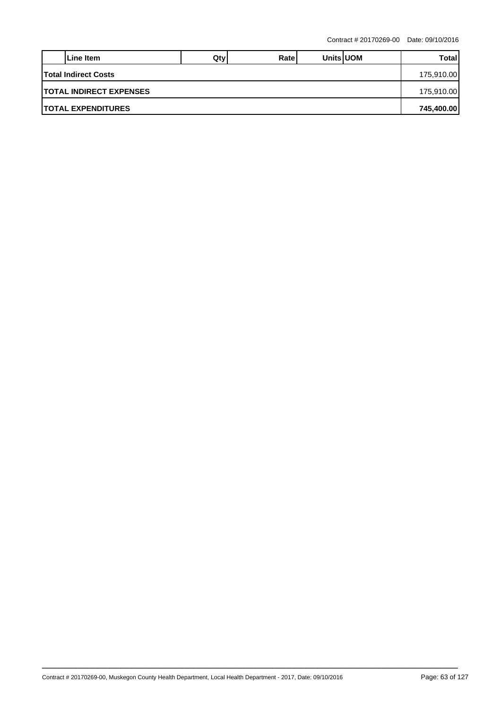|                                           | Line Item                  | $Q$ ty | Ratel |  | <b>Units UOM</b> | Total      |  |  |
|-------------------------------------------|----------------------------|--------|-------|--|------------------|------------|--|--|
| <b>Total Indirect Costs</b><br>175,910.00 |                            |        |       |  |                  |            |  |  |
| <b>ITOTAL INDIRECT EXPENSES</b>           |                            |        |       |  |                  |            |  |  |
|                                           | <b>ITOTAL EXPENDITURES</b> |        |       |  |                  | 745,400.00 |  |  |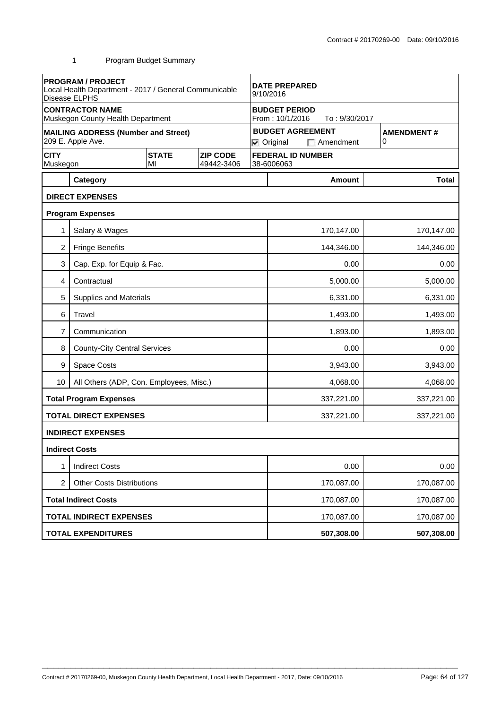|                                | <b>PROGRAM / PROJECT</b><br>Local Health Department - 2017 / General Communicable<br>Disease ELPHS |                    |                               | <b>DATE PREPARED</b><br>9/10/2016                                                          |                      |               |            |              |  |
|--------------------------------|----------------------------------------------------------------------------------------------------|--------------------|-------------------------------|--------------------------------------------------------------------------------------------|----------------------|---------------|------------|--------------|--|
|                                | <b>CONTRACTOR NAME</b><br>Muskegon County Health Department                                        |                    |                               | <b>BUDGET PERIOD</b><br>From: 10/1/2016<br>To: 9/30/2017                                   |                      |               |            |              |  |
|                                | <b>MAILING ADDRESS (Number and Street)</b><br>209 E. Apple Ave.                                    |                    |                               | <b>BUDGET AGREEMENT</b><br><b>AMENDMENT#</b><br>0<br>$\nabla$ Original<br>$\Box$ Amendment |                      |               |            |              |  |
| <b>CITY</b><br>Muskegon        |                                                                                                    | <b>STATE</b><br>MI | <b>ZIP CODE</b><br>49442-3406 | <b>FEDERAL ID NUMBER</b><br>38-6006063                                                     |                      |               |            |              |  |
|                                | Category                                                                                           |                    |                               |                                                                                            |                      | <b>Amount</b> |            | <b>Total</b> |  |
|                                | <b>DIRECT EXPENSES</b>                                                                             |                    |                               |                                                                                            |                      |               |            |              |  |
|                                | <b>Program Expenses</b>                                                                            |                    |                               |                                                                                            |                      |               |            |              |  |
| 1                              | Salary & Wages                                                                                     |                    |                               |                                                                                            |                      | 170,147.00    |            | 170,147.00   |  |
| 2                              | <b>Fringe Benefits</b>                                                                             |                    |                               |                                                                                            |                      | 144,346.00    |            | 144,346.00   |  |
| 3                              | Cap. Exp. for Equip & Fac.                                                                         |                    |                               |                                                                                            |                      | 0.00<br>0.00  |            |              |  |
| 4                              | Contractual                                                                                        |                    |                               |                                                                                            | 5,000.00<br>5,000.00 |               |            |              |  |
| 5                              | <b>Supplies and Materials</b>                                                                      |                    |                               |                                                                                            |                      | 6,331.00      |            | 6,331.00     |  |
| 6                              | Travel                                                                                             |                    |                               |                                                                                            | 1,493.00<br>1,493.00 |               |            |              |  |
| 7                              | Communication                                                                                      |                    |                               |                                                                                            | 1,893.00<br>1,893.00 |               |            |              |  |
| 8                              | <b>County-City Central Services</b>                                                                |                    |                               |                                                                                            | 0.00<br>0.00         |               |            |              |  |
| 9                              | Space Costs                                                                                        |                    |                               |                                                                                            | 3,943.00<br>3,943.00 |               |            |              |  |
| 10                             | All Others (ADP, Con. Employees, Misc.)                                                            |                    |                               |                                                                                            |                      | 4,068.00      |            | 4,068.00     |  |
|                                | <b>Total Program Expenses</b>                                                                      |                    |                               |                                                                                            |                      | 337,221.00    |            | 337,221.00   |  |
|                                | <b>TOTAL DIRECT EXPENSES</b>                                                                       |                    |                               |                                                                                            |                      | 337,221.00    |            | 337,221.00   |  |
|                                | <b>INDIRECT EXPENSES</b>                                                                           |                    |                               |                                                                                            |                      |               |            |              |  |
|                                | <b>Indirect Costs</b>                                                                              |                    |                               |                                                                                            |                      |               |            |              |  |
| 1                              | <b>Indirect Costs</b>                                                                              |                    |                               |                                                                                            |                      | 0.00          |            | 0.00         |  |
| 2                              | <b>Other Costs Distributions</b>                                                                   |                    |                               |                                                                                            | 170,087.00           |               |            | 170,087.00   |  |
|                                | <b>Total Indirect Costs</b>                                                                        |                    |                               |                                                                                            | 170,087.00           |               |            | 170,087.00   |  |
| <b>TOTAL INDIRECT EXPENSES</b> |                                                                                                    |                    |                               | 170,087.00                                                                                 |                      |               | 170,087.00 |              |  |
|                                | <b>TOTAL EXPENDITURES</b>                                                                          |                    |                               |                                                                                            |                      | 507,308.00    |            | 507,308.00   |  |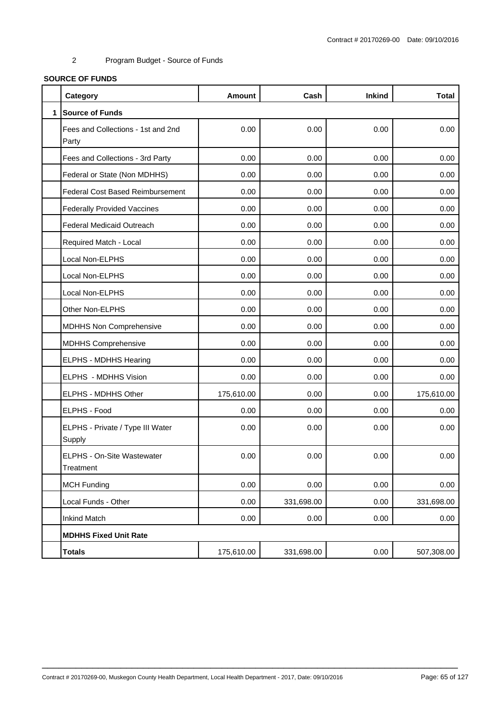# **SOURCE OF FUNDS**

|              | Category                                    | <b>Amount</b> | Cash       | <b>Inkind</b> | <b>Total</b> |
|--------------|---------------------------------------------|---------------|------------|---------------|--------------|
| $\mathbf{1}$ | <b>Source of Funds</b>                      |               |            |               |              |
|              | Fees and Collections - 1st and 2nd<br>Party | 0.00          | 0.00       | 0.00          | 0.00         |
|              | Fees and Collections - 3rd Party            | 0.00          | 0.00       | 0.00          | 0.00         |
|              | Federal or State (Non MDHHS)                | 0.00          | 0.00       | 0.00          | 0.00         |
|              | <b>Federal Cost Based Reimbursement</b>     | 0.00          | 0.00       | 0.00          | 0.00         |
|              | <b>Federally Provided Vaccines</b>          | 0.00          | 0.00       | 0.00          | 0.00         |
|              | Federal Medicaid Outreach                   | 0.00          | 0.00       | 0.00          | 0.00         |
|              | Required Match - Local                      | 0.00          | 0.00       | 0.00          | 0.00         |
|              | Local Non-ELPHS                             | 0.00          | 0.00       | 0.00          | 0.00         |
|              | Local Non-ELPHS                             | 0.00          | 0.00       | 0.00          | 0.00         |
|              | Local Non-ELPHS                             | 0.00          | 0.00       | 0.00          | 0.00         |
|              | Other Non-ELPHS                             | 0.00          | 0.00       | 0.00          | 0.00         |
|              | MDHHS Non Comprehensive                     | 0.00          | 0.00       | 0.00          | 0.00         |
|              | <b>MDHHS Comprehensive</b>                  | 0.00          | 0.00       | 0.00          | 0.00         |
|              | ELPHS - MDHHS Hearing                       | 0.00          | 0.00       | 0.00          | 0.00         |
|              | ELPHS - MDHHS Vision                        | 0.00          | 0.00       | 0.00          | 0.00         |
|              | ELPHS - MDHHS Other                         | 175,610.00    | 0.00       | 0.00          | 175,610.00   |
|              | ELPHS - Food                                | 0.00          | 0.00       | 0.00          | 0.00         |
|              | ELPHS - Private / Type III Water<br>Supply  | 0.00          | 0.00       | 0.00          | 0.00         |
|              | ELPHS - On-Site Wastewater<br>Treatment     | 0.00          | 0.00       | 0.00          | 0.00         |
|              | <b>MCH Funding</b>                          | 0.00          | 0.00       | 0.00          | 0.00         |
|              | Local Funds - Other                         | 0.00          | 331,698.00 | 0.00          | 331,698.00   |
|              | <b>Inkind Match</b>                         | 0.00          | 0.00       | 0.00          | 0.00         |
|              | <b>MDHHS Fixed Unit Rate</b>                |               |            |               |              |
|              | <b>Totals</b>                               | 175,610.00    | 331,698.00 | 0.00          | 507,308.00   |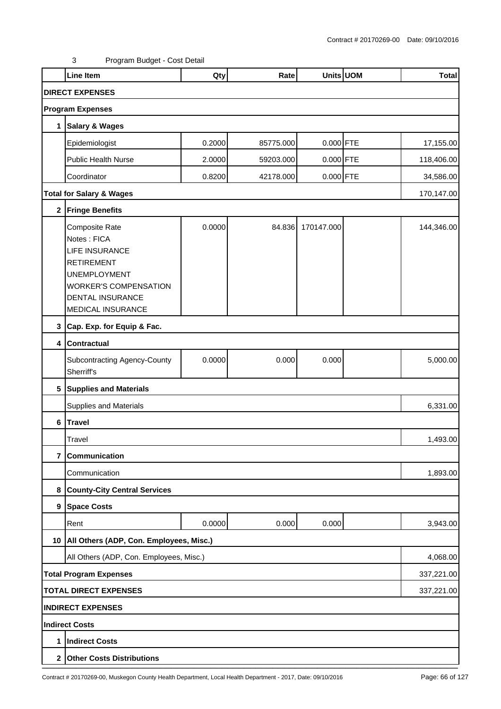|                | <b>Line Item</b>                                                                                                                                                                          | Qty    | Rate      |             | Units UOM | <b>Total</b> |  |  |
|----------------|-------------------------------------------------------------------------------------------------------------------------------------------------------------------------------------------|--------|-----------|-------------|-----------|--------------|--|--|
|                | <b>DIRECT EXPENSES</b>                                                                                                                                                                    |        |           |             |           |              |  |  |
|                | <b>Program Expenses</b>                                                                                                                                                                   |        |           |             |           |              |  |  |
| 1              | <b>Salary &amp; Wages</b>                                                                                                                                                                 |        |           |             |           |              |  |  |
|                | Epidemiologist                                                                                                                                                                            | 0.2000 | 85775.000 | $0.000$ FTE |           | 17,155.00    |  |  |
|                | Public Health Nurse                                                                                                                                                                       | 2.0000 | 59203.000 | 0.000 FTE   |           | 118,406.00   |  |  |
|                | Coordinator                                                                                                                                                                               | 0.8200 | 42178.000 | $0.000$ FTE |           | 34,586.00    |  |  |
|                | <b>Total for Salary &amp; Wages</b>                                                                                                                                                       |        |           |             |           | 170,147.00   |  |  |
|                | 2 Fringe Benefits                                                                                                                                                                         |        |           |             |           |              |  |  |
|                | <b>Composite Rate</b><br>Notes: FICA<br><b>LIFE INSURANCE</b><br><b>RETIREMENT</b><br><b>UNEMPLOYMENT</b><br><b>WORKER'S COMPENSATION</b><br>DENTAL INSURANCE<br><b>MEDICAL INSURANCE</b> | 0.0000 | 84.836    | 170147.000  |           | 144,346.00   |  |  |
| 3              | Cap. Exp. for Equip & Fac.                                                                                                                                                                |        |           |             |           |              |  |  |
| 4              | <b>Contractual</b>                                                                                                                                                                        |        |           |             |           |              |  |  |
|                | Subcontracting Agency-County<br>Sherriff's                                                                                                                                                | 0.0000 | 0.000     | 0.000       |           | 5,000.00     |  |  |
|                | 5 Supplies and Materials                                                                                                                                                                  |        |           |             |           |              |  |  |
|                | Supplies and Materials                                                                                                                                                                    |        |           |             |           | 6,331.00     |  |  |
| 6              | <b>Travel</b>                                                                                                                                                                             |        |           |             |           |              |  |  |
|                | Travel                                                                                                                                                                                    |        |           |             |           | 1,493.00     |  |  |
| $\overline{7}$ | Communication                                                                                                                                                                             |        |           |             |           |              |  |  |
|                | Communication                                                                                                                                                                             |        |           |             |           | 1,893.00     |  |  |
| 8              | <b>County-City Central Services</b>                                                                                                                                                       |        |           |             |           |              |  |  |
|                | 9 Space Costs                                                                                                                                                                             |        |           |             |           |              |  |  |
|                | Rent                                                                                                                                                                                      | 0.0000 | 0.000     | 0.000       |           | 3,943.00     |  |  |
| 10             | All Others (ADP, Con. Employees, Misc.)                                                                                                                                                   |        |           |             |           |              |  |  |
|                | All Others (ADP, Con. Employees, Misc.)                                                                                                                                                   |        |           |             |           | 4,068.00     |  |  |
|                | <b>Total Program Expenses</b>                                                                                                                                                             |        |           |             |           | 337,221.00   |  |  |
|                | <b>TOTAL DIRECT EXPENSES</b><br>337,221.00                                                                                                                                                |        |           |             |           |              |  |  |
|                | <b>INDIRECT EXPENSES</b>                                                                                                                                                                  |        |           |             |           |              |  |  |
|                | Indirect Costs                                                                                                                                                                            |        |           |             |           |              |  |  |
| 1              | <b>Indirect Costs</b>                                                                                                                                                                     |        |           |             |           |              |  |  |
|                | 2 Other Costs Distributions                                                                                                                                                               |        |           |             |           |              |  |  |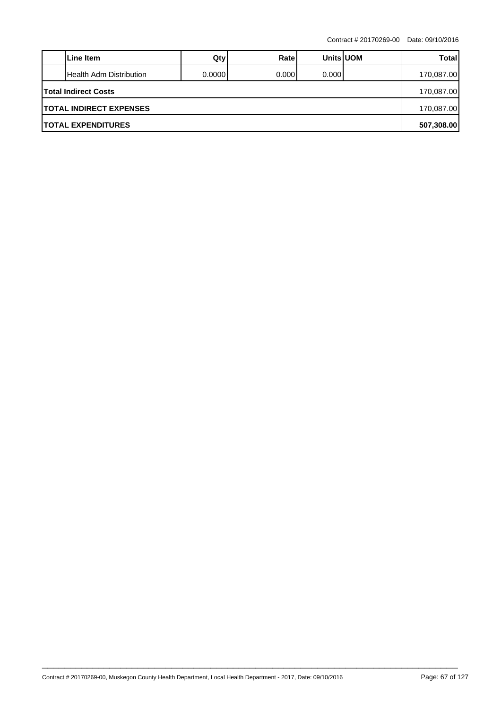|                                | Line Item               | Qty     | Ratel  | <b>Units UOM</b> |  | Total      |  |  |  |
|--------------------------------|-------------------------|---------|--------|------------------|--|------------|--|--|--|
|                                | Health Adm Distribution | 0.00001 | 0.0001 | 0.0001           |  | 170,087.00 |  |  |  |
| <b>Total Indirect Costs</b>    |                         |         |        |                  |  |            |  |  |  |
| <b>TOTAL INDIRECT EXPENSES</b> |                         |         |        |                  |  |            |  |  |  |
| <b>TOTAL EXPENDITURES</b>      |                         |         |        |                  |  |            |  |  |  |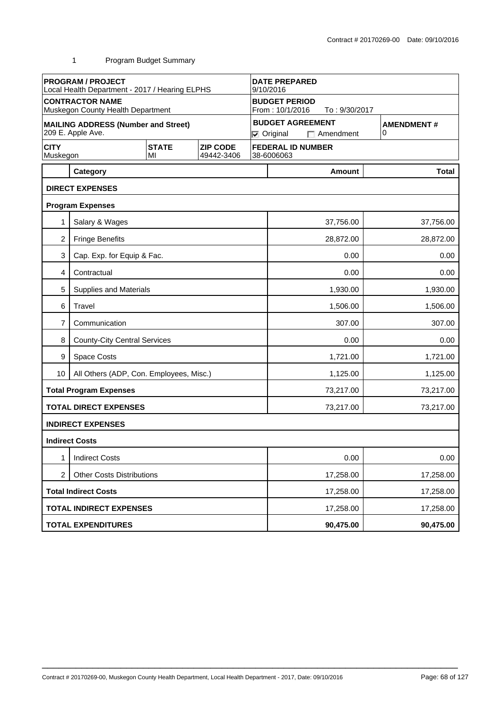|                         | <b>PROGRAM / PROJECT</b><br>Local Health Department - 2017 / Hearing ELPHS |                    | <b>DATE PREPARED</b><br>9/10/2016 |                                                          |                        |                                             |                        |  |  |
|-------------------------|----------------------------------------------------------------------------|--------------------|-----------------------------------|----------------------------------------------------------|------------------------|---------------------------------------------|------------------------|--|--|
|                         | <b>CONTRACTOR NAME</b><br>Muskegon County Health Department                |                    |                                   | <b>BUDGET PERIOD</b><br>From: 10/1/2016<br>To: 9/30/2017 |                        |                                             |                        |  |  |
|                         | <b>MAILING ADDRESS (Number and Street)</b><br>209 E. Apple Ave.            |                    |                                   |                                                          | $\nabla$ Original      | <b>BUDGET AGREEMENT</b><br>$\Box$ Amendment | <b>AMENDMENT#</b><br>0 |  |  |
| <b>CITY</b><br>Muskegon |                                                                            | <b>STATE</b><br>MI | <b>ZIP CODE</b><br>49442-3406     |                                                          | 38-6006063             | <b>FEDERAL ID NUMBER</b>                    |                        |  |  |
|                         | Category                                                                   |                    |                                   |                                                          |                        | Amount                                      | <b>Total</b>           |  |  |
|                         | <b>DIRECT EXPENSES</b>                                                     |                    |                                   |                                                          |                        |                                             |                        |  |  |
|                         | <b>Program Expenses</b>                                                    |                    |                                   |                                                          |                        |                                             |                        |  |  |
|                         | Salary & Wages                                                             |                    |                                   |                                                          |                        | 37,756.00                                   | 37,756.00              |  |  |
| $\overline{2}$          | <b>Fringe Benefits</b>                                                     |                    |                                   |                                                          |                        | 28,872.00                                   | 28,872.00              |  |  |
| 3                       | Cap. Exp. for Equip & Fac.                                                 |                    |                                   |                                                          |                        | 0.00                                        | 0.00                   |  |  |
| 4                       | Contractual                                                                |                    |                                   |                                                          | 0.00<br>0.00           |                                             |                        |  |  |
| 5                       | Supplies and Materials                                                     |                    |                                   |                                                          |                        | 1,930.00                                    | 1,930.00               |  |  |
| 6                       | Travel                                                                     |                    |                                   |                                                          | 1,506.00<br>1,506.00   |                                             |                        |  |  |
| 7                       | Communication                                                              |                    |                                   |                                                          | 307.00<br>307.00       |                                             |                        |  |  |
| 8                       | <b>County-City Central Services</b>                                        |                    |                                   |                                                          | 0.00<br>0.00           |                                             |                        |  |  |
| 9                       | Space Costs                                                                |                    |                                   |                                                          |                        | 1,721.00                                    | 1,721.00               |  |  |
| 10                      | All Others (ADP, Con. Employees, Misc.)                                    |                    |                                   |                                                          |                        | 1,125.00                                    | 1,125.00               |  |  |
|                         | <b>Total Program Expenses</b>                                              |                    |                                   |                                                          |                        | 73,217.00                                   | 73,217.00              |  |  |
|                         | <b>TOTAL DIRECT EXPENSES</b>                                               |                    |                                   |                                                          |                        | 73,217.00                                   | 73,217.00              |  |  |
|                         | <b>INDIRECT EXPENSES</b>                                                   |                    |                                   |                                                          |                        |                                             |                        |  |  |
|                         | <b>Indirect Costs</b>                                                      |                    |                                   |                                                          |                        |                                             |                        |  |  |
| 1                       | <b>Indirect Costs</b>                                                      |                    |                                   |                                                          |                        | 0.00                                        | 0.00                   |  |  |
| $\overline{2}$          | <b>Other Costs Distributions</b>                                           |                    |                                   |                                                          |                        | 17,258.00<br>17,258.00                      |                        |  |  |
|                         | <b>Total Indirect Costs</b>                                                |                    |                                   |                                                          | 17,258.00<br>17,258.00 |                                             |                        |  |  |
|                         | <b>TOTAL INDIRECT EXPENSES</b>                                             |                    |                                   |                                                          | 17,258.00<br>17,258.00 |                                             |                        |  |  |
|                         | <b>TOTAL EXPENDITURES</b>                                                  |                    |                                   |                                                          |                        | 90,475.00                                   | 90,475.00              |  |  |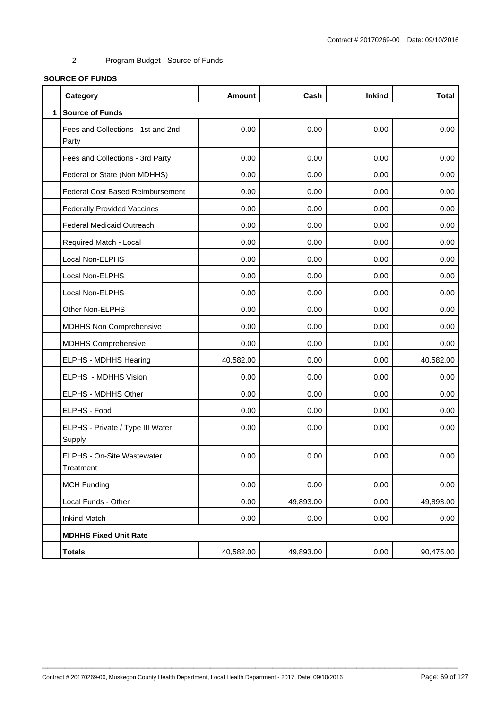# **SOURCE OF FUNDS**

|              | Category                                    | <b>Amount</b> | Cash      | <b>Inkind</b> | <b>Total</b> |
|--------------|---------------------------------------------|---------------|-----------|---------------|--------------|
| $\mathbf{1}$ | <b>Source of Funds</b>                      |               |           |               |              |
|              | Fees and Collections - 1st and 2nd<br>Party | 0.00          | 0.00      | 0.00          | 0.00         |
|              | Fees and Collections - 3rd Party            | 0.00          | 0.00      | 0.00          | 0.00         |
|              | Federal or State (Non MDHHS)                | 0.00          | 0.00      | 0.00          | 0.00         |
|              | <b>Federal Cost Based Reimbursement</b>     | 0.00          | 0.00      | 0.00          | 0.00         |
|              | <b>Federally Provided Vaccines</b>          | 0.00          | 0.00      | 0.00          | 0.00         |
|              | <b>Federal Medicaid Outreach</b>            | 0.00          | 0.00      | 0.00          | 0.00         |
|              | Required Match - Local                      | 0.00          | 0.00      | 0.00          | 0.00         |
|              | Local Non-ELPHS                             | 0.00          | 0.00      | 0.00          | 0.00         |
|              | Local Non-ELPHS                             | 0.00          | 0.00      | 0.00          | 0.00         |
|              | Local Non-ELPHS                             | 0.00          | 0.00      | 0.00          | 0.00         |
|              | Other Non-ELPHS                             | 0.00          | 0.00      | 0.00          | 0.00         |
|              | <b>MDHHS Non Comprehensive</b>              | 0.00          | 0.00      | 0.00          | 0.00         |
|              | <b>MDHHS Comprehensive</b>                  | 0.00          | 0.00      | 0.00          | 0.00         |
|              | <b>ELPHS - MDHHS Hearing</b>                | 40,582.00     | 0.00      | 0.00          | 40,582.00    |
|              | ELPHS - MDHHS Vision                        | 0.00          | 0.00      | 0.00          | 0.00         |
|              | ELPHS - MDHHS Other                         | 0.00          | 0.00      | 0.00          | 0.00         |
|              | <b>ELPHS - Food</b>                         | 0.00          | 0.00      | 0.00          | 0.00         |
|              | ELPHS - Private / Type III Water<br>Supply  | 0.00          | 0.00      | 0.00          | 0.00         |
|              | ELPHS - On-Site Wastewater<br>Treatment     | 0.00          | 0.00      | 0.00          | 0.00         |
|              | <b>MCH Funding</b>                          | 0.00          | 0.00      | 0.00          | 0.00         |
|              | Local Funds - Other                         | 0.00          | 49,893.00 | 0.00          | 49,893.00    |
|              | <b>Inkind Match</b>                         | 0.00          | 0.00      | 0.00          | 0.00         |
|              | <b>MDHHS Fixed Unit Rate</b>                |               |           |               |              |
|              | <b>Totals</b>                               | 40,582.00     | 49,893.00 | 0.00          | 90,475.00    |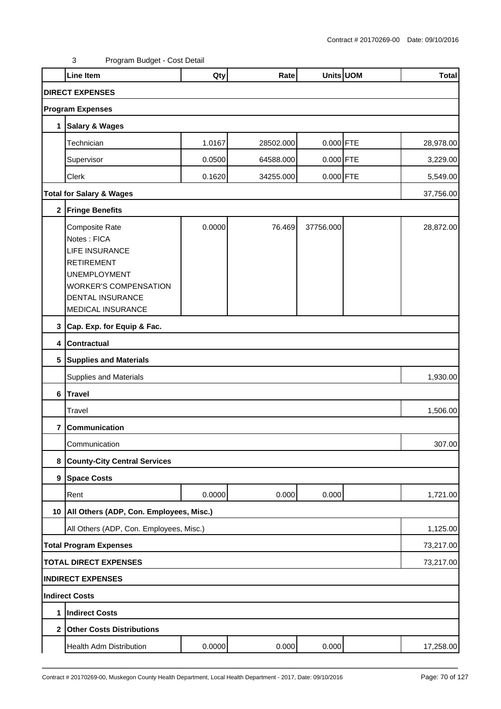|                | <b>Line Item</b>                                                                                                                                                            | Qty    | Rate      |             | Units UOM | <b>Total</b> |
|----------------|-----------------------------------------------------------------------------------------------------------------------------------------------------------------------------|--------|-----------|-------------|-----------|--------------|
|                | <b>DIRECT EXPENSES</b>                                                                                                                                                      |        |           |             |           |              |
|                | <b>Program Expenses</b>                                                                                                                                                     |        |           |             |           |              |
| 1              | <b>Salary &amp; Wages</b>                                                                                                                                                   |        |           |             |           |              |
|                | Technician                                                                                                                                                                  | 1.0167 | 28502.000 | 0.000 FTE   |           | 28,978.00    |
|                | Supervisor                                                                                                                                                                  | 0.0500 | 64588.000 | $0.000$ FTE |           | 3,229.00     |
|                | Clerk                                                                                                                                                                       | 0.1620 | 34255.000 | $0.000$ FTE |           | 5,549.00     |
|                | <b>Total for Salary &amp; Wages</b>                                                                                                                                         |        |           |             |           | 37,756.00    |
| $\mathbf 2$    | <b>Fringe Benefits</b>                                                                                                                                                      |        |           |             |           |              |
|                | Composite Rate<br>Notes: FICA<br>LIFE INSURANCE<br><b>RETIREMENT</b><br><b>UNEMPLOYMENT</b><br><b>WORKER'S COMPENSATION</b><br><b>DENTAL INSURANCE</b><br>MEDICAL INSURANCE | 0.0000 | 76.469    | 37756.000   |           | 28,872.00    |
|                | 3 Cap. Exp. for Equip & Fac.                                                                                                                                                |        |           |             |           |              |
| $\overline{4}$ | <b>Contractual</b>                                                                                                                                                          |        |           |             |           |              |
|                | 5 Supplies and Materials                                                                                                                                                    |        |           |             |           |              |
|                | <b>Supplies and Materials</b>                                                                                                                                               |        |           |             |           | 1,930.00     |
| 6              | Travel                                                                                                                                                                      |        |           |             |           |              |
|                | Travel                                                                                                                                                                      |        |           |             |           | 1,506.00     |
| 7              | Communication                                                                                                                                                               |        |           |             |           |              |
|                | Communication                                                                                                                                                               |        |           |             |           | 307.00       |
| 8              | <b>County-City Central Services</b>                                                                                                                                         |        |           |             |           |              |
|                | 9 Space Costs                                                                                                                                                               |        |           |             |           |              |
|                | Rent                                                                                                                                                                        | 0.0000 | 0.000     | 0.000       |           | 1,721.00     |
|                | 10   All Others (ADP, Con. Employees, Misc.)                                                                                                                                |        |           |             |           |              |
|                | All Others (ADP, Con. Employees, Misc.)                                                                                                                                     |        |           |             |           | 1,125.00     |
|                | <b>Total Program Expenses</b>                                                                                                                                               |        |           |             |           | 73,217.00    |
|                | <b>TOTAL DIRECT EXPENSES</b>                                                                                                                                                |        |           |             |           | 73,217.00    |
|                | <b>INDIRECT EXPENSES</b>                                                                                                                                                    |        |           |             |           |              |
|                | <b>Indirect Costs</b>                                                                                                                                                       |        |           |             |           |              |
| 1              | <b>Indirect Costs</b>                                                                                                                                                       |        |           |             |           |              |
|                | 2 Other Costs Distributions                                                                                                                                                 |        |           |             |           |              |
|                | Health Adm Distribution                                                                                                                                                     | 0.0000 | 0.000     | 0.000       |           | 17,258.00    |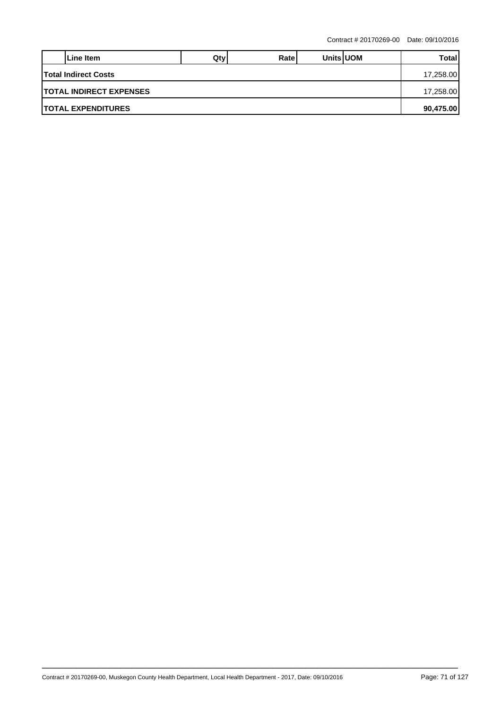|                                 | Line Item                  | Qtv | Ratel |  | <b>Units UOM</b> | Total     |  |  |
|---------------------------------|----------------------------|-----|-------|--|------------------|-----------|--|--|
| <b>Total Indirect Costs</b>     |                            |     |       |  |                  |           |  |  |
| <b>ITOTAL INDIRECT EXPENSES</b> |                            |     |       |  |                  |           |  |  |
|                                 | <b>ITOTAL EXPENDITURES</b> |     |       |  |                  | 90,475.00 |  |  |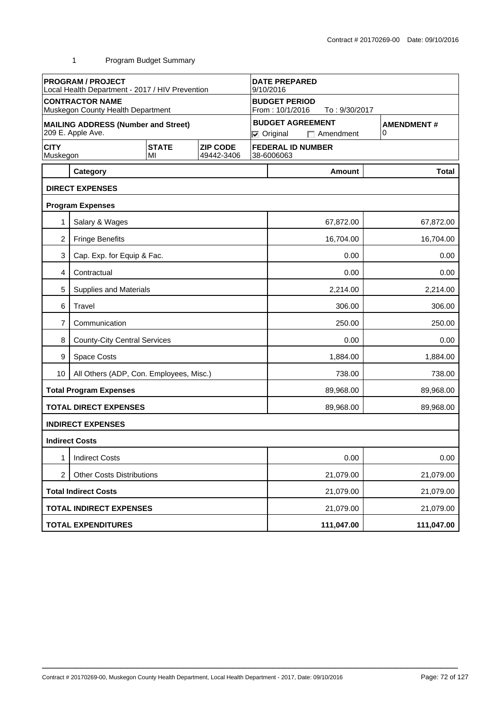|                         | <b>PROGRAM / PROJECT</b><br>Local Health Department - 2017 / HIV Prevention |                    | <b>DATE PREPARED</b><br>9/10/2016 |                                                          |                        |                                             |                        |  |  |
|-------------------------|-----------------------------------------------------------------------------|--------------------|-----------------------------------|----------------------------------------------------------|------------------------|---------------------------------------------|------------------------|--|--|
|                         | <b>CONTRACTOR NAME</b><br>Muskegon County Health Department                 |                    |                                   | <b>BUDGET PERIOD</b><br>From: 10/1/2016<br>To: 9/30/2017 |                        |                                             |                        |  |  |
|                         | <b>MAILING ADDRESS (Number and Street)</b><br>209 E. Apple Ave.             |                    |                                   |                                                          | $\nabla$ Original      | <b>BUDGET AGREEMENT</b><br>$\Box$ Amendment | <b>AMENDMENT#</b><br>0 |  |  |
| <b>CITY</b><br>Muskegon |                                                                             | <b>STATE</b><br>MI | <b>ZIP CODE</b><br>49442-3406     |                                                          | 38-6006063             | <b>FEDERAL ID NUMBER</b>                    |                        |  |  |
|                         | Category                                                                    |                    |                                   |                                                          |                        | Amount                                      | <b>Total</b>           |  |  |
|                         | <b>DIRECT EXPENSES</b>                                                      |                    |                                   |                                                          |                        |                                             |                        |  |  |
|                         | <b>Program Expenses</b>                                                     |                    |                                   |                                                          |                        |                                             |                        |  |  |
|                         | Salary & Wages                                                              |                    |                                   |                                                          |                        | 67,872.00                                   | 67,872.00              |  |  |
| $\overline{c}$          | <b>Fringe Benefits</b>                                                      |                    |                                   |                                                          |                        | 16,704.00                                   | 16,704.00              |  |  |
| 3                       | Cap. Exp. for Equip & Fac.                                                  |                    |                                   |                                                          |                        | 0.00                                        | 0.00                   |  |  |
| 4                       | Contractual                                                                 |                    |                                   |                                                          |                        | 0.00                                        | 0.00                   |  |  |
| 5                       | Supplies and Materials                                                      |                    |                                   |                                                          |                        | 2,214.00                                    | 2,214.00               |  |  |
| 6                       | Travel                                                                      |                    |                                   |                                                          |                        | 306.00                                      | 306.00                 |  |  |
| 7                       | Communication                                                               |                    |                                   |                                                          | 250.00<br>250.00       |                                             |                        |  |  |
| 8                       | <b>County-City Central Services</b>                                         |                    |                                   |                                                          | 0.00<br>0.00           |                                             |                        |  |  |
| 9                       | Space Costs                                                                 |                    |                                   |                                                          | 1,884.00<br>1,884.00   |                                             |                        |  |  |
| 10                      | All Others (ADP, Con. Employees, Misc.)                                     |                    |                                   |                                                          | 738.00<br>738.00       |                                             |                        |  |  |
|                         | <b>Total Program Expenses</b>                                               |                    |                                   |                                                          |                        | 89,968.00                                   | 89,968.00              |  |  |
|                         | <b>TOTAL DIRECT EXPENSES</b>                                                |                    |                                   |                                                          |                        | 89,968.00                                   | 89,968.00              |  |  |
|                         | <b>INDIRECT EXPENSES</b>                                                    |                    |                                   |                                                          |                        |                                             |                        |  |  |
|                         | <b>Indirect Costs</b>                                                       |                    |                                   |                                                          |                        |                                             |                        |  |  |
| 1                       | <b>Indirect Costs</b>                                                       |                    |                                   |                                                          | 0.00<br>0.00           |                                             |                        |  |  |
| 2                       | <b>Other Costs Distributions</b>                                            |                    |                                   |                                                          |                        | 21,079.00<br>21,079.00                      |                        |  |  |
|                         | <b>Total Indirect Costs</b>                                                 |                    |                                   |                                                          |                        | 21,079.00<br>21,079.00                      |                        |  |  |
|                         | <b>TOTAL INDIRECT EXPENSES</b>                                              |                    |                                   |                                                          | 21,079.00<br>21,079.00 |                                             |                        |  |  |
|                         | <b>TOTAL EXPENDITURES</b>                                                   |                    |                                   |                                                          |                        | 111,047.00                                  | 111,047.00             |  |  |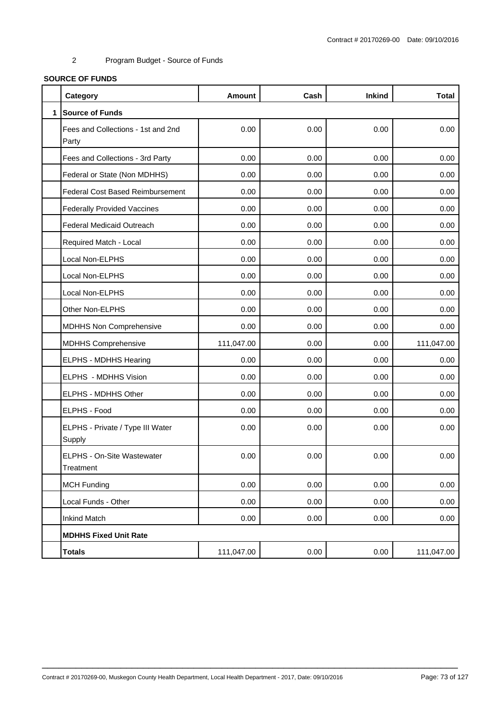# **SOURCE OF FUNDS**

|              | Category                                    | <b>Amount</b> | Cash | <b>Inkind</b> | <b>Total</b> |
|--------------|---------------------------------------------|---------------|------|---------------|--------------|
| $\mathbf{1}$ | <b>Source of Funds</b>                      |               |      |               |              |
|              | Fees and Collections - 1st and 2nd<br>Party | 0.00          | 0.00 | 0.00          | 0.00         |
|              | Fees and Collections - 3rd Party            | 0.00          | 0.00 | 0.00          | 0.00         |
|              | Federal or State (Non MDHHS)                | 0.00          | 0.00 | 0.00          | 0.00         |
|              | <b>Federal Cost Based Reimbursement</b>     | 0.00          | 0.00 | 0.00          | 0.00         |
|              | <b>Federally Provided Vaccines</b>          | 0.00          | 0.00 | 0.00          | 0.00         |
|              | <b>Federal Medicaid Outreach</b>            | 0.00          | 0.00 | 0.00          | 0.00         |
|              | Required Match - Local                      | 0.00          | 0.00 | 0.00          | 0.00         |
|              | Local Non-ELPHS                             | 0.00          | 0.00 | 0.00          | 0.00         |
|              | Local Non-ELPHS                             | 0.00          | 0.00 | 0.00          | 0.00         |
|              | Local Non-ELPHS                             | 0.00          | 0.00 | 0.00          | 0.00         |
|              | Other Non-ELPHS                             | 0.00          | 0.00 | 0.00          | 0.00         |
|              | <b>MDHHS Non Comprehensive</b>              | 0.00          | 0.00 | 0.00          | 0.00         |
|              | <b>MDHHS Comprehensive</b>                  | 111,047.00    | 0.00 | 0.00          | 111,047.00   |
|              | ELPHS - MDHHS Hearing                       | 0.00          | 0.00 | 0.00          | 0.00         |
|              | ELPHS - MDHHS Vision                        | 0.00          | 0.00 | 0.00          | 0.00         |
|              | ELPHS - MDHHS Other                         | 0.00          | 0.00 | 0.00          | 0.00         |
|              | ELPHS - Food                                | 0.00          | 0.00 | 0.00          | 0.00         |
|              | ELPHS - Private / Type III Water<br>Supply  | 0.00          | 0.00 | 0.00          | 0.00         |
|              | ELPHS - On-Site Wastewater<br>Treatment     | 0.00          | 0.00 | 0.00          | 0.00         |
|              | <b>MCH Funding</b>                          | 0.00          | 0.00 | 0.00          | 0.00         |
|              | Local Funds - Other                         | 0.00          | 0.00 | 0.00          | 0.00         |
|              | <b>Inkind Match</b>                         | 0.00          | 0.00 | 0.00          | 0.00         |
|              | <b>MDHHS Fixed Unit Rate</b>                |               |      |               |              |
|              | <b>Totals</b>                               | 111,047.00    | 0.00 | 0.00          | 111,047.00   |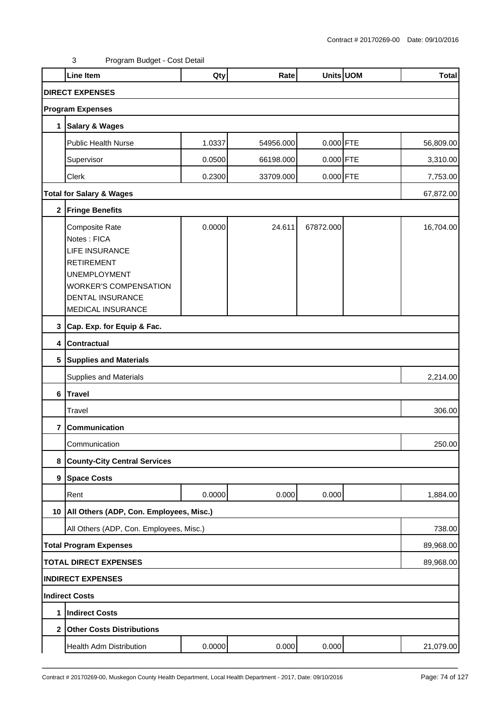|                | Line Item                                                                                                                                                                   | Qty    | Rate      |             | Units UOM | <b>Total</b> |
|----------------|-----------------------------------------------------------------------------------------------------------------------------------------------------------------------------|--------|-----------|-------------|-----------|--------------|
|                | <b>DIRECT EXPENSES</b>                                                                                                                                                      |        |           |             |           |              |
|                | <b>Program Expenses</b>                                                                                                                                                     |        |           |             |           |              |
| $\mathbf 1$    | Salary & Wages                                                                                                                                                              |        |           |             |           |              |
|                | <b>Public Health Nurse</b>                                                                                                                                                  | 1.0337 | 54956.000 | 0.000 FTE   |           | 56,809.00    |
|                | Supervisor                                                                                                                                                                  | 0.0500 | 66198.000 | $0.000$ FTE |           | 3,310.00     |
|                | Clerk                                                                                                                                                                       | 0.2300 | 33709.000 | 0.000 FTE   |           | 7,753.00     |
|                | <b>Total for Salary &amp; Wages</b>                                                                                                                                         |        |           |             |           | 67,872.00    |
|                | 2 Fringe Benefits                                                                                                                                                           |        |           |             |           |              |
|                | Composite Rate<br>Notes: FICA<br><b>LIFE INSURANCE</b><br><b>RETIREMENT</b><br><b>UNEMPLOYMENT</b><br><b>WORKER'S COMPENSATION</b><br>DENTAL INSURANCE<br>MEDICAL INSURANCE | 0.0000 | 24.611    | 67872.000   |           | 16,704.00    |
|                | 3 Cap. Exp. for Equip & Fac.                                                                                                                                                |        |           |             |           |              |
|                | 4 Contractual                                                                                                                                                               |        |           |             |           |              |
|                | 5 Supplies and Materials                                                                                                                                                    |        |           |             |           |              |
|                | Supplies and Materials                                                                                                                                                      |        |           |             |           | 2,214.00     |
|                | 6 Travel                                                                                                                                                                    |        |           |             |           |              |
|                | Travel                                                                                                                                                                      |        |           |             |           | 306.00       |
| 7              | Communication                                                                                                                                                               |        |           |             |           |              |
|                | Communication                                                                                                                                                               |        |           |             |           | 250.00       |
| 8              | <b>County-City Central Services</b>                                                                                                                                         |        |           |             |           |              |
|                | 9 Space Costs                                                                                                                                                               |        |           |             |           |              |
|                | Rent                                                                                                                                                                        | 0.0000 | 0.000     | 0.000       |           | 1,884.00     |
|                | 10   All Others (ADP, Con. Employees, Misc.)                                                                                                                                |        |           |             |           |              |
|                | All Others (ADP, Con. Employees, Misc.)                                                                                                                                     |        |           |             |           | 738.00       |
|                | <b>Total Program Expenses</b>                                                                                                                                               |        |           |             |           | 89,968.00    |
|                | <b>TOTAL DIRECT EXPENSES</b>                                                                                                                                                |        |           |             |           | 89,968.00    |
|                | <b>INDIRECT EXPENSES</b>                                                                                                                                                    |        |           |             |           |              |
|                | Indirect Costs                                                                                                                                                              |        |           |             |           |              |
| 1              | Indirect Costs                                                                                                                                                              |        |           |             |           |              |
| 2 <sub>1</sub> | <b>Other Costs Distributions</b>                                                                                                                                            |        |           |             |           |              |
|                | Health Adm Distribution                                                                                                                                                     | 0.0000 | 0.000     | 0.000       |           | 21,079.00    |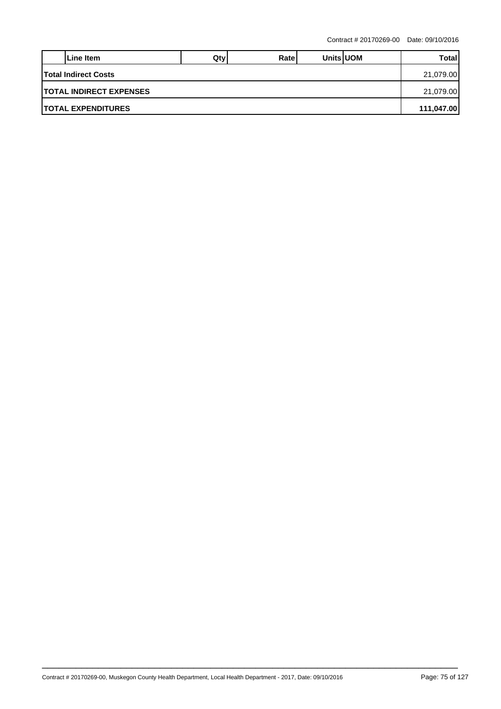|                                          | Line Item                  | Qtv | Ratel |  | <b>Units UOM</b> | Total      |  |  |  |
|------------------------------------------|----------------------------|-----|-------|--|------------------|------------|--|--|--|
| <b>Total Indirect Costs</b><br>21,079.00 |                            |     |       |  |                  |            |  |  |  |
| <b>ITOTAL INDIRECT EXPENSES</b>          |                            |     |       |  |                  |            |  |  |  |
|                                          | <b>ITOTAL EXPENDITURES</b> |     |       |  |                  | 111,047.00 |  |  |  |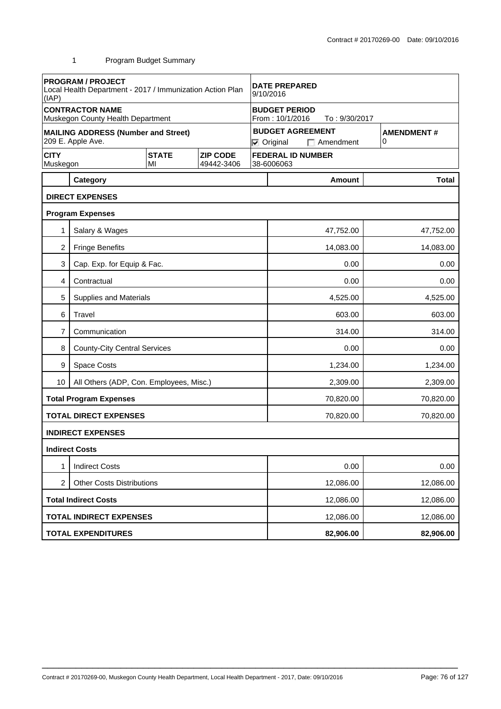|                         | <b>PROGRAM / PROJECT</b><br>Local Health Department - 2017 / Immunization Action Plan<br>(IAP) |                    |                               | <b>DATE PREPARED</b><br>9/10/2016                        |                        |                                             |           |                        |
|-------------------------|------------------------------------------------------------------------------------------------|--------------------|-------------------------------|----------------------------------------------------------|------------------------|---------------------------------------------|-----------|------------------------|
|                         | <b>CONTRACTOR NAME</b><br>Muskegon County Health Department                                    |                    |                               | <b>BUDGET PERIOD</b><br>From: 10/1/2016<br>To: 9/30/2017 |                        |                                             |           |                        |
|                         | <b>MAILING ADDRESS (Number and Street)</b><br>209 E. Apple Ave.                                |                    |                               |                                                          | $\nabla$ Original      | <b>BUDGET AGREEMENT</b><br>$\Box$ Amendment |           | <b>AMENDMENT#</b><br>0 |
| <b>CITY</b><br>Muskegon |                                                                                                | <b>STATE</b><br>MI | <b>ZIP CODE</b><br>49442-3406 |                                                          | 38-6006063             | <b>FEDERAL ID NUMBER</b>                    |           |                        |
|                         | Category                                                                                       |                    |                               |                                                          |                        | <b>Amount</b>                               |           | <b>Total</b>           |
|                         | <b>DIRECT EXPENSES</b>                                                                         |                    |                               |                                                          |                        |                                             |           |                        |
|                         | <b>Program Expenses</b>                                                                        |                    |                               |                                                          |                        |                                             |           |                        |
| 1                       | Salary & Wages                                                                                 |                    |                               |                                                          |                        | 47,752.00                                   |           | 47,752.00              |
| 2                       | <b>Fringe Benefits</b>                                                                         |                    |                               |                                                          |                        | 14,083.00                                   |           | 14,083.00              |
| 3                       | Cap. Exp. for Equip & Fac.                                                                     |                    |                               |                                                          | 0.00<br>0.00           |                                             |           |                        |
| 4                       | Contractual                                                                                    |                    |                               |                                                          | 0.00                   |                                             |           | 0.00                   |
| 5                       | <b>Supplies and Materials</b>                                                                  |                    |                               |                                                          |                        | 4,525.00                                    |           | 4,525.00               |
| 6                       | Travel                                                                                         |                    |                               |                                                          |                        | 603.00                                      |           | 603.00                 |
| 7                       | Communication                                                                                  |                    |                               |                                                          | 314.00<br>314.00       |                                             |           |                        |
| 8                       | <b>County-City Central Services</b>                                                            |                    |                               |                                                          | 0.00<br>0.00           |                                             |           |                        |
| 9                       | Space Costs                                                                                    |                    |                               |                                                          | 1,234.00<br>1,234.00   |                                             |           |                        |
| 10                      | All Others (ADP, Con. Employees, Misc.)                                                        |                    |                               |                                                          | 2,309.00<br>2,309.00   |                                             |           |                        |
|                         | <b>Total Program Expenses</b>                                                                  |                    |                               |                                                          |                        | 70,820.00                                   |           | 70,820.00              |
|                         | <b>TOTAL DIRECT EXPENSES</b>                                                                   |                    |                               |                                                          |                        | 70,820.00                                   |           | 70,820.00              |
|                         | <b>INDIRECT EXPENSES</b>                                                                       |                    |                               |                                                          |                        |                                             |           |                        |
|                         | <b>Indirect Costs</b>                                                                          |                    |                               |                                                          |                        |                                             |           |                        |
| 1                       | <b>Indirect Costs</b>                                                                          |                    |                               |                                                          |                        | 0.00                                        |           | 0.00                   |
| $\overline{c}$          | <b>Other Costs Distributions</b>                                                               |                    |                               |                                                          | 12,086.00<br>12,086.00 |                                             |           |                        |
|                         | <b>Total Indirect Costs</b>                                                                    |                    |                               | 12,086.00                                                |                        |                                             | 12,086.00 |                        |
|                         | <b>TOTAL INDIRECT EXPENSES</b>                                                                 |                    |                               |                                                          |                        | 12,086.00                                   |           | 12,086.00              |
|                         | <b>TOTAL EXPENDITURES</b>                                                                      |                    |                               |                                                          |                        | 82,906.00                                   |           | 82,906.00              |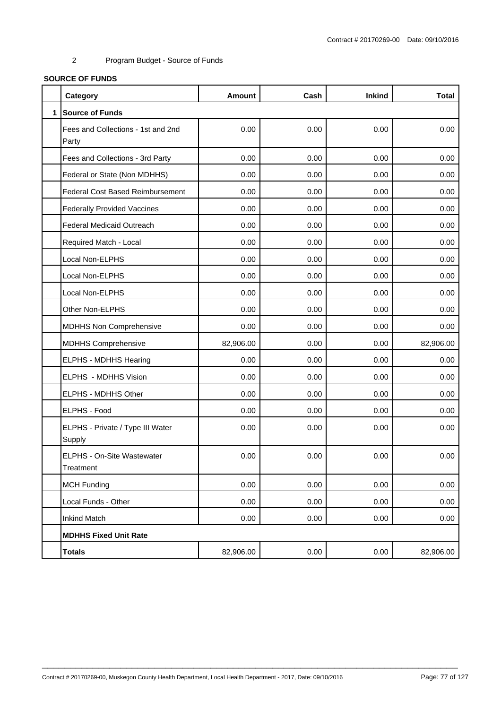# **SOURCE OF FUNDS**

|              | Category                                    | <b>Amount</b> | Cash | <b>Inkind</b> | <b>Total</b> |
|--------------|---------------------------------------------|---------------|------|---------------|--------------|
| $\mathbf{1}$ | <b>Source of Funds</b>                      |               |      |               |              |
|              | Fees and Collections - 1st and 2nd<br>Party | 0.00          | 0.00 | 0.00          | 0.00         |
|              | Fees and Collections - 3rd Party            | 0.00          | 0.00 | 0.00          | 0.00         |
|              | Federal or State (Non MDHHS)                | 0.00          | 0.00 | 0.00          | 0.00         |
|              | <b>Federal Cost Based Reimbursement</b>     | 0.00          | 0.00 | 0.00          | 0.00         |
|              | <b>Federally Provided Vaccines</b>          | 0.00          | 0.00 | 0.00          | 0.00         |
|              | <b>Federal Medicaid Outreach</b>            | 0.00          | 0.00 | 0.00          | 0.00         |
|              | Required Match - Local                      | 0.00          | 0.00 | 0.00          | 0.00         |
|              | Local Non-ELPHS                             | 0.00          | 0.00 | 0.00          | 0.00         |
|              | Local Non-ELPHS                             | 0.00          | 0.00 | 0.00          | 0.00         |
|              | Local Non-ELPHS                             | 0.00          | 0.00 | 0.00          | 0.00         |
|              | Other Non-ELPHS                             | 0.00          | 0.00 | 0.00          | 0.00         |
|              | MDHHS Non Comprehensive                     | 0.00          | 0.00 | 0.00          | 0.00         |
|              | <b>MDHHS Comprehensive</b>                  | 82,906.00     | 0.00 | 0.00          | 82,906.00    |
|              | ELPHS - MDHHS Hearing                       | 0.00          | 0.00 | 0.00          | 0.00         |
|              | ELPHS - MDHHS Vision                        | 0.00          | 0.00 | 0.00          | 0.00         |
|              | ELPHS - MDHHS Other                         | 0.00          | 0.00 | 0.00          | 0.00         |
|              | ELPHS - Food                                | 0.00          | 0.00 | 0.00          | 0.00         |
|              | ELPHS - Private / Type III Water<br>Supply  | 0.00          | 0.00 | 0.00          | 0.00         |
|              | ELPHS - On-Site Wastewater<br>Treatment     | 0.00          | 0.00 | 0.00          | 0.00         |
|              | <b>MCH Funding</b>                          | 0.00          | 0.00 | 0.00          | 0.00         |
|              | Local Funds - Other                         | 0.00          | 0.00 | 0.00          | 0.00         |
|              | <b>Inkind Match</b>                         | 0.00          | 0.00 | 0.00          | 0.00         |
|              | <b>MDHHS Fixed Unit Rate</b>                |               |      |               |              |
|              | <b>Totals</b>                               | 82,906.00     | 0.00 | 0.00          | 82,906.00    |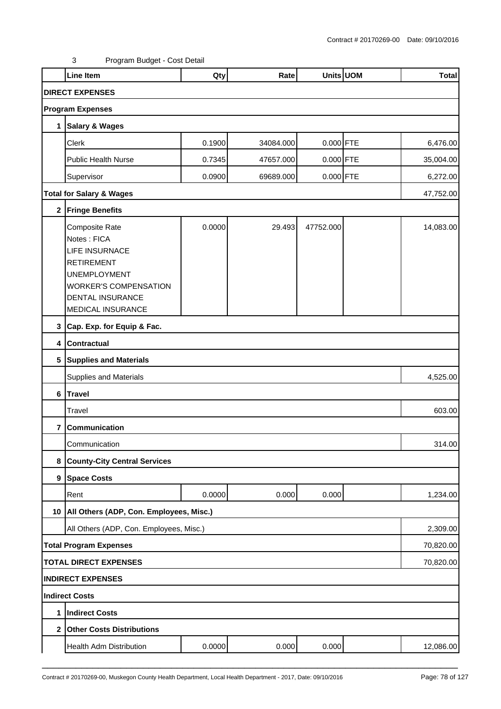|                | Line Item                                                                                                                                                                   | Qty    | Rate      |             | Units UOM | <b>Total</b> |  |  |
|----------------|-----------------------------------------------------------------------------------------------------------------------------------------------------------------------------|--------|-----------|-------------|-----------|--------------|--|--|
|                | <b>DIRECT EXPENSES</b>                                                                                                                                                      |        |           |             |           |              |  |  |
|                | <b>Program Expenses</b>                                                                                                                                                     |        |           |             |           |              |  |  |
| 1              | <b>Salary &amp; Wages</b>                                                                                                                                                   |        |           |             |           |              |  |  |
|                | Clerk                                                                                                                                                                       | 0.1900 | 34084.000 | $0.000$ FTE |           | 6,476.00     |  |  |
|                | <b>Public Health Nurse</b>                                                                                                                                                  | 0.7345 | 47657.000 | $0.000$ FTE |           | 35,004.00    |  |  |
|                | Supervisor                                                                                                                                                                  | 0.0900 | 69689.000 | $0.000$ FTE |           | 6,272.00     |  |  |
|                | <b>Total for Salary &amp; Wages</b>                                                                                                                                         |        |           |             |           | 47,752.00    |  |  |
|                | 2 Fringe Benefits                                                                                                                                                           |        |           |             |           |              |  |  |
|                | Composite Rate<br>Notes: FICA<br>LIFE INSURNACE<br><b>RETIREMENT</b><br><b>UNEMPLOYMENT</b><br><b>WORKER'S COMPENSATION</b><br><b>DENTAL INSURANCE</b><br>MEDICAL INSURANCE | 0.0000 | 29.493    | 47752.000   |           | 14,083.00    |  |  |
|                | 3 Cap. Exp. for Equip & Fac.                                                                                                                                                |        |           |             |           |              |  |  |
|                | 4 Contractual                                                                                                                                                               |        |           |             |           |              |  |  |
|                | 5 Supplies and Materials                                                                                                                                                    |        |           |             |           |              |  |  |
|                | <b>Supplies and Materials</b>                                                                                                                                               |        |           |             |           | 4,525.00     |  |  |
| 6              | <b>Travel</b>                                                                                                                                                               |        |           |             |           |              |  |  |
|                | Travel                                                                                                                                                                      |        |           |             |           | 603.00       |  |  |
| 7              | Communication                                                                                                                                                               |        |           |             |           |              |  |  |
|                | Communication                                                                                                                                                               |        |           |             |           | 314.00       |  |  |
| 8              | <b>County-City Central Services</b>                                                                                                                                         |        |           |             |           |              |  |  |
|                | 9 Space Costs                                                                                                                                                               |        |           |             |           |              |  |  |
|                | Rent                                                                                                                                                                        | 0.0000 | 0.000     | 0.000       |           | 1,234.00     |  |  |
| 10             | All Others (ADP, Con. Employees, Misc.)                                                                                                                                     |        |           |             |           |              |  |  |
|                | All Others (ADP, Con. Employees, Misc.)                                                                                                                                     |        |           |             |           | 2,309.00     |  |  |
|                | <b>Total Program Expenses</b>                                                                                                                                               |        |           |             |           | 70,820.00    |  |  |
|                | <b>TOTAL DIRECT EXPENSES</b>                                                                                                                                                |        |           |             |           | 70,820.00    |  |  |
|                | <b>INDIRECT EXPENSES</b>                                                                                                                                                    |        |           |             |           |              |  |  |
|                | <b>Indirect Costs</b>                                                                                                                                                       |        |           |             |           |              |  |  |
| 1              | <b>Indirect Costs</b>                                                                                                                                                       |        |           |             |           |              |  |  |
| 2 <sub>1</sub> | <b>Other Costs Distributions</b>                                                                                                                                            |        |           |             |           |              |  |  |
|                | Health Adm Distribution                                                                                                                                                     | 0.0000 | 0.000     | 0.000       |           | 12,086.00    |  |  |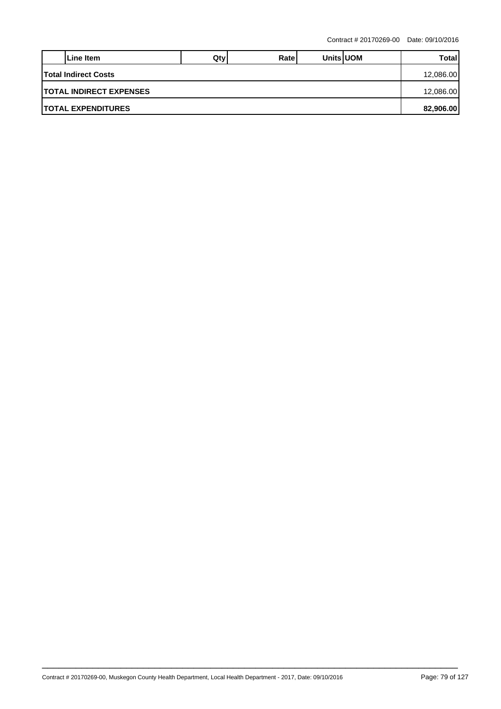|                                          | LLine Item                 | Qty | Ratel |  | <b>Units UOM</b> | Totall    |  |  |  |
|------------------------------------------|----------------------------|-----|-------|--|------------------|-----------|--|--|--|
| <b>Total Indirect Costs</b><br>12,086.00 |                            |     |       |  |                  |           |  |  |  |
| <b>ITOTAL INDIRECT EXPENSES</b>          |                            |     |       |  |                  |           |  |  |  |
|                                          | <b>ITOTAL EXPENDITURES</b> |     |       |  |                  | 82,906.00 |  |  |  |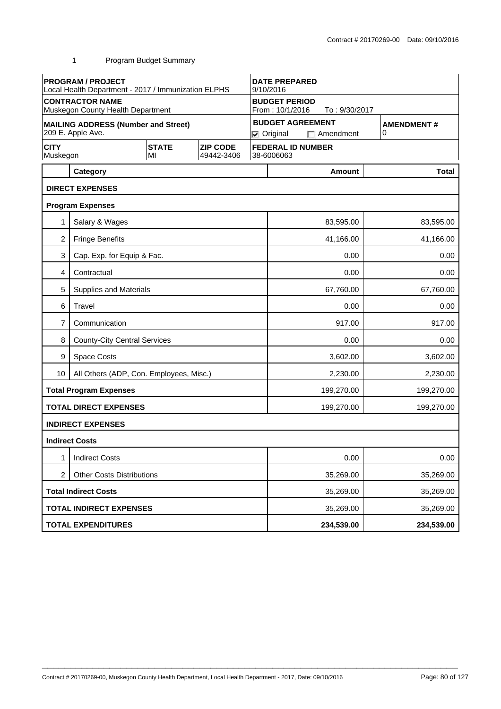|                         | <b>PROGRAM / PROJECT</b><br>Local Health Department - 2017 / Immunization ELPHS |                    | <b>DATE PREPARED</b><br>9/10/2016 |                                                          |                        |                                             |                        |  |  |
|-------------------------|---------------------------------------------------------------------------------|--------------------|-----------------------------------|----------------------------------------------------------|------------------------|---------------------------------------------|------------------------|--|--|
|                         | <b>CONTRACTOR NAME</b><br>Muskegon County Health Department                     |                    |                                   | <b>BUDGET PERIOD</b><br>From: 10/1/2016<br>To: 9/30/2017 |                        |                                             |                        |  |  |
|                         | <b>MAILING ADDRESS (Number and Street)</b><br>209 E. Apple Ave.                 |                    |                                   |                                                          | $\nabla$ Original      | <b>BUDGET AGREEMENT</b><br>$\Box$ Amendment | <b>AMENDMENT#</b><br>0 |  |  |
| <b>CITY</b><br>Muskegon |                                                                                 | <b>STATE</b><br>MI | <b>ZIP CODE</b><br>49442-3406     |                                                          | 38-6006063             | <b>FEDERAL ID NUMBER</b>                    |                        |  |  |
|                         | Category                                                                        |                    |                                   |                                                          |                        | Amount                                      | <b>Total</b>           |  |  |
|                         | <b>DIRECT EXPENSES</b>                                                          |                    |                                   |                                                          |                        |                                             |                        |  |  |
|                         | <b>Program Expenses</b>                                                         |                    |                                   |                                                          |                        |                                             |                        |  |  |
|                         | Salary & Wages                                                                  |                    |                                   |                                                          |                        | 83,595.00                                   | 83,595.00              |  |  |
| $\overline{2}$          | <b>Fringe Benefits</b>                                                          |                    |                                   |                                                          |                        | 41,166.00                                   | 41,166.00              |  |  |
| 3                       | Cap. Exp. for Equip & Fac.                                                      |                    |                                   |                                                          |                        | 0.00                                        | 0.00                   |  |  |
| 4                       | Contractual                                                                     |                    |                                   |                                                          | 0.00                   |                                             |                        |  |  |
| 5                       | Supplies and Materials                                                          |                    |                                   |                                                          |                        | 67,760.00                                   | 67,760.00              |  |  |
| 6                       | Travel                                                                          |                    |                                   |                                                          | 0.00<br>0.00           |                                             |                        |  |  |
| 7                       | Communication                                                                   |                    |                                   |                                                          | 917.00<br>917.00       |                                             |                        |  |  |
| 8                       | <b>County-City Central Services</b>                                             |                    |                                   |                                                          | 0.00<br>0.00           |                                             |                        |  |  |
| 9                       | Space Costs                                                                     |                    |                                   |                                                          | 3,602.00<br>3,602.00   |                                             |                        |  |  |
| 10                      | All Others (ADP, Con. Employees, Misc.)                                         |                    |                                   |                                                          |                        | 2,230.00                                    | 2,230.00               |  |  |
|                         | <b>Total Program Expenses</b>                                                   |                    |                                   |                                                          |                        | 199,270.00                                  | 199,270.00             |  |  |
|                         | <b>TOTAL DIRECT EXPENSES</b>                                                    |                    |                                   |                                                          |                        | 199,270.00                                  | 199,270.00             |  |  |
|                         | <b>INDIRECT EXPENSES</b>                                                        |                    |                                   |                                                          |                        |                                             |                        |  |  |
|                         | <b>Indirect Costs</b>                                                           |                    |                                   |                                                          |                        |                                             |                        |  |  |
| 1                       | <b>Indirect Costs</b>                                                           |                    |                                   |                                                          |                        | 0.00                                        | 0.00                   |  |  |
| $\overline{2}$          | <b>Other Costs Distributions</b>                                                |                    |                                   |                                                          |                        | 35,269.00                                   | 35,269.00              |  |  |
|                         | <b>Total Indirect Costs</b>                                                     |                    |                                   |                                                          | 35,269.00<br>35,269.00 |                                             |                        |  |  |
|                         | <b>TOTAL INDIRECT EXPENSES</b>                                                  |                    |                                   |                                                          | 35,269.00<br>35,269.00 |                                             |                        |  |  |
|                         | <b>TOTAL EXPENDITURES</b>                                                       |                    |                                   |                                                          |                        | 234,539.00                                  | 234,539.00             |  |  |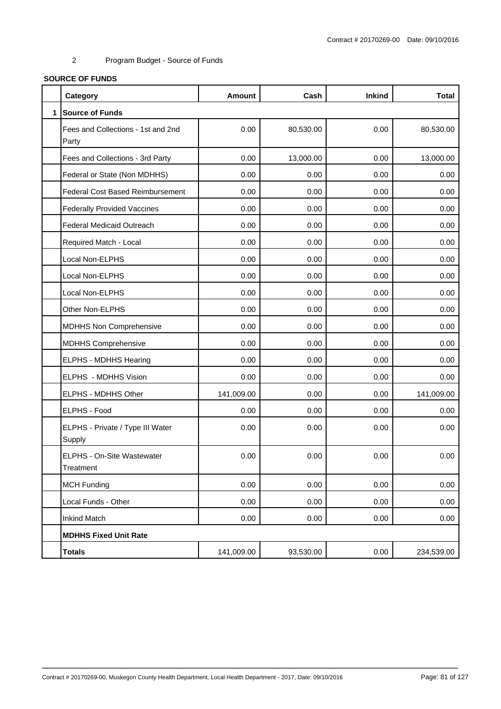# **SOURCE OF FUNDS**

|              | Category                                    | <b>Amount</b> | Cash      | <b>Inkind</b> | <b>Total</b> |
|--------------|---------------------------------------------|---------------|-----------|---------------|--------------|
| $\mathbf{1}$ | <b>Source of Funds</b>                      |               |           |               |              |
|              | Fees and Collections - 1st and 2nd<br>Party | 0.00          | 80,530.00 | 0.00          | 80,530.00    |
|              | Fees and Collections - 3rd Party            | 0.00          | 13,000.00 | 0.00          | 13,000.00    |
|              | Federal or State (Non MDHHS)                | 0.00          | 0.00      | 0.00          | 0.00         |
|              | Federal Cost Based Reimbursement            | 0.00          | 0.00      | 0.00          | 0.00         |
|              | <b>Federally Provided Vaccines</b>          | 0.00          | 0.00      | 0.00          | 0.00         |
|              | <b>Federal Medicaid Outreach</b>            | 0.00          | 0.00      | 0.00          | 0.00         |
|              | Required Match - Local                      | 0.00          | 0.00      | 0.00          | 0.00         |
|              | Local Non-ELPHS                             | 0.00          | 0.00      | 0.00          | 0.00         |
|              | Local Non-ELPHS                             | 0.00          | 0.00      | 0.00          | 0.00         |
|              | Local Non-ELPHS                             | 0.00          | 0.00      | 0.00          | 0.00         |
|              | Other Non-ELPHS                             | 0.00          | 0.00      | 0.00          | 0.00         |
|              | MDHHS Non Comprehensive                     | 0.00          | 0.00      | 0.00          | 0.00         |
|              | <b>MDHHS Comprehensive</b>                  | 0.00          | 0.00      | 0.00          | 0.00         |
|              | ELPHS - MDHHS Hearing                       | 0.00          | 0.00      | 0.00          | 0.00         |
|              | ELPHS - MDHHS Vision                        | 0.00          | 0.00      | 0.00          | 0.00         |
|              | ELPHS - MDHHS Other                         | 141,009.00    | 0.00      | 0.00          | 141,009.00   |
|              | ELPHS - Food                                | 0.00          | 0.00      | 0.00          | 0.00         |
|              | ELPHS - Private / Type III Water<br>Supply  | 0.00          | 0.00      | 0.00          | 0.00         |
|              | ELPHS - On-Site Wastewater<br>Treatment     | 0.00          | 0.00      | 0.00          | 0.00         |
|              | <b>MCH Funding</b>                          | 0.00          | 0.00      | 0.00          | 0.00         |
|              | Local Funds - Other                         | 0.00          | 0.00      | 0.00          | 0.00         |
|              | <b>Inkind Match</b>                         | 0.00          | 0.00      | 0.00          | 0.00         |
|              | <b>MDHHS Fixed Unit Rate</b>                |               |           |               |              |
|              | <b>Totals</b>                               | 141,009.00    | 93,530.00 | 0.00          | 234,539.00   |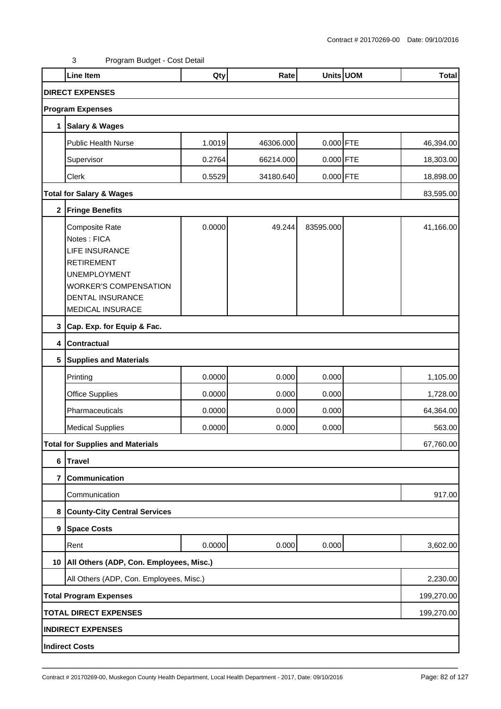|             | <b>Line Item</b>                                                                                                                                                                         | Qty    | Rate      | Units UOM   | <b>Total</b> |
|-------------|------------------------------------------------------------------------------------------------------------------------------------------------------------------------------------------|--------|-----------|-------------|--------------|
|             | <b>DIRECT EXPENSES</b>                                                                                                                                                                   |        |           |             |              |
|             | <b>Program Expenses</b>                                                                                                                                                                  |        |           |             |              |
| 1           | <b>Salary &amp; Wages</b>                                                                                                                                                                |        |           |             |              |
|             | <b>Public Health Nurse</b>                                                                                                                                                               | 1.0019 | 46306.000 | $0.000$ FTE | 46,394.00    |
|             | Supervisor                                                                                                                                                                               | 0.2764 | 66214.000 | $0.000$ FTE | 18,303.00    |
|             | Clerk                                                                                                                                                                                    | 0.5529 | 34180.640 | $0.000$ FTE | 18,898.00    |
|             | <b>Total for Salary &amp; Wages</b>                                                                                                                                                      |        |           |             | 83,595.00    |
| $\mathbf 2$ | <b>Fringe Benefits</b>                                                                                                                                                                   |        |           |             |              |
|             | <b>Composite Rate</b><br>Notes: FICA<br><b>LIFE INSURANCE</b><br><b>RETIREMENT</b><br><b>UNEMPLOYMENT</b><br><b>WORKER'S COMPENSATION</b><br><b>DENTAL INSURANCE</b><br>MEDICAL INSURACE | 0.0000 | 49.244    | 83595.000   | 41,166.00    |
| 3           | Cap. Exp. for Equip & Fac.                                                                                                                                                               |        |           |             |              |
| 4           | <b>Contractual</b>                                                                                                                                                                       |        |           |             |              |
| 5           | <b>Supplies and Materials</b>                                                                                                                                                            |        |           |             |              |
|             | Printing                                                                                                                                                                                 | 0.0000 | 0.000     | 0.000       | 1,105.00     |
|             | <b>Office Supplies</b>                                                                                                                                                                   | 0.0000 | 0.000     | 0.000       | 1,728.00     |
|             | Pharmaceuticals                                                                                                                                                                          | 0.0000 | 0.000     | 0.000       | 64,364.00    |
|             | <b>Medical Supplies</b>                                                                                                                                                                  | 0.0000 | 0.000     | 0.000       | 563.00       |
|             | <b>Total for Supplies and Materials</b>                                                                                                                                                  |        |           |             | 67,760.00    |
| 6           | Travel                                                                                                                                                                                   |        |           |             |              |
| 7           | Communication                                                                                                                                                                            |        |           |             |              |
|             | Communication                                                                                                                                                                            |        |           |             | 917.00       |
| 8           | <b>County-City Central Services</b>                                                                                                                                                      |        |           |             |              |
| 9           | <b>Space Costs</b>                                                                                                                                                                       |        |           |             |              |
|             | Rent                                                                                                                                                                                     | 0.0000 | 0.000     | 0.000       | 3,602.00     |
| 10          | All Others (ADP, Con. Employees, Misc.)                                                                                                                                                  |        |           |             |              |
|             | All Others (ADP, Con. Employees, Misc.)                                                                                                                                                  |        |           |             | 2,230.00     |
|             | <b>Total Program Expenses</b>                                                                                                                                                            |        |           |             | 199,270.00   |
|             | <b>TOTAL DIRECT EXPENSES</b>                                                                                                                                                             |        |           |             | 199,270.00   |
|             | <b>INDIRECT EXPENSES</b>                                                                                                                                                                 |        |           |             |              |
|             | <b>Indirect Costs</b>                                                                                                                                                                    |        |           |             |              |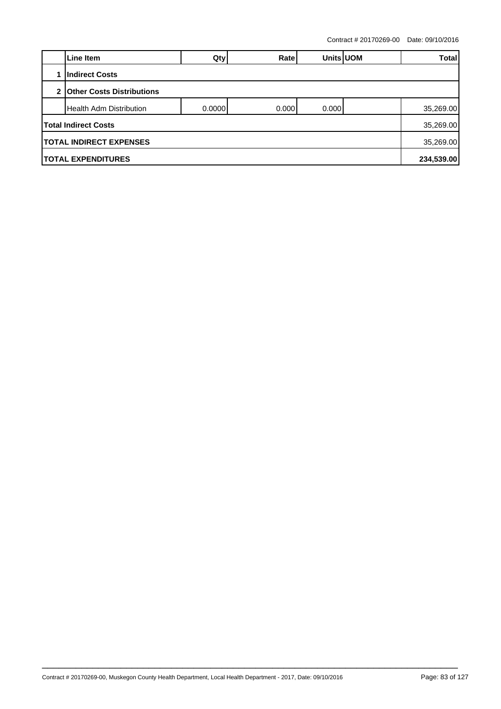| Line Item                                   | Qty    | Ratel  | Units UOM |  | <b>Total</b> |  |  |
|---------------------------------------------|--------|--------|-----------|--|--------------|--|--|
| <b>Indirect Costs</b>                       |        |        |           |  |              |  |  |
| 2 Other Costs Distributions                 |        |        |           |  |              |  |  |
| Health Adm Distribution                     | 0.0000 | 0.0001 | 0.000     |  | 35,269.00    |  |  |
| <b>Total Indirect Costs</b>                 |        |        |           |  | 35,269.00    |  |  |
| <b>TOTAL INDIRECT EXPENSES</b><br>35,269.00 |        |        |           |  |              |  |  |
| <b>TOTAL EXPENDITURES</b>                   |        |        |           |  | 234,539.00   |  |  |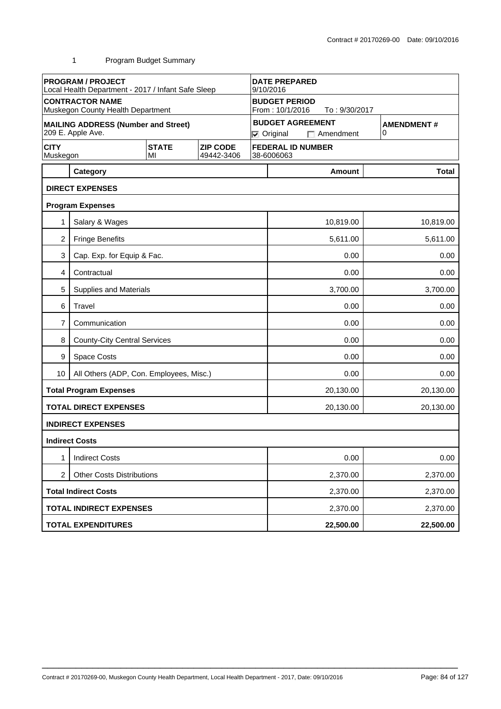|                         | <b>PROGRAM / PROJECT</b><br>Local Health Department - 2017 / Infant Safe Sleep |                    |                               | <b>DATE PREPARED</b><br>9/10/2016                        |                      |                                             |                        |  |
|-------------------------|--------------------------------------------------------------------------------|--------------------|-------------------------------|----------------------------------------------------------|----------------------|---------------------------------------------|------------------------|--|
|                         | <b>CONTRACTOR NAME</b><br>Muskegon County Health Department                    |                    |                               | <b>BUDGET PERIOD</b><br>From: 10/1/2016<br>To: 9/30/2017 |                      |                                             |                        |  |
|                         | <b>MAILING ADDRESS (Number and Street)</b><br>209 E. Apple Ave.                |                    |                               |                                                          | $\nabla$ Original    | <b>BUDGET AGREEMENT</b><br>$\Box$ Amendment | <b>AMENDMENT#</b><br>0 |  |
| <b>CITY</b><br>Muskegon |                                                                                | <b>STATE</b><br>MI | <b>ZIP CODE</b><br>49442-3406 |                                                          | 38-6006063           | <b>FEDERAL ID NUMBER</b>                    |                        |  |
|                         | Category                                                                       |                    |                               |                                                          |                      | Amount                                      | <b>Total</b>           |  |
|                         | <b>DIRECT EXPENSES</b>                                                         |                    |                               |                                                          |                      |                                             |                        |  |
|                         | <b>Program Expenses</b>                                                        |                    |                               |                                                          |                      |                                             |                        |  |
| 1                       | Salary & Wages                                                                 |                    |                               |                                                          |                      | 10,819.00                                   | 10,819.00              |  |
| $\overline{2}$          | <b>Fringe Benefits</b>                                                         |                    |                               |                                                          |                      | 5,611.00                                    | 5,611.00               |  |
| 3                       | Cap. Exp. for Equip & Fac.                                                     |                    |                               |                                                          |                      | 0.00                                        | 0.00                   |  |
| 4                       | Contractual                                                                    |                    |                               |                                                          |                      | 0.00                                        | 0.00                   |  |
| 5                       | Supplies and Materials                                                         |                    |                               |                                                          |                      | 3,700.00                                    | 3,700.00               |  |
| 6                       | Travel                                                                         |                    |                               |                                                          | 0.00<br>0.00         |                                             |                        |  |
| 7                       | Communication                                                                  |                    |                               |                                                          | 0.00<br>0.00         |                                             |                        |  |
| 8                       | <b>County-City Central Services</b>                                            |                    |                               |                                                          | 0.00<br>0.00         |                                             |                        |  |
| 9                       | Space Costs                                                                    |                    |                               |                                                          |                      | 0.00                                        | 0.00                   |  |
| 10                      | All Others (ADP, Con. Employees, Misc.)                                        |                    |                               |                                                          |                      | 0.00                                        | 0.00                   |  |
|                         | <b>Total Program Expenses</b>                                                  |                    |                               |                                                          |                      | 20,130.00                                   | 20,130.00              |  |
|                         | <b>TOTAL DIRECT EXPENSES</b>                                                   |                    |                               |                                                          |                      | 20,130.00                                   | 20,130.00              |  |
|                         | <b>INDIRECT EXPENSES</b>                                                       |                    |                               |                                                          |                      |                                             |                        |  |
|                         | <b>Indirect Costs</b>                                                          |                    |                               |                                                          |                      |                                             |                        |  |
| 1                       | <b>Indirect Costs</b>                                                          |                    |                               |                                                          |                      | 0.00                                        | 0.00                   |  |
| $\overline{2}$          | <b>Other Costs Distributions</b>                                               |                    |                               |                                                          | 2,370.00<br>2,370.00 |                                             |                        |  |
|                         | <b>Total Indirect Costs</b>                                                    |                    |                               |                                                          | 2,370.00<br>2,370.00 |                                             |                        |  |
|                         | <b>TOTAL INDIRECT EXPENSES</b>                                                 |                    |                               |                                                          | 2,370.00<br>2,370.00 |                                             |                        |  |
|                         | <b>TOTAL EXPENDITURES</b>                                                      |                    |                               |                                                          |                      | 22,500.00                                   | 22,500.00              |  |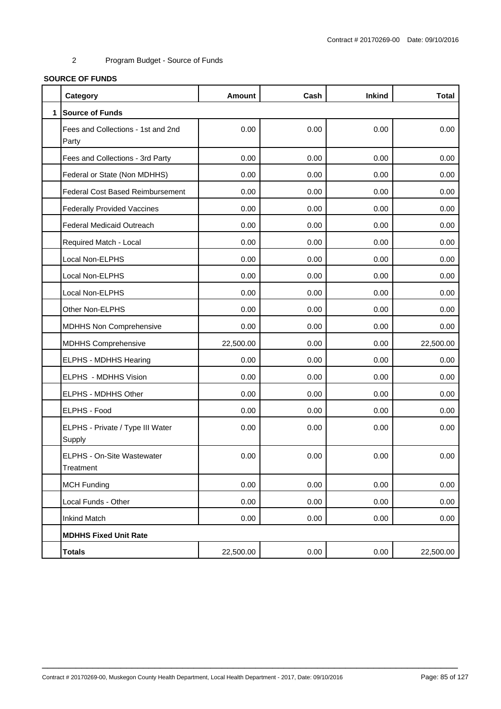# **SOURCE OF FUNDS**

|              | Category                                    | <b>Amount</b> | Cash | <b>Inkind</b> | <b>Total</b> |
|--------------|---------------------------------------------|---------------|------|---------------|--------------|
| $\mathbf{1}$ | <b>Source of Funds</b>                      |               |      |               |              |
|              | Fees and Collections - 1st and 2nd<br>Party | 0.00          | 0.00 | 0.00          | 0.00         |
|              | Fees and Collections - 3rd Party            | 0.00          | 0.00 | 0.00          | 0.00         |
|              | Federal or State (Non MDHHS)                | 0.00          | 0.00 | 0.00          | 0.00         |
|              | <b>Federal Cost Based Reimbursement</b>     | 0.00          | 0.00 | 0.00          | 0.00         |
|              | <b>Federally Provided Vaccines</b>          | 0.00          | 0.00 | 0.00          | 0.00         |
|              | <b>Federal Medicaid Outreach</b>            | 0.00          | 0.00 | 0.00          | 0.00         |
|              | Required Match - Local                      | 0.00          | 0.00 | 0.00          | 0.00         |
|              | Local Non-ELPHS                             | 0.00          | 0.00 | 0.00          | 0.00         |
|              | Local Non-ELPHS                             | 0.00          | 0.00 | 0.00          | 0.00         |
|              | Local Non-ELPHS                             | 0.00          | 0.00 | 0.00          | 0.00         |
|              | Other Non-ELPHS                             | 0.00          | 0.00 | 0.00          | 0.00         |
|              | <b>MDHHS Non Comprehensive</b>              | 0.00          | 0.00 | 0.00          | 0.00         |
|              | <b>MDHHS Comprehensive</b>                  | 22,500.00     | 0.00 | 0.00          | 22,500.00    |
|              | ELPHS - MDHHS Hearing                       | 0.00          | 0.00 | 0.00          | 0.00         |
|              | ELPHS - MDHHS Vision                        | 0.00          | 0.00 | 0.00          | 0.00         |
|              | ELPHS - MDHHS Other                         | 0.00          | 0.00 | 0.00          | 0.00         |
|              | ELPHS - Food                                | 0.00          | 0.00 | 0.00          | 0.00         |
|              | ELPHS - Private / Type III Water<br>Supply  | 0.00          | 0.00 | 0.00          | 0.00         |
|              | ELPHS - On-Site Wastewater<br>Treatment     | 0.00          | 0.00 | 0.00          | 0.00         |
|              | <b>MCH Funding</b>                          | 0.00          | 0.00 | 0.00          | 0.00         |
|              | Local Funds - Other                         | 0.00          | 0.00 | 0.00          | 0.00         |
|              | <b>Inkind Match</b>                         | 0.00          | 0.00 | 0.00          | 0.00         |
|              | <b>MDHHS Fixed Unit Rate</b>                |               |      |               |              |
|              | <b>Totals</b>                               | 22,500.00     | 0.00 | 0.00          | 22,500.00    |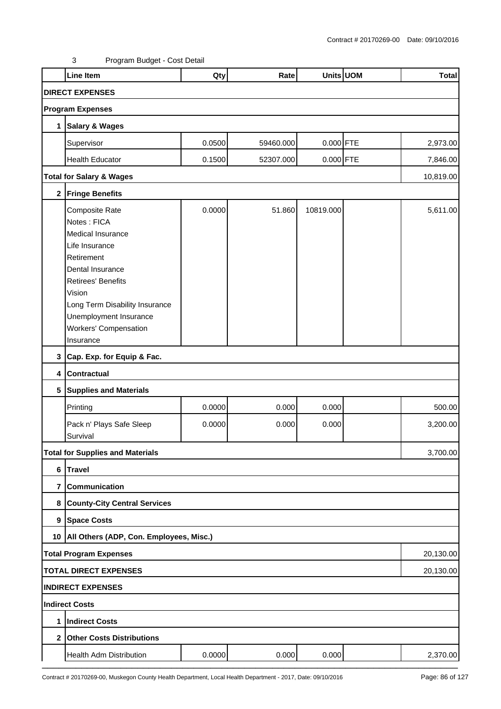|   | <b>Line Item</b>                             | Qty    | Rate      |             | Units UOM | <b>Total</b> |  |  |  |
|---|----------------------------------------------|--------|-----------|-------------|-----------|--------------|--|--|--|
|   | <b>DIRECT EXPENSES</b>                       |        |           |             |           |              |  |  |  |
|   | <b>Program Expenses</b>                      |        |           |             |           |              |  |  |  |
| 1 | <b>Salary &amp; Wages</b>                    |        |           |             |           |              |  |  |  |
|   | Supervisor                                   | 0.0500 | 59460.000 | $0.000$ FTE |           | 2,973.00     |  |  |  |
|   | <b>Health Educator</b>                       | 0.1500 | 52307.000 | 0.000 FTE   |           | 7,846.00     |  |  |  |
|   | <b>Total for Salary &amp; Wages</b>          |        |           |             |           | 10,819.00    |  |  |  |
|   | 2 Fringe Benefits                            |        |           |             |           |              |  |  |  |
|   | Composite Rate                               | 0.0000 | 51.860    | 10819.000   |           | 5,611.00     |  |  |  |
|   | Notes: FICA                                  |        |           |             |           |              |  |  |  |
|   | Medical Insurance                            |        |           |             |           |              |  |  |  |
|   | Life Insurance                               |        |           |             |           |              |  |  |  |
|   | Retirement                                   |        |           |             |           |              |  |  |  |
|   | Dental Insurance                             |        |           |             |           |              |  |  |  |
|   | <b>Retirees' Benefits</b>                    |        |           |             |           |              |  |  |  |
|   | Vision                                       |        |           |             |           |              |  |  |  |
|   | Long Term Disability Insurance               |        |           |             |           |              |  |  |  |
|   | Unemployment Insurance                       |        |           |             |           |              |  |  |  |
|   | <b>Workers' Compensation</b>                 |        |           |             |           |              |  |  |  |
|   | Insurance                                    |        |           |             |           |              |  |  |  |
|   | 3 Cap. Exp. for Equip & Fac.                 |        |           |             |           |              |  |  |  |
|   | 4 Contractual                                |        |           |             |           |              |  |  |  |
|   | 5 Supplies and Materials                     |        |           |             |           |              |  |  |  |
|   | Printing                                     | 0.0000 | 0.000     | 0.000       |           | 500.00       |  |  |  |
|   | Pack n' Plays Safe Sleep                     | 0.0000 | 0.000     | 0.000       |           | 3,200.00     |  |  |  |
|   | Survival                                     |        |           |             |           |              |  |  |  |
|   | <b>Total for Supplies and Materials</b>      |        |           |             |           | 3,700.00     |  |  |  |
| 6 | <b>Travel</b>                                |        |           |             |           |              |  |  |  |
|   | 7 Communication                              |        |           |             |           |              |  |  |  |
|   | 8 County-City Central Services               |        |           |             |           |              |  |  |  |
|   | 9 Space Costs                                |        |           |             |           |              |  |  |  |
|   | 10   All Others (ADP, Con. Employees, Misc.) |        |           |             |           |              |  |  |  |
|   | <b>Total Program Expenses</b>                |        |           |             |           | 20,130.00    |  |  |  |
|   | <b>TOTAL DIRECT EXPENSES</b>                 |        |           |             |           | 20,130.00    |  |  |  |
|   | <b>INDIRECT EXPENSES</b>                     |        |           |             |           |              |  |  |  |
|   | Indirect Costs                               |        |           |             |           |              |  |  |  |
| 1 | <b>Indirect Costs</b>                        |        |           |             |           |              |  |  |  |
|   | 2 Other Costs Distributions                  |        |           |             |           |              |  |  |  |
|   | Health Adm Distribution                      | 0.0000 | 0.000     | 0.000       |           | 2,370.00     |  |  |  |
|   |                                              |        |           |             |           |              |  |  |  |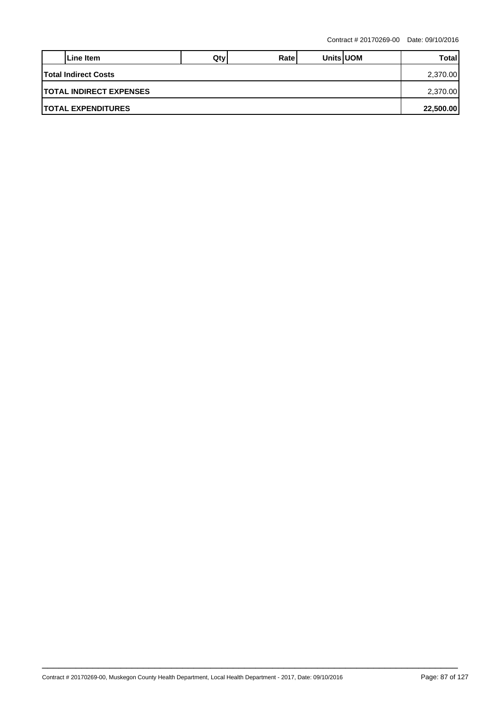|                                         | Line Item | Qtv | Ratel |  | <b>Units UOM</b> | Total |  |  |
|-----------------------------------------|-----------|-----|-------|--|------------------|-------|--|--|
| <b>Total Indirect Costs</b>             |           |     |       |  |                  |       |  |  |
| <b>ITOTAL INDIRECT EXPENSES</b>         |           |     |       |  |                  |       |  |  |
| <b>ITOTAL EXPENDITURES</b><br>22,500.00 |           |     |       |  |                  |       |  |  |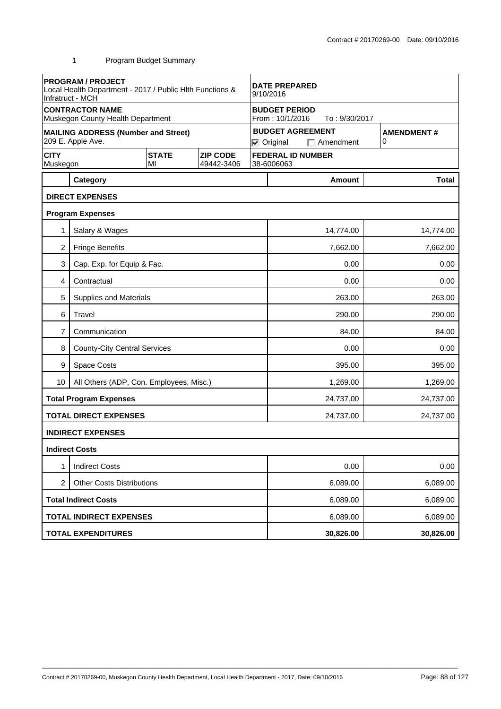|                         | <b>PROGRAM / PROJECT</b><br>Local Health Department - 2017 / Public Hith Functions &<br>Infratruct - MCH |                    |                               |  | <b>DATE PREPARED</b><br>9/10/2016                                                          |                          |  |              |  |
|-------------------------|----------------------------------------------------------------------------------------------------------|--------------------|-------------------------------|--|--------------------------------------------------------------------------------------------|--------------------------|--|--------------|--|
|                         | <b>CONTRACTOR NAME</b><br>Muskegon County Health Department                                              |                    |                               |  | <b>BUDGET PERIOD</b><br>From: 10/1/2016                                                    | To: 9/30/2017            |  |              |  |
|                         | <b>MAILING ADDRESS (Number and Street)</b><br>209 E. Apple Ave.                                          |                    |                               |  | <b>BUDGET AGREEMENT</b><br><b>AMENDMENT#</b><br>0<br>$\nabla$ Original<br>$\Box$ Amendment |                          |  |              |  |
| <b>CITY</b><br>Muskegon |                                                                                                          | <b>STATE</b><br>MI | <b>ZIP CODE</b><br>49442-3406 |  | 38-6006063                                                                                 | <b>FEDERAL ID NUMBER</b> |  |              |  |
|                         | Category                                                                                                 |                    |                               |  |                                                                                            | <b>Amount</b>            |  | <b>Total</b> |  |
|                         | <b>DIRECT EXPENSES</b>                                                                                   |                    |                               |  |                                                                                            |                          |  |              |  |
|                         | <b>Program Expenses</b>                                                                                  |                    |                               |  |                                                                                            |                          |  |              |  |
| 1                       | Salary & Wages                                                                                           |                    |                               |  |                                                                                            | 14,774.00                |  | 14,774.00    |  |
| 2                       | <b>Fringe Benefits</b>                                                                                   |                    |                               |  |                                                                                            | 7,662.00                 |  | 7,662.00     |  |
| 3                       | Cap. Exp. for Equip & Fac.                                                                               |                    |                               |  | 0.00<br>0.00                                                                               |                          |  |              |  |
| 4                       | Contractual                                                                                              |                    |                               |  |                                                                                            | 0.00                     |  | 0.00         |  |
| 5                       | <b>Supplies and Materials</b>                                                                            |                    |                               |  |                                                                                            | 263.00                   |  | 263.00       |  |
| 6                       | Travel                                                                                                   |                    |                               |  |                                                                                            | 290.00                   |  | 290.00       |  |
| 7                       | Communication                                                                                            |                    |                               |  | 84.00<br>84.00                                                                             |                          |  |              |  |
| 8                       | <b>County-City Central Services</b>                                                                      |                    |                               |  | 0.00<br>0.00                                                                               |                          |  |              |  |
| 9                       | Space Costs                                                                                              |                    |                               |  |                                                                                            | 395.00                   |  | 395.00       |  |
| 10                      | All Others (ADP, Con. Employees, Misc.)                                                                  |                    |                               |  |                                                                                            | 1,269.00                 |  | 1,269.00     |  |
|                         | <b>Total Program Expenses</b>                                                                            |                    |                               |  |                                                                                            | 24,737.00                |  | 24,737.00    |  |
|                         | <b>TOTAL DIRECT EXPENSES</b>                                                                             |                    |                               |  |                                                                                            | 24,737.00                |  | 24,737.00    |  |
|                         | <b>INDIRECT EXPENSES</b>                                                                                 |                    |                               |  |                                                                                            |                          |  |              |  |
|                         | <b>Indirect Costs</b>                                                                                    |                    |                               |  |                                                                                            |                          |  |              |  |
| 1                       | <b>Indirect Costs</b>                                                                                    |                    |                               |  |                                                                                            | 0.00                     |  | 0.00         |  |
| $\overline{c}$          | <b>Other Costs Distributions</b>                                                                         |                    |                               |  | 6,089.00<br>6,089.00                                                                       |                          |  |              |  |
|                         | <b>Total Indirect Costs</b>                                                                              |                    |                               |  | 6,089.00<br>6,089.00                                                                       |                          |  |              |  |
|                         | <b>TOTAL INDIRECT EXPENSES</b>                                                                           |                    |                               |  |                                                                                            | 6,089.00                 |  | 6,089.00     |  |
|                         | <b>TOTAL EXPENDITURES</b>                                                                                |                    |                               |  |                                                                                            | 30,826.00                |  | 30,826.00    |  |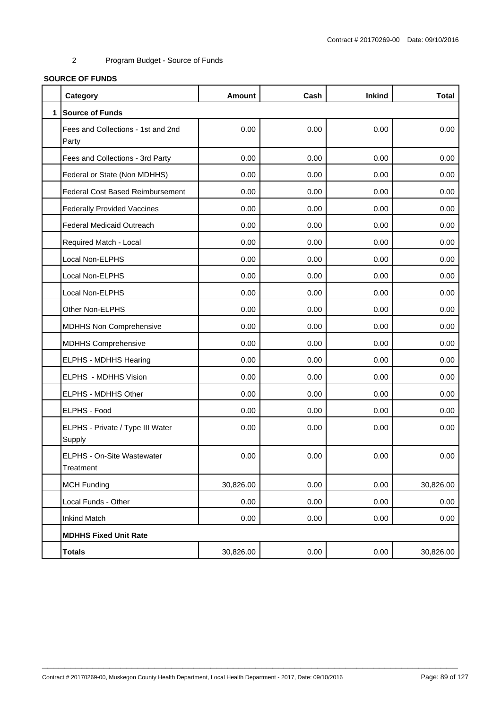# **SOURCE OF FUNDS**

|              | Category                                    | <b>Amount</b> | Cash | <b>Inkind</b> | <b>Total</b> |
|--------------|---------------------------------------------|---------------|------|---------------|--------------|
| $\mathbf{1}$ | <b>Source of Funds</b>                      |               |      |               |              |
|              | Fees and Collections - 1st and 2nd<br>Party | 0.00          | 0.00 | 0.00          | 0.00         |
|              | Fees and Collections - 3rd Party            | 0.00          | 0.00 | 0.00          | 0.00         |
|              | Federal or State (Non MDHHS)                | 0.00          | 0.00 | 0.00          | 0.00         |
|              | <b>Federal Cost Based Reimbursement</b>     | 0.00          | 0.00 | 0.00          | 0.00         |
|              | <b>Federally Provided Vaccines</b>          | 0.00          | 0.00 | 0.00          | 0.00         |
|              | <b>Federal Medicaid Outreach</b>            | 0.00          | 0.00 | 0.00          | 0.00         |
|              | Required Match - Local                      | 0.00          | 0.00 | 0.00          | 0.00         |
|              | Local Non-ELPHS                             | 0.00          | 0.00 | 0.00          | 0.00         |
|              | Local Non-ELPHS                             | 0.00          | 0.00 | 0.00          | 0.00         |
|              | Local Non-ELPHS                             | 0.00          | 0.00 | 0.00          | 0.00         |
|              | Other Non-ELPHS                             | 0.00          | 0.00 | 0.00          | 0.00         |
|              | <b>MDHHS Non Comprehensive</b>              | 0.00          | 0.00 | 0.00          | 0.00         |
|              | <b>MDHHS Comprehensive</b>                  | 0.00          | 0.00 | 0.00          | 0.00         |
|              | ELPHS - MDHHS Hearing                       | 0.00          | 0.00 | 0.00          | 0.00         |
|              | ELPHS - MDHHS Vision                        | 0.00          | 0.00 | 0.00          | 0.00         |
|              | ELPHS - MDHHS Other                         | 0.00          | 0.00 | 0.00          | 0.00         |
|              | ELPHS - Food                                | 0.00          | 0.00 | 0.00          | 0.00         |
|              | ELPHS - Private / Type III Water<br>Supply  | 0.00          | 0.00 | 0.00          | 0.00         |
|              | ELPHS - On-Site Wastewater<br>Treatment     | 0.00          | 0.00 | 0.00          | 0.00         |
|              | <b>MCH Funding</b>                          | 30,826.00     | 0.00 | 0.00          | 30,826.00    |
|              | Local Funds - Other                         | 0.00          | 0.00 | 0.00          | 0.00         |
|              | <b>Inkind Match</b>                         | 0.00          | 0.00 | 0.00          | 0.00         |
|              | <b>MDHHS Fixed Unit Rate</b>                |               |      |               |              |
|              | <b>Totals</b>                               | 30,826.00     | 0.00 | 0.00          | 30,826.00    |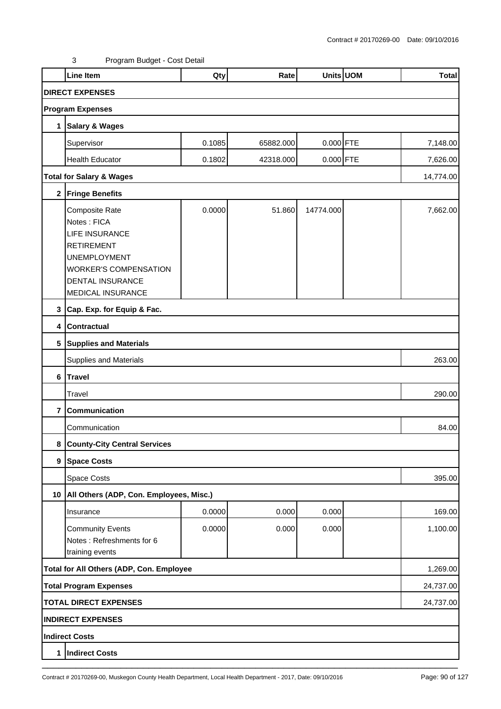|                         | <b>Line Item</b>                                                                                                                                                            | Qty    | Rate      |             | Units UOM | <b>Total</b> |  |  |
|-------------------------|-----------------------------------------------------------------------------------------------------------------------------------------------------------------------------|--------|-----------|-------------|-----------|--------------|--|--|
|                         | <b>DIRECT EXPENSES</b>                                                                                                                                                      |        |           |             |           |              |  |  |
|                         | <b>Program Expenses</b>                                                                                                                                                     |        |           |             |           |              |  |  |
| 1                       | <b>Salary &amp; Wages</b>                                                                                                                                                   |        |           |             |           |              |  |  |
|                         | Supervisor                                                                                                                                                                  | 0.1085 | 65882.000 | $0.000$ FTE |           | 7,148.00     |  |  |
|                         | <b>Health Educator</b>                                                                                                                                                      | 0.1802 | 42318.000 | $0.000$ FTE |           | 7,626.00     |  |  |
|                         | <b>Total for Salary &amp; Wages</b>                                                                                                                                         |        |           |             |           | 14,774.00    |  |  |
|                         | 2 Fringe Benefits                                                                                                                                                           |        |           |             |           |              |  |  |
|                         | Composite Rate<br>Notes: FICA<br><b>LIFE INSURANCE</b><br><b>RETIREMENT</b><br><b>UNEMPLOYMENT</b><br><b>WORKER'S COMPENSATION</b><br>DENTAL INSURANCE<br>MEDICAL INSURANCE | 0.0000 | 51.860    | 14774.000   |           | 7,662.00     |  |  |
| 3                       | Cap. Exp. for Equip & Fac.                                                                                                                                                  |        |           |             |           |              |  |  |
| 4                       | Contractual                                                                                                                                                                 |        |           |             |           |              |  |  |
|                         | 5 Supplies and Materials                                                                                                                                                    |        |           |             |           |              |  |  |
|                         | Supplies and Materials                                                                                                                                                      |        |           |             |           |              |  |  |
|                         | 6 Travel                                                                                                                                                                    |        |           |             |           |              |  |  |
|                         | Travel                                                                                                                                                                      |        |           |             |           | 290.00       |  |  |
| $\overline{\mathbf{r}}$ | Communication                                                                                                                                                               |        |           |             |           |              |  |  |
|                         | Communication                                                                                                                                                               |        |           |             |           | 84.00        |  |  |
| 8                       | <b>County-City Central Services</b>                                                                                                                                         |        |           |             |           |              |  |  |
|                         | 9 Space Costs                                                                                                                                                               |        |           |             |           |              |  |  |
|                         | Space Costs                                                                                                                                                                 |        |           |             |           | 395.00       |  |  |
|                         | 10   All Others (ADP, Con. Employees, Misc.)                                                                                                                                |        |           |             |           |              |  |  |
|                         | Insurance                                                                                                                                                                   | 0.0000 | 0.000     | 0.000       |           | 169.00       |  |  |
|                         | <b>Community Events</b><br>Notes: Refreshments for 6<br>training events                                                                                                     | 0.0000 | 0.000     | 0.000       |           | 1,100.00     |  |  |
|                         | Total for All Others (ADP, Con. Employee                                                                                                                                    |        |           |             |           | 1,269.00     |  |  |
|                         | <b>Total Program Expenses</b>                                                                                                                                               |        |           |             |           | 24,737.00    |  |  |
|                         | <b>TOTAL DIRECT EXPENSES</b>                                                                                                                                                |        |           |             |           | 24,737.00    |  |  |
|                         | <b>INDIRECT EXPENSES</b>                                                                                                                                                    |        |           |             |           |              |  |  |
|                         | <b>Indirect Costs</b>                                                                                                                                                       |        |           |             |           |              |  |  |
| 1                       | <b>Indirect Costs</b>                                                                                                                                                       |        |           |             |           |              |  |  |
|                         |                                                                                                                                                                             |        |           |             |           |              |  |  |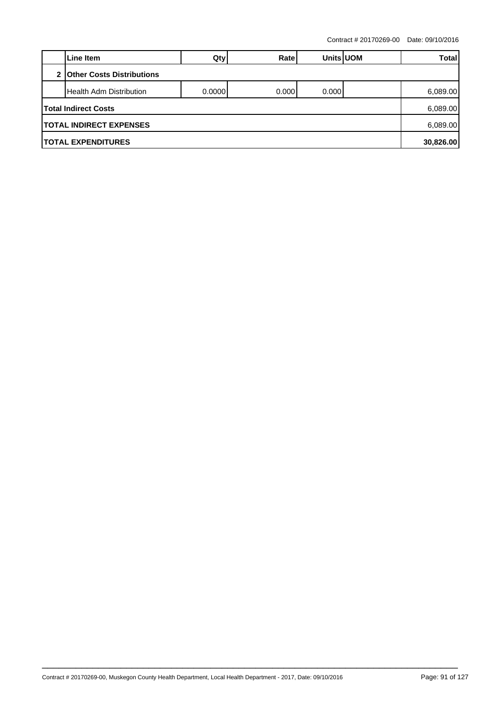Contract # 20170269-00 Date: 09/10/2016

|                                | Line Item                        | Qty     | Ratel | <b>Units UOM</b> |  | Total    |  |
|--------------------------------|----------------------------------|---------|-------|------------------|--|----------|--|
| $\mathfrak{p}$                 | <b>Other Costs Distributions</b> |         |       |                  |  |          |  |
|                                | <b>Health Adm Distribution</b>   | 0.00001 | 0.000 | 0.000            |  | 6,089.00 |  |
|                                | Total Indirect Costs             |         |       |                  |  | 6,089.00 |  |
| <b>TOTAL INDIRECT EXPENSES</b> |                                  |         |       |                  |  |          |  |
| <b>ITOTAL EXPENDITURES</b>     |                                  |         |       |                  |  |          |  |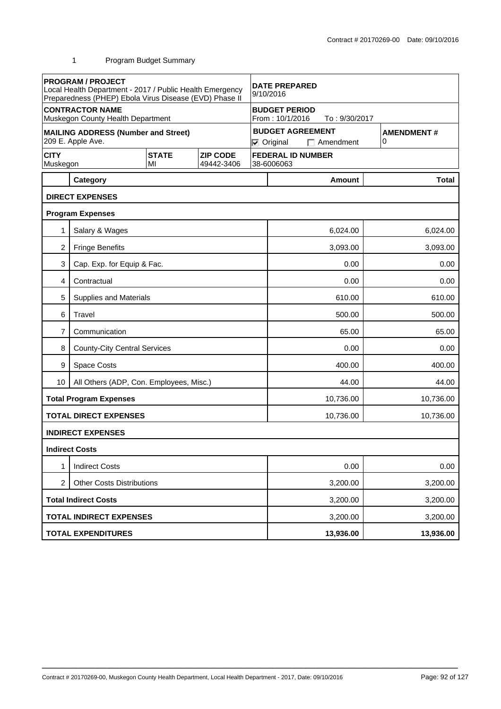|                                | <b>PROGRAM / PROJECT</b><br>Local Health Department - 2017 / Public Health Emergency<br>Preparedness (PHEP) Ebola Virus Disease (EVD) Phase II |                    |                               | <b>DATE PREPARED</b><br>9/10/2016                                                          |          |           |          |              |
|--------------------------------|------------------------------------------------------------------------------------------------------------------------------------------------|--------------------|-------------------------------|--------------------------------------------------------------------------------------------|----------|-----------|----------|--------------|
|                                | <b>CONTRACTOR NAME</b><br>Muskegon County Health Department                                                                                    |                    |                               | <b>BUDGET PERIOD</b><br>From: 10/1/2016<br>To: 9/30/2017                                   |          |           |          |              |
|                                | <b>MAILING ADDRESS (Number and Street)</b><br>209 E. Apple Ave.                                                                                |                    |                               | <b>BUDGET AGREEMENT</b><br><b>AMENDMENT#</b><br>0<br>$\nabla$ Original<br>$\Box$ Amendment |          |           |          |              |
| <b>CITY</b><br>Muskegon        |                                                                                                                                                | <b>STATE</b><br>MI | <b>ZIP CODE</b><br>49442-3406 | <b>FEDERAL ID NUMBER</b><br>38-6006063                                                     |          |           |          |              |
|                                | Category                                                                                                                                       |                    |                               |                                                                                            |          | Amount    |          | <b>Total</b> |
|                                | <b>DIRECT EXPENSES</b>                                                                                                                         |                    |                               |                                                                                            |          |           |          |              |
|                                | <b>Program Expenses</b>                                                                                                                        |                    |                               |                                                                                            |          |           |          |              |
| 1                              | Salary & Wages                                                                                                                                 |                    |                               |                                                                                            |          | 6,024.00  |          | 6,024.00     |
| 2                              | <b>Fringe Benefits</b>                                                                                                                         |                    |                               |                                                                                            |          | 3,093.00  |          | 3,093.00     |
| 3                              | Cap. Exp. for Equip & Fac.                                                                                                                     |                    |                               |                                                                                            | 0.00     |           |          |              |
| 4                              | Contractual                                                                                                                                    |                    |                               |                                                                                            | 0.00     |           |          | 0.00         |
| 5                              | Supplies and Materials                                                                                                                         |                    |                               |                                                                                            |          | 610.00    |          | 610.00       |
| 6                              | Travel                                                                                                                                         |                    |                               |                                                                                            |          | 500.00    |          | 500.00       |
| 7                              | Communication                                                                                                                                  |                    |                               | 65.00                                                                                      |          |           |          | 65.00        |
| 8                              | <b>County-City Central Services</b>                                                                                                            |                    |                               | 0.00                                                                                       |          |           |          | 0.00         |
| 9                              | Space Costs                                                                                                                                    |                    |                               | 400.00                                                                                     |          |           |          | 400.00       |
| 10                             | All Others (ADP, Con. Employees, Misc.)                                                                                                        |                    |                               | 44.00<br>44.00                                                                             |          |           |          |              |
|                                | <b>Total Program Expenses</b>                                                                                                                  |                    |                               | 10,736.00                                                                                  |          |           |          | 10,736.00    |
|                                | <b>TOTAL DIRECT EXPENSES</b>                                                                                                                   |                    |                               |                                                                                            |          | 10,736.00 |          | 10,736.00    |
|                                | <b>INDIRECT EXPENSES</b>                                                                                                                       |                    |                               |                                                                                            |          |           |          |              |
|                                | <b>Indirect Costs</b>                                                                                                                          |                    |                               |                                                                                            |          |           |          |              |
|                                | <b>Indirect Costs</b>                                                                                                                          |                    |                               |                                                                                            |          | 0.00      |          | 0.00         |
| 2                              | <b>Other Costs Distributions</b>                                                                                                               |                    |                               | 3,200.00                                                                                   |          |           | 3,200.00 |              |
|                                | <b>Total Indirect Costs</b>                                                                                                                    |                    |                               | 3,200.00                                                                                   |          |           | 3,200.00 |              |
| <b>TOTAL INDIRECT EXPENSES</b> |                                                                                                                                                |                    |                               |                                                                                            | 3,200.00 |           | 3,200.00 |              |
|                                | <b>TOTAL EXPENDITURES</b>                                                                                                                      |                    |                               |                                                                                            |          | 13,936.00 |          | 13,936.00    |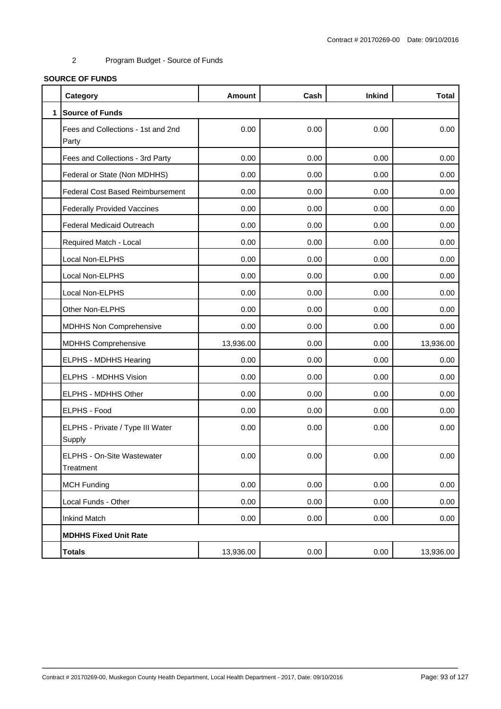# **SOURCE OF FUNDS**

|              | Category                                    | <b>Amount</b> | Cash | <b>Inkind</b> | <b>Total</b> |
|--------------|---------------------------------------------|---------------|------|---------------|--------------|
| $\mathbf{1}$ | <b>Source of Funds</b>                      |               |      |               |              |
|              | Fees and Collections - 1st and 2nd<br>Party | 0.00          | 0.00 | 0.00          | 0.00         |
|              | Fees and Collections - 3rd Party            | 0.00          | 0.00 | 0.00          | 0.00         |
|              | Federal or State (Non MDHHS)                | 0.00          | 0.00 | 0.00          | 0.00         |
|              | <b>Federal Cost Based Reimbursement</b>     | 0.00          | 0.00 | 0.00          | 0.00         |
|              | <b>Federally Provided Vaccines</b>          | 0.00          | 0.00 | 0.00          | 0.00         |
|              | <b>Federal Medicaid Outreach</b>            | 0.00          | 0.00 | 0.00          | 0.00         |
|              | Required Match - Local                      | 0.00          | 0.00 | 0.00          | 0.00         |
|              | Local Non-ELPHS                             | 0.00          | 0.00 | 0.00          | 0.00         |
|              | Local Non-ELPHS                             | 0.00          | 0.00 | 0.00          | 0.00         |
|              | Local Non-ELPHS                             | 0.00          | 0.00 | 0.00          | 0.00         |
|              | Other Non-ELPHS                             | 0.00          | 0.00 | 0.00          | 0.00         |
|              | <b>MDHHS Non Comprehensive</b>              | 0.00          | 0.00 | 0.00          | 0.00         |
|              | <b>MDHHS Comprehensive</b>                  | 13,936.00     | 0.00 | 0.00          | 13,936.00    |
|              | ELPHS - MDHHS Hearing                       | 0.00          | 0.00 | 0.00          | 0.00         |
|              | ELPHS - MDHHS Vision                        | 0.00          | 0.00 | 0.00          | 0.00         |
|              | ELPHS - MDHHS Other                         | 0.00          | 0.00 | 0.00          | 0.00         |
|              | ELPHS - Food                                | 0.00          | 0.00 | 0.00          | 0.00         |
|              | ELPHS - Private / Type III Water<br>Supply  | 0.00          | 0.00 | 0.00          | 0.00         |
|              | ELPHS - On-Site Wastewater<br>Treatment     | 0.00          | 0.00 | 0.00          | 0.00         |
|              | <b>MCH Funding</b>                          | 0.00          | 0.00 | 0.00          | 0.00         |
|              | Local Funds - Other                         | 0.00          | 0.00 | 0.00          | 0.00         |
|              | <b>Inkind Match</b>                         | 0.00          | 0.00 | 0.00          | 0.00         |
|              | <b>MDHHS Fixed Unit Rate</b>                |               |      |               |              |
|              | <b>Totals</b>                               | 13,936.00     | 0.00 | 0.00          | 13,936.00    |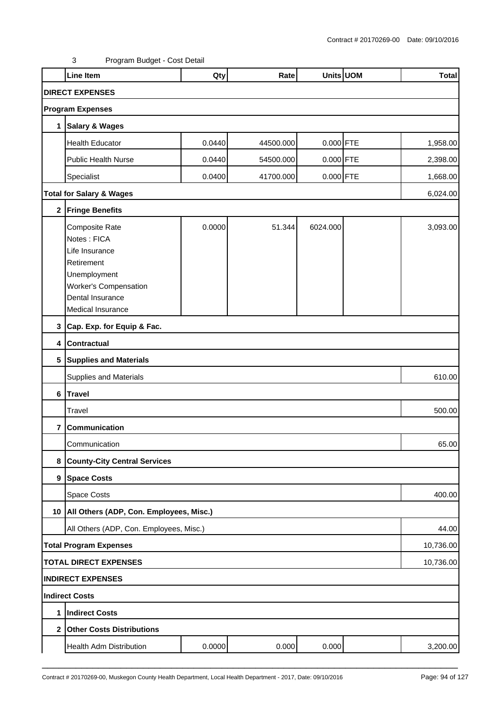|             | <b>Line Item</b>                                                                                                                                       | Qty    | Rate      |             | Units UOM | <b>Total</b> |  |  |  |
|-------------|--------------------------------------------------------------------------------------------------------------------------------------------------------|--------|-----------|-------------|-----------|--------------|--|--|--|
|             | <b>DIRECT EXPENSES</b>                                                                                                                                 |        |           |             |           |              |  |  |  |
|             | <b>Program Expenses</b>                                                                                                                                |        |           |             |           |              |  |  |  |
| 1           | <b>Salary &amp; Wages</b>                                                                                                                              |        |           |             |           |              |  |  |  |
|             | <b>Health Educator</b>                                                                                                                                 | 0.0440 | 44500.000 | $0.000$ FTE |           | 1,958.00     |  |  |  |
|             | Public Health Nurse                                                                                                                                    | 0.0440 | 54500.000 | 0.000 FTE   |           | 2,398.00     |  |  |  |
|             | Specialist                                                                                                                                             | 0.0400 | 41700.000 | $0.000$ FTE |           | 1,668.00     |  |  |  |
|             | <b>Total for Salary &amp; Wages</b>                                                                                                                    |        |           |             |           | 6,024.00     |  |  |  |
| $\mathbf 2$ | <b>Fringe Benefits</b>                                                                                                                                 |        |           |             |           |              |  |  |  |
|             | Composite Rate<br>Notes: FICA<br>Life Insurance<br>Retirement<br>Unemployment<br><b>Worker's Compensation</b><br>Dental Insurance<br>Medical Insurance | 0.0000 | 51.344    | 6024.000    |           | 3,093.00     |  |  |  |
|             | 3 Cap. Exp. for Equip & Fac.                                                                                                                           |        |           |             |           |              |  |  |  |
|             | 4 Contractual                                                                                                                                          |        |           |             |           |              |  |  |  |
|             | 5 Supplies and Materials                                                                                                                               |        |           |             |           |              |  |  |  |
|             | <b>Supplies and Materials</b>                                                                                                                          |        |           |             |           | 610.00       |  |  |  |
|             | 6 Travel                                                                                                                                               |        |           |             |           |              |  |  |  |
|             | Travel                                                                                                                                                 |        |           |             |           | 500.00       |  |  |  |
| 7           | Communication                                                                                                                                          |        |           |             |           |              |  |  |  |
|             | Communication                                                                                                                                          |        |           |             |           | 65.00        |  |  |  |
| 8           | <b>County-City Central Services</b>                                                                                                                    |        |           |             |           |              |  |  |  |
|             | 9 Space Costs                                                                                                                                          |        |           |             |           |              |  |  |  |
|             | Space Costs                                                                                                                                            |        |           |             |           | 400.00       |  |  |  |
|             | 10   All Others (ADP, Con. Employees, Misc.)                                                                                                           |        |           |             |           |              |  |  |  |
|             | All Others (ADP, Con. Employees, Misc.)                                                                                                                |        |           |             |           | 44.00        |  |  |  |
|             | <b>Total Program Expenses</b>                                                                                                                          |        |           |             |           | 10,736.00    |  |  |  |
|             | <b>TOTAL DIRECT EXPENSES</b>                                                                                                                           |        |           |             |           | 10,736.00    |  |  |  |
|             | <b>INDIRECT EXPENSES</b>                                                                                                                               |        |           |             |           |              |  |  |  |
|             | <b>Indirect Costs</b>                                                                                                                                  |        |           |             |           |              |  |  |  |
| 1           | Indirect Costs                                                                                                                                         |        |           |             |           |              |  |  |  |
|             | 2 Other Costs Distributions                                                                                                                            |        |           |             |           |              |  |  |  |
|             | Health Adm Distribution                                                                                                                                | 0.0000 | 0.000     | 0.000       |           | 3,200.00     |  |  |  |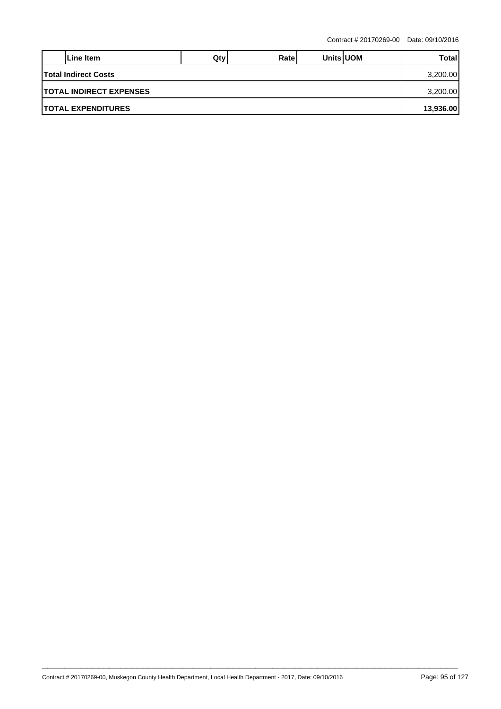|                                 | Line Item | Qtv | Ratel |  | <b>Units UOM</b> | Total |  |  |
|---------------------------------|-----------|-----|-------|--|------------------|-------|--|--|
| <b>Total Indirect Costs</b>     |           |     |       |  |                  |       |  |  |
| <b>ITOTAL INDIRECT EXPENSES</b> |           |     |       |  |                  |       |  |  |
| <b>ITOTAL EXPENDITURES</b>      |           |     |       |  |                  |       |  |  |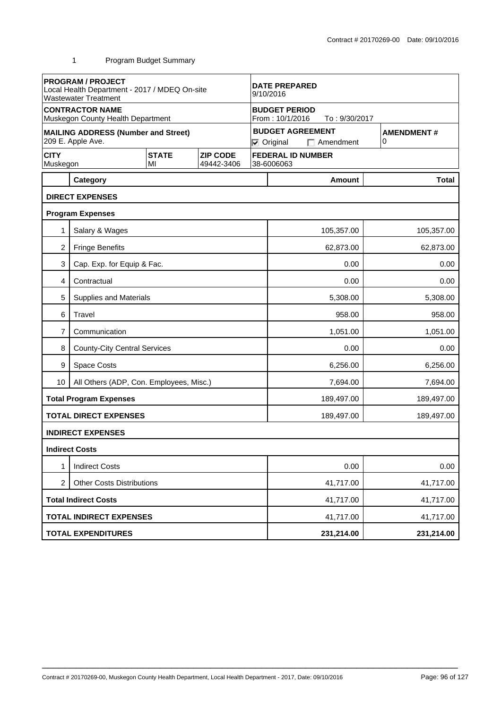|                         | <b>PROGRAM / PROJECT</b><br>Local Health Department - 2017 / MDEQ On-site<br><b>Wastewater Treatment</b> |                    | <b>DATE PREPARED</b><br>9/10/2016 |                                                                                            |                                                          |            |  |              |  |
|-------------------------|----------------------------------------------------------------------------------------------------------|--------------------|-----------------------------------|--------------------------------------------------------------------------------------------|----------------------------------------------------------|------------|--|--------------|--|
|                         | <b>CONTRACTOR NAME</b><br>Muskegon County Health Department                                              |                    |                                   |                                                                                            | <b>BUDGET PERIOD</b><br>From: 10/1/2016<br>To: 9/30/2017 |            |  |              |  |
|                         | <b>MAILING ADDRESS (Number and Street)</b><br>209 E. Apple Ave.                                          |                    |                                   | <b>BUDGET AGREEMENT</b><br><b>AMENDMENT#</b><br>0<br>$\nabla$ Original<br>$\Box$ Amendment |                                                          |            |  |              |  |
| <b>CITY</b><br>Muskegon |                                                                                                          | <b>STATE</b><br>MI | <b>ZIP CODE</b><br>49442-3406     | <b>FEDERAL ID NUMBER</b><br>38-6006063                                                     |                                                          |            |  |              |  |
|                         | Category                                                                                                 |                    |                                   |                                                                                            |                                                          | Amount     |  | <b>Total</b> |  |
|                         | <b>DIRECT EXPENSES</b>                                                                                   |                    |                                   |                                                                                            |                                                          |            |  |              |  |
|                         | <b>Program Expenses</b>                                                                                  |                    |                                   |                                                                                            |                                                          |            |  |              |  |
| 1                       | Salary & Wages                                                                                           |                    |                                   |                                                                                            |                                                          | 105,357.00 |  | 105,357.00   |  |
| $\overline{c}$          | <b>Fringe Benefits</b>                                                                                   |                    |                                   |                                                                                            |                                                          | 62,873.00  |  | 62,873.00    |  |
| 3                       | Cap. Exp. for Equip & Fac.                                                                               |                    |                                   |                                                                                            | 0.00<br>0.00                                             |            |  |              |  |
| 4                       | Contractual                                                                                              |                    |                                   |                                                                                            |                                                          | 0.00       |  | 0.00         |  |
| 5                       | Supplies and Materials                                                                                   |                    |                                   |                                                                                            |                                                          | 5,308.00   |  | 5,308.00     |  |
| 6                       | Travel                                                                                                   |                    |                                   |                                                                                            |                                                          | 958.00     |  | 958.00       |  |
| 7                       | Communication                                                                                            |                    |                                   |                                                                                            | 1,051.00<br>1,051.00                                     |            |  |              |  |
| 8                       | <b>County-City Central Services</b>                                                                      |                    |                                   |                                                                                            | 0.00<br>0.00                                             |            |  |              |  |
| 9                       | Space Costs                                                                                              |                    |                                   |                                                                                            |                                                          | 6,256.00   |  | 6,256.00     |  |
| 10 <sup>°</sup>         | All Others (ADP, Con. Employees, Misc.)                                                                  |                    |                                   |                                                                                            |                                                          | 7,694.00   |  | 7,694.00     |  |
|                         | <b>Total Program Expenses</b>                                                                            |                    |                                   |                                                                                            |                                                          | 189,497.00 |  | 189,497.00   |  |
|                         | <b>TOTAL DIRECT EXPENSES</b>                                                                             |                    |                                   |                                                                                            |                                                          | 189,497.00 |  | 189,497.00   |  |
|                         | <b>INDIRECT EXPENSES</b>                                                                                 |                    |                                   |                                                                                            |                                                          |            |  |              |  |
|                         | <b>Indirect Costs</b>                                                                                    |                    |                                   |                                                                                            |                                                          |            |  |              |  |
|                         | <b>Indirect Costs</b>                                                                                    |                    |                                   |                                                                                            |                                                          | 0.00       |  | 0.00         |  |
| $\overline{2}$          | <b>Other Costs Distributions</b>                                                                         |                    |                                   |                                                                                            | 41,717.00                                                |            |  | 41,717.00    |  |
|                         | <b>Total Indirect Costs</b>                                                                              |                    |                                   |                                                                                            | 41,717.00                                                |            |  | 41,717.00    |  |
|                         | <b>TOTAL INDIRECT EXPENSES</b>                                                                           |                    |                                   |                                                                                            |                                                          | 41,717.00  |  | 41,717.00    |  |
|                         | <b>TOTAL EXPENDITURES</b>                                                                                |                    |                                   |                                                                                            |                                                          | 231,214.00 |  | 231,214.00   |  |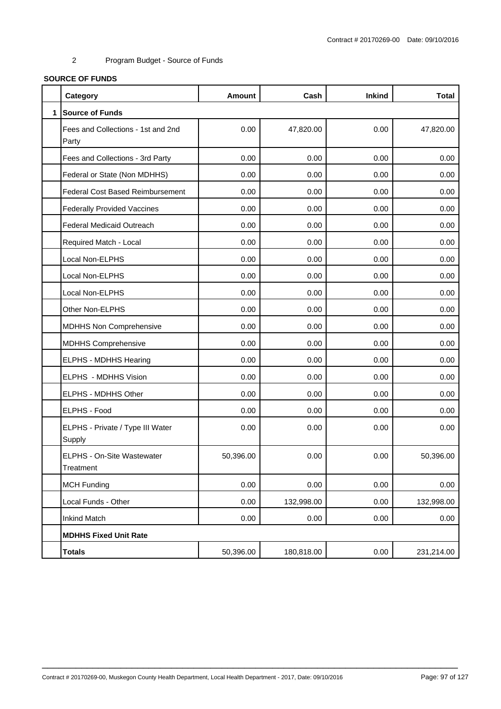# **SOURCE OF FUNDS**

|              | Category                                    | <b>Amount</b> | Cash       | <b>Inkind</b> | <b>Total</b> |
|--------------|---------------------------------------------|---------------|------------|---------------|--------------|
| $\mathbf{1}$ | <b>Source of Funds</b>                      |               |            |               |              |
|              | Fees and Collections - 1st and 2nd<br>Party | 0.00          | 47,820.00  | 0.00          | 47,820.00    |
|              | Fees and Collections - 3rd Party            | 0.00          | 0.00       | 0.00          | 0.00         |
|              | Federal or State (Non MDHHS)                | 0.00          | 0.00       | 0.00          | 0.00         |
|              | <b>Federal Cost Based Reimbursement</b>     | 0.00          | 0.00       | 0.00          | 0.00         |
|              | <b>Federally Provided Vaccines</b>          | 0.00          | 0.00       | 0.00          | 0.00         |
|              | <b>Federal Medicaid Outreach</b>            | 0.00          | 0.00       | 0.00          | 0.00         |
|              | Required Match - Local                      | 0.00          | 0.00       | 0.00          | 0.00         |
|              | Local Non-ELPHS                             | 0.00          | 0.00       | 0.00          | 0.00         |
|              | Local Non-ELPHS                             | 0.00          | 0.00       | 0.00          | 0.00         |
|              | Local Non-ELPHS                             | 0.00          | 0.00       | 0.00          | 0.00         |
|              | Other Non-ELPHS                             | 0.00          | 0.00       | 0.00          | 0.00         |
|              | <b>MDHHS Non Comprehensive</b>              | 0.00          | 0.00       | 0.00          | 0.00         |
|              | <b>MDHHS Comprehensive</b>                  | 0.00          | 0.00       | 0.00          | 0.00         |
|              | ELPHS - MDHHS Hearing                       | 0.00          | 0.00       | 0.00          | 0.00         |
|              | ELPHS - MDHHS Vision                        | 0.00          | 0.00       | 0.00          | 0.00         |
|              | ELPHS - MDHHS Other                         | 0.00          | 0.00       | 0.00          | 0.00         |
|              | ELPHS - Food                                | 0.00          | 0.00       | 0.00          | 0.00         |
|              | ELPHS - Private / Type III Water<br>Supply  | 0.00          | 0.00       | 0.00          | 0.00         |
|              | ELPHS - On-Site Wastewater<br>Treatment     | 50,396.00     | 0.00       | 0.00          | 50,396.00    |
|              | <b>MCH Funding</b>                          | 0.00          | 0.00       | 0.00          | 0.00         |
|              | Local Funds - Other                         | 0.00          | 132,998.00 | 0.00          | 132,998.00   |
|              | <b>Inkind Match</b>                         | 0.00          | 0.00       | 0.00          | 0.00         |
|              | <b>MDHHS Fixed Unit Rate</b>                |               |            |               |              |
|              | <b>Totals</b>                               | 50,396.00     | 180,818.00 | 0.00          | 231,214.00   |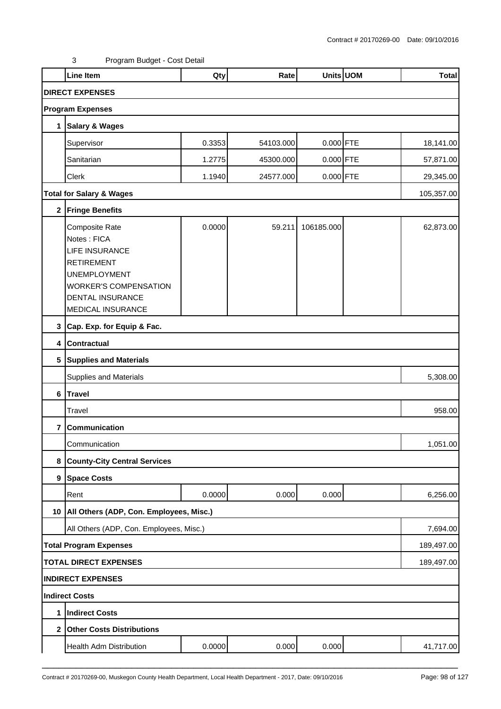|                         | Line Item                                                                                                                                                            | Qty    | Rate      |             | Units UOM | <b>Total</b> |
|-------------------------|----------------------------------------------------------------------------------------------------------------------------------------------------------------------|--------|-----------|-------------|-----------|--------------|
|                         | <b>DIRECT EXPENSES</b>                                                                                                                                               |        |           |             |           |              |
|                         | <b>Program Expenses</b>                                                                                                                                              |        |           |             |           |              |
|                         | 1 Salary & Wages                                                                                                                                                     |        |           |             |           |              |
|                         | Supervisor                                                                                                                                                           | 0.3353 | 54103.000 | 0.000 FTE   |           | 18,141.00    |
|                         | Sanitarian                                                                                                                                                           | 1.2775 | 45300.000 | $0.000$ FTE |           | 57,871.00    |
|                         | Clerk                                                                                                                                                                | 1.1940 | 24577.000 | $0.000$ FTE |           | 29,345.00    |
|                         | <b>Total for Salary &amp; Wages</b>                                                                                                                                  |        |           |             |           | 105,357.00   |
|                         | 2 Fringe Benefits                                                                                                                                                    |        |           |             |           |              |
|                         | Composite Rate<br>Notes: FICA<br>LIFE INSURANCE<br><b>RETIREMENT</b><br><b>UNEMPLOYMENT</b><br><b>WORKER'S COMPENSATION</b><br>DENTAL INSURANCE<br>MEDICAL INSURANCE | 0.0000 | 59.211    | 106185.000  |           | 62,873.00    |
|                         | 3 Cap. Exp. for Equip & Fac.                                                                                                                                         |        |           |             |           |              |
|                         | 4 Contractual                                                                                                                                                        |        |           |             |           |              |
| 5                       | <b>Supplies and Materials</b>                                                                                                                                        |        |           |             |           |              |
|                         | Supplies and Materials                                                                                                                                               |        |           |             |           | 5,308.00     |
| 6                       | <b>Travel</b>                                                                                                                                                        |        |           |             |           |              |
|                         | Travel                                                                                                                                                               |        |           |             |           | 958.00       |
| $\overline{\mathbf{r}}$ | Communication                                                                                                                                                        |        |           |             |           |              |
|                         | Communication                                                                                                                                                        |        |           |             |           | 1,051.00     |
| 8                       | <b>County-City Central Services</b>                                                                                                                                  |        |           |             |           |              |
|                         | 9 Space Costs                                                                                                                                                        |        |           |             |           |              |
|                         | Rent                                                                                                                                                                 | 0.0000 | 0.000     | 0.000       |           | 6,256.00     |
| 10                      | All Others (ADP, Con. Employees, Misc.)                                                                                                                              |        |           |             |           |              |
|                         | All Others (ADP, Con. Employees, Misc.)                                                                                                                              |        |           |             |           | 7,694.00     |
|                         | <b>Total Program Expenses</b>                                                                                                                                        |        |           |             |           | 189,497.00   |
|                         | <b>TOTAL DIRECT EXPENSES</b>                                                                                                                                         |        |           |             |           | 189,497.00   |
|                         | <b>INDIRECT EXPENSES</b>                                                                                                                                             |        |           |             |           |              |
|                         | Indirect Costs                                                                                                                                                       |        |           |             |           |              |
| 1                       | <b>Indirect Costs</b>                                                                                                                                                |        |           |             |           |              |
| $\mathbf{2}$            | <b>Other Costs Distributions</b>                                                                                                                                     |        |           |             |           |              |
|                         | Health Adm Distribution                                                                                                                                              | 0.0000 | 0.000     | 0.000       |           | 41,717.00    |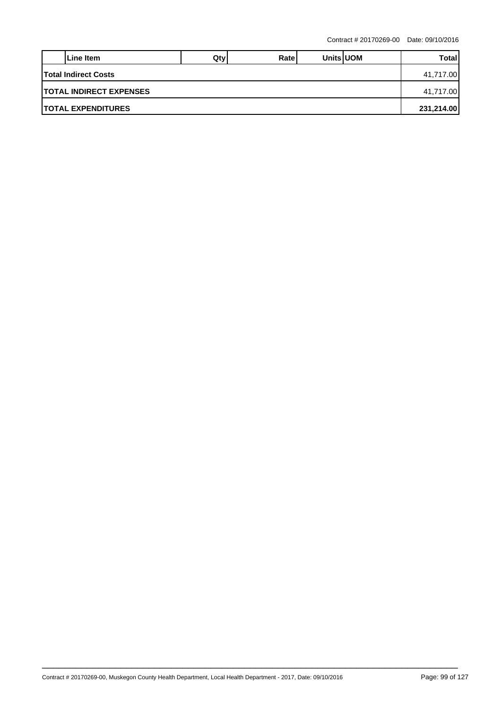|                                 | Line Item                   | Qtv | Ratel |  | <b>Units UOM</b> | Total |  |
|---------------------------------|-----------------------------|-----|-------|--|------------------|-------|--|
|                                 | <b>Total Indirect Costs</b> |     |       |  |                  |       |  |
| <b>ITOTAL INDIRECT EXPENSES</b> |                             |     |       |  |                  |       |  |
| <b>ITOTAL EXPENDITURES</b>      |                             |     |       |  |                  |       |  |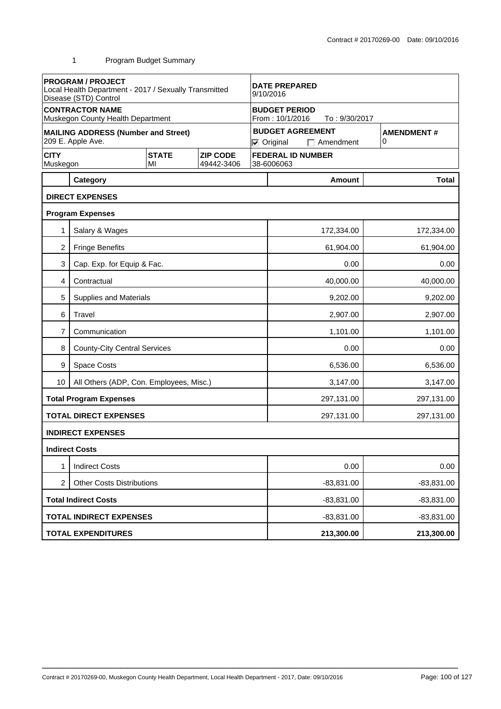|                         | <b>PROGRAM / PROJECT</b><br>Local Health Department - 2017 / Sexually Transmitted<br>Disease (STD) Control |                    | <b>DATE PREPARED</b><br>9/10/2016 |  |                                         |                                             |  |                        |
|-------------------------|------------------------------------------------------------------------------------------------------------|--------------------|-----------------------------------|--|-----------------------------------------|---------------------------------------------|--|------------------------|
|                         | <b>CONTRACTOR NAME</b><br>Muskegon County Health Department                                                |                    |                                   |  | <b>BUDGET PERIOD</b><br>From: 10/1/2016 | To: 9/30/2017                               |  |                        |
|                         | <b>MAILING ADDRESS (Number and Street)</b><br>209 E. Apple Ave.                                            |                    |                                   |  | $\nabla$ Original                       | <b>BUDGET AGREEMENT</b><br>$\Box$ Amendment |  | <b>AMENDMENT#</b><br>0 |
| <b>CITY</b><br>Muskegon |                                                                                                            | <b>STATE</b><br>MI | <b>ZIP CODE</b><br>49442-3406     |  | 38-6006063                              | <b>FEDERAL ID NUMBER</b>                    |  |                        |
|                         | Category                                                                                                   |                    |                                   |  |                                         | Amount                                      |  | <b>Total</b>           |
|                         | <b>DIRECT EXPENSES</b>                                                                                     |                    |                                   |  |                                         |                                             |  |                        |
|                         | <b>Program Expenses</b>                                                                                    |                    |                                   |  |                                         |                                             |  |                        |
| 1                       | Salary & Wages                                                                                             |                    |                                   |  |                                         | 172,334.00                                  |  | 172,334.00             |
| $\overline{2}$          | <b>Fringe Benefits</b>                                                                                     |                    |                                   |  |                                         | 61,904.00                                   |  | 61,904.00              |
| 3                       | Cap. Exp. for Equip & Fac.                                                                                 |                    |                                   |  |                                         | 0.00                                        |  | 0.00                   |
| 4                       | Contractual                                                                                                |                    |                                   |  |                                         | 40,000.00                                   |  | 40,000.00              |
| 5                       | <b>Supplies and Materials</b>                                                                              |                    |                                   |  |                                         | 9,202.00                                    |  | 9,202.00               |
| 6                       | Travel                                                                                                     |                    |                                   |  |                                         | 2,907.00                                    |  | 2,907.00               |
| 7                       | Communication                                                                                              |                    |                                   |  | 1,101.00<br>1,101.00                    |                                             |  |                        |
| 8                       | <b>County-City Central Services</b>                                                                        |                    |                                   |  | 0.00                                    |                                             |  | 0.00                   |
| 9                       | Space Costs                                                                                                |                    |                                   |  | 6,536.00<br>6,536.00                    |                                             |  |                        |
| 10                      | All Others (ADP, Con. Employees, Misc.)                                                                    |                    |                                   |  |                                         | 3,147.00                                    |  | 3,147.00               |
|                         | <b>Total Program Expenses</b>                                                                              |                    |                                   |  |                                         | 297,131.00                                  |  | 297,131.00             |
|                         | <b>TOTAL DIRECT EXPENSES</b>                                                                               |                    |                                   |  |                                         | 297,131.00                                  |  | 297,131.00             |
|                         | <b>INDIRECT EXPENSES</b>                                                                                   |                    |                                   |  |                                         |                                             |  |                        |
|                         | <b>Indirect Costs</b>                                                                                      |                    |                                   |  |                                         |                                             |  |                        |
| 1                       | <b>Indirect Costs</b>                                                                                      |                    |                                   |  |                                         | 0.00                                        |  | 0.00                   |
| 2                       | <b>Other Costs Distributions</b>                                                                           |                    |                                   |  | $-83,831.00$                            |                                             |  | $-83,831.00$           |
|                         | <b>Total Indirect Costs</b>                                                                                |                    |                                   |  |                                         | $-83,831.00$<br>$-83,831.00$                |  |                        |
|                         | <b>TOTAL INDIRECT EXPENSES</b>                                                                             |                    |                                   |  | $-83,831.00$                            |                                             |  | $-83,831.00$           |
|                         | <b>TOTAL EXPENDITURES</b>                                                                                  |                    |                                   |  |                                         | 213,300.00                                  |  | 213,300.00             |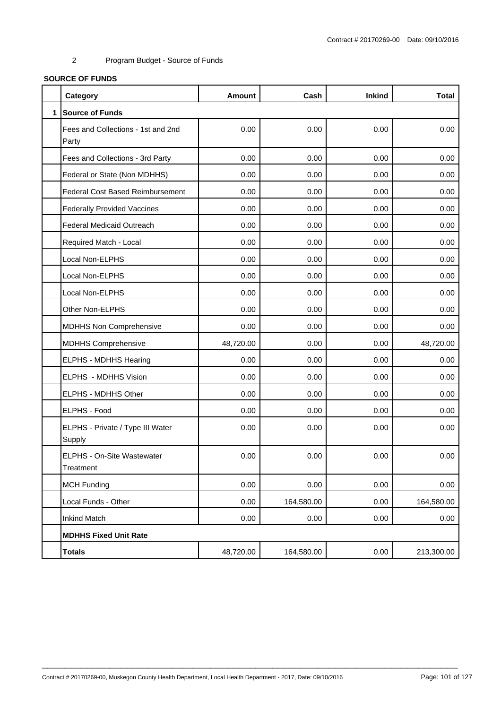# **SOURCE OF FUNDS**

|              | Category                                    | <b>Amount</b> | Cash       | <b>Inkind</b> | <b>Total</b> |
|--------------|---------------------------------------------|---------------|------------|---------------|--------------|
| $\mathbf{1}$ | <b>Source of Funds</b>                      |               |            |               |              |
|              | Fees and Collections - 1st and 2nd<br>Party | 0.00          | 0.00       | 0.00          | 0.00         |
|              | Fees and Collections - 3rd Party            | 0.00          | 0.00       | 0.00          | 0.00         |
|              | Federal or State (Non MDHHS)                | 0.00          | 0.00       | 0.00          | 0.00         |
|              | <b>Federal Cost Based Reimbursement</b>     | 0.00          | 0.00       | 0.00          | 0.00         |
|              | <b>Federally Provided Vaccines</b>          | 0.00          | 0.00       | 0.00          | 0.00         |
|              | <b>Federal Medicaid Outreach</b>            | 0.00          | 0.00       | 0.00          | 0.00         |
|              | Required Match - Local                      | 0.00          | 0.00       | 0.00          | 0.00         |
|              | Local Non-ELPHS                             | 0.00          | 0.00       | 0.00          | 0.00         |
|              | Local Non-ELPHS                             | 0.00          | 0.00       | 0.00          | 0.00         |
|              | Local Non-ELPHS                             | 0.00          | 0.00       | 0.00          | 0.00         |
|              | Other Non-ELPHS                             | 0.00          | 0.00       | 0.00          | 0.00         |
|              | MDHHS Non Comprehensive                     | 0.00          | 0.00       | 0.00          | 0.00         |
|              | <b>MDHHS Comprehensive</b>                  | 48,720.00     | 0.00       | 0.00          | 48,720.00    |
|              | ELPHS - MDHHS Hearing                       | 0.00          | 0.00       | 0.00          | 0.00         |
|              | ELPHS - MDHHS Vision                        | 0.00          | 0.00       | 0.00          | 0.00         |
|              | ELPHS - MDHHS Other                         | 0.00          | 0.00       | 0.00          | 0.00         |
|              | ELPHS - Food                                | 0.00          | 0.00       | 0.00          | 0.00         |
|              | ELPHS - Private / Type III Water<br>Supply  | 0.00          | 0.00       | 0.00          | 0.00         |
|              | ELPHS - On-Site Wastewater<br>Treatment     | 0.00          | 0.00       | 0.00          | 0.00         |
|              | <b>MCH Funding</b>                          | 0.00          | 0.00       | 0.00          | 0.00         |
|              | Local Funds - Other                         | 0.00          | 164,580.00 | 0.00          | 164,580.00   |
|              | <b>Inkind Match</b>                         | 0.00          | 0.00       | 0.00          | 0.00         |
|              | <b>MDHHS Fixed Unit Rate</b>                |               |            |               |              |
|              | <b>Totals</b>                               | 48,720.00     | 164,580.00 | 0.00          | 213,300.00   |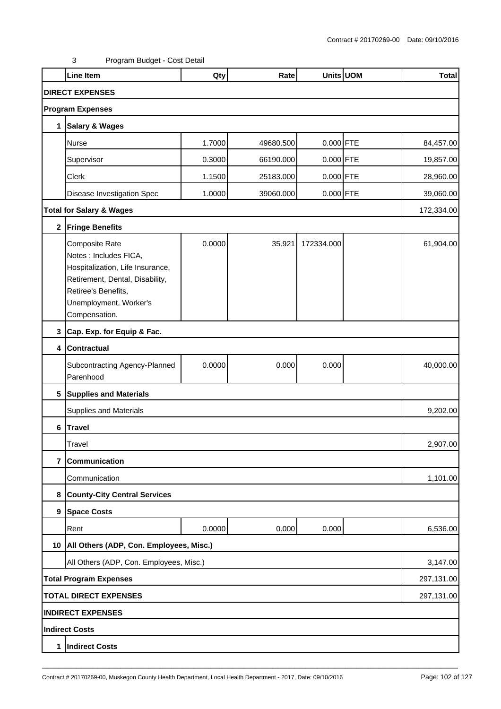|                | <b>Line Item</b>                                                                                                                                                                         | Qty    | Rate      |             | Units UOM | <b>Total</b> |
|----------------|------------------------------------------------------------------------------------------------------------------------------------------------------------------------------------------|--------|-----------|-------------|-----------|--------------|
|                | <b>DIRECT EXPENSES</b>                                                                                                                                                                   |        |           |             |           |              |
|                | <b>Program Expenses</b>                                                                                                                                                                  |        |           |             |           |              |
| 1              | <b>Salary &amp; Wages</b>                                                                                                                                                                |        |           |             |           |              |
|                | Nurse                                                                                                                                                                                    | 1.7000 | 49680.500 | $0.000$ FTE |           | 84,457.00    |
|                | Supervisor                                                                                                                                                                               | 0.3000 | 66190.000 | $0.000$ FTE |           | 19,857.00    |
|                | Clerk                                                                                                                                                                                    | 1.1500 | 25183.000 | $0.000$ FTE |           | 28,960.00    |
|                | Disease Investigation Spec                                                                                                                                                               | 1.0000 | 39060.000 | $0.000$ FTE |           | 39,060.00    |
|                | <b>Total for Salary &amp; Wages</b>                                                                                                                                                      |        |           |             |           | 172,334.00   |
| $\mathbf{2}$   | <b>Fringe Benefits</b>                                                                                                                                                                   |        |           |             |           |              |
|                | <b>Composite Rate</b><br>Notes : Includes FICA,<br>Hospitalization, Life Insurance,<br>Retirement, Dental, Disability,<br>Retiree's Benefits,<br>Unemployment, Worker's<br>Compensation. | 0.0000 | 35.921    | 172334.000  |           | 61,904.00    |
| 3              | Cap. Exp. for Equip & Fac.                                                                                                                                                               |        |           |             |           |              |
| 4              | <b>Contractual</b>                                                                                                                                                                       |        |           |             |           |              |
|                | Subcontracting Agency-Planned<br>Parenhood                                                                                                                                               | 0.0000 | 0.000     | 0.000       |           | 40,000.00    |
| 5              | <b>Supplies and Materials</b>                                                                                                                                                            |        |           |             |           |              |
|                | <b>Supplies and Materials</b>                                                                                                                                                            |        |           |             |           | 9,202.00     |
| $\bf 6$        | <b>Travel</b>                                                                                                                                                                            |        |           |             |           |              |
|                | Travel                                                                                                                                                                                   |        |           |             |           | 2,907.00     |
| $\overline{7}$ | Communication                                                                                                                                                                            |        |           |             |           |              |
|                | Communication                                                                                                                                                                            |        |           |             |           | 1,101.00     |
| 8              | <b>County-City Central Services</b>                                                                                                                                                      |        |           |             |           |              |
| 9              | <b>Space Costs</b>                                                                                                                                                                       |        |           |             |           |              |
|                | Rent                                                                                                                                                                                     | 0.0000 | 0.000     | 0.000       |           | 6,536.00     |
|                | 10   All Others (ADP, Con. Employees, Misc.)                                                                                                                                             |        |           |             |           |              |
|                | All Others (ADP, Con. Employees, Misc.)                                                                                                                                                  |        |           |             |           | 3,147.00     |
|                | <b>Total Program Expenses</b>                                                                                                                                                            |        |           |             |           | 297,131.00   |
|                | <b>TOTAL DIRECT EXPENSES</b><br>297,131.00                                                                                                                                               |        |           |             |           |              |
|                | <b>INDIRECT EXPENSES</b>                                                                                                                                                                 |        |           |             |           |              |
|                | Indirect Costs                                                                                                                                                                           |        |           |             |           |              |
| 1              | <b>Indirect Costs</b>                                                                                                                                                                    |        |           |             |           |              |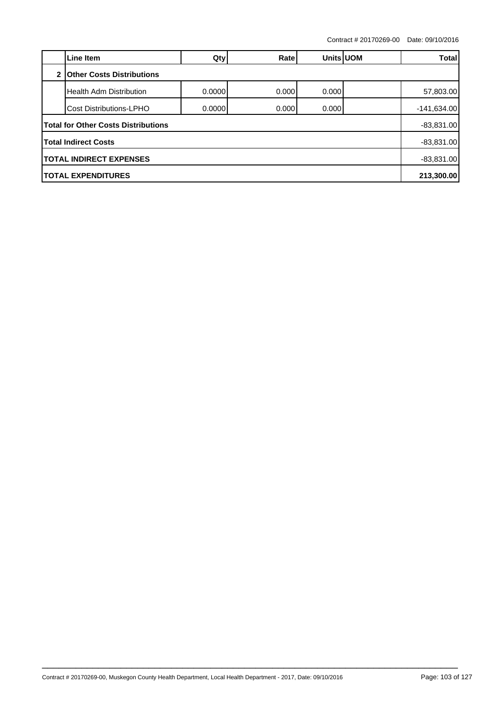|                                | Line Item                                  | Qty    | Ratel  | Units UOM |  | Total         |  |
|--------------------------------|--------------------------------------------|--------|--------|-----------|--|---------------|--|
| $\mathbf{2}$                   | <b>Other Costs Distributions</b>           |        |        |           |  |               |  |
|                                | Health Adm Distribution                    | 0.0000 | 0.0001 | 0.000     |  | 57,803.00     |  |
|                                | <b>Cost Distributions-LPHO</b>             | 0.0000 | 0.0001 | 0.000     |  | $-141,634.00$ |  |
|                                | <b>Total for Other Costs Distributions</b> |        |        |           |  | $-83,831.00$  |  |
|                                | <b>Total Indirect Costs</b>                |        |        |           |  | $-83,831.00$  |  |
| <b>TOTAL INDIRECT EXPENSES</b> |                                            |        |        |           |  | $-83,831.00$  |  |
| <b>TOTAL EXPENDITURES</b>      |                                            |        |        |           |  | 213,300.00    |  |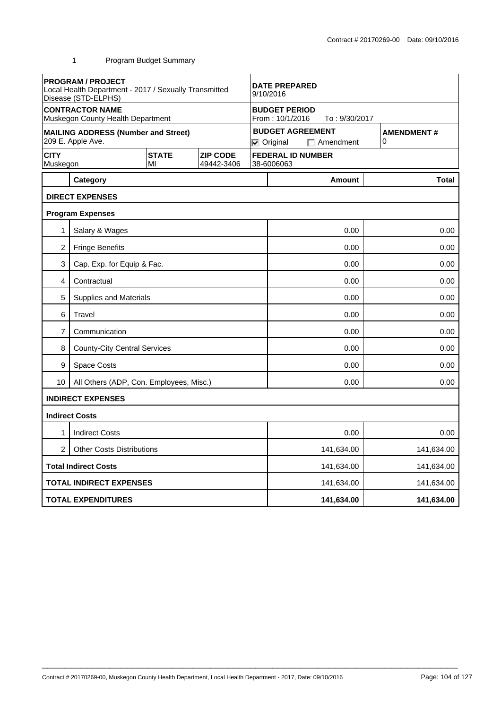|                                                                                | <b>PROGRAM / PROJECT</b><br>Local Health Department - 2017 / Sexually Transmitted<br>Disease (STD-ELPHS) |  | <b>DATE PREPARED</b><br>9/10/2016      |                                                          |                                                                  |                        |  |  |
|--------------------------------------------------------------------------------|----------------------------------------------------------------------------------------------------------|--|----------------------------------------|----------------------------------------------------------|------------------------------------------------------------------|------------------------|--|--|
|                                                                                | <b>CONTRACTOR NAME</b><br>Muskegon County Health Department                                              |  |                                        | <b>BUDGET PERIOD</b><br>From: 10/1/2016<br>To: 9/30/2017 |                                                                  |                        |  |  |
|                                                                                | <b>MAILING ADDRESS (Number and Street)</b><br>209 E. Apple Ave.                                          |  |                                        |                                                          | <b>BUDGET AGREEMENT</b><br>$\nabla$ Original<br>$\Box$ Amendment | <b>AMENDMENT#</b><br>0 |  |  |
| <b>CITY</b><br><b>STATE</b><br><b>ZIP CODE</b><br>Muskegon<br>49442-3406<br>MI |                                                                                                          |  | <b>FEDERAL ID NUMBER</b><br>38-6006063 |                                                          |                                                                  |                        |  |  |
|                                                                                | Category                                                                                                 |  |                                        |                                                          | <b>Amount</b>                                                    | <b>Total</b>           |  |  |
|                                                                                | <b>DIRECT EXPENSES</b>                                                                                   |  |                                        |                                                          |                                                                  |                        |  |  |
|                                                                                | <b>Program Expenses</b>                                                                                  |  |                                        |                                                          |                                                                  |                        |  |  |
| 1                                                                              | Salary & Wages                                                                                           |  |                                        |                                                          | 0.00                                                             | 0.00                   |  |  |
| 2                                                                              | <b>Fringe Benefits</b>                                                                                   |  |                                        |                                                          | 0.00                                                             | 0.00                   |  |  |
| 3                                                                              | Cap. Exp. for Equip & Fac.                                                                               |  |                                        |                                                          | 0.00                                                             |                        |  |  |
| 4                                                                              | Contractual                                                                                              |  |                                        |                                                          | 0.00                                                             |                        |  |  |
| 5                                                                              | <b>Supplies and Materials</b>                                                                            |  |                                        |                                                          | 0.00                                                             | 0.00                   |  |  |
| 6                                                                              | Travel                                                                                                   |  |                                        |                                                          | 0.00<br>0.00                                                     |                        |  |  |
| 7                                                                              | Communication                                                                                            |  |                                        |                                                          | 0.00<br>0.00                                                     |                        |  |  |
| 8                                                                              | <b>County-City Central Services</b>                                                                      |  |                                        |                                                          | 0.00<br>0.00                                                     |                        |  |  |
| 9                                                                              | <b>Space Costs</b>                                                                                       |  |                                        |                                                          | 0.00<br>0.00                                                     |                        |  |  |
| 10                                                                             | All Others (ADP, Con. Employees, Misc.)                                                                  |  |                                        |                                                          | 0.00                                                             | 0.00                   |  |  |
|                                                                                | <b>INDIRECT EXPENSES</b>                                                                                 |  |                                        |                                                          |                                                                  |                        |  |  |
|                                                                                | <b>Indirect Costs</b>                                                                                    |  |                                        |                                                          |                                                                  |                        |  |  |
| 1                                                                              | <b>Indirect Costs</b>                                                                                    |  |                                        |                                                          | 0.00                                                             | 0.00                   |  |  |
| $\overline{2}$                                                                 | <b>Other Costs Distributions</b>                                                                         |  |                                        | 141,634.00<br>141,634.00                                 |                                                                  |                        |  |  |
|                                                                                | <b>Total Indirect Costs</b>                                                                              |  |                                        |                                                          | 141,634.00                                                       | 141,634.00             |  |  |
|                                                                                | <b>TOTAL INDIRECT EXPENSES</b>                                                                           |  |                                        |                                                          | 141,634.00                                                       | 141,634.00             |  |  |
|                                                                                | <b>TOTAL EXPENDITURES</b>                                                                                |  |                                        |                                                          | 141,634.00                                                       | 141,634.00             |  |  |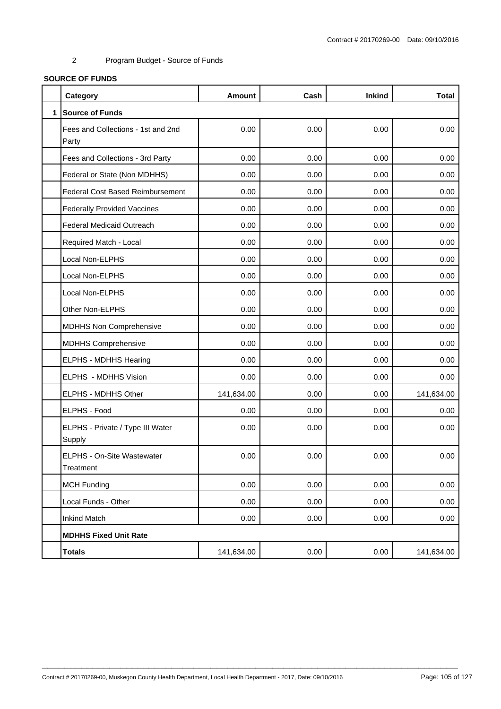# **SOURCE OF FUNDS**

|              | Category                                    | <b>Amount</b> | Cash | <b>Inkind</b> | <b>Total</b> |
|--------------|---------------------------------------------|---------------|------|---------------|--------------|
| $\mathbf{1}$ | <b>Source of Funds</b>                      |               |      |               |              |
|              | Fees and Collections - 1st and 2nd<br>Party | 0.00          | 0.00 | 0.00          | 0.00         |
|              | Fees and Collections - 3rd Party            | 0.00          | 0.00 | 0.00          | 0.00         |
|              | Federal or State (Non MDHHS)                | 0.00          | 0.00 | 0.00          | 0.00         |
|              | <b>Federal Cost Based Reimbursement</b>     | 0.00          | 0.00 | 0.00          | 0.00         |
|              | <b>Federally Provided Vaccines</b>          | 0.00          | 0.00 | 0.00          | 0.00         |
|              | <b>Federal Medicaid Outreach</b>            | 0.00          | 0.00 | 0.00          | 0.00         |
|              | Required Match - Local                      | 0.00          | 0.00 | 0.00          | 0.00         |
|              | Local Non-ELPHS                             | 0.00          | 0.00 | 0.00          | 0.00         |
|              | Local Non-ELPHS                             | 0.00          | 0.00 | 0.00          | 0.00         |
|              | Local Non-ELPHS                             | 0.00          | 0.00 | 0.00          | 0.00         |
|              | Other Non-ELPHS                             | 0.00          | 0.00 | 0.00          | 0.00         |
|              | <b>MDHHS Non Comprehensive</b>              | 0.00          | 0.00 | 0.00          | 0.00         |
|              | <b>MDHHS Comprehensive</b>                  | 0.00          | 0.00 | 0.00          | 0.00         |
|              | ELPHS - MDHHS Hearing                       | 0.00          | 0.00 | 0.00          | 0.00         |
|              | ELPHS - MDHHS Vision                        | 0.00          | 0.00 | 0.00          | 0.00         |
|              | ELPHS - MDHHS Other                         | 141,634.00    | 0.00 | 0.00          | 141,634.00   |
|              | ELPHS - Food                                | 0.00          | 0.00 | 0.00          | 0.00         |
|              | ELPHS - Private / Type III Water<br>Supply  | 0.00          | 0.00 | 0.00          | 0.00         |
|              | ELPHS - On-Site Wastewater<br>Treatment     | 0.00          | 0.00 | 0.00          | 0.00         |
|              | <b>MCH Funding</b>                          | 0.00          | 0.00 | 0.00          | 0.00         |
|              | Local Funds - Other                         | 0.00          | 0.00 | 0.00          | 0.00         |
|              | <b>Inkind Match</b>                         | 0.00          | 0.00 | 0.00          | 0.00         |
|              | <b>MDHHS Fixed Unit Rate</b>                |               |      |               |              |
|              | <b>Totals</b>                               | 141,634.00    | 0.00 | 0.00          | 141,634.00   |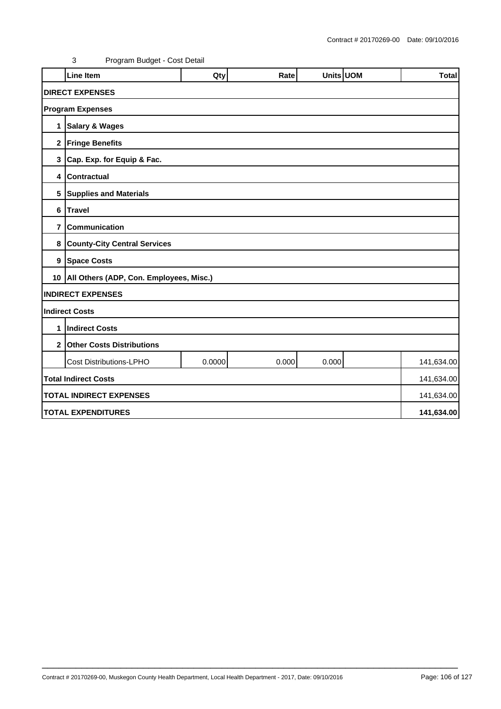|                | <b>Line Item</b>                             | Qty    | Rate  | Units UOM |  | <b>Total</b> |  |  |
|----------------|----------------------------------------------|--------|-------|-----------|--|--------------|--|--|
|                |                                              |        |       |           |  |              |  |  |
|                | <b>DIRECT EXPENSES</b>                       |        |       |           |  |              |  |  |
|                | <b>Program Expenses</b>                      |        |       |           |  |              |  |  |
| 1              | <b>Salary &amp; Wages</b>                    |        |       |           |  |              |  |  |
|                | 2 Fringe Benefits                            |        |       |           |  |              |  |  |
|                | 3 Cap. Exp. for Equip & Fac.                 |        |       |           |  |              |  |  |
| 4              | <b>Contractual</b>                           |        |       |           |  |              |  |  |
|                | 5 Supplies and Materials                     |        |       |           |  |              |  |  |
| 6              | <b>Travel</b>                                |        |       |           |  |              |  |  |
| $\overline{7}$ | Communication                                |        |       |           |  |              |  |  |
| 8              | <b>County-City Central Services</b>          |        |       |           |  |              |  |  |
|                | 9 Space Costs                                |        |       |           |  |              |  |  |
|                | 10   All Others (ADP, Con. Employees, Misc.) |        |       |           |  |              |  |  |
|                | <b>INDIRECT EXPENSES</b>                     |        |       |           |  |              |  |  |
|                | <b>Indirect Costs</b>                        |        |       |           |  |              |  |  |
| 1              | <b>Indirect Costs</b>                        |        |       |           |  |              |  |  |
| $\mathbf{2}$   | <b>Other Costs Distributions</b>             |        |       |           |  |              |  |  |
|                | <b>Cost Distributions-LPHO</b>               | 0.0000 | 0.000 | 0.000     |  | 141,634.00   |  |  |
|                | <b>Total Indirect Costs</b>                  |        |       |           |  | 141,634.00   |  |  |
|                | <b>TOTAL INDIRECT EXPENSES</b><br>141,634.00 |        |       |           |  |              |  |  |
|                | <b>TOTAL EXPENDITURES</b><br>141,634.00      |        |       |           |  |              |  |  |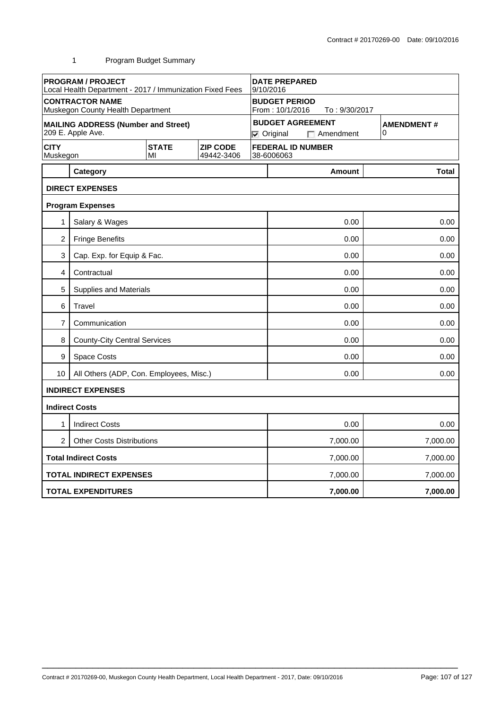|                                                                                | <b>PROGRAM / PROJECT</b><br>Local Health Department - 2017 / Immunization Fixed Fees |  |                                        | <b>DATE PREPARED</b><br>9/10/2016 |                      |                        |  |  |
|--------------------------------------------------------------------------------|--------------------------------------------------------------------------------------|--|----------------------------------------|-----------------------------------|----------------------|------------------------|--|--|
|                                                                                | <b>CONTRACTOR NAME</b>                                                               |  |                                        | <b>BUDGET PERIOD</b>              |                      |                        |  |  |
|                                                                                | Muskegon County Health Department                                                    |  |                                        | From: 10/1/2016<br>To: 9/30/2017  |                      |                        |  |  |
|                                                                                | <b>MAILING ADDRESS (Number and Street)</b>                                           |  |                                        | <b>BUDGET AGREEMENT</b>           |                      | <b>AMENDMENT#</b><br>0 |  |  |
|                                                                                | 209 E. Apple Ave.                                                                    |  |                                        | $\nabla$ Original                 | $\Box$ Amendment     |                        |  |  |
| <b>CITY</b><br><b>STATE</b><br><b>ZIP CODE</b><br>Muskegon<br>MI<br>49442-3406 |                                                                                      |  | <b>FEDERAL ID NUMBER</b><br>38-6006063 |                                   |                      |                        |  |  |
|                                                                                | Category                                                                             |  |                                        |                                   | <b>Amount</b>        | <b>Total</b>           |  |  |
|                                                                                | <b>DIRECT EXPENSES</b>                                                               |  |                                        |                                   |                      |                        |  |  |
|                                                                                | <b>Program Expenses</b>                                                              |  |                                        |                                   |                      |                        |  |  |
| 1                                                                              | Salary & Wages                                                                       |  |                                        |                                   | 0.00                 | 0.00                   |  |  |
| $\overline{2}$                                                                 | <b>Fringe Benefits</b>                                                               |  |                                        |                                   | 0.00                 | 0.00                   |  |  |
| 3                                                                              | Cap. Exp. for Equip & Fac.                                                           |  |                                        |                                   | 0.00                 |                        |  |  |
| 4                                                                              | Contractual                                                                          |  |                                        |                                   | 0.00<br>0.00         |                        |  |  |
| 5                                                                              | <b>Supplies and Materials</b>                                                        |  |                                        |                                   | 0.00<br>0.00         |                        |  |  |
| 6                                                                              | Travel                                                                               |  |                                        |                                   | 0.00<br>0.00         |                        |  |  |
| 7                                                                              | Communication                                                                        |  |                                        | 0.00<br>0.00                      |                      |                        |  |  |
| 8                                                                              | <b>County-City Central Services</b>                                                  |  |                                        |                                   | 0.00<br>0.00         |                        |  |  |
| 9                                                                              | <b>Space Costs</b>                                                                   |  |                                        |                                   | 0.00<br>0.00         |                        |  |  |
| 10                                                                             | All Others (ADP, Con. Employees, Misc.)                                              |  |                                        |                                   | 0.00                 | 0.00                   |  |  |
|                                                                                | <b>INDIRECT EXPENSES</b>                                                             |  |                                        |                                   |                      |                        |  |  |
|                                                                                | <b>Indirect Costs</b>                                                                |  |                                        |                                   |                      |                        |  |  |
| 1                                                                              | <b>Indirect Costs</b>                                                                |  |                                        |                                   | 0.00                 | 0.00                   |  |  |
| $\overline{2}$                                                                 | <b>Other Costs Distributions</b>                                                     |  |                                        |                                   | 7,000.00<br>7,000.00 |                        |  |  |
|                                                                                | <b>Total Indirect Costs</b>                                                          |  |                                        |                                   | 7,000.00<br>7,000.00 |                        |  |  |
|                                                                                | <b>TOTAL INDIRECT EXPENSES</b>                                                       |  |                                        |                                   | 7,000.00             | 7,000.00               |  |  |
|                                                                                | <b>TOTAL EXPENDITURES</b>                                                            |  |                                        |                                   | 7,000.00             | 7,000.00               |  |  |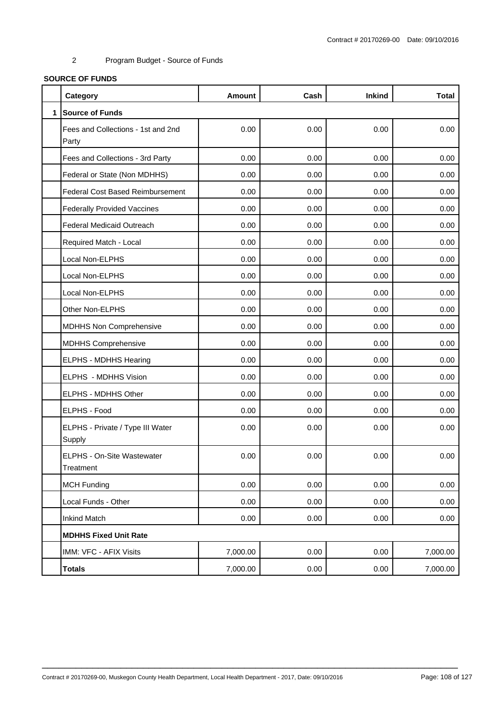# **SOURCE OF FUNDS**

|              | Category                                    | <b>Amount</b> | Cash | <b>Inkind</b> | <b>Total</b> |
|--------------|---------------------------------------------|---------------|------|---------------|--------------|
| $\mathbf{1}$ | <b>Source of Funds</b>                      |               |      |               |              |
|              | Fees and Collections - 1st and 2nd<br>Party | 0.00          | 0.00 | 0.00          | 0.00         |
|              | Fees and Collections - 3rd Party            | 0.00          | 0.00 | 0.00          | 0.00         |
|              | Federal or State (Non MDHHS)                | 0.00          | 0.00 | 0.00          | 0.00         |
|              | <b>Federal Cost Based Reimbursement</b>     | 0.00          | 0.00 | 0.00          | 0.00         |
|              | <b>Federally Provided Vaccines</b>          | 0.00          | 0.00 | 0.00          | 0.00         |
|              | <b>Federal Medicaid Outreach</b>            | 0.00          | 0.00 | 0.00          | 0.00         |
|              | Required Match - Local                      | 0.00          | 0.00 | 0.00          | 0.00         |
|              | Local Non-ELPHS                             | 0.00          | 0.00 | 0.00          | 0.00         |
|              | Local Non-ELPHS                             | 0.00          | 0.00 | 0.00          | 0.00         |
|              | Local Non-ELPHS                             | 0.00          | 0.00 | 0.00          | 0.00         |
|              | Other Non-ELPHS                             | 0.00          | 0.00 | 0.00          | 0.00         |
|              | <b>MDHHS Non Comprehensive</b>              | 0.00          | 0.00 | 0.00          | 0.00         |
|              | <b>MDHHS Comprehensive</b>                  | 0.00          | 0.00 | 0.00          | 0.00         |
|              | ELPHS - MDHHS Hearing                       | 0.00          | 0.00 | 0.00          | 0.00         |
|              | ELPHS - MDHHS Vision                        | 0.00          | 0.00 | 0.00          | 0.00         |
|              | ELPHS - MDHHS Other                         | 0.00          | 0.00 | 0.00          | 0.00         |
|              | ELPHS - Food                                | 0.00          | 0.00 | 0.00          | 0.00         |
|              | ELPHS - Private / Type III Water<br>Supply  | 0.00          | 0.00 | 0.00          | 0.00         |
|              | ELPHS - On-Site Wastewater<br>Treatment     | 0.00          | 0.00 | 0.00          | 0.00         |
|              | <b>MCH Funding</b>                          | 0.00          | 0.00 | 0.00          | 0.00         |
|              | Local Funds - Other                         | 0.00          | 0.00 | 0.00          | 0.00         |
|              | <b>Inkind Match</b>                         | 0.00          | 0.00 | 0.00          | 0.00         |
|              | <b>MDHHS Fixed Unit Rate</b>                |               |      |               |              |
|              | IMM: VFC - AFIX Visits                      | 7,000.00      | 0.00 | 0.00          | 7,000.00     |
|              | <b>Totals</b>                               | 7,000.00      | 0.00 | 0.00          | 7,000.00     |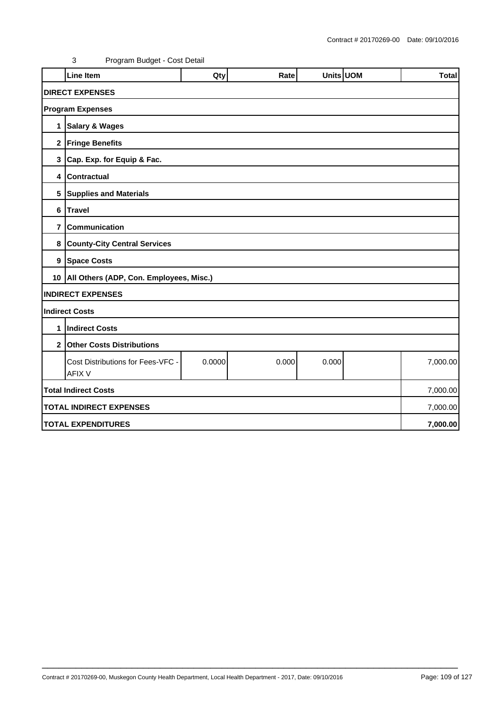|                                | <b>Line Item</b>                                   | Qty    | Rate  | Units UOM |  | <b>Total</b> |  |  |
|--------------------------------|----------------------------------------------------|--------|-------|-----------|--|--------------|--|--|
|                                | <b>DIRECT EXPENSES</b>                             |        |       |           |  |              |  |  |
|                                | <b>Program Expenses</b>                            |        |       |           |  |              |  |  |
| 1                              | <b>Salary &amp; Wages</b>                          |        |       |           |  |              |  |  |
|                                | 2 Fringe Benefits                                  |        |       |           |  |              |  |  |
| 3                              | Cap. Exp. for Equip & Fac.                         |        |       |           |  |              |  |  |
| 4                              | <b>Contractual</b>                                 |        |       |           |  |              |  |  |
|                                | 5 Supplies and Materials                           |        |       |           |  |              |  |  |
| 6                              | <b>Travel</b>                                      |        |       |           |  |              |  |  |
| $\overline{7}$                 | <b>Communication</b>                               |        |       |           |  |              |  |  |
| 8                              | <b>County-City Central Services</b>                |        |       |           |  |              |  |  |
|                                | 9 Space Costs                                      |        |       |           |  |              |  |  |
|                                | 10   All Others (ADP, Con. Employees, Misc.)       |        |       |           |  |              |  |  |
|                                | <b>INDIRECT EXPENSES</b>                           |        |       |           |  |              |  |  |
|                                | <b>Indirect Costs</b>                              |        |       |           |  |              |  |  |
| 1                              | <b>Indirect Costs</b>                              |        |       |           |  |              |  |  |
| 2 <sub>1</sub>                 | <b>Other Costs Distributions</b>                   |        |       |           |  |              |  |  |
|                                | Cost Distributions for Fees-VFC -<br><b>AFIX V</b> | 0.0000 | 0.000 | 0.000     |  | 7,000.00     |  |  |
|                                | <b>Total Indirect Costs</b>                        |        |       |           |  | 7,000.00     |  |  |
| <b>TOTAL INDIRECT EXPENSES</b> |                                                    |        |       |           |  | 7,000.00     |  |  |
|                                | <b>TOTAL EXPENDITURES</b>                          |        |       |           |  |              |  |  |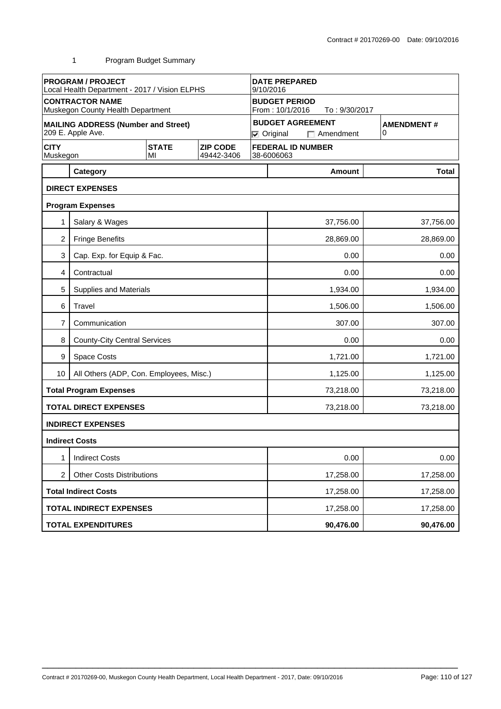|                         | <b>PROGRAM / PROJECT</b><br>Local Health Department - 2017 / Vision ELPHS |                    |                               | <b>DATE PREPARED</b><br>9/10/2016                        |                        |                                             |                        |  |
|-------------------------|---------------------------------------------------------------------------|--------------------|-------------------------------|----------------------------------------------------------|------------------------|---------------------------------------------|------------------------|--|
|                         | <b>CONTRACTOR NAME</b><br>Muskegon County Health Department               |                    |                               | <b>BUDGET PERIOD</b><br>From: 10/1/2016<br>To: 9/30/2017 |                        |                                             |                        |  |
|                         | <b>MAILING ADDRESS (Number and Street)</b><br>209 E. Apple Ave.           |                    |                               |                                                          | $\nabla$ Original      | <b>BUDGET AGREEMENT</b><br>$\Box$ Amendment | <b>AMENDMENT#</b><br>0 |  |
| <b>CITY</b><br>Muskegon |                                                                           | <b>STATE</b><br>MI | <b>ZIP CODE</b><br>49442-3406 |                                                          | 38-6006063             | <b>FEDERAL ID NUMBER</b>                    |                        |  |
|                         | Category                                                                  |                    |                               |                                                          |                        | Amount                                      | <b>Total</b>           |  |
|                         | <b>DIRECT EXPENSES</b>                                                    |                    |                               |                                                          |                        |                                             |                        |  |
|                         | <b>Program Expenses</b>                                                   |                    |                               |                                                          |                        |                                             |                        |  |
|                         | Salary & Wages                                                            |                    |                               |                                                          |                        | 37,756.00                                   | 37,756.00              |  |
| $\overline{2}$          | <b>Fringe Benefits</b>                                                    |                    |                               |                                                          |                        | 28,869.00                                   | 28,869.00              |  |
| 3                       | Cap. Exp. for Equip & Fac.                                                |                    |                               |                                                          |                        | 0.00                                        | 0.00                   |  |
| 4                       | Contractual                                                               |                    |                               |                                                          | 0.00                   |                                             |                        |  |
| 5                       | Supplies and Materials                                                    |                    |                               |                                                          |                        | 1,934.00                                    | 1,934.00               |  |
| 6                       | Travel                                                                    |                    |                               |                                                          | 1,506.00<br>1,506.00   |                                             |                        |  |
| 7                       | Communication                                                             |                    |                               |                                                          | 307.00<br>307.00       |                                             |                        |  |
| 8                       | <b>County-City Central Services</b>                                       |                    |                               |                                                          | 0.00<br>0.00           |                                             |                        |  |
| 9                       | Space Costs                                                               |                    |                               |                                                          | 1,721.00<br>1,721.00   |                                             |                        |  |
| 10                      | All Others (ADP, Con. Employees, Misc.)                                   |                    |                               |                                                          |                        | 1,125.00                                    | 1,125.00               |  |
|                         | <b>Total Program Expenses</b>                                             |                    |                               |                                                          |                        | 73,218.00                                   | 73,218.00              |  |
|                         | <b>TOTAL DIRECT EXPENSES</b>                                              |                    |                               |                                                          |                        | 73,218.00                                   | 73,218.00              |  |
|                         | <b>INDIRECT EXPENSES</b>                                                  |                    |                               |                                                          |                        |                                             |                        |  |
|                         | <b>Indirect Costs</b>                                                     |                    |                               |                                                          |                        |                                             |                        |  |
| 1                       | <b>Indirect Costs</b>                                                     |                    |                               |                                                          | 0.00<br>0.00           |                                             |                        |  |
| 2                       | <b>Other Costs Distributions</b>                                          |                    |                               |                                                          |                        | 17,258.00                                   | 17,258.00              |  |
|                         | <b>Total Indirect Costs</b>                                               |                    |                               |                                                          | 17,258.00<br>17,258.00 |                                             |                        |  |
|                         | <b>TOTAL INDIRECT EXPENSES</b>                                            |                    |                               |                                                          | 17,258.00<br>17,258.00 |                                             |                        |  |
|                         | <b>TOTAL EXPENDITURES</b>                                                 |                    |                               |                                                          |                        | 90,476.00                                   | 90,476.00              |  |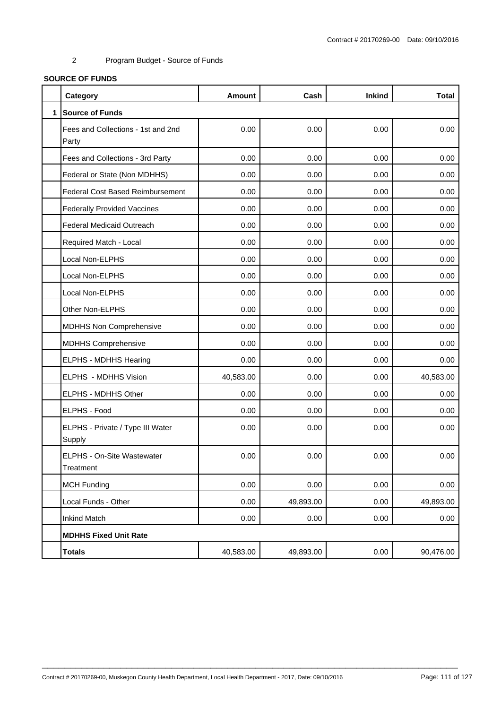#### **SOURCE OF FUNDS**

|              | Category                                    | <b>Amount</b> | Cash      | <b>Inkind</b> | <b>Total</b> |
|--------------|---------------------------------------------|---------------|-----------|---------------|--------------|
| $\mathbf{1}$ | <b>Source of Funds</b>                      |               |           |               |              |
|              | Fees and Collections - 1st and 2nd<br>Party | 0.00          | 0.00      | 0.00          | 0.00         |
|              | Fees and Collections - 3rd Party            | 0.00          | 0.00      | 0.00          | 0.00         |
|              | Federal or State (Non MDHHS)                | 0.00          | 0.00      | 0.00          | 0.00         |
|              | <b>Federal Cost Based Reimbursement</b>     | 0.00          | 0.00      | 0.00          | 0.00         |
|              | <b>Federally Provided Vaccines</b>          | 0.00          | 0.00      | 0.00          | 0.00         |
|              | <b>Federal Medicaid Outreach</b>            | 0.00          | 0.00      | 0.00          | 0.00         |
|              | Required Match - Local                      | 0.00          | 0.00      | 0.00          | 0.00         |
|              | Local Non-ELPHS                             | 0.00          | 0.00      | 0.00          | 0.00         |
|              | Local Non-ELPHS                             | 0.00          | 0.00      | 0.00          | 0.00         |
|              | Local Non-ELPHS                             | 0.00          | 0.00      | 0.00          | 0.00         |
|              | Other Non-ELPHS                             | 0.00          | 0.00      | 0.00          | 0.00         |
|              | <b>MDHHS Non Comprehensive</b>              | 0.00          | 0.00      | 0.00          | 0.00         |
|              | <b>MDHHS Comprehensive</b>                  | 0.00          | 0.00      | 0.00          | 0.00         |
|              | <b>ELPHS - MDHHS Hearing</b>                | 0.00          | 0.00      | 0.00          | 0.00         |
|              | ELPHS - MDHHS Vision                        | 40,583.00     | 0.00      | 0.00          | 40,583.00    |
|              | ELPHS - MDHHS Other                         | 0.00          | 0.00      | 0.00          | 0.00         |
|              | <b>ELPHS - Food</b>                         | 0.00          | 0.00      | 0.00          | 0.00         |
|              | ELPHS - Private / Type III Water<br>Supply  | 0.00          | 0.00      | 0.00          | 0.00         |
|              | ELPHS - On-Site Wastewater<br>Treatment     | 0.00          | 0.00      | 0.00          | 0.00         |
|              | <b>MCH Funding</b>                          | 0.00          | 0.00      | 0.00          | 0.00         |
|              | Local Funds - Other                         | 0.00          | 49,893.00 | 0.00          | 49,893.00    |
|              | <b>Inkind Match</b>                         | 0.00          | 0.00      | 0.00          | 0.00         |
|              | <b>MDHHS Fixed Unit Rate</b>                |               |           |               |              |
|              | <b>Totals</b>                               | 40,583.00     | 49,893.00 | 0.00          | 90,476.00    |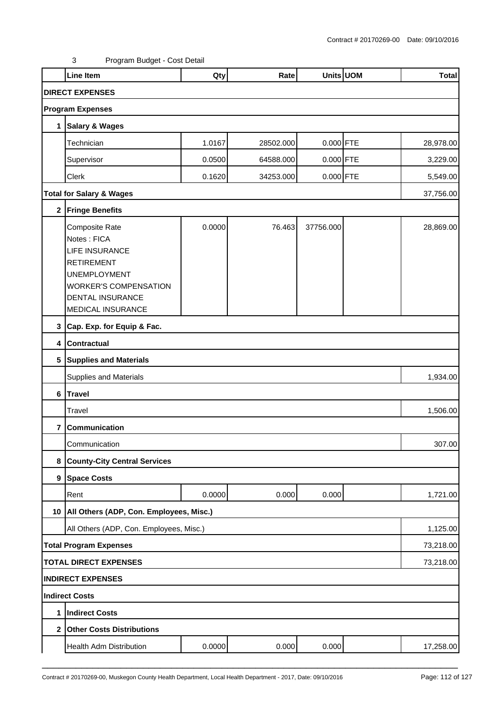|                | Line Item                                                                                                                                                                   | Qty    | Rate      |             | Units UOM | <b>Total</b> |
|----------------|-----------------------------------------------------------------------------------------------------------------------------------------------------------------------------|--------|-----------|-------------|-----------|--------------|
|                | <b>DIRECT EXPENSES</b>                                                                                                                                                      |        |           |             |           |              |
|                | <b>Program Expenses</b>                                                                                                                                                     |        |           |             |           |              |
| 1              | <b>Salary &amp; Wages</b>                                                                                                                                                   |        |           |             |           |              |
|                | Technician                                                                                                                                                                  | 1.0167 | 28502.000 | 0.000 FTE   |           | 28,978.00    |
|                | Supervisor                                                                                                                                                                  | 0.0500 | 64588.000 | $0.000$ FTE |           | 3,229.00     |
|                | Clerk                                                                                                                                                                       | 0.1620 | 34253.000 | 0.000 FTE   |           | 5,549.00     |
|                | <b>Total for Salary &amp; Wages</b>                                                                                                                                         |        |           |             |           | 37,756.00    |
|                | 2 Fringe Benefits                                                                                                                                                           |        |           |             |           |              |
|                | Composite Rate<br>Notes: FICA<br>LIFE INSURANCE<br><b>RETIREMENT</b><br><b>UNEMPLOYMENT</b><br><b>WORKER'S COMPENSATION</b><br><b>DENTAL INSURANCE</b><br>MEDICAL INSURANCE | 0.0000 | 76.463    | 37756.000   |           | 28,869.00    |
|                | 3 Cap. Exp. for Equip & Fac.                                                                                                                                                |        |           |             |           |              |
|                | 4 Contractual                                                                                                                                                               |        |           |             |           |              |
|                | 5 Supplies and Materials                                                                                                                                                    |        |           |             |           |              |
|                | Supplies and Materials                                                                                                                                                      |        |           |             |           | 1,934.00     |
|                | 6 Travel                                                                                                                                                                    |        |           |             |           |              |
|                | Travel                                                                                                                                                                      |        |           |             |           | 1,506.00     |
| 7              | Communication                                                                                                                                                               |        |           |             |           |              |
|                | Communication                                                                                                                                                               |        |           |             |           | 307.00       |
| 8              | <b>County-City Central Services</b>                                                                                                                                         |        |           |             |           |              |
|                | 9 Space Costs                                                                                                                                                               |        |           |             |           |              |
|                | Rent                                                                                                                                                                        | 0.0000 | 0.000     | 0.000       |           | 1,721.00     |
|                | 10   All Others (ADP, Con. Employees, Misc.)                                                                                                                                |        |           |             |           |              |
|                | All Others (ADP, Con. Employees, Misc.)                                                                                                                                     |        |           |             |           | 1,125.00     |
|                | <b>Total Program Expenses</b>                                                                                                                                               |        |           |             |           | 73,218.00    |
|                | <b>TOTAL DIRECT EXPENSES</b>                                                                                                                                                |        |           |             |           | 73,218.00    |
|                | <b>INDIRECT EXPENSES</b>                                                                                                                                                    |        |           |             |           |              |
|                | Indirect Costs                                                                                                                                                              |        |           |             |           |              |
| 1              | <b>Indirect Costs</b>                                                                                                                                                       |        |           |             |           |              |
| 2 <sub>1</sub> | <b>Other Costs Distributions</b>                                                                                                                                            |        |           |             |           |              |
|                | Health Adm Distribution                                                                                                                                                     | 0.0000 | 0.000     | 0.000       |           | 17,258.00    |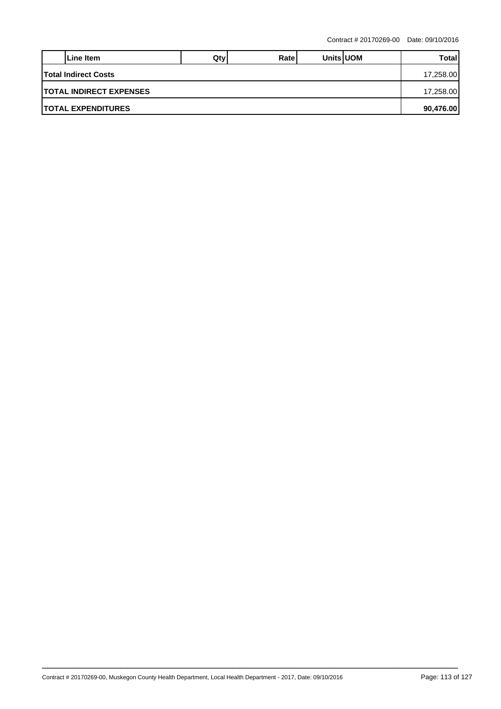|                                 | Line Item | Qtv | Ratel |  | <b>Units UOM</b> | Total |  |  |
|---------------------------------|-----------|-----|-------|--|------------------|-------|--|--|
| <b>Total Indirect Costs</b>     |           |     |       |  |                  |       |  |  |
| <b>ITOTAL INDIRECT EXPENSES</b> |           |     |       |  |                  |       |  |  |
| <b>ITOTAL EXPENDITURES</b>      |           |     |       |  |                  |       |  |  |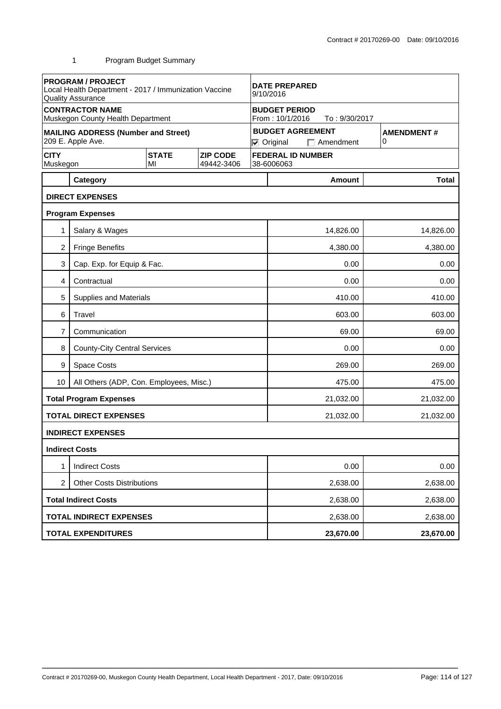|                         | <b>PROGRAM / PROJECT</b><br>Local Health Department - 2017 / Immunization Vaccine<br><b>Quality Assurance</b> |                    | <b>DATE PREPARED</b><br>9/10/2016 |                                                                       |                  |                          |                   |              |
|-------------------------|---------------------------------------------------------------------------------------------------------------|--------------------|-----------------------------------|-----------------------------------------------------------------------|------------------|--------------------------|-------------------|--------------|
|                         | <b>CONTRACTOR NAME</b><br>Muskegon County Health Department                                                   |                    |                                   | <b>BUDGET PERIOD</b><br>From: 10/1/2016<br>To: 9/30/2017              |                  |                          |                   |              |
|                         | <b>MAILING ADDRESS (Number and Street)</b><br>209 E. Apple Ave.                                               |                    |                                   | <b>BUDGET AGREEMENT</b><br>0<br><b>⊽</b> Original<br>$\Box$ Amendment |                  |                          | <b>AMENDMENT#</b> |              |
| <b>CITY</b><br>Muskegon |                                                                                                               | <b>STATE</b><br>MI | <b>ZIP CODE</b><br>49442-3406     |                                                                       | 38-6006063       | <b>FEDERAL ID NUMBER</b> |                   |              |
|                         | Category                                                                                                      |                    |                                   |                                                                       |                  | <b>Amount</b>            |                   | <b>Total</b> |
|                         | <b>DIRECT EXPENSES</b>                                                                                        |                    |                                   |                                                                       |                  |                          |                   |              |
|                         | <b>Program Expenses</b>                                                                                       |                    |                                   |                                                                       |                  |                          |                   |              |
| 1                       | Salary & Wages                                                                                                |                    |                                   |                                                                       |                  | 14,826.00                |                   | 14,826.00    |
| 2                       | <b>Fringe Benefits</b>                                                                                        |                    |                                   |                                                                       |                  | 4,380.00                 |                   | 4,380.00     |
| 3                       | Cap. Exp. for Equip & Fac.                                                                                    |                    |                                   |                                                                       | 0.00             |                          |                   | 0.00         |
| 4                       | Contractual                                                                                                   |                    |                                   |                                                                       |                  | 0.00                     |                   | 0.00         |
| 5                       | <b>Supplies and Materials</b>                                                                                 |                    |                                   |                                                                       |                  | 410.00                   |                   | 410.00       |
| 6                       | Travel                                                                                                        |                    |                                   |                                                                       |                  | 603.00                   |                   | 603.00       |
| 7                       | Communication                                                                                                 |                    |                                   |                                                                       | 69.00<br>69.00   |                          |                   |              |
| 8                       | <b>County-City Central Services</b>                                                                           |                    |                                   |                                                                       | 0.00             |                          |                   | 0.00         |
| 9                       | <b>Space Costs</b>                                                                                            |                    |                                   |                                                                       | 269.00<br>269.00 |                          |                   |              |
| 10                      | All Others (ADP, Con. Employees, Misc.)                                                                       |                    |                                   |                                                                       | 475.00<br>475.00 |                          |                   |              |
|                         | <b>Total Program Expenses</b>                                                                                 |                    |                                   |                                                                       |                  | 21,032.00                |                   | 21,032.00    |
|                         | <b>TOTAL DIRECT EXPENSES</b>                                                                                  |                    |                                   |                                                                       |                  | 21,032.00                |                   | 21,032.00    |
|                         | <b>INDIRECT EXPENSES</b>                                                                                      |                    |                                   |                                                                       |                  |                          |                   |              |
|                         | <b>Indirect Costs</b>                                                                                         |                    |                                   |                                                                       |                  |                          |                   |              |
| 1                       | <b>Indirect Costs</b>                                                                                         |                    |                                   |                                                                       |                  | 0.00                     |                   | 0.00         |
| 2                       | <b>Other Costs Distributions</b>                                                                              |                    |                                   |                                                                       | 2,638.00         |                          |                   | 2,638.00     |
|                         | <b>Total Indirect Costs</b>                                                                                   |                    |                                   |                                                                       | 2,638.00         |                          |                   | 2,638.00     |
|                         | <b>TOTAL INDIRECT EXPENSES</b>                                                                                |                    |                                   |                                                                       |                  | 2,638.00                 |                   | 2,638.00     |
|                         | <b>TOTAL EXPENDITURES</b>                                                                                     |                    |                                   |                                                                       |                  | 23,670.00                |                   | 23,670.00    |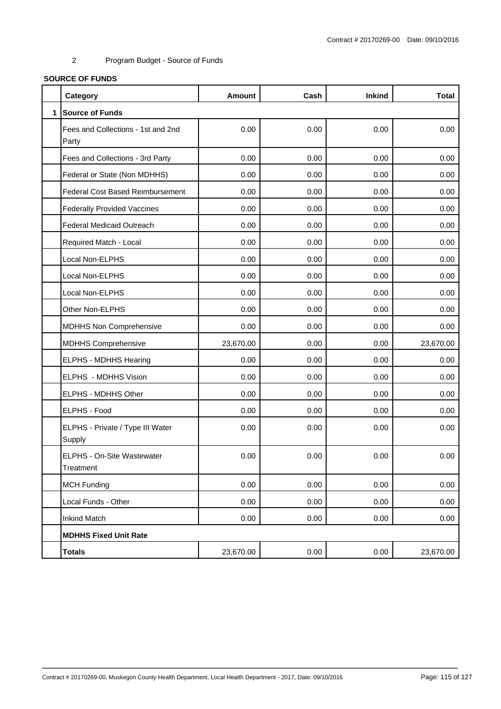#### **SOURCE OF FUNDS**

|              | Category                                    | <b>Amount</b> | Cash | <b>Inkind</b> | <b>Total</b> |
|--------------|---------------------------------------------|---------------|------|---------------|--------------|
| $\mathbf{1}$ | <b>Source of Funds</b>                      |               |      |               |              |
|              | Fees and Collections - 1st and 2nd<br>Party | 0.00          | 0.00 | 0.00          | 0.00         |
|              | Fees and Collections - 3rd Party            | 0.00          | 0.00 | 0.00          | 0.00         |
|              | Federal or State (Non MDHHS)                | 0.00          | 0.00 | 0.00          | 0.00         |
|              | <b>Federal Cost Based Reimbursement</b>     | 0.00          | 0.00 | 0.00          | 0.00         |
|              | <b>Federally Provided Vaccines</b>          | 0.00          | 0.00 | 0.00          | 0.00         |
|              | <b>Federal Medicaid Outreach</b>            | 0.00          | 0.00 | 0.00          | 0.00         |
|              | Required Match - Local                      | 0.00          | 0.00 | 0.00          | 0.00         |
|              | Local Non-ELPHS                             | 0.00          | 0.00 | 0.00          | 0.00         |
|              | Local Non-ELPHS                             | 0.00          | 0.00 | 0.00          | 0.00         |
|              | Local Non-ELPHS                             | 0.00          | 0.00 | 0.00          | 0.00         |
|              | Other Non-ELPHS                             | 0.00          | 0.00 | 0.00          | 0.00         |
|              | MDHHS Non Comprehensive                     | 0.00          | 0.00 | 0.00          | 0.00         |
|              | <b>MDHHS Comprehensive</b>                  | 23,670.00     | 0.00 | 0.00          | 23,670.00    |
|              | ELPHS - MDHHS Hearing                       | 0.00          | 0.00 | 0.00          | 0.00         |
|              | ELPHS - MDHHS Vision                        | 0.00          | 0.00 | 0.00          | 0.00         |
|              | ELPHS - MDHHS Other                         | 0.00          | 0.00 | 0.00          | 0.00         |
|              | ELPHS - Food                                | 0.00          | 0.00 | 0.00          | 0.00         |
|              | ELPHS - Private / Type III Water<br>Supply  | 0.00          | 0.00 | 0.00          | 0.00         |
|              | ELPHS - On-Site Wastewater<br>Treatment     | 0.00          | 0.00 | 0.00          | 0.00         |
|              | <b>MCH Funding</b>                          | 0.00          | 0.00 | 0.00          | 0.00         |
|              | Local Funds - Other                         | 0.00          | 0.00 | 0.00          | 0.00         |
|              | <b>Inkind Match</b>                         | 0.00          | 0.00 | 0.00          | 0.00         |
|              | <b>MDHHS Fixed Unit Rate</b>                |               |      |               |              |
|              | <b>Totals</b>                               | 23,670.00     | 0.00 | 0.00          | 23,670.00    |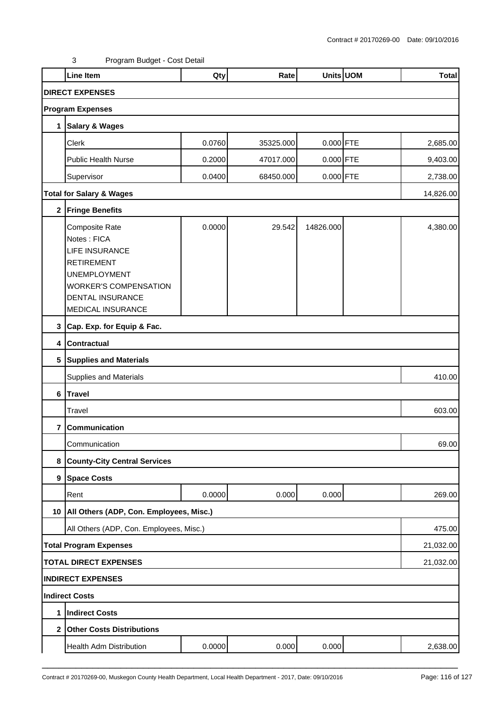|                         | Line Item                                                                                                                                                                          | Qty    | Rate      |             | Units UOM | <b>Total</b> |
|-------------------------|------------------------------------------------------------------------------------------------------------------------------------------------------------------------------------|--------|-----------|-------------|-----------|--------------|
|                         | <b>DIRECT EXPENSES</b>                                                                                                                                                             |        |           |             |           |              |
|                         | <b>Program Expenses</b>                                                                                                                                                            |        |           |             |           |              |
| $\mathbf 1$             | Salary & Wages                                                                                                                                                                     |        |           |             |           |              |
|                         | Clerk                                                                                                                                                                              | 0.0760 | 35325.000 | 0.000 FTE   |           | 2,685.00     |
|                         | <b>Public Health Nurse</b>                                                                                                                                                         | 0.2000 | 47017.000 | $0.000$ FTE |           | 9,403.00     |
|                         | Supervisor                                                                                                                                                                         | 0.0400 | 68450.000 | 0.000 FTE   |           | 2,738.00     |
|                         | <b>Total for Salary &amp; Wages</b>                                                                                                                                                |        |           |             |           | 14,826.00    |
|                         | 2 Fringe Benefits                                                                                                                                                                  |        |           |             |           |              |
|                         | Composite Rate<br>Notes: FICA<br><b>LIFE INSURANCE</b><br><b>RETIREMENT</b><br><b>UNEMPLOYMENT</b><br><b>WORKER'S COMPENSATION</b><br><b>DENTAL INSURANCE</b><br>MEDICAL INSURANCE | 0.0000 | 29.542    | 14826.000   |           | 4,380.00     |
|                         | 3 Cap. Exp. for Equip & Fac.                                                                                                                                                       |        |           |             |           |              |
|                         | 4 Contractual                                                                                                                                                                      |        |           |             |           |              |
|                         | 5 Supplies and Materials                                                                                                                                                           |        |           |             |           |              |
|                         | Supplies and Materials                                                                                                                                                             |        |           |             |           | 410.00       |
|                         | 6 Travel                                                                                                                                                                           |        |           |             |           |              |
|                         | Travel                                                                                                                                                                             |        |           |             |           | 603.00       |
| $\overline{\mathbf{r}}$ | Communication                                                                                                                                                                      |        |           |             |           |              |
|                         | Communication                                                                                                                                                                      |        |           |             |           | 69.00        |
| 8                       | <b>County-City Central Services</b>                                                                                                                                                |        |           |             |           |              |
|                         | 9 Space Costs                                                                                                                                                                      |        |           |             |           |              |
|                         | Rent                                                                                                                                                                               | 0.0000 | 0.000     | 0.000       |           | 269.00       |
|                         | 10   All Others (ADP, Con. Employees, Misc.)                                                                                                                                       |        |           |             |           |              |
|                         | All Others (ADP, Con. Employees, Misc.)                                                                                                                                            |        |           |             |           | 475.00       |
|                         | <b>Total Program Expenses</b>                                                                                                                                                      |        |           |             |           | 21,032.00    |
|                         | <b>TOTAL DIRECT EXPENSES</b>                                                                                                                                                       |        |           |             |           | 21,032.00    |
|                         | <b>INDIRECT EXPENSES</b>                                                                                                                                                           |        |           |             |           |              |
|                         | Indirect Costs                                                                                                                                                                     |        |           |             |           |              |
| 1                       | <b>Indirect Costs</b>                                                                                                                                                              |        |           |             |           |              |
| 2 <sub>1</sub>          | <b>Other Costs Distributions</b>                                                                                                                                                   |        |           |             |           |              |
|                         | Health Adm Distribution                                                                                                                                                            | 0.0000 | 0.000     | 0.000       |           | 2,638.00     |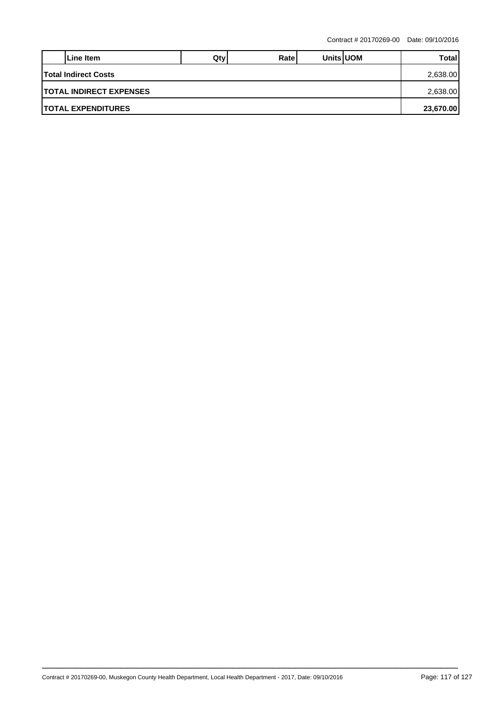|                                 | Line Item | Qtv | Ratel |  | <b>Units UOM</b> | Total |  |  |
|---------------------------------|-----------|-----|-------|--|------------------|-------|--|--|
| <b>Total Indirect Costs</b>     |           |     |       |  |                  |       |  |  |
| <b>ITOTAL INDIRECT EXPENSES</b> |           |     |       |  |                  |       |  |  |
| <b>ITOTAL EXPENDITURES</b>      |           |     |       |  |                  |       |  |  |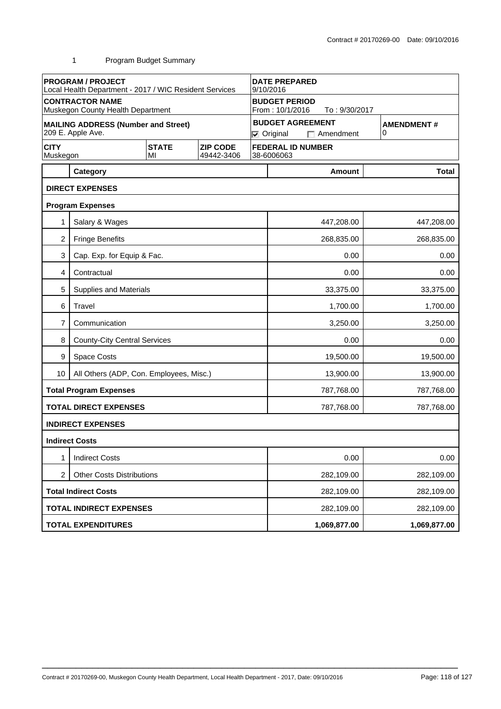|                         | <b>PROGRAM / PROJECT</b><br>Local Health Department - 2017 / WIC Resident Services |                    | <b>DATE PREPARED</b><br>9/10/2016 |                                                          |                          |                          |                   |  |  |
|-------------------------|------------------------------------------------------------------------------------|--------------------|-----------------------------------|----------------------------------------------------------|--------------------------|--------------------------|-------------------|--|--|
|                         | <b>CONTRACTOR NAME</b><br>Muskegon County Health Department                        |                    |                                   | <b>BUDGET PERIOD</b><br>From: 10/1/2016<br>To: 9/30/2017 |                          |                          |                   |  |  |
|                         | <b>MAILING ADDRESS (Number and Street)</b>                                         |                    |                                   |                                                          |                          | <b>BUDGET AGREEMENT</b>  | <b>AMENDMENT#</b> |  |  |
|                         | 209 E. Apple Ave.                                                                  |                    |                                   |                                                          | $\nabla$ Original        | $\Box$ Amendment         | 0                 |  |  |
| <b>CITY</b><br>Muskegon |                                                                                    | <b>STATE</b><br>MI | <b>ZIP CODE</b><br>49442-3406     |                                                          | 38-6006063               | <b>FEDERAL ID NUMBER</b> |                   |  |  |
|                         | Category                                                                           |                    |                                   |                                                          |                          | <b>Amount</b>            | <b>Total</b>      |  |  |
|                         | <b>DIRECT EXPENSES</b>                                                             |                    |                                   |                                                          |                          |                          |                   |  |  |
|                         | <b>Program Expenses</b>                                                            |                    |                                   |                                                          |                          |                          |                   |  |  |
|                         | Salary & Wages                                                                     |                    |                                   |                                                          |                          | 447,208.00               | 447,208.00        |  |  |
| $\overline{2}$          | <b>Fringe Benefits</b>                                                             |                    |                                   |                                                          |                          | 268,835.00               | 268,835.00        |  |  |
| 3                       | Cap. Exp. for Equip & Fac.                                                         |                    |                                   |                                                          |                          | 0.00                     | 0.00              |  |  |
| 4                       | Contractual                                                                        |                    |                                   |                                                          |                          | 0.00                     | 0.00              |  |  |
| 5                       | Supplies and Materials                                                             |                    |                                   |                                                          |                          | 33,375.00                | 33,375.00         |  |  |
| 6                       | Travel                                                                             |                    |                                   |                                                          | 1,700.00<br>1,700.00     |                          |                   |  |  |
| 7                       | Communication                                                                      |                    |                                   |                                                          | 3,250.00<br>3,250.00     |                          |                   |  |  |
| 8                       | <b>County-City Central Services</b>                                                |                    |                                   |                                                          | 0.00<br>0.00             |                          |                   |  |  |
| 9                       | Space Costs                                                                        |                    |                                   |                                                          | 19,500.00<br>19,500.00   |                          |                   |  |  |
| 10                      | All Others (ADP, Con. Employees, Misc.)                                            |                    |                                   |                                                          |                          | 13,900.00                | 13,900.00         |  |  |
|                         | <b>Total Program Expenses</b>                                                      |                    |                                   |                                                          |                          | 787,768.00               | 787,768.00        |  |  |
|                         | <b>TOTAL DIRECT EXPENSES</b>                                                       |                    |                                   |                                                          |                          | 787,768.00               | 787,768.00        |  |  |
|                         | <b>INDIRECT EXPENSES</b>                                                           |                    |                                   |                                                          |                          |                          |                   |  |  |
|                         | <b>Indirect Costs</b>                                                              |                    |                                   |                                                          |                          |                          |                   |  |  |
| 1                       | <b>Indirect Costs</b>                                                              |                    |                                   |                                                          |                          | 0.00                     | 0.00              |  |  |
| $\overline{c}$          | <b>Other Costs Distributions</b>                                                   |                    |                                   |                                                          |                          | 282,109.00               | 282,109.00        |  |  |
|                         | <b>Total Indirect Costs</b>                                                        |                    |                                   |                                                          | 282,109.00<br>282,109.00 |                          |                   |  |  |
|                         | <b>TOTAL INDIRECT EXPENSES</b>                                                     |                    |                                   |                                                          |                          | 282,109.00               | 282,109.00        |  |  |
|                         | <b>TOTAL EXPENDITURES</b>                                                          |                    |                                   |                                                          |                          | 1,069,877.00             | 1,069,877.00      |  |  |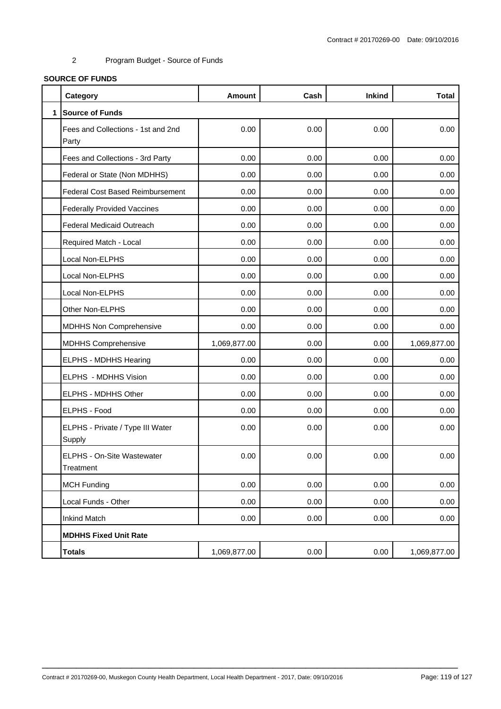#### **SOURCE OF FUNDS**

|              | Category                                    | <b>Amount</b> | Cash | <b>Inkind</b> | <b>Total</b> |
|--------------|---------------------------------------------|---------------|------|---------------|--------------|
| $\mathbf{1}$ | <b>Source of Funds</b>                      |               |      |               |              |
|              | Fees and Collections - 1st and 2nd<br>Party | 0.00          | 0.00 | 0.00          | 0.00         |
|              | Fees and Collections - 3rd Party            | 0.00          | 0.00 | 0.00          | 0.00         |
|              | Federal or State (Non MDHHS)                | 0.00          | 0.00 | 0.00          | 0.00         |
|              | <b>Federal Cost Based Reimbursement</b>     | 0.00          | 0.00 | 0.00          | 0.00         |
|              | <b>Federally Provided Vaccines</b>          | 0.00          | 0.00 | 0.00          | 0.00         |
|              | <b>Federal Medicaid Outreach</b>            | 0.00          | 0.00 | 0.00          | 0.00         |
|              | Required Match - Local                      | 0.00          | 0.00 | 0.00          | 0.00         |
|              | Local Non-ELPHS                             | 0.00          | 0.00 | 0.00          | 0.00         |
|              | Local Non-ELPHS                             | 0.00          | 0.00 | 0.00          | 0.00         |
|              | Local Non-ELPHS                             | 0.00          | 0.00 | 0.00          | 0.00         |
|              | Other Non-ELPHS                             | 0.00          | 0.00 | 0.00          | 0.00         |
|              | MDHHS Non Comprehensive                     | 0.00          | 0.00 | 0.00          | 0.00         |
|              | <b>MDHHS Comprehensive</b>                  | 1,069,877.00  | 0.00 | 0.00          | 1,069,877.00 |
|              | ELPHS - MDHHS Hearing                       | 0.00          | 0.00 | 0.00          | 0.00         |
|              | ELPHS - MDHHS Vision                        | 0.00          | 0.00 | 0.00          | 0.00         |
|              | ELPHS - MDHHS Other                         | 0.00          | 0.00 | 0.00          | 0.00         |
|              | ELPHS - Food                                | 0.00          | 0.00 | 0.00          | 0.00         |
|              | ELPHS - Private / Type III Water<br>Supply  | 0.00          | 0.00 | 0.00          | 0.00         |
|              | ELPHS - On-Site Wastewater<br>Treatment     | 0.00          | 0.00 | 0.00          | 0.00         |
|              | <b>MCH Funding</b>                          | 0.00          | 0.00 | 0.00          | 0.00         |
|              | Local Funds - Other                         | 0.00          | 0.00 | 0.00          | 0.00         |
|              | <b>Inkind Match</b>                         | 0.00          | 0.00 | 0.00          | 0.00         |
|              | <b>MDHHS Fixed Unit Rate</b>                |               |      |               |              |
|              | <b>Totals</b>                               | 1,069,877.00  | 0.00 | 0.00          | 1,069,877.00 |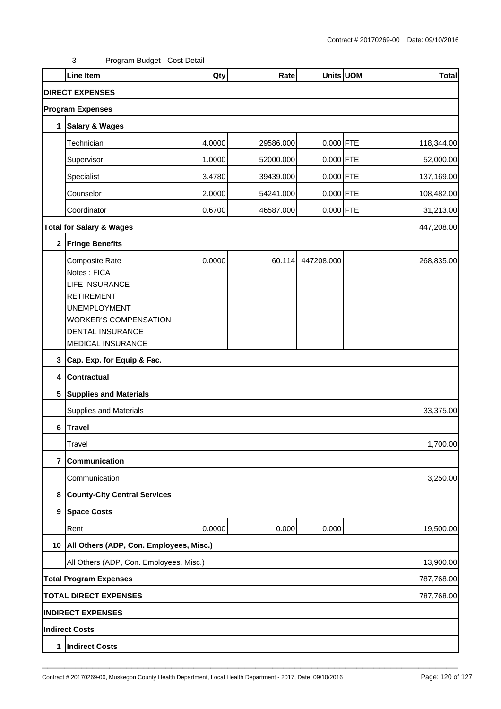|                              | <b>Line Item</b>                                                                                                                                                            | Qty    | Rate      |             | Units UOM | <b>Total</b> |  |
|------------------------------|-----------------------------------------------------------------------------------------------------------------------------------------------------------------------------|--------|-----------|-------------|-----------|--------------|--|
|                              | <b>DIRECT EXPENSES</b>                                                                                                                                                      |        |           |             |           |              |  |
|                              | <b>Program Expenses</b>                                                                                                                                                     |        |           |             |           |              |  |
| 1                            | <b>Salary &amp; Wages</b>                                                                                                                                                   |        |           |             |           |              |  |
|                              | Technician                                                                                                                                                                  | 4.0000 | 29586.000 | $0.000$ FTE |           | 118,344.00   |  |
|                              | Supervisor                                                                                                                                                                  | 1.0000 | 52000.000 | $0.000$ FTE |           | 52,000.00    |  |
|                              | Specialist                                                                                                                                                                  | 3.4780 | 39439.000 | $0.000$ FTE |           | 137,169.00   |  |
|                              | Counselor                                                                                                                                                                   | 2.0000 | 54241.000 | $0.000$ FTE |           | 108,482.00   |  |
|                              | Coordinator                                                                                                                                                                 | 0.6700 | 46587.000 | $0.000$ FTE |           | 31,213.00    |  |
|                              | <b>Total for Salary &amp; Wages</b>                                                                                                                                         |        |           |             |           | 447,208.00   |  |
|                              | 2 Fringe Benefits                                                                                                                                                           |        |           |             |           |              |  |
|                              | Composite Rate<br>Notes: FICA<br>LIFE INSURANCE<br><b>RETIREMENT</b><br><b>UNEMPLOYMENT</b><br><b>WORKER'S COMPENSATION</b><br><b>DENTAL INSURANCE</b><br>MEDICAL INSURANCE | 0.0000 | 60.114    | 447208.000  |           | 268,835.00   |  |
| 3                            | Cap. Exp. for Equip & Fac.                                                                                                                                                  |        |           |             |           |              |  |
| 4                            | <b>Contractual</b>                                                                                                                                                          |        |           |             |           |              |  |
|                              | 5 Supplies and Materials                                                                                                                                                    |        |           |             |           |              |  |
|                              | Supplies and Materials                                                                                                                                                      |        |           |             |           | 33,375.00    |  |
| $\bf 6$                      | <b>Travel</b>                                                                                                                                                               |        |           |             |           |              |  |
|                              | Travel                                                                                                                                                                      |        |           |             |           | 1,700.00     |  |
| $\overline{7}$               | Communication                                                                                                                                                               |        |           |             |           |              |  |
|                              | Communication                                                                                                                                                               |        |           |             |           | 3,250.00     |  |
| 8                            | <b>County-City Central Services</b>                                                                                                                                         |        |           |             |           |              |  |
|                              | 9 Space Costs                                                                                                                                                               |        |           |             |           |              |  |
|                              | Rent                                                                                                                                                                        | 0.0000 | 0.000     | 0.000       |           | 19,500.00    |  |
|                              | 10   All Others (ADP, Con. Employees, Misc.)                                                                                                                                |        |           |             |           |              |  |
|                              | All Others (ADP, Con. Employees, Misc.)                                                                                                                                     |        |           |             |           | 13,900.00    |  |
|                              | <b>Total Program Expenses</b>                                                                                                                                               |        |           |             |           |              |  |
| <b>TOTAL DIRECT EXPENSES</b> |                                                                                                                                                                             |        |           |             |           |              |  |
|                              | <b>INDIRECT EXPENSES</b>                                                                                                                                                    |        |           |             |           |              |  |
|                              | Indirect Costs                                                                                                                                                              |        |           |             |           |              |  |
| 1                            | <b>Indirect Costs</b>                                                                                                                                                       |        |           |             |           |              |  |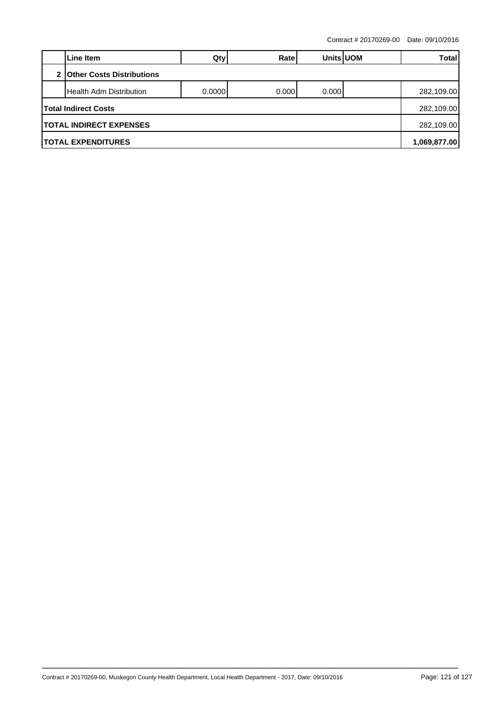Contract # 20170269-00 Date: 09/10/2016

|                                  | Line Item                      | Qty     | Ratel | <b>Units UOM</b> |  | Total      |  |
|----------------------------------|--------------------------------|---------|-------|------------------|--|------------|--|
| <b>Other Costs Distributions</b> |                                |         |       |                  |  |            |  |
|                                  | <b>Health Adm Distribution</b> | 0.00001 | 0.000 | 0.0001           |  | 282,109.00 |  |
|                                  | Total Indirect Costs           |         |       |                  |  |            |  |
|                                  | <b>TOTAL INDIRECT EXPENSES</b> |         |       |                  |  |            |  |
|                                  | <b>TOTAL EXPENDITURES</b>      |         |       |                  |  |            |  |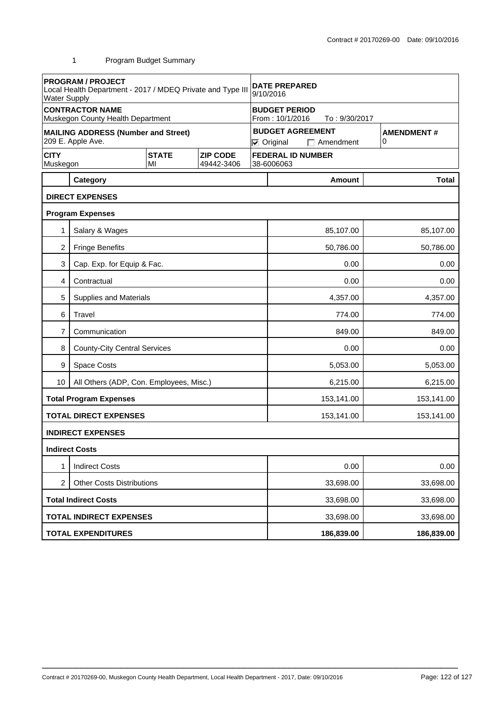| <b>PROGRAM / PROJECT</b><br>Local Health Department - 2017 / MDEQ Private and Type III<br><b>Water Supply</b> |                                                             |  | <b>DATE PREPARED</b><br>9/10/2016                                                                           |                                         |                      |                          |           |              |
|---------------------------------------------------------------------------------------------------------------|-------------------------------------------------------------|--|-------------------------------------------------------------------------------------------------------------|-----------------------------------------|----------------------|--------------------------|-----------|--------------|
|                                                                                                               | <b>CONTRACTOR NAME</b><br>Muskegon County Health Department |  |                                                                                                             | <b>BUDGET PERIOD</b><br>From: 10/1/2016 |                      |                          |           |              |
| <b>MAILING ADDRESS (Number and Street)</b><br>209 E. Apple Ave.                                               |                                                             |  | To: 9/30/2017<br><b>BUDGET AGREEMENT</b><br><b>AMENDMENT#</b><br>0<br>$\nabla$ Original<br>$\Box$ Amendment |                                         |                      |                          |           |              |
| <b>CITY</b><br><b>STATE</b><br><b>ZIP CODE</b><br>Muskegon<br>49442-3406<br>MI                                |                                                             |  |                                                                                                             |                                         | 38-6006063           | <b>FEDERAL ID NUMBER</b> |           |              |
|                                                                                                               | Category                                                    |  |                                                                                                             |                                         |                      | <b>Amount</b>            |           | <b>Total</b> |
|                                                                                                               | <b>DIRECT EXPENSES</b>                                      |  |                                                                                                             |                                         |                      |                          |           |              |
|                                                                                                               | <b>Program Expenses</b>                                     |  |                                                                                                             |                                         |                      |                          |           |              |
| 1                                                                                                             | Salary & Wages                                              |  |                                                                                                             |                                         |                      | 85,107.00                |           | 85,107.00    |
| 2                                                                                                             | <b>Fringe Benefits</b>                                      |  |                                                                                                             |                                         |                      | 50,786.00                |           | 50,786.00    |
| 3                                                                                                             | Cap. Exp. for Equip & Fac.                                  |  |                                                                                                             |                                         | 0.00                 |                          |           |              |
| 4                                                                                                             | Contractual                                                 |  |                                                                                                             |                                         | 0.00                 |                          |           | 0.00         |
| 5                                                                                                             | <b>Supplies and Materials</b>                               |  |                                                                                                             |                                         | 4,357.00<br>4,357.00 |                          |           |              |
| 6                                                                                                             | Travel                                                      |  |                                                                                                             |                                         | 774.00               |                          |           | 774.00       |
| 7                                                                                                             | Communication                                               |  |                                                                                                             |                                         | 849.00               |                          |           |              |
| 8                                                                                                             | <b>County-City Central Services</b>                         |  |                                                                                                             | 0.00                                    |                      |                          |           | 0.00         |
| 9                                                                                                             | <b>Space Costs</b>                                          |  |                                                                                                             | 5,053.00                                |                      |                          |           | 5,053.00     |
| 10                                                                                                            | All Others (ADP, Con. Employees, Misc.)                     |  |                                                                                                             | 6,215.00                                |                      |                          |           | 6,215.00     |
|                                                                                                               | <b>Total Program Expenses</b>                               |  |                                                                                                             | 153,141.00                              |                      |                          |           | 153,141.00   |
|                                                                                                               | <b>TOTAL DIRECT EXPENSES</b>                                |  |                                                                                                             | 153,141.00                              |                      |                          |           | 153,141.00   |
|                                                                                                               | <b>INDIRECT EXPENSES</b>                                    |  |                                                                                                             |                                         |                      |                          |           |              |
|                                                                                                               | <b>Indirect Costs</b>                                       |  |                                                                                                             |                                         |                      |                          |           |              |
| 1                                                                                                             | <b>Indirect Costs</b>                                       |  |                                                                                                             | 0.00                                    |                      |                          | 0.00      |              |
| 2<br><b>Other Costs Distributions</b>                                                                         |                                                             |  |                                                                                                             | 33,698.00                               |                      |                          | 33,698.00 |              |
|                                                                                                               | <b>Total Indirect Costs</b>                                 |  |                                                                                                             |                                         | 33,698.00            |                          |           | 33,698.00    |
|                                                                                                               | <b>TOTAL INDIRECT EXPENSES</b>                              |  |                                                                                                             | 33,698.00                               |                      |                          |           | 33,698.00    |
| <b>TOTAL EXPENDITURES</b>                                                                                     |                                                             |  | 186,839.00<br>186,839.00                                                                                    |                                         |                      |                          |           |              |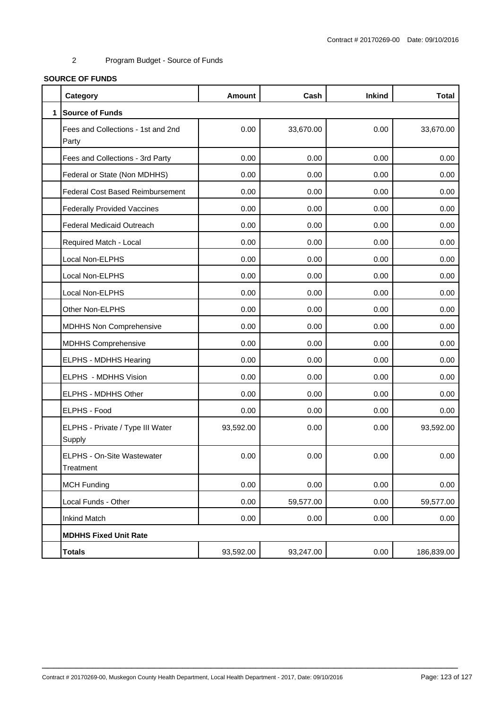#### **SOURCE OF FUNDS**

|              | Category                                    | <b>Amount</b> | Cash      | <b>Inkind</b> | <b>Total</b> |
|--------------|---------------------------------------------|---------------|-----------|---------------|--------------|
| $\mathbf{1}$ | <b>Source of Funds</b>                      |               |           |               |              |
|              | Fees and Collections - 1st and 2nd<br>Party | 0.00          | 33,670.00 | 0.00          | 33,670.00    |
|              | Fees and Collections - 3rd Party            | 0.00          | 0.00      | 0.00          | 0.00         |
|              | Federal or State (Non MDHHS)                | 0.00          | 0.00      | 0.00          | 0.00         |
|              | <b>Federal Cost Based Reimbursement</b>     | 0.00          | 0.00      | 0.00          | 0.00         |
|              | <b>Federally Provided Vaccines</b>          | 0.00          | 0.00      | 0.00          | 0.00         |
|              | <b>Federal Medicaid Outreach</b>            | 0.00          | 0.00      | 0.00          | 0.00         |
|              | Required Match - Local                      | 0.00          | 0.00      | 0.00          | 0.00         |
|              | Local Non-ELPHS                             | 0.00          | 0.00      | 0.00          | 0.00         |
|              | Local Non-ELPHS                             | 0.00          | 0.00      | 0.00          | 0.00         |
|              | Local Non-ELPHS                             | 0.00          | 0.00      | 0.00          | 0.00         |
|              | Other Non-ELPHS                             | 0.00          | 0.00      | 0.00          | 0.00         |
|              | MDHHS Non Comprehensive                     | 0.00          | 0.00      | 0.00          | 0.00         |
|              | <b>MDHHS Comprehensive</b>                  | 0.00          | 0.00      | 0.00          | 0.00         |
|              | ELPHS - MDHHS Hearing                       | 0.00          | 0.00      | 0.00          | 0.00         |
|              | ELPHS - MDHHS Vision                        | 0.00          | 0.00      | 0.00          | 0.00         |
|              | ELPHS - MDHHS Other                         | 0.00          | 0.00      | 0.00          | 0.00         |
|              | ELPHS - Food                                | 0.00          | 0.00      | 0.00          | 0.00         |
|              | ELPHS - Private / Type III Water<br>Supply  | 93,592.00     | 0.00      | 0.00          | 93,592.00    |
|              | ELPHS - On-Site Wastewater<br>Treatment     | 0.00          | 0.00      | 0.00          | 0.00         |
|              | <b>MCH Funding</b>                          | 0.00          | 0.00      | 0.00          | 0.00         |
|              | Local Funds - Other                         | 0.00          | 59,577.00 | 0.00          | 59,577.00    |
|              | <b>Inkind Match</b>                         | 0.00          | 0.00      | 0.00          | 0.00         |
|              | <b>MDHHS Fixed Unit Rate</b>                |               |           |               |              |
|              | <b>Totals</b>                               | 93,592.00     | 93,247.00 | 0.00          | 186,839.00   |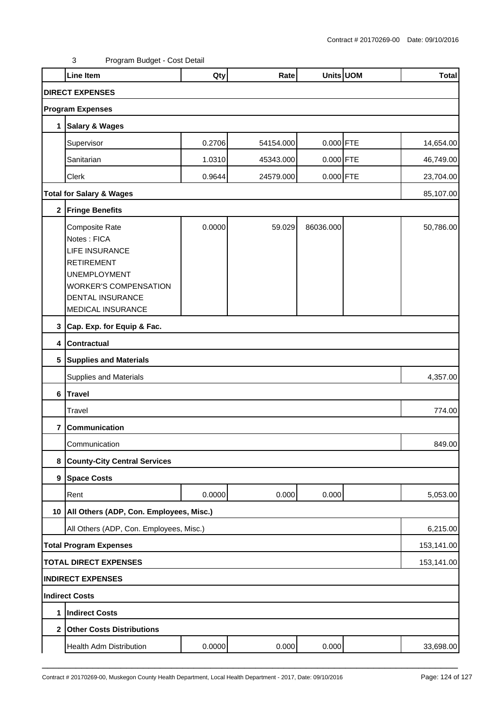|                | Line Item                                                                                                                                                                          | Qty    | Rate      |             | Units UOM | <b>Total</b> |  |  |
|----------------|------------------------------------------------------------------------------------------------------------------------------------------------------------------------------------|--------|-----------|-------------|-----------|--------------|--|--|
|                | <b>DIRECT EXPENSES</b>                                                                                                                                                             |        |           |             |           |              |  |  |
|                | <b>Program Expenses</b>                                                                                                                                                            |        |           |             |           |              |  |  |
| 1              | <b>Salary &amp; Wages</b>                                                                                                                                                          |        |           |             |           |              |  |  |
|                | Supervisor                                                                                                                                                                         | 0.2706 | 54154.000 | 0.000 FTE   |           | 14,654.00    |  |  |
|                | Sanitarian                                                                                                                                                                         | 1.0310 | 45343.000 | $0.000$ FTE |           | 46,749.00    |  |  |
|                | Clerk                                                                                                                                                                              | 0.9644 | 24579.000 | $0.000$ FTE |           | 23,704.00    |  |  |
|                | <b>Total for Salary &amp; Wages</b>                                                                                                                                                |        |           |             |           |              |  |  |
| $\mathbf 2$    | <b>Fringe Benefits</b>                                                                                                                                                             |        |           |             |           |              |  |  |
|                | Composite Rate<br>Notes: FICA<br><b>LIFE INSURANCE</b><br><b>RETIREMENT</b><br><b>UNEMPLOYMENT</b><br><b>WORKER'S COMPENSATION</b><br><b>DENTAL INSURANCE</b><br>MEDICAL INSURANCE | 0.0000 | 59.029    | 86036.000   |           | 50,786.00    |  |  |
|                | 3 Cap. Exp. for Equip & Fac.                                                                                                                                                       |        |           |             |           |              |  |  |
| $\overline{4}$ | <b>Contractual</b>                                                                                                                                                                 |        |           |             |           |              |  |  |
|                | 5 Supplies and Materials                                                                                                                                                           |        |           |             |           |              |  |  |
|                | <b>Supplies and Materials</b>                                                                                                                                                      |        |           |             |           | 4,357.00     |  |  |
| 6              | Travel                                                                                                                                                                             |        |           |             |           |              |  |  |
|                | Travel                                                                                                                                                                             |        |           |             |           | 774.00       |  |  |
| 7              | Communication                                                                                                                                                                      |        |           |             |           |              |  |  |
|                | Communication                                                                                                                                                                      |        |           |             |           | 849.00       |  |  |
| 8              | <b>County-City Central Services</b>                                                                                                                                                |        |           |             |           |              |  |  |
|                | 9 Space Costs                                                                                                                                                                      |        |           |             |           |              |  |  |
|                | Rent                                                                                                                                                                               | 0.0000 | 0.000     | 0.000       |           | 5,053.00     |  |  |
|                | 10   All Others (ADP, Con. Employees, Misc.)                                                                                                                                       |        |           |             |           |              |  |  |
|                | All Others (ADP, Con. Employees, Misc.)                                                                                                                                            |        |           |             |           | 6,215.00     |  |  |
|                | <b>Total Program Expenses</b>                                                                                                                                                      |        |           |             |           | 153,141.00   |  |  |
|                | <b>TOTAL DIRECT EXPENSES</b>                                                                                                                                                       |        |           |             |           | 153,141.00   |  |  |
|                | <b>INDIRECT EXPENSES</b>                                                                                                                                                           |        |           |             |           |              |  |  |
|                | <b>Indirect Costs</b>                                                                                                                                                              |        |           |             |           |              |  |  |
| 1              | Indirect Costs                                                                                                                                                                     |        |           |             |           |              |  |  |
|                | 2 Other Costs Distributions                                                                                                                                                        |        |           |             |           |              |  |  |
|                | Health Adm Distribution                                                                                                                                                            | 0.0000 | 0.000     | 0.000       |           | 33,698.00    |  |  |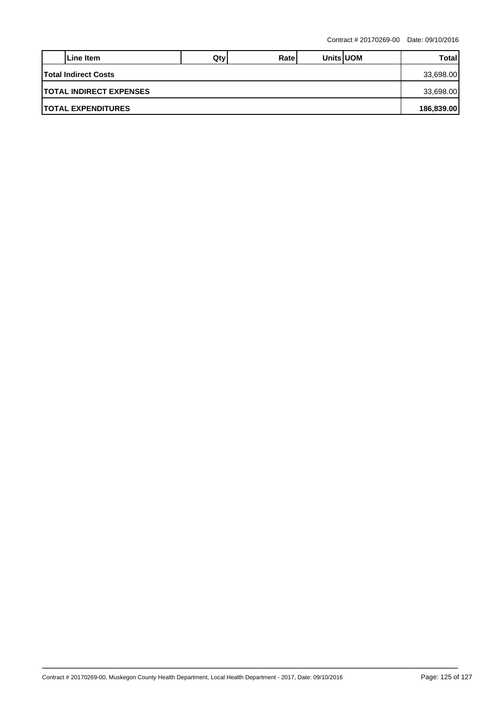|                                 | Line Item | Qtv | Ratel |  | <b>Units UOM</b> | Total |
|---------------------------------|-----------|-----|-------|--|------------------|-------|
| <b>Total Indirect Costs</b>     |           |     |       |  |                  |       |
| <b>ITOTAL INDIRECT EXPENSES</b> |           |     |       |  |                  |       |
| <b>ITOTAL EXPENDITURES</b>      |           |     |       |  |                  |       |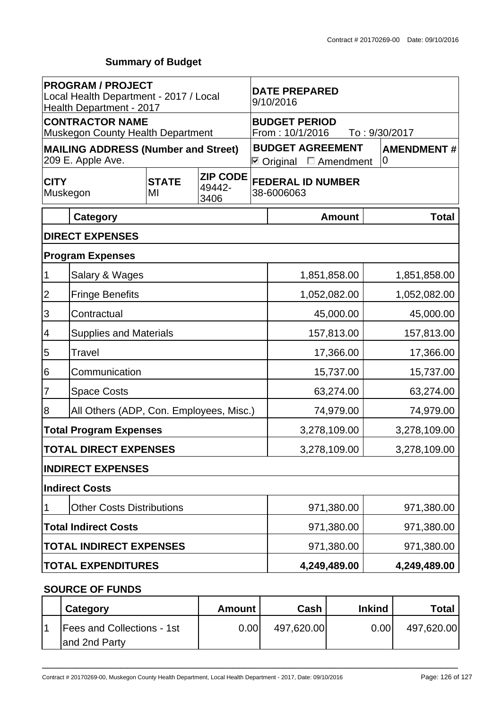# **Summary of Budget**

| <b>PROGRAM / PROJECT</b><br>Local Health Department - 2017 / Local<br>Health Department - 2017 |                                                                    |  | <b>DATE PREPARED</b><br>9/10/2016 |                                                          |                                                                |               |                        |  |
|------------------------------------------------------------------------------------------------|--------------------------------------------------------------------|--|-----------------------------------|----------------------------------------------------------|----------------------------------------------------------------|---------------|------------------------|--|
|                                                                                                | <b>CONTRACTOR NAME</b><br><b>Muskegon County Health Department</b> |  |                                   | <b>BUDGET PERIOD</b><br>From: 10/1/2016<br>To: 9/30/2017 |                                                                |               |                        |  |
|                                                                                                | <b>MAILING ADDRESS (Number and Street)</b><br>209 E. Apple Ave.    |  |                                   |                                                          | <b>BUDGET AGREEMENT</b><br>$\boxdot$ Original $\Box$ Amendment |               | <b>AMENDMENT#</b><br>0 |  |
| <b>ZIP CODE</b><br><b>STATE</b><br><b>CITY</b><br>49442-<br>Muskegon<br>MI<br>3406             |                                                                    |  | 38-6006063                        | <b>FEDERAL ID NUMBER</b>                                 |                                                                |               |                        |  |
|                                                                                                | <b>Category</b>                                                    |  |                                   |                                                          |                                                                | <b>Amount</b> | <b>Total</b>           |  |
|                                                                                                | <b>DIRECT EXPENSES</b>                                             |  |                                   |                                                          |                                                                |               |                        |  |
|                                                                                                | <b>Program Expenses</b>                                            |  |                                   |                                                          |                                                                |               |                        |  |
| 1                                                                                              | Salary & Wages                                                     |  |                                   |                                                          | 1,851,858.00                                                   |               | 1,851,858.00           |  |
| 2                                                                                              | <b>Fringe Benefits</b>                                             |  |                                   |                                                          | 1,052,082.00                                                   |               | 1,052,082.00           |  |
| $\overline{3}$                                                                                 | Contractual                                                        |  |                                   |                                                          | 45,000.00<br>45,000.00                                         |               |                        |  |
| 4                                                                                              | <b>Supplies and Materials</b>                                      |  |                                   |                                                          | 157,813.00                                                     |               | 157,813.00             |  |
| $\overline{5}$                                                                                 | <b>Travel</b>                                                      |  |                                   |                                                          |                                                                | 17,366.00     | 17,366.00              |  |
| 6                                                                                              | Communication                                                      |  |                                   |                                                          | 15,737.00                                                      | 15,737.00     |                        |  |
| $\overline{7}$                                                                                 | <b>Space Costs</b>                                                 |  |                                   |                                                          | 63,274.00                                                      |               | 63,274.00              |  |
| 8                                                                                              | All Others (ADP, Con. Employees, Misc.)                            |  |                                   | 74,979.00                                                |                                                                |               | 74,979.00              |  |
|                                                                                                | <b>Total Program Expenses</b>                                      |  |                                   | 3,278,109.00                                             |                                                                |               | 3,278,109.00           |  |
|                                                                                                | <b>TOTAL DIRECT EXPENSES</b>                                       |  |                                   | 3,278,109.00                                             |                                                                |               | 3,278,109.00           |  |
|                                                                                                | <b>INDIRECT EXPENSES</b>                                           |  |                                   |                                                          |                                                                |               |                        |  |
| <b>Indirect Costs</b>                                                                          |                                                                    |  |                                   |                                                          |                                                                |               |                        |  |
| <b>Other Costs Distributions</b><br>1                                                          |                                                                    |  |                                   | 971,380.00                                               |                                                                | 971,380.00    |                        |  |
| <b>Total Indirect Costs</b>                                                                    |                                                                    |  |                                   |                                                          | 971,380.00                                                     |               | 971,380.00             |  |
|                                                                                                | <b>TOTAL INDIRECT EXPENSES</b>                                     |  |                                   |                                                          | 971,380.00                                                     |               | 971,380.00             |  |
| <b>TOTAL EXPENDITURES</b>                                                                      |                                                                    |  |                                   | 4,249,489.00                                             |                                                                | 4,249,489.00  |                        |  |

### **SOURCE OF FUNDS**

| Category                                           | Amount | Cash       | <b>Inkind</b> | <b>Total</b> |
|----------------------------------------------------|--------|------------|---------------|--------------|
| <b>Fees and Collections - 1st</b><br>and 2nd Party | 0.001  | 497,620.00 | 0.00          | 497,620.00   |